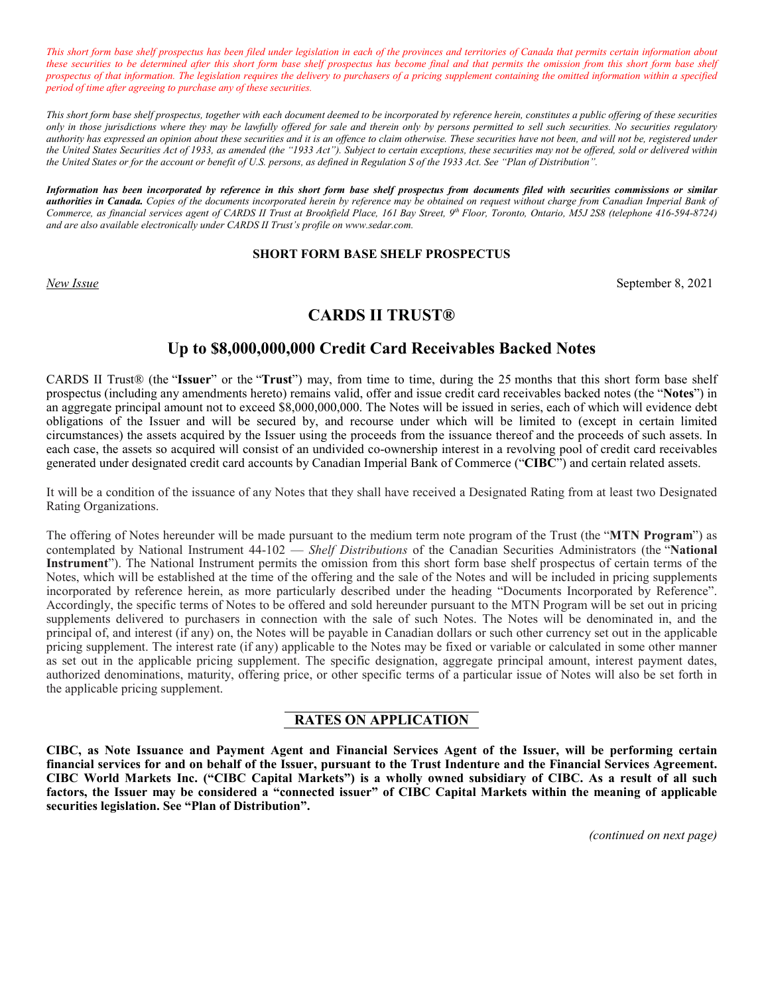*This short form base shelf prospectus has been filed under legislation in each of the provinces and territories of Canada that permits certain information about these securities to be determined after this short form base shelf prospectus has become final and that permits the omission from this short form base shelf prospectus of that information. The legislation requires the delivery to purchasers of a pricing supplement containing the omitted information within a specified period of time after agreeing to purchase any of these securities.*

*This short form base shelf prospectus, together with each document deemed to be incorporated by reference herein, constitutes a public offering of these securities only in those jurisdictions where they may be lawfully offered for sale and therein only by persons permitted to sell such securities. No securities regulatory authority has expressed an opinion about these securities and it is an offence to claim otherwise. These securities have not been, and will not be, registered under the United States Securities Act of 1933, as amended (the "1933 Act"). Subject to certain exceptions, these securities may not be offered, sold or delivered within the United States or for the account or benefit of U.S. persons, as defined in Regulation S of the 1933 Act. See "Plan of Distribution".*

*Information has been incorporated by reference in this short form base shelf prospectus from documents filed with securities commissions or similar authorities in Canada. Copies of the documents incorporated herein by reference may be obtained on request without charge from Canadian Imperial Bank of Commerce, as financial services agent of CARDS II Trust at Brookfield Place, 161 Bay Street, 9th Floor, Toronto, Ontario, M5J 2S8 (telephone 416-594-8724) and are also available electronically under CARDS II Trust's profile o[n www.sedar.com.](http://www.sedar.com/)*

#### **SHORT FORM BASE SHELF PROSPECTUS**

*New Issue* September 8, 2021

# **CARDS II TRUST®**

# **Up to \$8,000,000,000 Credit Card Receivables Backed Notes**

CARDS II Trust® (the "**Issuer**" or the "**Trust**") may, from time to time, during the 25 months that this short form base shelf prospectus (including any amendments hereto) remains valid, offer and issue credit card receivables backed notes (the "**Notes**") in an aggregate principal amount not to exceed \$8,000,000,000. The Notes will be issued in series, each of which will evidence debt obligations of the Issuer and will be secured by, and recourse under which will be limited to (except in certain limited circumstances) the assets acquired by the Issuer using the proceeds from the issuance thereof and the proceeds of such assets. In each case, the assets so acquired will consist of an undivided co-ownership interest in a revolving pool of credit card receivables generated under designated credit card accounts by Canadian Imperial Bank of Commerce ("**CIBC**") and certain related assets.

It will be a condition of the issuance of any Notes that they shall have received a Designated Rating from at least two Designated Rating Organizations.

The offering of Notes hereunder will be made pursuant to the medium term note program of the Trust (the "**MTN Program**") as contemplated by National Instrument 44-102 — *Shelf Distributions* of the Canadian Securities Administrators (the "**National Instrument**"). The National Instrument permits the omission from this short form base shelf prospectus of certain terms of the Notes, which will be established at the time of the offering and the sale of the Notes and will be included in pricing supplements incorporated by reference herein, as more particularly described under the heading "Documents Incorporated by Reference". Accordingly, the specific terms of Notes to be offered and sold hereunder pursuant to the MTN Program will be set out in pricing supplements delivered to purchasers in connection with the sale of such Notes. The Notes will be denominated in, and the principal of, and interest (if any) on, the Notes will be payable in Canadian dollars or such other currency set out in the applicable pricing supplement. The interest rate (if any) applicable to the Notes may be fixed or variable or calculated in some other manner as set out in the applicable pricing supplement. The specific designation, aggregate principal amount, interest payment dates, authorized denominations, maturity, offering price, or other specific terms of a particular issue of Notes will also be set forth in the applicable pricing supplement.

# **RATES ON APPLICATION**

**CIBC, as Note Issuance and Payment Agent and Financial Services Agent of the Issuer, will be performing certain financial services for and on behalf of the Issuer, pursuant to the Trust Indenture and the Financial Services Agreement. CIBC World Markets Inc. ("CIBC Capital Markets") is a wholly owned subsidiary of CIBC. As a result of all such factors, the Issuer may be considered a "connected issuer" of CIBC Capital Markets within the meaning of applicable securities legislation. See "Plan of Distribution".**

*(continued on next page)*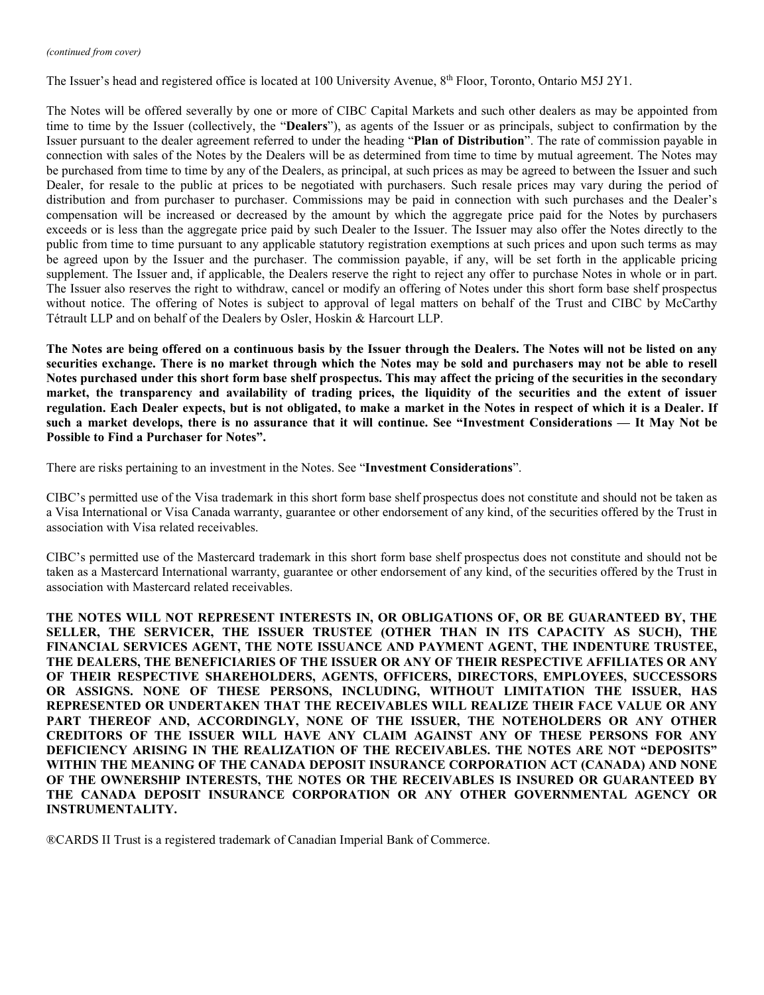#### *(continued from cover)*

The Issuer's head and registered office is located at 100 University Avenue, 8<sup>th</sup> Floor, Toronto, Ontario M5J 2Y1.

The Notes will be offered severally by one or more of CIBC Capital Markets and such other dealers as may be appointed from time to time by the Issuer (collectively, the "**Dealers**"), as agents of the Issuer or as principals, subject to confirmation by the Issuer pursuant to the dealer agreement referred to under the heading "**Plan of Distribution**". The rate of commission payable in connection with sales of the Notes by the Dealers will be as determined from time to time by mutual agreement. The Notes may be purchased from time to time by any of the Dealers, as principal, at such prices as may be agreed to between the Issuer and such Dealer, for resale to the public at prices to be negotiated with purchasers. Such resale prices may vary during the period of distribution and from purchaser to purchaser. Commissions may be paid in connection with such purchases and the Dealer's compensation will be increased or decreased by the amount by which the aggregate price paid for the Notes by purchasers exceeds or is less than the aggregate price paid by such Dealer to the Issuer. The Issuer may also offer the Notes directly to the public from time to time pursuant to any applicable statutory registration exemptions at such prices and upon such terms as may be agreed upon by the Issuer and the purchaser. The commission payable, if any, will be set forth in the applicable pricing supplement. The Issuer and, if applicable, the Dealers reserve the right to reject any offer to purchase Notes in whole or in part. The Issuer also reserves the right to withdraw, cancel or modify an offering of Notes under this short form base shelf prospectus without notice. The offering of Notes is subject to approval of legal matters on behalf of the Trust and CIBC by McCarthy Tétrault LLP and on behalf of the Dealers by Osler, Hoskin & Harcourt LLP.

**The Notes are being offered on a continuous basis by the Issuer through the Dealers. The Notes will not be listed on any securities exchange. There is no market through which the Notes may be sold and purchasers may not be able to resell Notes purchased under this short form base shelf prospectus. This may affect the pricing of the securities in the secondary market, the transparency and availability of trading prices, the liquidity of the securities and the extent of issuer regulation. Each Dealer expects, but is not obligated, to make a market in the Notes in respect of which it is a Dealer. If such a market develops, there is no assurance that it will continue. See "Investment Considerations — It May Not be Possible to Find a Purchaser for Notes".**

There are risks pertaining to an investment in the Notes. See "**Investment Considerations**".

CIBC's permitted use of the Visa trademark in this short form base shelf prospectus does not constitute and should not be taken as a Visa International or Visa Canada warranty, guarantee or other endorsement of any kind, of the securities offered by the Trust in association with Visa related receivables.

CIBC's permitted use of the Mastercard trademark in this short form base shelf prospectus does not constitute and should not be taken as a Mastercard International warranty, guarantee or other endorsement of any kind, of the securities offered by the Trust in association with Mastercard related receivables.

**THE NOTES WILL NOT REPRESENT INTERESTS IN, OR OBLIGATIONS OF, OR BE GUARANTEED BY, THE SELLER, THE SERVICER, THE ISSUER TRUSTEE (OTHER THAN IN ITS CAPACITY AS SUCH), THE FINANCIAL SERVICES AGENT, THE NOTE ISSUANCE AND PAYMENT AGENT, THE INDENTURE TRUSTEE, THE DEALERS, THE BENEFICIARIES OF THE ISSUER OR ANY OF THEIR RESPECTIVE AFFILIATES OR ANY OF THEIR RESPECTIVE SHAREHOLDERS, AGENTS, OFFICERS, DIRECTORS, EMPLOYEES, SUCCESSORS OR ASSIGNS. NONE OF THESE PERSONS, INCLUDING, WITHOUT LIMITATION THE ISSUER, HAS REPRESENTED OR UNDERTAKEN THAT THE RECEIVABLES WILL REALIZE THEIR FACE VALUE OR ANY PART THEREOF AND, ACCORDINGLY, NONE OF THE ISSUER, THE NOTEHOLDERS OR ANY OTHER CREDITORS OF THE ISSUER WILL HAVE ANY CLAIM AGAINST ANY OF THESE PERSONS FOR ANY DEFICIENCY ARISING IN THE REALIZATION OF THE RECEIVABLES. THE NOTES ARE NOT "DEPOSITS" WITHIN THE MEANING OF THE CANADA DEPOSIT INSURANCE CORPORATION ACT (CANADA) AND NONE OF THE OWNERSHIP INTERESTS, THE NOTES OR THE RECEIVABLES IS INSURED OR GUARANTEED BY THE CANADA DEPOSIT INSURANCE CORPORATION OR ANY OTHER GOVERNMENTAL AGENCY OR INSTRUMENTALITY.**

®CARDS II Trust is a registered trademark of Canadian Imperial Bank of Commerce.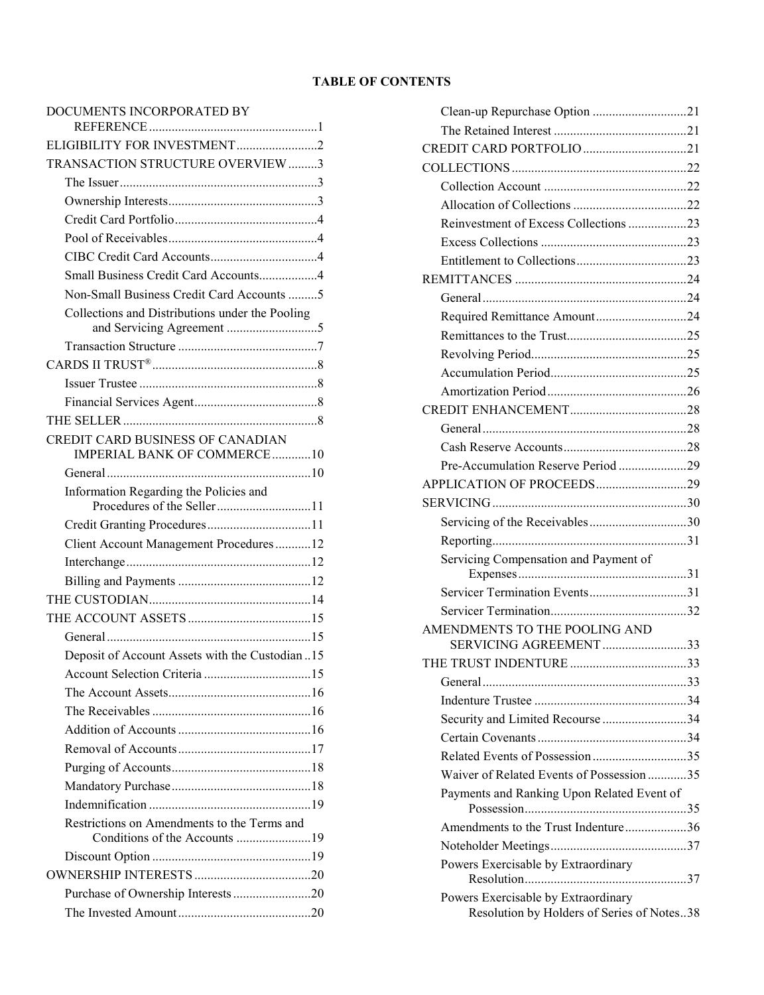# **TABLE OF CONTENTS**

# [DOCUMENTS INCORPORATED BY](#page-4-0)

| ELIGIBILITY FOR INVESTMENT2                                                  |
|------------------------------------------------------------------------------|
| TRANSACTION STRUCTURE OVERVIEW 3                                             |
|                                                                              |
|                                                                              |
|                                                                              |
|                                                                              |
|                                                                              |
| Small Business Credit Card Accounts4                                         |
| Non-Small Business Credit Card Accounts 5                                    |
| Collections and Distributions under the Pooling                              |
|                                                                              |
|                                                                              |
|                                                                              |
|                                                                              |
|                                                                              |
| CREDIT CARD BUSINESS OF CANADIAN<br>IMPERIAL BANK OF COMMERCE10              |
|                                                                              |
| Information Regarding the Policies and<br>Procedures of the Seller11         |
| Credit Granting Procedures11                                                 |
| Client Account Management Procedures12                                       |
|                                                                              |
|                                                                              |
|                                                                              |
|                                                                              |
|                                                                              |
| Deposit of Account Assets with the Custodian 15                              |
|                                                                              |
|                                                                              |
|                                                                              |
|                                                                              |
|                                                                              |
|                                                                              |
|                                                                              |
|                                                                              |
| Restrictions on Amendments to the Terms and<br>Conditions of the Accounts 19 |
|                                                                              |
|                                                                              |
| Purchase of Ownership Interests20                                            |
|                                                                              |
|                                                                              |

| Clean-up Repurchase Option 21                                                     |  |
|-----------------------------------------------------------------------------------|--|
|                                                                                   |  |
| CREDIT CARD PORTFOLIO 21                                                          |  |
|                                                                                   |  |
|                                                                                   |  |
|                                                                                   |  |
| Reinvestment of Excess Collections 23                                             |  |
|                                                                                   |  |
|                                                                                   |  |
|                                                                                   |  |
|                                                                                   |  |
| Required Remittance Amount24                                                      |  |
|                                                                                   |  |
|                                                                                   |  |
|                                                                                   |  |
|                                                                                   |  |
|                                                                                   |  |
|                                                                                   |  |
|                                                                                   |  |
| Pre-Accumulation Reserve Period 29                                                |  |
|                                                                                   |  |
|                                                                                   |  |
| Servicing of the Receivables30                                                    |  |
|                                                                                   |  |
| Servicing Compensation and Payment of                                             |  |
| Servicer Termination Events31                                                     |  |
|                                                                                   |  |
| AMENDMENTS TO THE POOLING AND<br>SERVICING AGREEMENT33                            |  |
|                                                                                   |  |
| General                                                                           |  |
|                                                                                   |  |
| Security and Limited Recourse 34                                                  |  |
|                                                                                   |  |
| Related Events of Possession35                                                    |  |
| Waiver of Related Events of Possession35                                          |  |
| Payments and Ranking Upon Related Event of                                        |  |
| Amendments to the Trust Indenture36                                               |  |
|                                                                                   |  |
| Powers Exercisable by Extraordinary                                               |  |
|                                                                                   |  |
| Powers Exercisable by Extraordinary<br>Resolution by Holders of Series of Notes38 |  |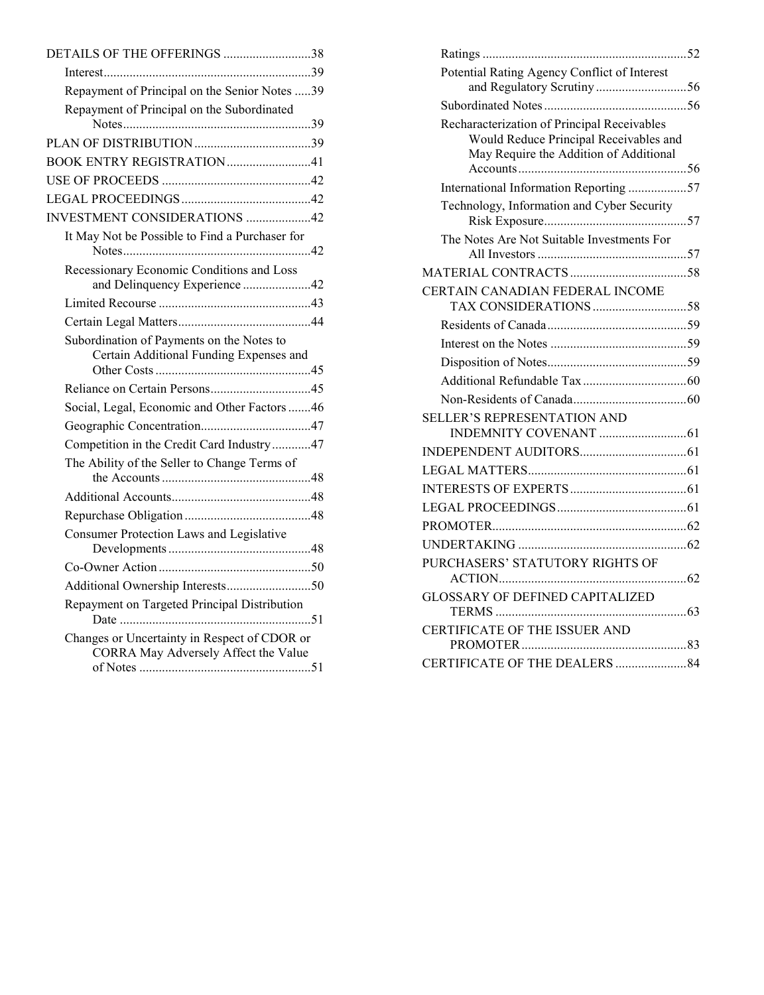| DETAILS OF THE OFFERINGS 38                                                          |
|--------------------------------------------------------------------------------------|
|                                                                                      |
| Repayment of Principal on the Senior Notes 39                                        |
| Repayment of Principal on the Subordinated                                           |
|                                                                                      |
|                                                                                      |
| BOOK ENTRY REGISTRATION41                                                            |
|                                                                                      |
|                                                                                      |
| <b>INVESTMENT CONSIDERATIONS 42</b>                                                  |
| It May Not be Possible to Find a Purchaser for                                       |
| Recessionary Economic Conditions and Loss                                            |
| and Delinquency Experience 42                                                        |
|                                                                                      |
|                                                                                      |
| Subordination of Payments on the Notes to<br>Certain Additional Funding Expenses and |
|                                                                                      |
| Social, Legal, Economic and Other Factors 46                                         |
|                                                                                      |
| Competition in the Credit Card Industry47                                            |
| The Ability of the Seller to Change Terms of                                         |
|                                                                                      |
|                                                                                      |
| Consumer Protection Laws and Legislative                                             |
|                                                                                      |
| Additional Ownership Interests50                                                     |
| Repayment on Targeted Principal Distribution                                         |
| Changes or Uncertainty in Respect of CDOR or<br>CORRA May Adversely Affect the Value |

| Potential Rating Agency Conflict of Interest<br>and Regulatory Scrutiny 56                                                      |  |
|---------------------------------------------------------------------------------------------------------------------------------|--|
|                                                                                                                                 |  |
| Recharacterization of Principal Receivables<br>Would Reduce Principal Receivables and<br>May Require the Addition of Additional |  |
| International Information Reporting 57                                                                                          |  |
| Technology, Information and Cyber Security                                                                                      |  |
| The Notes Are Not Suitable Investments For                                                                                      |  |
|                                                                                                                                 |  |
| CERTAIN CANADIAN FEDERAL INCOME                                                                                                 |  |
|                                                                                                                                 |  |
|                                                                                                                                 |  |
|                                                                                                                                 |  |
|                                                                                                                                 |  |
|                                                                                                                                 |  |
| SELLER'S REPRESENTATION AND                                                                                                     |  |
|                                                                                                                                 |  |
|                                                                                                                                 |  |
|                                                                                                                                 |  |
|                                                                                                                                 |  |
|                                                                                                                                 |  |
|                                                                                                                                 |  |
| PURCHASERS' STATUTORY RIGHTS OF                                                                                                 |  |
| <b>GLOSSARY OF DEFINED CAPITALIZED</b>                                                                                          |  |
| CERTIFICATE OF THE ISSUER AND                                                                                                   |  |
|                                                                                                                                 |  |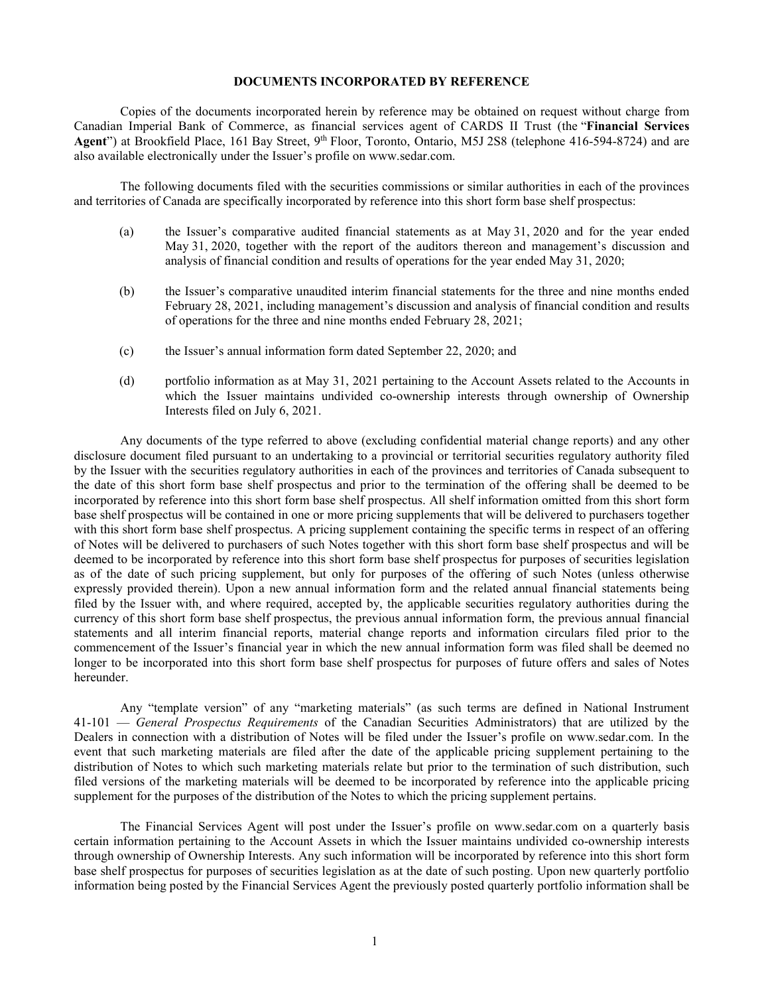# **DOCUMENTS INCORPORATED BY REFERENCE**

<span id="page-4-0"></span>Copies of the documents incorporated herein by reference may be obtained on request without charge from Canadian Imperial Bank of Commerce, as financial services agent of CARDS II Trust (the "**Financial Services**  Agent") at Brookfield Place, 161 Bay Street, 9<sup>th</sup> Floor, Toronto, Ontario, M5J 2S8 (telephone 416-594-8724) and are also available electronically under the Issuer's profile on [www.sedar.com.](http://www.sedar.com/)

The following documents filed with the securities commissions or similar authorities in each of the provinces and territories of Canada are specifically incorporated by reference into this short form base shelf prospectus:

- (a) the Issuer's comparative audited financial statements as at May 31, 2020 and for the year ended May 31, 2020, together with the report of the auditors thereon and management's discussion and analysis of financial condition and results of operations for the year ended May 31, 2020;
- (b) the Issuer's comparative unaudited interim financial statements for the three and nine months ended February 28, 2021, including management's discussion and analysis of financial condition and results of operations for the three and nine months ended February 28, 2021;
- (c) the Issuer's annual information form dated September 22, 2020; and
- (d) portfolio information as at May 31, 2021 pertaining to the Account Assets related to the Accounts in which the Issuer maintains undivided co-ownership interests through ownership of Ownership Interests filed on July 6, 2021.

Any documents of the type referred to above (excluding confidential material change reports) and any other disclosure document filed pursuant to an undertaking to a provincial or territorial securities regulatory authority filed by the Issuer with the securities regulatory authorities in each of the provinces and territories of Canada subsequent to the date of this short form base shelf prospectus and prior to the termination of the offering shall be deemed to be incorporated by reference into this short form base shelf prospectus. All shelf information omitted from this short form base shelf prospectus will be contained in one or more pricing supplements that will be delivered to purchasers together with this short form base shelf prospectus. A pricing supplement containing the specific terms in respect of an offering of Notes will be delivered to purchasers of such Notes together with this short form base shelf prospectus and will be deemed to be incorporated by reference into this short form base shelf prospectus for purposes of securities legislation as of the date of such pricing supplement, but only for purposes of the offering of such Notes (unless otherwise expressly provided therein). Upon a new annual information form and the related annual financial statements being filed by the Issuer with, and where required, accepted by, the applicable securities regulatory authorities during the currency of this short form base shelf prospectus, the previous annual information form, the previous annual financial statements and all interim financial reports, material change reports and information circulars filed prior to the commencement of the Issuer's financial year in which the new annual information form was filed shall be deemed no longer to be incorporated into this short form base shelf prospectus for purposes of future offers and sales of Notes hereunder.

Any "template version" of any "marketing materials" (as such terms are defined in National Instrument 41-101 — *General Prospectus Requirements* of the Canadian Securities Administrators) that are utilized by the Dealers in connection with a distribution of Notes will be filed under the Issuer's profile on [www.sedar.com.](http://www.sedar.com/) In the event that such marketing materials are filed after the date of the applicable pricing supplement pertaining to the distribution of Notes to which such marketing materials relate but prior to the termination of such distribution, such filed versions of the marketing materials will be deemed to be incorporated by reference into the applicable pricing supplement for the purposes of the distribution of the Notes to which the pricing supplement pertains.

The Financial Services Agent will post under the Issuer's profile on [www.sedar.com](http://www.sedar.com/) on a quarterly basis certain information pertaining to the Account Assets in which the Issuer maintains undivided co-ownership interests through ownership of Ownership Interests. Any such information will be incorporated by reference into this short form base shelf prospectus for purposes of securities legislation as at the date of such posting. Upon new quarterly portfolio information being posted by the Financial Services Agent the previously posted quarterly portfolio information shall be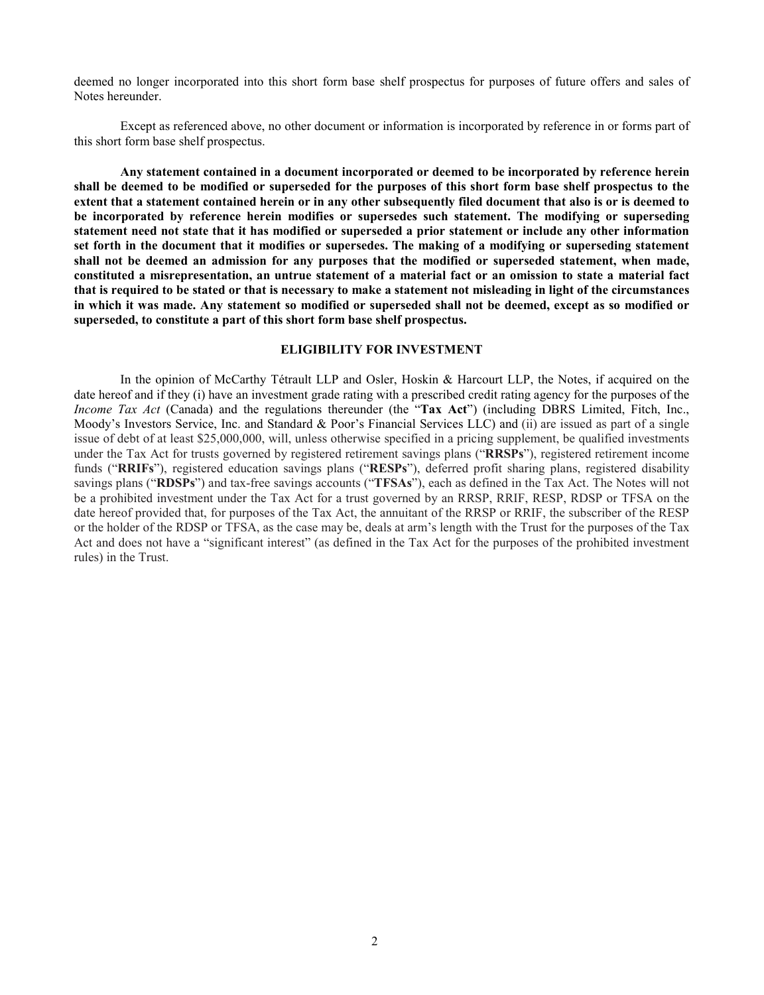deemed no longer incorporated into this short form base shelf prospectus for purposes of future offers and sales of Notes hereunder.

Except as referenced above, no other document or information is incorporated by reference in or forms part of this short form base shelf prospectus.

**Any statement contained in a document incorporated or deemed to be incorporated by reference herein shall be deemed to be modified or superseded for the purposes of this short form base shelf prospectus to the extent that a statement contained herein or in any other subsequently filed document that also is or is deemed to be incorporated by reference herein modifies or supersedes such statement. The modifying or superseding statement need not state that it has modified or superseded a prior statement or include any other information set forth in the document that it modifies or supersedes. The making of a modifying or superseding statement shall not be deemed an admission for any purposes that the modified or superseded statement, when made, constituted a misrepresentation, an untrue statement of a material fact or an omission to state a material fact that is required to be stated or that is necessary to make a statement not misleading in light of the circumstances in which it was made. Any statement so modified or superseded shall not be deemed, except as so modified or superseded, to constitute a part of this short form base shelf prospectus.**

# **ELIGIBILITY FOR INVESTMENT**

<span id="page-5-0"></span>In the opinion of McCarthy Tétrault LLP and Osler, Hoskin & Harcourt LLP, the Notes, if acquired on the date hereof and if they (i) have an investment grade rating with a prescribed credit rating agency for the purposes of the *Income Tax Act* (Canada) and the regulations thereunder (the "Tax Act") (including DBRS Limited, Fitch, Inc., Moody's Investors Service, Inc. and Standard & Poor's Financial Services LLC) and (ii) are issued as part of a single issue of debt of at least \$25,000,000, will, unless otherwise specified in a pricing supplement, be qualified investments under the Tax Act for trusts governed by registered retirement savings plans ("**RRSPs**"), registered retirement income funds ("**RRIFs**"), registered education savings plans ("**RESPs**"), deferred profit sharing plans, registered disability savings plans ("**RDSPs**") and tax-free savings accounts ("**TFSAs**"), each as defined in the Tax Act. The Notes will not be a prohibited investment under the Tax Act for a trust governed by an RRSP, RRIF, RESP, RDSP or TFSA on the date hereof provided that, for purposes of the Tax Act, the annuitant of the RRSP or RRIF, the subscriber of the RESP or the holder of the RDSP or TFSA, as the case may be, deals at arm's length with the Trust for the purposes of the Tax Act and does not have a "significant interest" (as defined in the Tax Act for the purposes of the prohibited investment rules) in the Trust.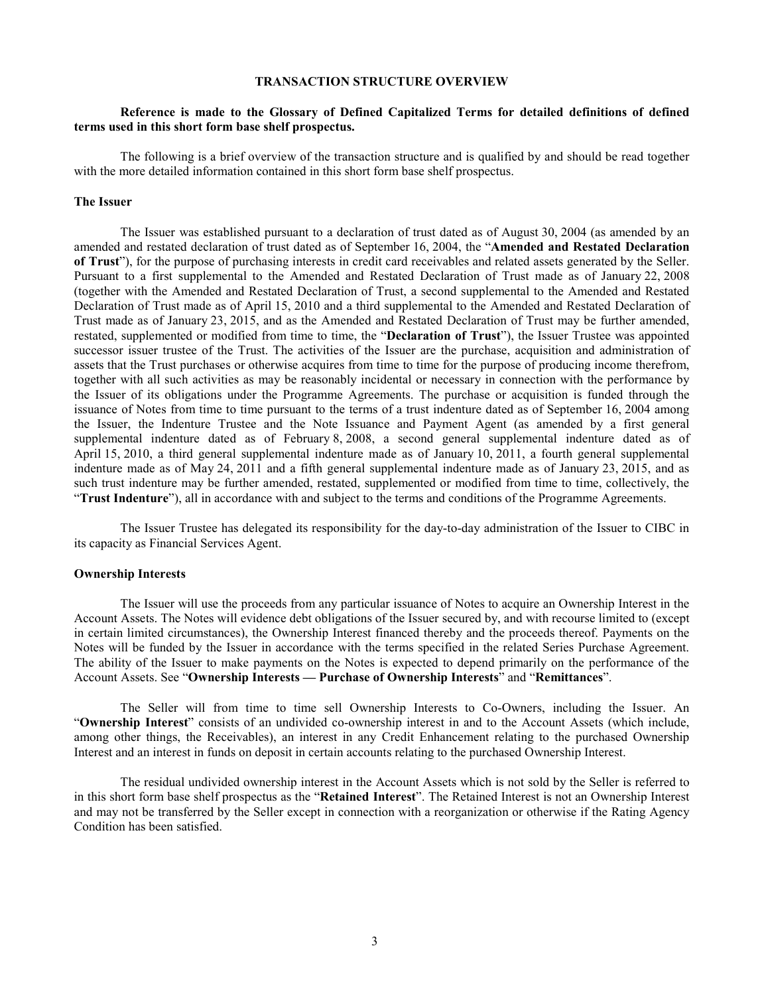# **TRANSACTION STRUCTURE OVERVIEW**

# <span id="page-6-0"></span>**Reference is made to the Glossary of Defined Capitalized Terms for detailed definitions of defined terms used in this short form base shelf prospectus.**

The following is a brief overview of the transaction structure and is qualified by and should be read together with the more detailed information contained in this short form base shelf prospectus.

### <span id="page-6-1"></span>**The Issuer**

The Issuer was established pursuant to a declaration of trust dated as of August 30, 2004 (as amended by an amended and restated declaration of trust dated as of September 16, 2004, the "**Amended and Restated Declaration of Trust**"), for the purpose of purchasing interests in credit card receivables and related assets generated by the Seller. Pursuant to a first supplemental to the Amended and Restated Declaration of Trust made as of January 22, 2008 (together with the Amended and Restated Declaration of Trust, a second supplemental to the Amended and Restated Declaration of Trust made as of April 15, 2010 and a third supplemental to the Amended and Restated Declaration of Trust made as of January 23, 2015, and as the Amended and Restated Declaration of Trust may be further amended, restated, supplemented or modified from time to time, the "**Declaration of Trust**"), the Issuer Trustee was appointed successor issuer trustee of the Trust. The activities of the Issuer are the purchase, acquisition and administration of assets that the Trust purchases or otherwise acquires from time to time for the purpose of producing income therefrom, together with all such activities as may be reasonably incidental or necessary in connection with the performance by the Issuer of its obligations under the Programme Agreements. The purchase or acquisition is funded through the issuance of Notes from time to time pursuant to the terms of a trust indenture dated as of September 16, 2004 among the Issuer, the Indenture Trustee and the Note Issuance and Payment Agent (as amended by a first general supplemental indenture dated as of February 8, 2008, a second general supplemental indenture dated as of April 15, 2010, a third general supplemental indenture made as of January 10, 2011, a fourth general supplemental indenture made as of May 24, 2011 and a fifth general supplemental indenture made as of January 23, 2015, and as such trust indenture may be further amended, restated, supplemented or modified from time to time, collectively, the "**Trust Indenture**"), all in accordance with and subject to the terms and conditions of the Programme Agreements.

The Issuer Trustee has delegated its responsibility for the day-to-day administration of the Issuer to CIBC in its capacity as Financial Services Agent.

#### <span id="page-6-2"></span>**Ownership Interests**

The Issuer will use the proceeds from any particular issuance of Notes to acquire an Ownership Interest in the Account Assets. The Notes will evidence debt obligations of the Issuer secured by, and with recourse limited to (except in certain limited circumstances), the Ownership Interest financed thereby and the proceeds thereof. Payments on the Notes will be funded by the Issuer in accordance with the terms specified in the related Series Purchase Agreement. The ability of the Issuer to make payments on the Notes is expected to depend primarily on the performance of the Account Assets. See "**Ownership Interests — Purchase of Ownership Interests**" and "**Remittances**".

The Seller will from time to time sell Ownership Interests to Co-Owners, including the Issuer. An "**Ownership Interest**" consists of an undivided co-ownership interest in and to the Account Assets (which include, among other things, the Receivables), an interest in any Credit Enhancement relating to the purchased Ownership Interest and an interest in funds on deposit in certain accounts relating to the purchased Ownership Interest.

The residual undivided ownership interest in the Account Assets which is not sold by the Seller is referred to in this short form base shelf prospectus as the "**Retained Interest**". The Retained Interest is not an Ownership Interest and may not be transferred by the Seller except in connection with a reorganization or otherwise if the Rating Agency Condition has been satisfied.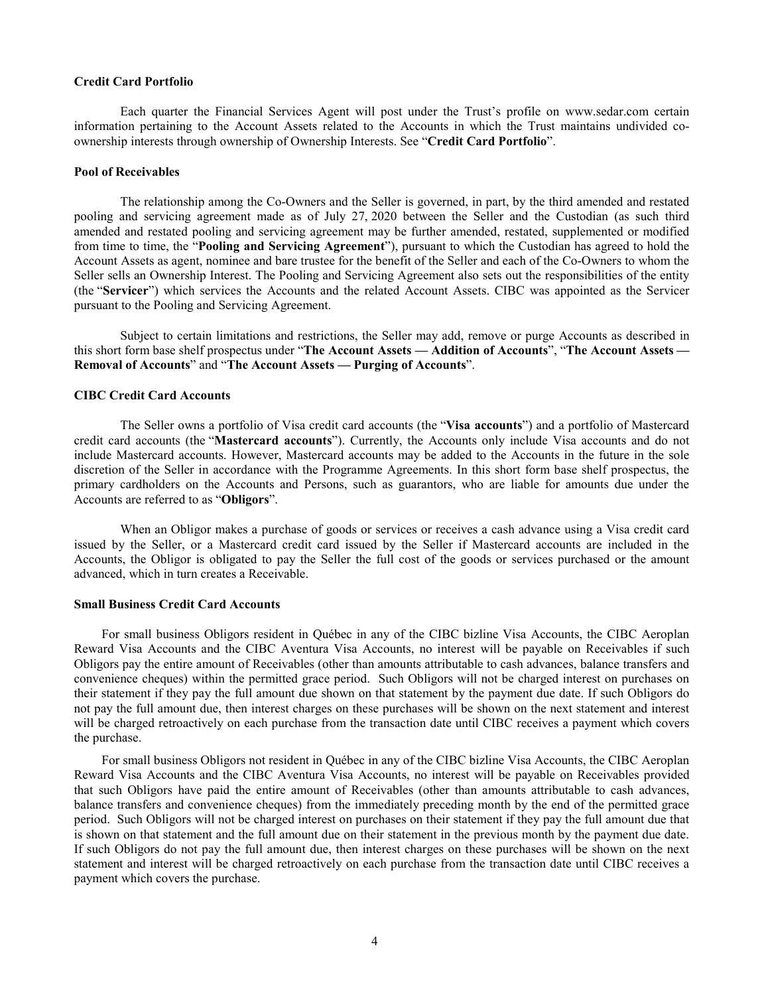#### <span id="page-7-0"></span>**Credit Card Portfolio**

Each quarter the Financial Services Agent will post under the Trust's profile on [www.sedar.com](http://www.sedar.com/) certain information pertaining to the Account Assets related to the Accounts in which the Trust maintains undivided coownership interests through ownership of Ownership Interests. See "**Credit Card Portfolio**".

#### <span id="page-7-1"></span>**Pool of Receivables**

The relationship among the Co-Owners and the Seller is governed, in part, by the third amended and restated pooling and servicing agreement made as of July 27, 2020 between the Seller and the Custodian (as such third amended and restated pooling and servicing agreement may be further amended, restated, supplemented or modified from time to time, the "**Pooling and Servicing Agreement**"), pursuant to which the Custodian has agreed to hold the Account Assets as agent, nominee and bare trustee for the benefit of the Seller and each of the Co-Owners to whom the Seller sells an Ownership Interest. The Pooling and Servicing Agreement also sets out the responsibilities of the entity (the "**Servicer**") which services the Accounts and the related Account Assets. CIBC was appointed as the Servicer pursuant to the Pooling and Servicing Agreement.

Subject to certain limitations and restrictions, the Seller may add, remove or purge Accounts as described in this short form base shelf prospectus under "**The Account Assets — Addition of Accounts**", "**The Account Assets — Removal of Accounts**" and "**The Account Assets — Purging of Accounts**".

### <span id="page-7-2"></span>**CIBC Credit Card Accounts**

The Seller owns a portfolio of Visa credit card accounts (the "**Visa accounts**") and a portfolio of Mastercard credit card accounts (the "**Mastercard accounts**"). Currently, the Accounts only include Visa accounts and do not include Mastercard accounts. However, Mastercard accounts may be added to the Accounts in the future in the sole discretion of the Seller in accordance with the Programme Agreements. In this short form base shelf prospectus, the primary cardholders on the Accounts and Persons, such as guarantors, who are liable for amounts due under the Accounts are referred to as "**Obligors**".

When an Obligor makes a purchase of goods or services or receives a cash advance using a Visa credit card issued by the Seller, or a Mastercard credit card issued by the Seller if Mastercard accounts are included in the Accounts, the Obligor is obligated to pay the Seller the full cost of the goods or services purchased or the amount advanced, which in turn creates a Receivable.

## <span id="page-7-3"></span>**Small Business Credit Card Accounts**

For small business Obligors resident in Québec in any of the CIBC bizline Visa Accounts, the CIBC Aeroplan Reward Visa Accounts and the CIBC Aventura Visa Accounts, no interest will be payable on Receivables if such Obligors pay the entire amount of Receivables (other than amounts attributable to cash advances, balance transfers and convenience cheques) within the permitted grace period. Such Obligors will not be charged interest on purchases on their statement if they pay the full amount due shown on that statement by the payment due date. If such Obligors do not pay the full amount due, then interest charges on these purchases will be shown on the next statement and interest will be charged retroactively on each purchase from the transaction date until CIBC receives a payment which covers the purchase.

For small business Obligors not resident in Québec in any of the CIBC bizline Visa Accounts, the CIBC Aeroplan Reward Visa Accounts and the CIBC Aventura Visa Accounts, no interest will be payable on Receivables provided that such Obligors have paid the entire amount of Receivables (other than amounts attributable to cash advances, balance transfers and convenience cheques) from the immediately preceding month by the end of the permitted grace period. Such Obligors will not be charged interest on purchases on their statement if they pay the full amount due that is shown on that statement and the full amount due on their statement in the previous month by the payment due date. If such Obligors do not pay the full amount due, then interest charges on these purchases will be shown on the next statement and interest will be charged retroactively on each purchase from the transaction date until CIBC receives a payment which covers the purchase.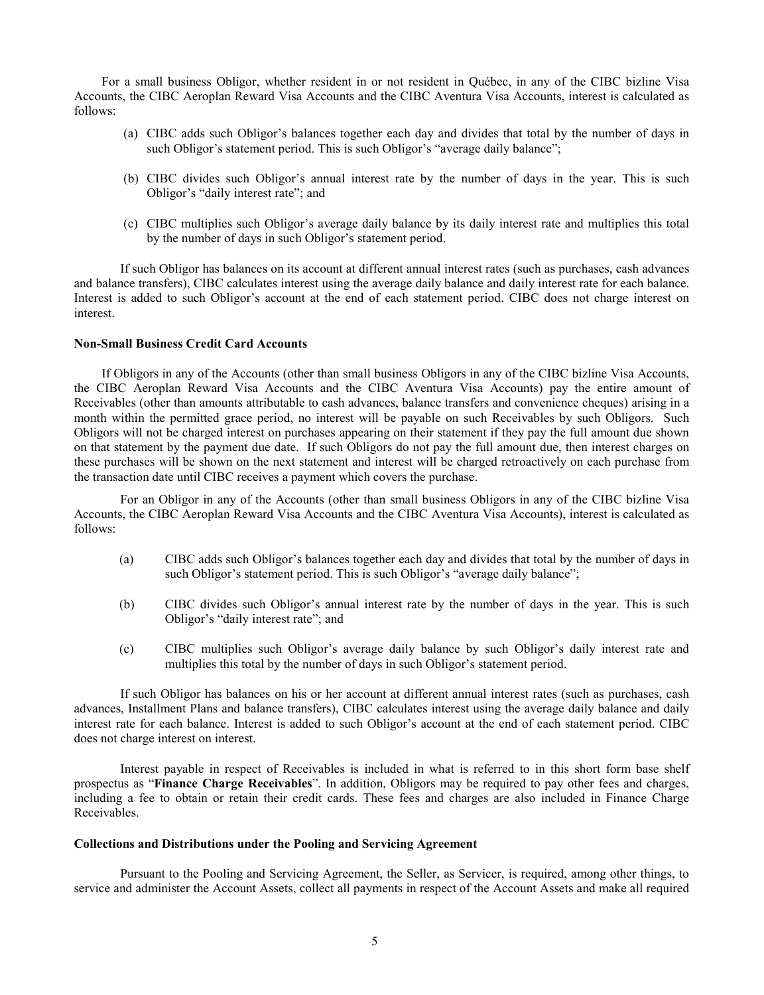For a small business Obligor, whether resident in or not resident in Québec, in any of the CIBC bizline Visa Accounts, the CIBC Aeroplan Reward Visa Accounts and the CIBC Aventura Visa Accounts, interest is calculated as follows:

- (a) CIBC adds such Obligor's balances together each day and divides that total by the number of days in such Obligor's statement period. This is such Obligor's "average daily balance";
- (b) CIBC divides such Obligor's annual interest rate by the number of days in the year. This is such Obligor's "daily interest rate"; and
- (c) CIBC multiplies such Obligor's average daily balance by its daily interest rate and multiplies this total by the number of days in such Obligor's statement period.

If such Obligor has balances on its account at different annual interest rates (such as purchases, cash advances and balance transfers), CIBC calculates interest using the average daily balance and daily interest rate for each balance. Interest is added to such Obligor's account at the end of each statement period. CIBC does not charge interest on interest.

# <span id="page-8-0"></span>**Non-Small Business Credit Card Accounts**

If Obligors in any of the Accounts (other than small business Obligors in any of the CIBC bizline Visa Accounts, the CIBC Aeroplan Reward Visa Accounts and the CIBC Aventura Visa Accounts) pay the entire amount of Receivables (other than amounts attributable to cash advances, balance transfers and convenience cheques) arising in a month within the permitted grace period, no interest will be payable on such Receivables by such Obligors. Such Obligors will not be charged interest on purchases appearing on their statement if they pay the full amount due shown on that statement by the payment due date. If such Obligors do not pay the full amount due, then interest charges on these purchases will be shown on the next statement and interest will be charged retroactively on each purchase from the transaction date until CIBC receives a payment which covers the purchase.

For an Obligor in any of the Accounts (other than small business Obligors in any of the CIBC bizline Visa Accounts, the CIBC Aeroplan Reward Visa Accounts and the CIBC Aventura Visa Accounts), interest is calculated as follows:

- (a) CIBC adds such Obligor's balances together each day and divides that total by the number of days in such Obligor's statement period. This is such Obligor's "average daily balance";
- (b) CIBC divides such Obligor's annual interest rate by the number of days in the year. This is such Obligor's "daily interest rate"; and
- (c) CIBC multiplies such Obligor's average daily balance by such Obligor's daily interest rate and multiplies this total by the number of days in such Obligor's statement period.

If such Obligor has balances on his or her account at different annual interest rates (such as purchases, cash advances, Installment Plans and balance transfers), CIBC calculates interest using the average daily balance and daily interest rate for each balance. Interest is added to such Obligor's account at the end of each statement period. CIBC does not charge interest on interest.

Interest payable in respect of Receivables is included in what is referred to in this short form base shelf prospectus as "**Finance Charge Receivables**". In addition, Obligors may be required to pay other fees and charges, including a fee to obtain or retain their credit cards. These fees and charges are also included in Finance Charge Receivables.

# <span id="page-8-1"></span>**Collections and Distributions under the Pooling and Servicing Agreement**

Pursuant to the Pooling and Servicing Agreement, the Seller, as Servicer, is required, among other things, to service and administer the Account Assets, collect all payments in respect of the Account Assets and make all required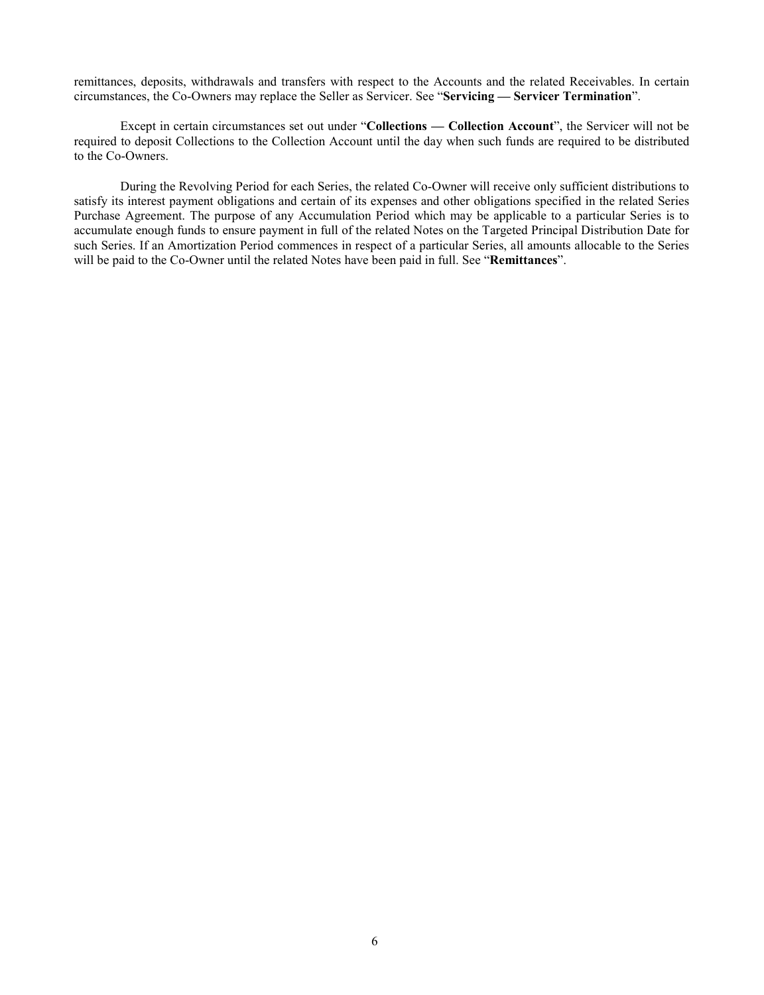remittances, deposits, withdrawals and transfers with respect to the Accounts and the related Receivables. In certain circumstances, the Co-Owners may replace the Seller as Servicer. See "**Servicing — Servicer Termination**".

Except in certain circumstances set out under "**Collections — Collection Account**", the Servicer will not be required to deposit Collections to the Collection Account until the day when such funds are required to be distributed to the Co-Owners.

During the Revolving Period for each Series, the related Co-Owner will receive only sufficient distributions to satisfy its interest payment obligations and certain of its expenses and other obligations specified in the related Series Purchase Agreement. The purpose of any Accumulation Period which may be applicable to a particular Series is to accumulate enough funds to ensure payment in full of the related Notes on the Targeted Principal Distribution Date for such Series. If an Amortization Period commences in respect of a particular Series, all amounts allocable to the Series will be paid to the Co-Owner until the related Notes have been paid in full. See "**Remittances**".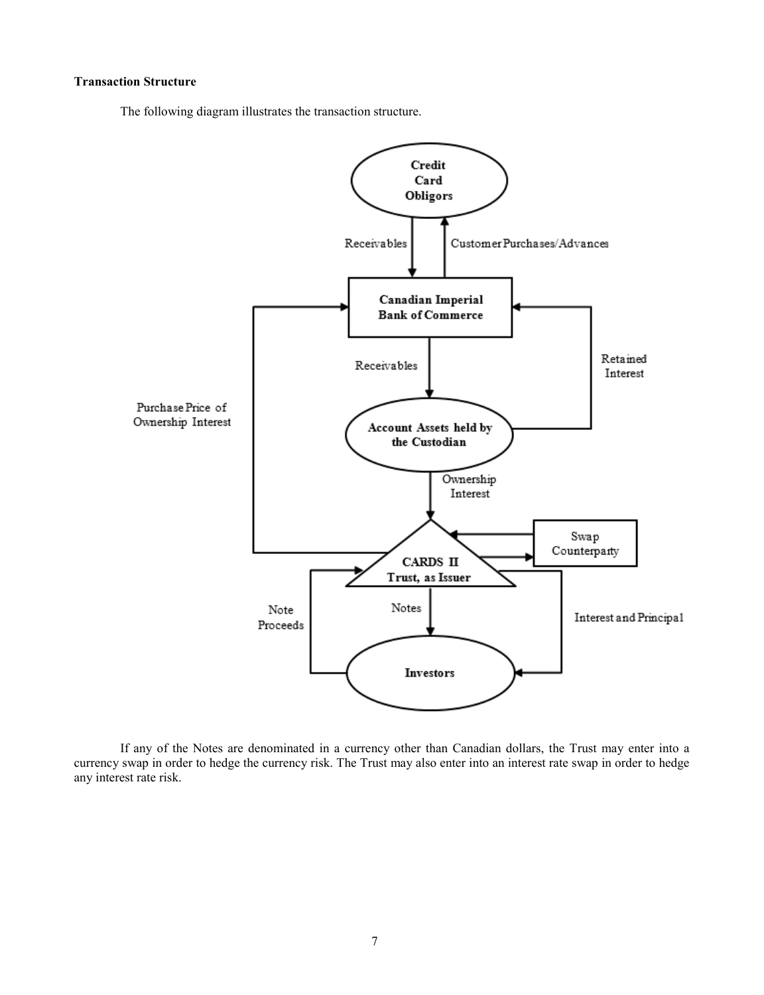# <span id="page-10-0"></span>**Transaction Structure**

The following diagram illustrates the transaction structure.



If any of the Notes are denominated in a currency other than Canadian dollars, the Trust may enter into a currency swap in order to hedge the currency risk. The Trust may also enter into an interest rate swap in order to hedge any interest rate risk.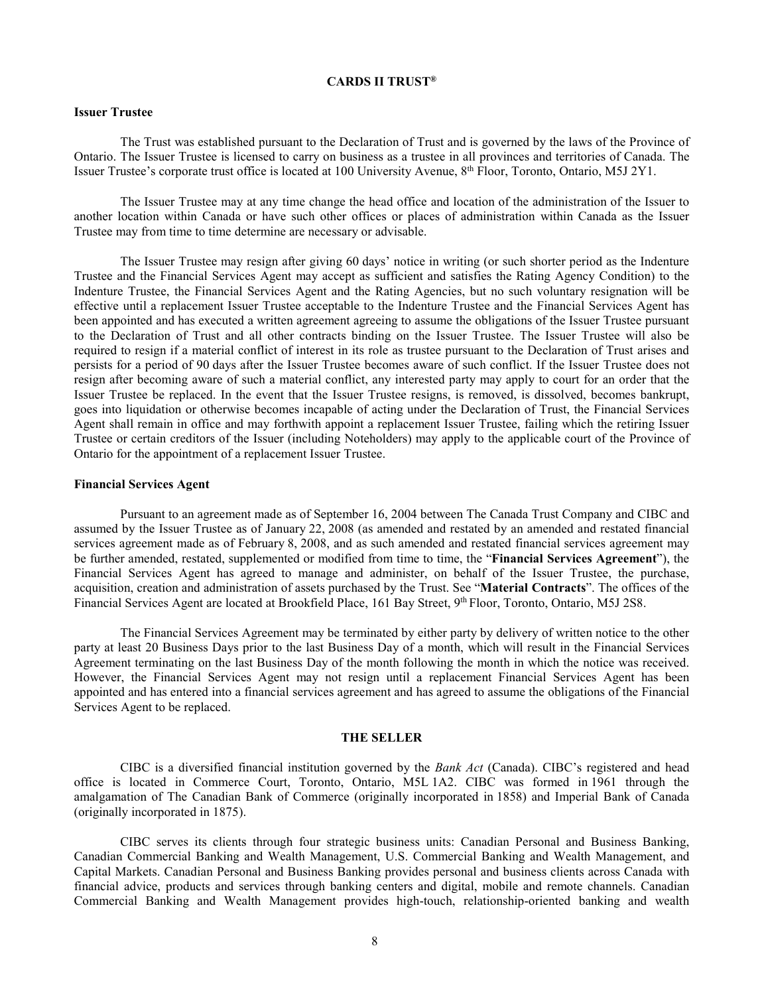### **CARDS II TRUST®**

# <span id="page-11-1"></span><span id="page-11-0"></span>**Issuer Trustee**

The Trust was established pursuant to the Declaration of Trust and is governed by the laws of the Province of Ontario. The Issuer Trustee is licensed to carry on business as a trustee in all provinces and territories of Canada. The Issuer Trustee's corporate trust office is located at 100 University Avenue, 8th Floor, Toronto, Ontario, M5J 2Y1.

The Issuer Trustee may at any time change the head office and location of the administration of the Issuer to another location within Canada or have such other offices or places of administration within Canada as the Issuer Trustee may from time to time determine are necessary or advisable.

The Issuer Trustee may resign after giving 60 days' notice in writing (or such shorter period as the Indenture Trustee and the Financial Services Agent may accept as sufficient and satisfies the Rating Agency Condition) to the Indenture Trustee, the Financial Services Agent and the Rating Agencies, but no such voluntary resignation will be effective until a replacement Issuer Trustee acceptable to the Indenture Trustee and the Financial Services Agent has been appointed and has executed a written agreement agreeing to assume the obligations of the Issuer Trustee pursuant to the Declaration of Trust and all other contracts binding on the Issuer Trustee. The Issuer Trustee will also be required to resign if a material conflict of interest in its role as trustee pursuant to the Declaration of Trust arises and persists for a period of 90 days after the Issuer Trustee becomes aware of such conflict. If the Issuer Trustee does not resign after becoming aware of such a material conflict, any interested party may apply to court for an order that the Issuer Trustee be replaced. In the event that the Issuer Trustee resigns, is removed, is dissolved, becomes bankrupt, goes into liquidation or otherwise becomes incapable of acting under the Declaration of Trust, the Financial Services Agent shall remain in office and may forthwith appoint a replacement Issuer Trustee, failing which the retiring Issuer Trustee or certain creditors of the Issuer (including Noteholders) may apply to the applicable court of the Province of Ontario for the appointment of a replacement Issuer Trustee.

#### <span id="page-11-2"></span>**Financial Services Agent**

Pursuant to an agreement made as of September 16, 2004 between The Canada Trust Company and CIBC and assumed by the Issuer Trustee as of January 22, 2008 (as amended and restated by an amended and restated financial services agreement made as of February 8, 2008, and as such amended and restated financial services agreement may be further amended, restated, supplemented or modified from time to time, the "**Financial Services Agreement**"), the Financial Services Agent has agreed to manage and administer, on behalf of the Issuer Trustee, the purchase, acquisition, creation and administration of assets purchased by the Trust. See "**Material Contracts**". The offices of the Financial Services Agent are located at Brookfield Place, 161 Bay Street, 9th Floor, Toronto, Ontario, M5J 2S8.

The Financial Services Agreement may be terminated by either party by delivery of written notice to the other party at least 20 Business Days prior to the last Business Day of a month, which will result in the Financial Services Agreement terminating on the last Business Day of the month following the month in which the notice was received. However, the Financial Services Agent may not resign until a replacement Financial Services Agent has been appointed and has entered into a financial services agreement and has agreed to assume the obligations of the Financial Services Agent to be replaced.

### **THE SELLER**

<span id="page-11-3"></span>CIBC is a diversified financial institution governed by the *Bank Act* (Canada). CIBC's registered and head office is located in Commerce Court, Toronto, Ontario, M5L 1A2. CIBC was formed in 1961 through the amalgamation of The Canadian Bank of Commerce (originally incorporated in 1858) and Imperial Bank of Canada (originally incorporated in 1875).

CIBC serves its clients through four strategic business units: Canadian Personal and Business Banking, Canadian Commercial Banking and Wealth Management, U.S. Commercial Banking and Wealth Management, and Capital Markets. Canadian Personal and Business Banking provides personal and business clients across Canada with financial advice, products and services through banking centers and digital, mobile and remote channels. Canadian Commercial Banking and Wealth Management provides high-touch, relationship-oriented banking and wealth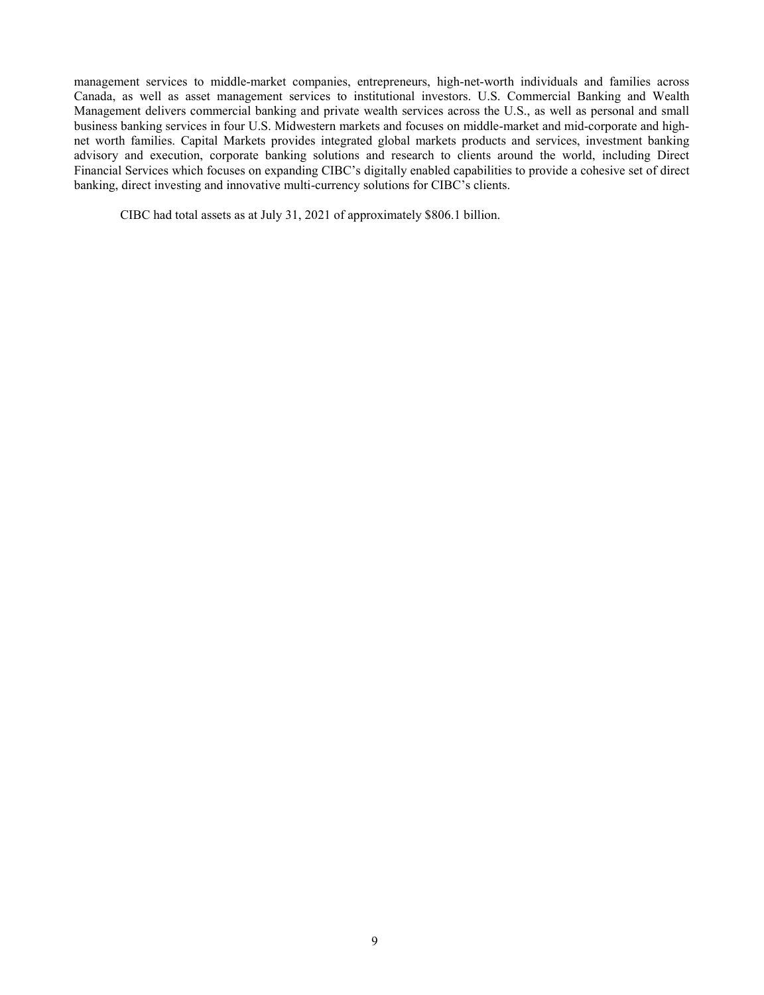management services to middle-market companies, entrepreneurs, high-net-worth individuals and families across Canada, as well as asset management services to institutional investors. U.S. Commercial Banking and Wealth Management delivers commercial banking and private wealth services across the U.S., as well as personal and small business banking services in four U.S. Midwestern markets and focuses on middle-market and mid-corporate and highnet worth families. Capital Markets provides integrated global markets products and services, investment banking advisory and execution, corporate banking solutions and research to clients around the world, including Direct Financial Services which focuses on expanding CIBC's digitally enabled capabilities to provide a cohesive set of direct banking, direct investing and innovative multi-currency solutions for CIBC's clients.

CIBC had total assets as at July 31, 2021 of approximately \$806.1 billion.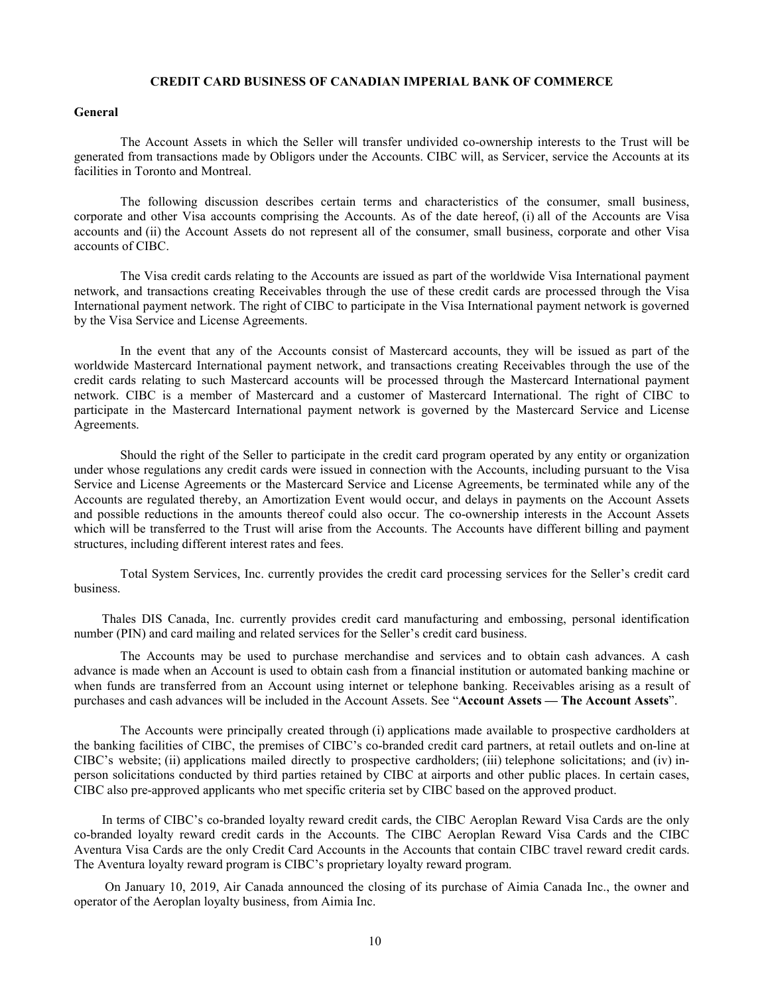### **CREDIT CARD BUSINESS OF CANADIAN IMPERIAL BANK OF COMMERCE**

### <span id="page-13-1"></span><span id="page-13-0"></span>**General**

The Account Assets in which the Seller will transfer undivided co-ownership interests to the Trust will be generated from transactions made by Obligors under the Accounts. CIBC will, as Servicer, service the Accounts at its facilities in Toronto and Montreal.

The following discussion describes certain terms and characteristics of the consumer, small business, corporate and other Visa accounts comprising the Accounts. As of the date hereof, (i) all of the Accounts are Visa accounts and (ii) the Account Assets do not represent all of the consumer, small business, corporate and other Visa accounts of CIBC.

The Visa credit cards relating to the Accounts are issued as part of the worldwide Visa International payment network, and transactions creating Receivables through the use of these credit cards are processed through the Visa International payment network. The right of CIBC to participate in the Visa International payment network is governed by the Visa Service and License Agreements.

In the event that any of the Accounts consist of Mastercard accounts, they will be issued as part of the worldwide Mastercard International payment network, and transactions creating Receivables through the use of the credit cards relating to such Mastercard accounts will be processed through the Mastercard International payment network. CIBC is a member of Mastercard and a customer of Mastercard International. The right of CIBC to participate in the Mastercard International payment network is governed by the Mastercard Service and License Agreements.

Should the right of the Seller to participate in the credit card program operated by any entity or organization under whose regulations any credit cards were issued in connection with the Accounts, including pursuant to the Visa Service and License Agreements or the Mastercard Service and License Agreements, be terminated while any of the Accounts are regulated thereby, an Amortization Event would occur, and delays in payments on the Account Assets and possible reductions in the amounts thereof could also occur. The co-ownership interests in the Account Assets which will be transferred to the Trust will arise from the Accounts. The Accounts have different billing and payment structures, including different interest rates and fees.

Total System Services, Inc. currently provides the credit card processing services for the Seller's credit card business.

Thales DIS Canada, Inc. currently provides credit card manufacturing and embossing, personal identification number (PIN) and card mailing and related services for the Seller's credit card business.

The Accounts may be used to purchase merchandise and services and to obtain cash advances. A cash advance is made when an Account is used to obtain cash from a financial institution or automated banking machine or when funds are transferred from an Account using internet or telephone banking. Receivables arising as a result of purchases and cash advances will be included in the Account Assets. See "**Account Assets — The Account Assets**".

The Accounts were principally created through (i) applications made available to prospective cardholders at the banking facilities of CIBC, the premises of CIBC's co-branded credit card partners, at retail outlets and on-line at CIBC's website; (ii) applications mailed directly to prospective cardholders; (iii) telephone solicitations; and (iv) inperson solicitations conducted by third parties retained by CIBC at airports and other public places. In certain cases, CIBC also pre-approved applicants who met specific criteria set by CIBC based on the approved product.

In terms of CIBC's co-branded loyalty reward credit cards, the CIBC Aeroplan Reward Visa Cards are the only co-branded loyalty reward credit cards in the Accounts. The CIBC Aeroplan Reward Visa Cards and the CIBC Aventura Visa Cards are the only Credit Card Accounts in the Accounts that contain CIBC travel reward credit cards. The Aventura loyalty reward program is CIBC's proprietary loyalty reward program.

On January 10, 2019, Air Canada announced the closing of its purchase of Aimia Canada Inc., the owner and operator of the Aeroplan loyalty business, from Aimia Inc.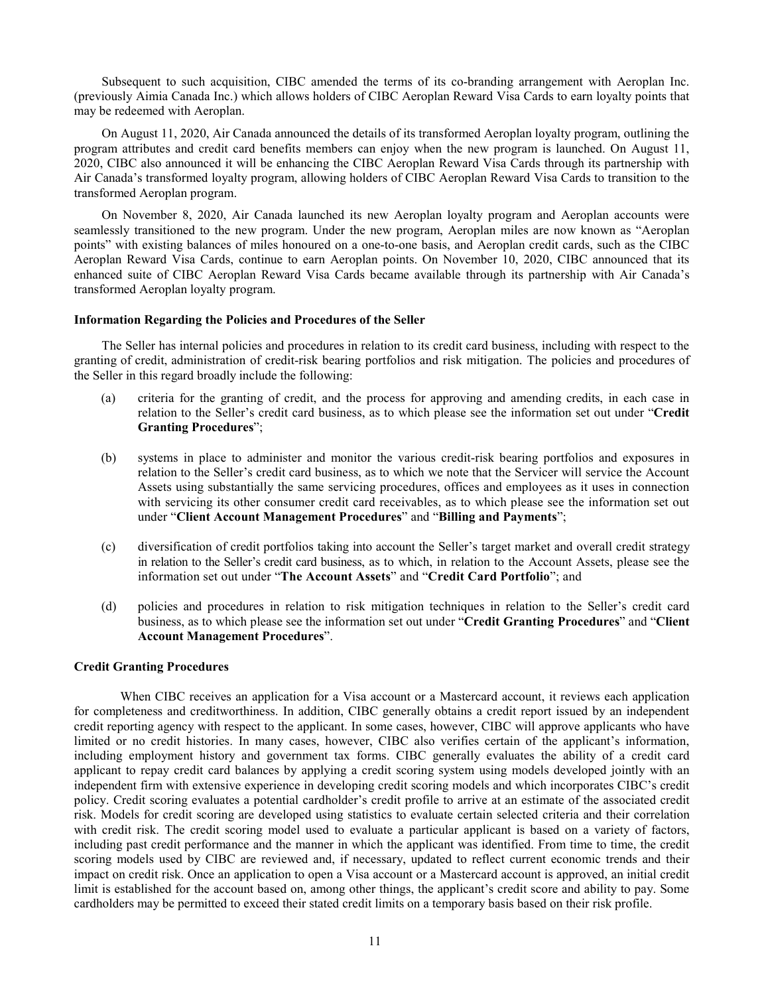Subsequent to such acquisition, CIBC amended the terms of its co-branding arrangement with Aeroplan Inc. (previously Aimia Canada Inc.) which allows holders of CIBC Aeroplan Reward Visa Cards to earn loyalty points that may be redeemed with Aeroplan.

On August 11, 2020, Air Canada announced the details of its transformed Aeroplan loyalty program, outlining the program attributes and credit card benefits members can enjoy when the new program is launched. On August 11, 2020, CIBC also announced it will be enhancing the CIBC Aeroplan Reward Visa Cards through its partnership with Air Canada's transformed loyalty program, allowing holders of CIBC Aeroplan Reward Visa Cards to transition to the transformed Aeroplan program.

On November 8, 2020, Air Canada launched its new Aeroplan loyalty program and Aeroplan accounts were seamlessly transitioned to the new program. Under the new program, Aeroplan miles are now known as "Aeroplan points" with existing balances of miles honoured on a one-to-one basis, and Aeroplan credit cards, such as the CIBC Aeroplan Reward Visa Cards, continue to earn Aeroplan points. On November 10, 2020, CIBC announced that its enhanced suite of CIBC Aeroplan Reward Visa Cards became available through its partnership with Air Canada's transformed Aeroplan loyalty program.

# <span id="page-14-0"></span>**Information Regarding the Policies and Procedures of the Seller**

The Seller has internal policies and procedures in relation to its credit card business, including with respect to the granting of credit, administration of credit-risk bearing portfolios and risk mitigation. The policies and procedures of the Seller in this regard broadly include the following:

- (a) criteria for the granting of credit, and the process for approving and amending credits, in each case in relation to the Seller's credit card business, as to which please see the information set out under "**Credit Granting Procedures**";
- (b) systems in place to administer and monitor the various credit-risk bearing portfolios and exposures in relation to the Seller's credit card business, as to which we note that the Servicer will service the Account Assets using substantially the same servicing procedures, offices and employees as it uses in connection with servicing its other consumer credit card receivables, as to which please see the information set out under "**Client Account Management Procedures**" and "**Billing and Payments**";
- (c) diversification of credit portfolios taking into account the Seller's target market and overall credit strategy in relation to the Seller's credit card business, as to which, in relation to the Account Assets, please see the information set out under "**The Account Assets**" and "**Credit Card Portfolio**"; and
- (d) policies and procedures in relation to risk mitigation techniques in relation to the Seller's credit card business, as to which please see the information set out under "**Credit Granting Procedures**" and "**Client Account Management Procedures**".

## <span id="page-14-1"></span>**Credit Granting Procedures**

When CIBC receives an application for a Visa account or a Mastercard account, it reviews each application for completeness and creditworthiness. In addition, CIBC generally obtains a credit report issued by an independent credit reporting agency with respect to the applicant. In some cases, however, CIBC will approve applicants who have limited or no credit histories. In many cases, however, CIBC also verifies certain of the applicant's information, including employment history and government tax forms. CIBC generally evaluates the ability of a credit card applicant to repay credit card balances by applying a credit scoring system using models developed jointly with an independent firm with extensive experience in developing credit scoring models and which incorporates CIBC's credit policy. Credit scoring evaluates a potential cardholder's credit profile to arrive at an estimate of the associated credit risk. Models for credit scoring are developed using statistics to evaluate certain selected criteria and their correlation with credit risk. The credit scoring model used to evaluate a particular applicant is based on a variety of factors, including past credit performance and the manner in which the applicant was identified. From time to time, the credit scoring models used by CIBC are reviewed and, if necessary, updated to reflect current economic trends and their impact on credit risk. Once an application to open a Visa account or a Mastercard account is approved, an initial credit limit is established for the account based on, among other things, the applicant's credit score and ability to pay. Some cardholders may be permitted to exceed their stated credit limits on a temporary basis based on their risk profile.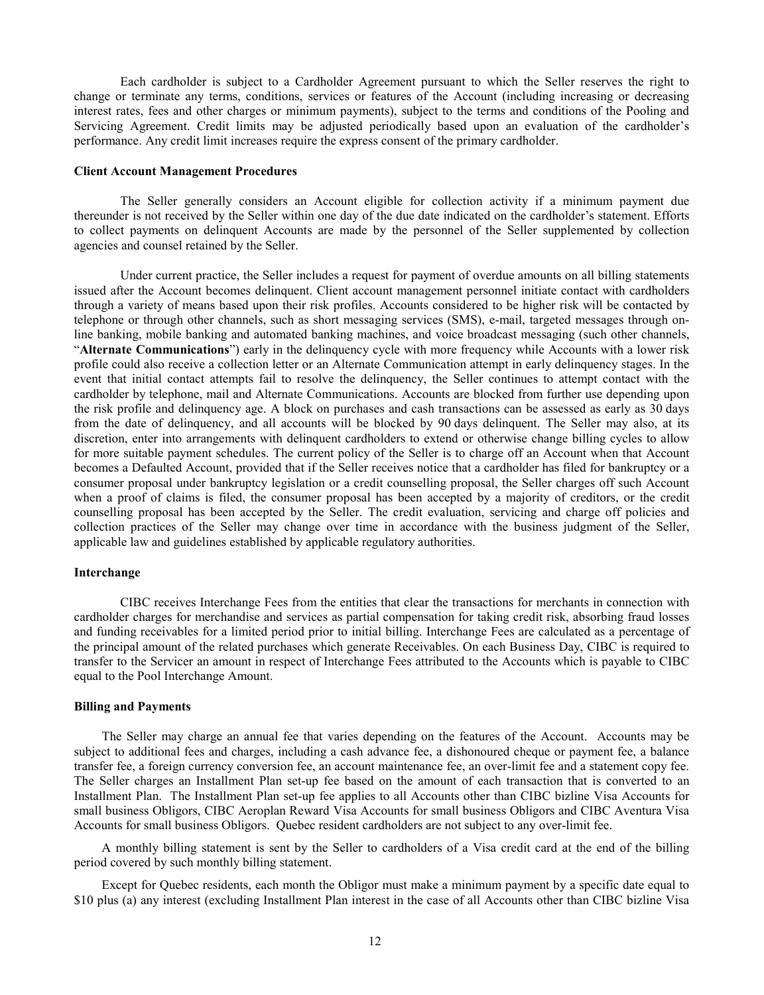Each cardholder is subject to a Cardholder Agreement pursuant to which the Seller reserves the right to change or terminate any terms, conditions, services or features of the Account (including increasing or decreasing interest rates, fees and other charges or minimum payments), subject to the terms and conditions of the Pooling and Servicing Agreement. Credit limits may be adjusted periodically based upon an evaluation of the cardholder's performance. Any credit limit increases require the express consent of the primary cardholder.

#### <span id="page-15-0"></span>**Client Account Management Procedures**

The Seller generally considers an Account eligible for collection activity if a minimum payment due thereunder is not received by the Seller within one day of the due date indicated on the cardholder's statement. Efforts to collect payments on delinquent Accounts are made by the personnel of the Seller supplemented by collection agencies and counsel retained by the Seller.

Under current practice, the Seller includes a request for payment of overdue amounts on all billing statements issued after the Account becomes delinquent. Client account management personnel initiate contact with cardholders through a variety of means based upon their risk profiles. Accounts considered to be higher risk will be contacted by telephone or through other channels, such as short messaging services (SMS), e-mail, targeted messages through online banking, mobile banking and automated banking machines, and voice broadcast messaging (such other channels, "**Alternate Communications**") early in the delinquency cycle with more frequency while Accounts with a lower risk profile could also receive a collection letter or an Alternate Communication attempt in early delinquency stages. In the event that initial contact attempts fail to resolve the delinquency, the Seller continues to attempt contact with the cardholder by telephone, mail and Alternate Communications. Accounts are blocked from further use depending upon the risk profile and delinquency age. A block on purchases and cash transactions can be assessed as early as 30 days from the date of delinquency, and all accounts will be blocked by 90 days delinquent. The Seller may also, at its discretion, enter into arrangements with delinquent cardholders to extend or otherwise change billing cycles to allow for more suitable payment schedules. The current policy of the Seller is to charge off an Account when that Account becomes a Defaulted Account, provided that if the Seller receives notice that a cardholder has filed for bankruptcy or a consumer proposal under bankruptcy legislation or a credit counselling proposal, the Seller charges off such Account when a proof of claims is filed, the consumer proposal has been accepted by a majority of creditors, or the credit counselling proposal has been accepted by the Seller. The credit evaluation, servicing and charge off policies and collection practices of the Seller may change over time in accordance with the business judgment of the Seller, applicable law and guidelines established by applicable regulatory authorities.

#### <span id="page-15-1"></span>**Interchange**

CIBC receives Interchange Fees from the entities that clear the transactions for merchants in connection with cardholder charges for merchandise and services as partial compensation for taking credit risk, absorbing fraud losses and funding receivables for a limited period prior to initial billing. Interchange Fees are calculated as a percentage of the principal amount of the related purchases which generate Receivables. On each Business Day, CIBC is required to transfer to the Servicer an amount in respect of Interchange Fees attributed to the Accounts which is payable to CIBC equal to the Pool Interchange Amount.

#### <span id="page-15-2"></span>**Billing and Payments**

The Seller may charge an annual fee that varies depending on the features of the Account. Accounts may be subject to additional fees and charges, including a cash advance fee, a dishonoured cheque or payment fee, a balance transfer fee, a foreign currency conversion fee, an account maintenance fee, an over-limit fee and a statement copy fee. The Seller charges an Installment Plan set-up fee based on the amount of each transaction that is converted to an Installment Plan. The Installment Plan set-up fee applies to all Accounts other than CIBC bizline Visa Accounts for small business Obligors, CIBC Aeroplan Reward Visa Accounts for small business Obligors and CIBC Aventura Visa Accounts for small business Obligors. Quebec resident cardholders are not subject to any over-limit fee.

A monthly billing statement is sent by the Seller to cardholders of a Visa credit card at the end of the billing period covered by such monthly billing statement.

Except for Quebec residents, each month the Obligor must make a minimum payment by a specific date equal to \$10 plus (a) any interest (excluding Installment Plan interest in the case of all Accounts other than CIBC bizline Visa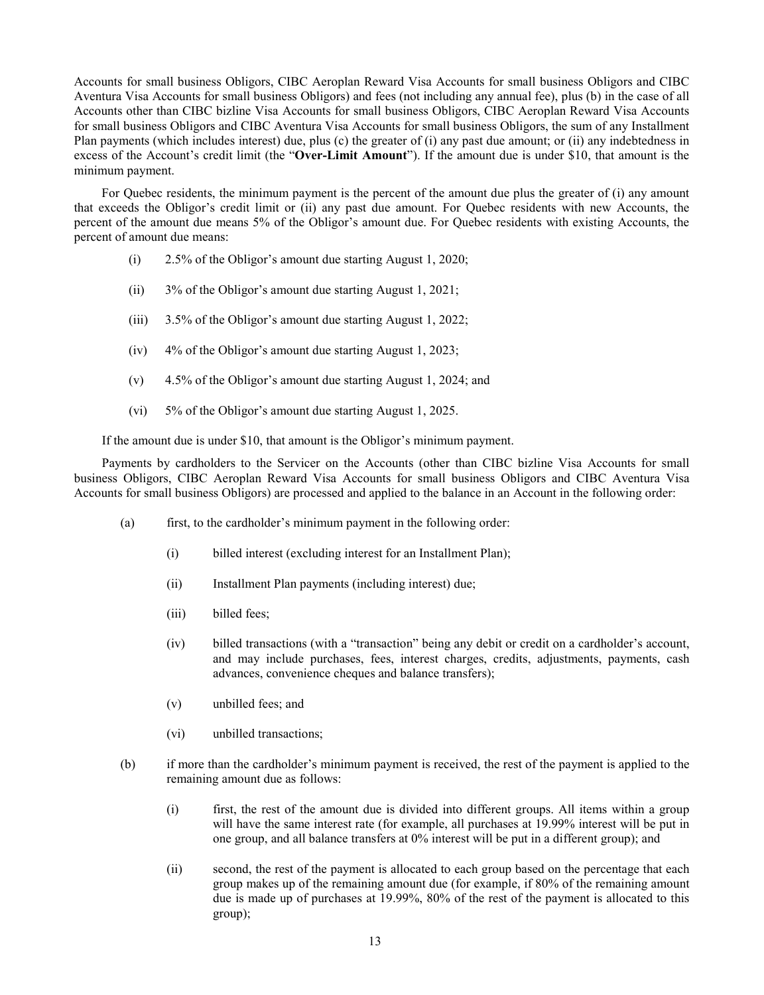Accounts for small business Obligors, CIBC Aeroplan Reward Visa Accounts for small business Obligors and CIBC Aventura Visa Accounts for small business Obligors) and fees (not including any annual fee), plus (b) in the case of all Accounts other than CIBC bizline Visa Accounts for small business Obligors, CIBC Aeroplan Reward Visa Accounts for small business Obligors and CIBC Aventura Visa Accounts for small business Obligors, the sum of any Installment Plan payments (which includes interest) due, plus (c) the greater of (i) any past due amount; or (ii) any indebtedness in excess of the Account's credit limit (the "**Over-Limit Amount**"). If the amount due is under \$10, that amount is the minimum payment.

For Quebec residents, the minimum payment is the percent of the amount due plus the greater of (i) any amount that exceeds the Obligor's credit limit or (ii) any past due amount. For Quebec residents with new Accounts, the percent of the amount due means 5% of the Obligor's amount due. For Quebec residents with existing Accounts, the percent of amount due means:

- (i) 2.5% of the Obligor's amount due starting August 1, 2020;
- (ii) 3% of the Obligor's amount due starting August 1, 2021;
- (iii) 3.5% of the Obligor's amount due starting August 1, 2022;
- (iv) 4% of the Obligor's amount due starting August 1, 2023;
- (v) 4.5% of the Obligor's amount due starting August 1, 2024; and
- (vi) 5% of the Obligor's amount due starting August 1, 2025.

If the amount due is under \$10, that amount is the Obligor's minimum payment.

Payments by cardholders to the Servicer on the Accounts (other than CIBC bizline Visa Accounts for small business Obligors, CIBC Aeroplan Reward Visa Accounts for small business Obligors and CIBC Aventura Visa Accounts for small business Obligors) are processed and applied to the balance in an Account in the following order:

- (a) first, to the cardholder's minimum payment in the following order:
	- (i) billed interest (excluding interest for an Installment Plan);
	- (ii) Installment Plan payments (including interest) due;
	- (iii) billed fees;
	- (iv) billed transactions (with a "transaction" being any debit or credit on a cardholder's account, and may include purchases, fees, interest charges, credits, adjustments, payments, cash advances, convenience cheques and balance transfers);
	- (v) unbilled fees; and
	- (vi) unbilled transactions;
- (b) if more than the cardholder's minimum payment is received, the rest of the payment is applied to the remaining amount due as follows:
	- (i) first, the rest of the amount due is divided into different groups. All items within a group will have the same interest rate (for example, all purchases at 19.99% interest will be put in one group, and all balance transfers at 0% interest will be put in a different group); and
	- (ii) second, the rest of the payment is allocated to each group based on the percentage that each group makes up of the remaining amount due (for example, if 80% of the remaining amount due is made up of purchases at 19.99%, 80% of the rest of the payment is allocated to this group);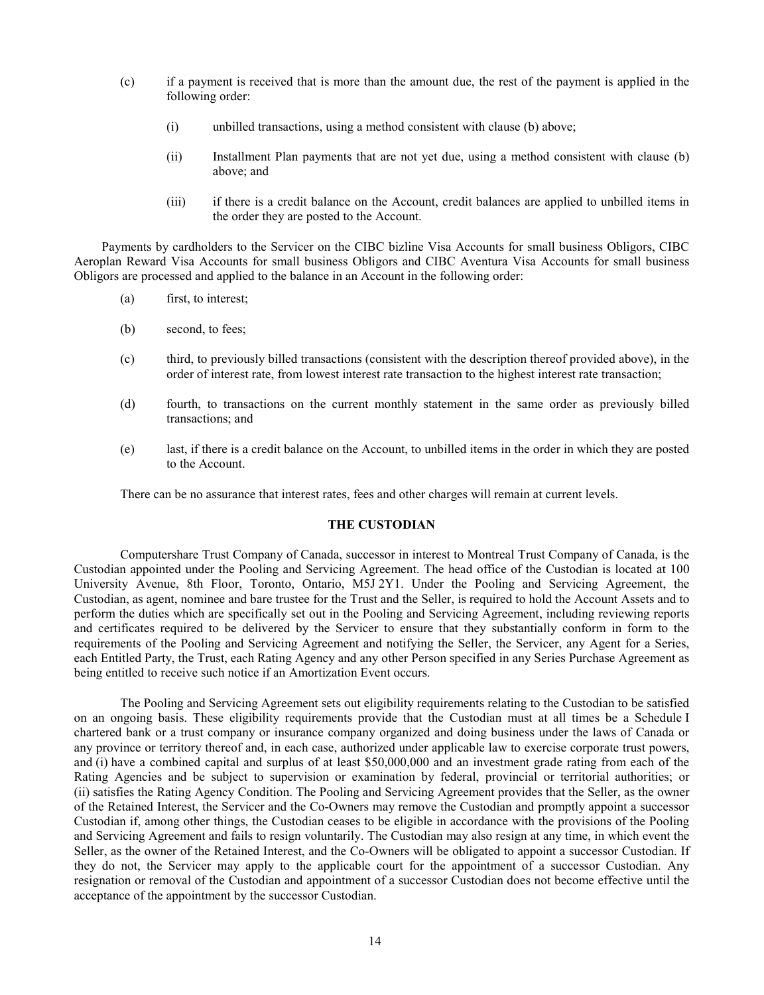- (c) if a payment is received that is more than the amount due, the rest of the payment is applied in the following order:
	- (i) unbilled transactions, using a method consistent with clause (b) above;
	- (ii) Installment Plan payments that are not yet due, using a method consistent with clause (b) above; and
	- (iii) if there is a credit balance on the Account, credit balances are applied to unbilled items in the order they are posted to the Account.

Payments by cardholders to the Servicer on the CIBC bizline Visa Accounts for small business Obligors, CIBC Aeroplan Reward Visa Accounts for small business Obligors and CIBC Aventura Visa Accounts for small business Obligors are processed and applied to the balance in an Account in the following order:

- (a) first, to interest;
- (b) second, to fees;
- (c) third, to previously billed transactions (consistent with the description thereof provided above), in the order of interest rate, from lowest interest rate transaction to the highest interest rate transaction;
- (d) fourth, to transactions on the current monthly statement in the same order as previously billed transactions; and
- (e) last, if there is a credit balance on the Account, to unbilled items in the order in which they are posted to the Account.

There can be no assurance that interest rates, fees and other charges will remain at current levels.

# **THE CUSTODIAN**

<span id="page-17-0"></span>Computershare Trust Company of Canada, successor in interest to Montreal Trust Company of Canada, is the Custodian appointed under the Pooling and Servicing Agreement. The head office of the Custodian is located at 100 University Avenue, 8th Floor, Toronto, Ontario, M5J 2Y1. Under the Pooling and Servicing Agreement, the Custodian, as agent, nominee and bare trustee for the Trust and the Seller, is required to hold the Account Assets and to perform the duties which are specifically set out in the Pooling and Servicing Agreement, including reviewing reports and certificates required to be delivered by the Servicer to ensure that they substantially conform in form to the requirements of the Pooling and Servicing Agreement and notifying the Seller, the Servicer, any Agent for a Series, each Entitled Party, the Trust, each Rating Agency and any other Person specified in any Series Purchase Agreement as being entitled to receive such notice if an Amortization Event occurs.

The Pooling and Servicing Agreement sets out eligibility requirements relating to the Custodian to be satisfied on an ongoing basis. These eligibility requirements provide that the Custodian must at all times be a Schedule I chartered bank or a trust company or insurance company organized and doing business under the laws of Canada or any province or territory thereof and, in each case, authorized under applicable law to exercise corporate trust powers, and (i) have a combined capital and surplus of at least \$50,000,000 and an investment grade rating from each of the Rating Agencies and be subject to supervision or examination by federal, provincial or territorial authorities; or (ii) satisfies the Rating Agency Condition. The Pooling and Servicing Agreement provides that the Seller, as the owner of the Retained Interest, the Servicer and the Co-Owners may remove the Custodian and promptly appoint a successor Custodian if, among other things, the Custodian ceases to be eligible in accordance with the provisions of the Pooling and Servicing Agreement and fails to resign voluntarily. The Custodian may also resign at any time, in which event the Seller, as the owner of the Retained Interest, and the Co-Owners will be obligated to appoint a successor Custodian. If they do not, the Servicer may apply to the applicable court for the appointment of a successor Custodian. Any resignation or removal of the Custodian and appointment of a successor Custodian does not become effective until the acceptance of the appointment by the successor Custodian.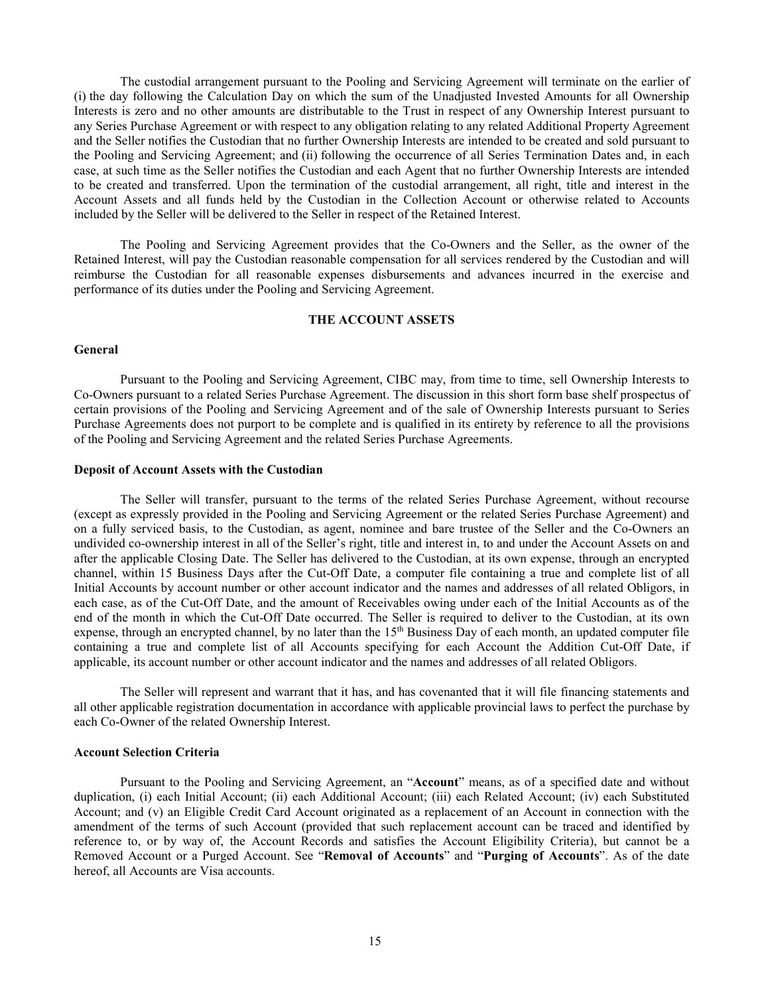The custodial arrangement pursuant to the Pooling and Servicing Agreement will terminate on the earlier of (i) the day following the Calculation Day on which the sum of the Unadjusted Invested Amounts for all Ownership Interests is zero and no other amounts are distributable to the Trust in respect of any Ownership Interest pursuant to any Series Purchase Agreement or with respect to any obligation relating to any related Additional Property Agreement and the Seller notifies the Custodian that no further Ownership Interests are intended to be created and sold pursuant to the Pooling and Servicing Agreement; and (ii) following the occurrence of all Series Termination Dates and, in each case, at such time as the Seller notifies the Custodian and each Agent that no further Ownership Interests are intended to be created and transferred. Upon the termination of the custodial arrangement, all right, title and interest in the Account Assets and all funds held by the Custodian in the Collection Account or otherwise related to Accounts included by the Seller will be delivered to the Seller in respect of the Retained Interest.

The Pooling and Servicing Agreement provides that the Co-Owners and the Seller, as the owner of the Retained Interest, will pay the Custodian reasonable compensation for all services rendered by the Custodian and will reimburse the Custodian for all reasonable expenses disbursements and advances incurred in the exercise and performance of its duties under the Pooling and Servicing Agreement.

# **THE ACCOUNT ASSETS**

# <span id="page-18-1"></span><span id="page-18-0"></span>**General**

Pursuant to the Pooling and Servicing Agreement, CIBC may, from time to time, sell Ownership Interests to Co-Owners pursuant to a related Series Purchase Agreement. The discussion in this short form base shelf prospectus of certain provisions of the Pooling and Servicing Agreement and of the sale of Ownership Interests pursuant to Series Purchase Agreements does not purport to be complete and is qualified in its entirety by reference to all the provisions of the Pooling and Servicing Agreement and the related Series Purchase Agreements.

### <span id="page-18-2"></span>**Deposit of Account Assets with the Custodian**

The Seller will transfer, pursuant to the terms of the related Series Purchase Agreement, without recourse (except as expressly provided in the Pooling and Servicing Agreement or the related Series Purchase Agreement) and on a fully serviced basis, to the Custodian, as agent, nominee and bare trustee of the Seller and the Co-Owners an undivided co-ownership interest in all of the Seller's right, title and interest in, to and under the Account Assets on and after the applicable Closing Date. The Seller has delivered to the Custodian, at its own expense, through an encrypted channel, within 15 Business Days after the Cut-Off Date, a computer file containing a true and complete list of all Initial Accounts by account number or other account indicator and the names and addresses of all related Obligors, in each case, as of the Cut-Off Date, and the amount of Receivables owing under each of the Initial Accounts as of the end of the month in which the Cut-Off Date occurred. The Seller is required to deliver to the Custodian, at its own expense, through an encrypted channel, by no later than the  $15<sup>th</sup>$  Business Day of each month, an updated computer file containing a true and complete list of all Accounts specifying for each Account the Addition Cut-Off Date, if applicable, its account number or other account indicator and the names and addresses of all related Obligors.

The Seller will represent and warrant that it has, and has covenanted that it will file financing statements and all other applicable registration documentation in accordance with applicable provincial laws to perfect the purchase by each Co-Owner of the related Ownership Interest.

#### <span id="page-18-3"></span>**Account Selection Criteria**

Pursuant to the Pooling and Servicing Agreement, an "**Account**" means, as of a specified date and without duplication, (i) each Initial Account; (ii) each Additional Account; (iii) each Related Account; (iv) each Substituted Account; and (v) an Eligible Credit Card Account originated as a replacement of an Account in connection with the amendment of the terms of such Account (provided that such replacement account can be traced and identified by reference to, or by way of, the Account Records and satisfies the Account Eligibility Criteria), but cannot be a Removed Account or a Purged Account. See "**Removal of Accounts**" and "**Purging of Accounts**". As of the date hereof, all Accounts are Visa accounts.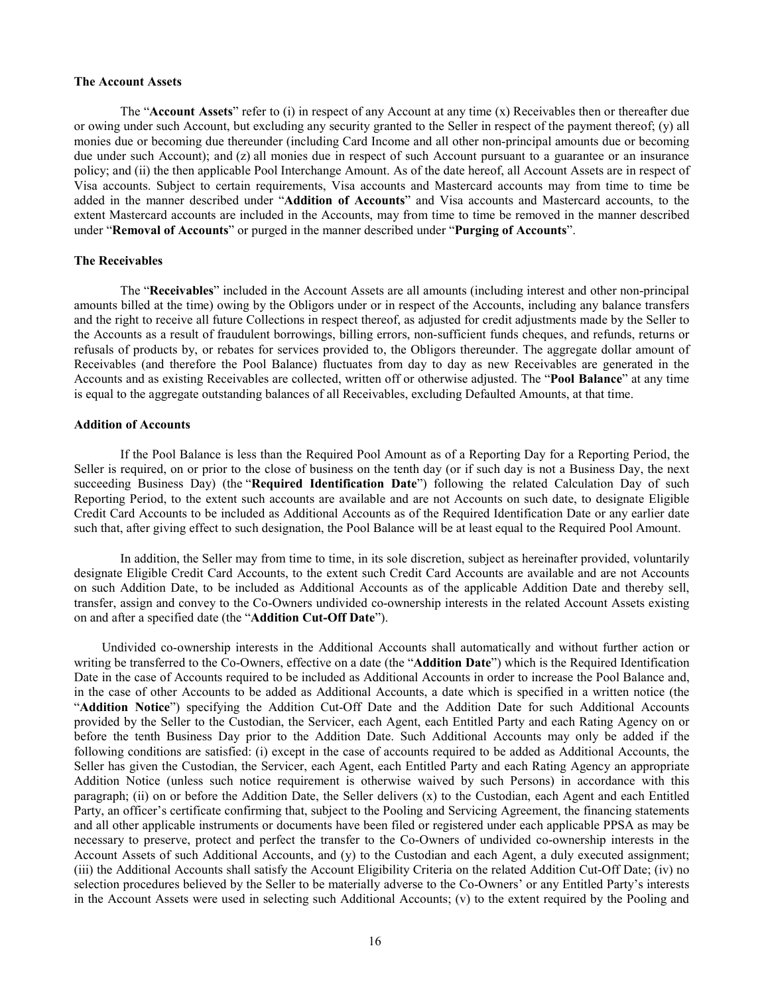#### <span id="page-19-0"></span>**The Account Assets**

The "**Account Assets**" refer to (i) in respect of any Account at any time (x) Receivables then or thereafter due or owing under such Account, but excluding any security granted to the Seller in respect of the payment thereof; (y) all monies due or becoming due thereunder (including Card Income and all other non-principal amounts due or becoming due under such Account); and (z) all monies due in respect of such Account pursuant to a guarantee or an insurance policy; and (ii) the then applicable Pool Interchange Amount. As of the date hereof, all Account Assets are in respect of Visa accounts. Subject to certain requirements, Visa accounts and Mastercard accounts may from time to time be added in the manner described under "**Addition of Accounts**" and Visa accounts and Mastercard accounts, to the extent Mastercard accounts are included in the Accounts, may from time to time be removed in the manner described under "**Removal of Accounts**" or purged in the manner described under "**Purging of Accounts**".

# <span id="page-19-1"></span>**The Receivables**

The "**Receivables**" included in the Account Assets are all amounts (including interest and other non-principal amounts billed at the time) owing by the Obligors under or in respect of the Accounts, including any balance transfers and the right to receive all future Collections in respect thereof, as adjusted for credit adjustments made by the Seller to the Accounts as a result of fraudulent borrowings, billing errors, non-sufficient funds cheques, and refunds, returns or refusals of products by, or rebates for services provided to, the Obligors thereunder. The aggregate dollar amount of Receivables (and therefore the Pool Balance) fluctuates from day to day as new Receivables are generated in the Accounts and as existing Receivables are collected, written off or otherwise adjusted. The "**Pool Balance**" at any time is equal to the aggregate outstanding balances of all Receivables, excluding Defaulted Amounts, at that time.

#### <span id="page-19-2"></span>**Addition of Accounts**

If the Pool Balance is less than the Required Pool Amount as of a Reporting Day for a Reporting Period, the Seller is required, on or prior to the close of business on the tenth day (or if such day is not a Business Day, the next succeeding Business Day) (the "**Required Identification Date**") following the related Calculation Day of such Reporting Period, to the extent such accounts are available and are not Accounts on such date, to designate Eligible Credit Card Accounts to be included as Additional Accounts as of the Required Identification Date or any earlier date such that, after giving effect to such designation, the Pool Balance will be at least equal to the Required Pool Amount.

In addition, the Seller may from time to time, in its sole discretion, subject as hereinafter provided, voluntarily designate Eligible Credit Card Accounts, to the extent such Credit Card Accounts are available and are not Accounts on such Addition Date, to be included as Additional Accounts as of the applicable Addition Date and thereby sell, transfer, assign and convey to the Co-Owners undivided co-ownership interests in the related Account Assets existing on and after a specified date (the "**Addition Cut-Off Date**").

Undivided co-ownership interests in the Additional Accounts shall automatically and without further action or writing be transferred to the Co-Owners, effective on a date (the "**Addition Date**") which is the Required Identification Date in the case of Accounts required to be included as Additional Accounts in order to increase the Pool Balance and, in the case of other Accounts to be added as Additional Accounts, a date which is specified in a written notice (the "**Addition Notice**") specifying the Addition Cut-Off Date and the Addition Date for such Additional Accounts provided by the Seller to the Custodian, the Servicer, each Agent, each Entitled Party and each Rating Agency on or before the tenth Business Day prior to the Addition Date. Such Additional Accounts may only be added if the following conditions are satisfied: (i) except in the case of accounts required to be added as Additional Accounts, the Seller has given the Custodian, the Servicer, each Agent, each Entitled Party and each Rating Agency an appropriate Addition Notice (unless such notice requirement is otherwise waived by such Persons) in accordance with this paragraph; (ii) on or before the Addition Date, the Seller delivers (x) to the Custodian, each Agent and each Entitled Party, an officer's certificate confirming that, subject to the Pooling and Servicing Agreement, the financing statements and all other applicable instruments or documents have been filed or registered under each applicable PPSA as may be necessary to preserve, protect and perfect the transfer to the Co-Owners of undivided co-ownership interests in the Account Assets of such Additional Accounts, and (y) to the Custodian and each Agent, a duly executed assignment; (iii) the Additional Accounts shall satisfy the Account Eligibility Criteria on the related Addition Cut-Off Date; (iv) no selection procedures believed by the Seller to be materially adverse to the Co-Owners' or any Entitled Party's interests in the Account Assets were used in selecting such Additional Accounts; (v) to the extent required by the Pooling and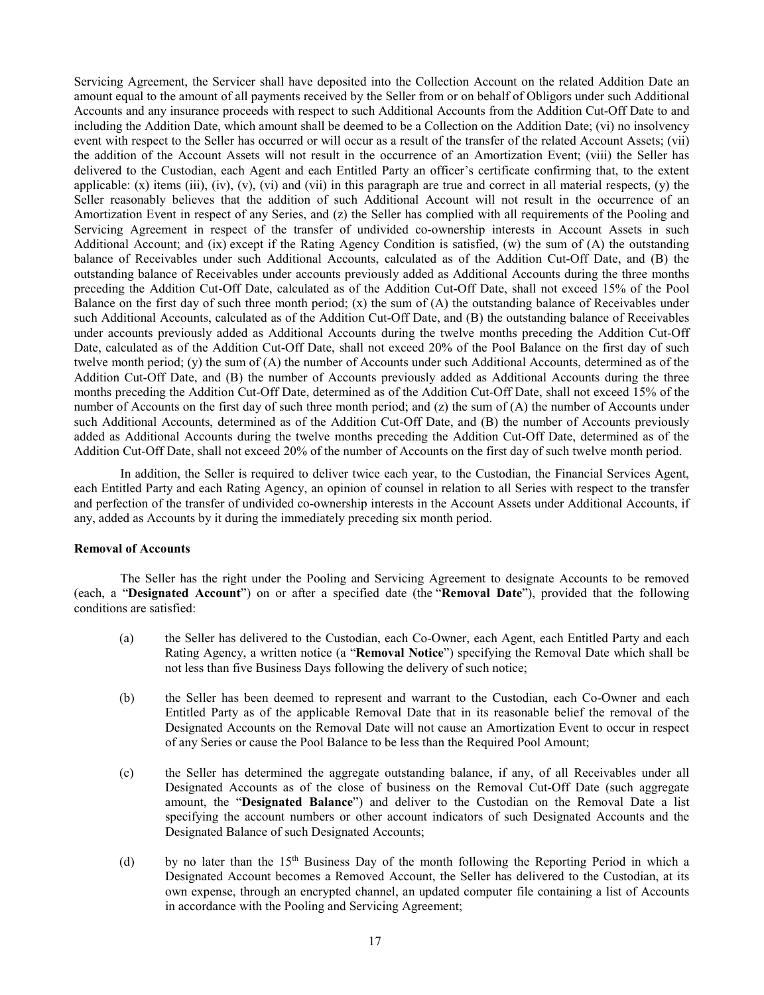Servicing Agreement, the Servicer shall have deposited into the Collection Account on the related Addition Date an amount equal to the amount of all payments received by the Seller from or on behalf of Obligors under such Additional Accounts and any insurance proceeds with respect to such Additional Accounts from the Addition Cut-Off Date to and including the Addition Date, which amount shall be deemed to be a Collection on the Addition Date; (vi) no insolvency event with respect to the Seller has occurred or will occur as a result of the transfer of the related Account Assets; (vii) the addition of the Account Assets will not result in the occurrence of an Amortization Event; (viii) the Seller has delivered to the Custodian, each Agent and each Entitled Party an officer's certificate confirming that, to the extent applicable:  $(x)$  items (iii), (iv), (v), (vi) and (vii) in this paragraph are true and correct in all material respects, (y) the Seller reasonably believes that the addition of such Additional Account will not result in the occurrence of an Amortization Event in respect of any Series, and (z) the Seller has complied with all requirements of the Pooling and Servicing Agreement in respect of the transfer of undivided co-ownership interests in Account Assets in such Additional Account; and (ix) except if the Rating Agency Condition is satisfied, (w) the sum of (A) the outstanding balance of Receivables under such Additional Accounts, calculated as of the Addition Cut-Off Date, and (B) the outstanding balance of Receivables under accounts previously added as Additional Accounts during the three months preceding the Addition Cut-Off Date, calculated as of the Addition Cut-Off Date, shall not exceed 15% of the Pool Balance on the first day of such three month period;  $(x)$  the sum of  $(A)$  the outstanding balance of Receivables under such Additional Accounts, calculated as of the Addition Cut-Off Date, and (B) the outstanding balance of Receivables under accounts previously added as Additional Accounts during the twelve months preceding the Addition Cut-Off Date, calculated as of the Addition Cut-Off Date, shall not exceed 20% of the Pool Balance on the first day of such twelve month period; (y) the sum of (A) the number of Accounts under such Additional Accounts, determined as of the Addition Cut-Off Date, and (B) the number of Accounts previously added as Additional Accounts during the three months preceding the Addition Cut-Off Date, determined as of the Addition Cut-Off Date, shall not exceed 15% of the number of Accounts on the first day of such three month period; and (z) the sum of (A) the number of Accounts under such Additional Accounts, determined as of the Addition Cut-Off Date, and (B) the number of Accounts previously added as Additional Accounts during the twelve months preceding the Addition Cut-Off Date, determined as of the Addition Cut-Off Date, shall not exceed 20% of the number of Accounts on the first day of such twelve month period.

In addition, the Seller is required to deliver twice each year, to the Custodian, the Financial Services Agent, each Entitled Party and each Rating Agency, an opinion of counsel in relation to all Series with respect to the transfer and perfection of the transfer of undivided co-ownership interests in the Account Assets under Additional Accounts, if any, added as Accounts by it during the immediately preceding six month period.

# <span id="page-20-0"></span>**Removal of Accounts**

The Seller has the right under the Pooling and Servicing Agreement to designate Accounts to be removed (each, a "**Designated Account**") on or after a specified date (the "**Removal Date**"), provided that the following conditions are satisfied:

- (a) the Seller has delivered to the Custodian, each Co-Owner, each Agent, each Entitled Party and each Rating Agency, a written notice (a "**Removal Notice**") specifying the Removal Date which shall be not less than five Business Days following the delivery of such notice;
- (b) the Seller has been deemed to represent and warrant to the Custodian, each Co-Owner and each Entitled Party as of the applicable Removal Date that in its reasonable belief the removal of the Designated Accounts on the Removal Date will not cause an Amortization Event to occur in respect of any Series or cause the Pool Balance to be less than the Required Pool Amount;
- (c) the Seller has determined the aggregate outstanding balance, if any, of all Receivables under all Designated Accounts as of the close of business on the Removal Cut-Off Date (such aggregate amount, the "**Designated Balance**") and deliver to the Custodian on the Removal Date a list specifying the account numbers or other account indicators of such Designated Accounts and the Designated Balance of such Designated Accounts;
- (d) by no later than the  $15<sup>th</sup>$  Business Day of the month following the Reporting Period in which a Designated Account becomes a Removed Account, the Seller has delivered to the Custodian, at its own expense, through an encrypted channel, an updated computer file containing a list of Accounts in accordance with the Pooling and Servicing Agreement;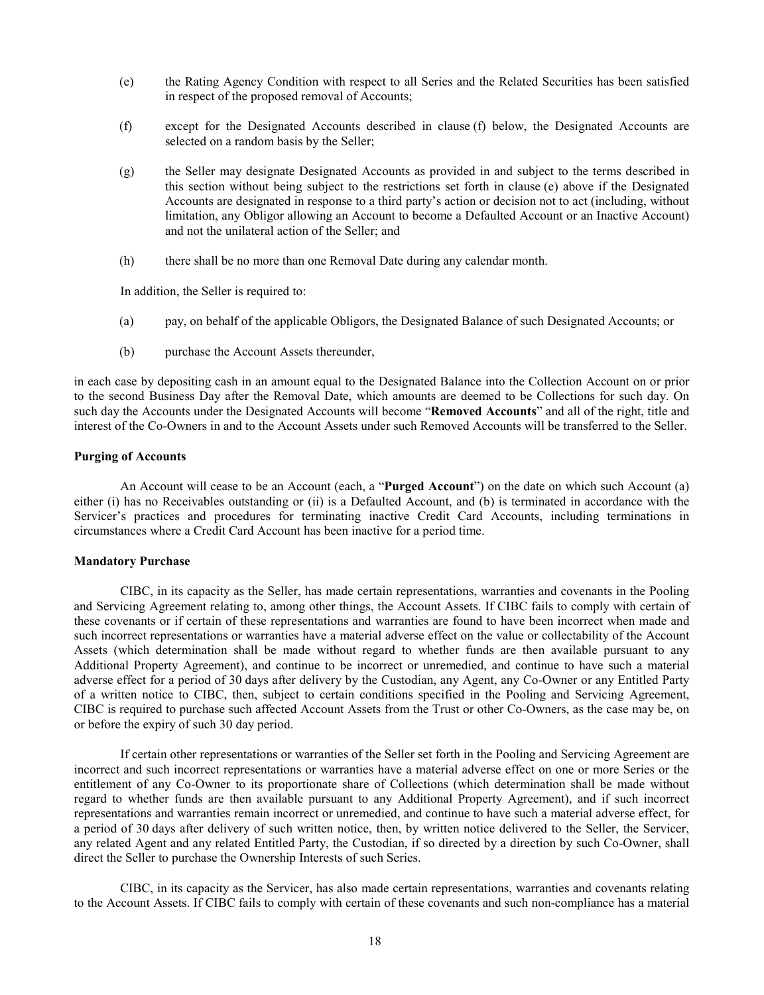- <span id="page-21-3"></span>(e) the Rating Agency Condition with respect to all Series and the Related Securities has been satisfied in respect of the proposed removal of Accounts;
- <span id="page-21-2"></span>(f) except for the Designated Accounts described in clause [\(f\)](#page-21-2) below, the Designated Accounts are selected on a random basis by the Seller;
- (g) the Seller may designate Designated Accounts as provided in and subject to the terms described in this section without being subject to the restrictions set forth in clause [\(e\)](#page-21-3) above if the Designated Accounts are designated in response to a third party's action or decision not to act (including, without limitation, any Obligor allowing an Account to become a Defaulted Account or an Inactive Account) and not the unilateral action of the Seller; and
- (h) there shall be no more than one Removal Date during any calendar month.

In addition, the Seller is required to:

- (a) pay, on behalf of the applicable Obligors, the Designated Balance of such Designated Accounts; or
- (b) purchase the Account Assets thereunder,

in each case by depositing cash in an amount equal to the Designated Balance into the Collection Account on or prior to the second Business Day after the Removal Date, which amounts are deemed to be Collections for such day. On such day the Accounts under the Designated Accounts will become "**Removed Accounts**" and all of the right, title and interest of the Co-Owners in and to the Account Assets under such Removed Accounts will be transferred to the Seller.

### <span id="page-21-0"></span>**Purging of Accounts**

An Account will cease to be an Account (each, a "**Purged Account**") on the date on which such Account (a) either (i) has no Receivables outstanding or (ii) is a Defaulted Account, and (b) is terminated in accordance with the Servicer's practices and procedures for terminating inactive Credit Card Accounts, including terminations in circumstances where a Credit Card Account has been inactive for a period time.

#### <span id="page-21-1"></span>**Mandatory Purchase**

CIBC, in its capacity as the Seller, has made certain representations, warranties and covenants in the Pooling and Servicing Agreement relating to, among other things, the Account Assets. If CIBC fails to comply with certain of these covenants or if certain of these representations and warranties are found to have been incorrect when made and such incorrect representations or warranties have a material adverse effect on the value or collectability of the Account Assets (which determination shall be made without regard to whether funds are then available pursuant to any Additional Property Agreement), and continue to be incorrect or unremedied, and continue to have such a material adverse effect for a period of 30 days after delivery by the Custodian, any Agent, any Co-Owner or any Entitled Party of a written notice to CIBC, then, subject to certain conditions specified in the Pooling and Servicing Agreement, CIBC is required to purchase such affected Account Assets from the Trust or other Co-Owners, as the case may be, on or before the expiry of such 30 day period.

If certain other representations or warranties of the Seller set forth in the Pooling and Servicing Agreement are incorrect and such incorrect representations or warranties have a material adverse effect on one or more Series or the entitlement of any Co-Owner to its proportionate share of Collections (which determination shall be made without regard to whether funds are then available pursuant to any Additional Property Agreement), and if such incorrect representations and warranties remain incorrect or unremedied, and continue to have such a material adverse effect, for a period of 30 days after delivery of such written notice, then, by written notice delivered to the Seller, the Servicer, any related Agent and any related Entitled Party, the Custodian, if so directed by a direction by such Co-Owner, shall direct the Seller to purchase the Ownership Interests of such Series.

CIBC, in its capacity as the Servicer, has also made certain representations, warranties and covenants relating to the Account Assets. If CIBC fails to comply with certain of these covenants and such non-compliance has a material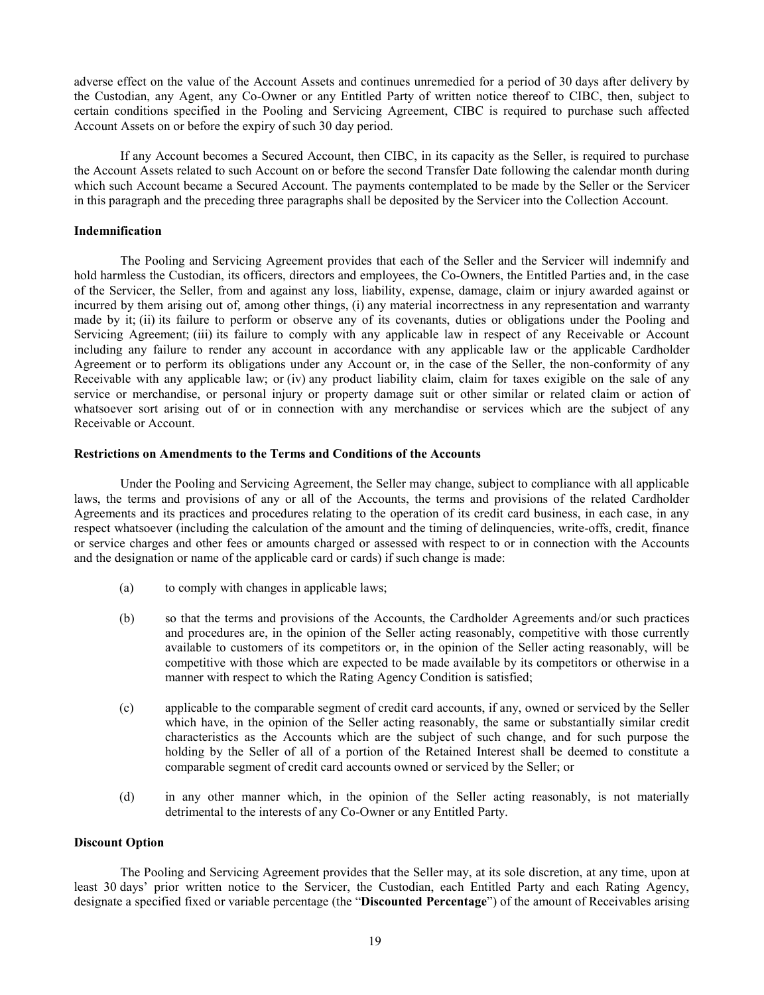adverse effect on the value of the Account Assets and continues unremedied for a period of 30 days after delivery by the Custodian, any Agent, any Co-Owner or any Entitled Party of written notice thereof to CIBC, then, subject to certain conditions specified in the Pooling and Servicing Agreement, CIBC is required to purchase such affected Account Assets on or before the expiry of such 30 day period.

If any Account becomes a Secured Account, then CIBC, in its capacity as the Seller, is required to purchase the Account Assets related to such Account on or before the second Transfer Date following the calendar month during which such Account became a Secured Account. The payments contemplated to be made by the Seller or the Servicer in this paragraph and the preceding three paragraphs shall be deposited by the Servicer into the Collection Account.

# <span id="page-22-0"></span>**Indemnification**

The Pooling and Servicing Agreement provides that each of the Seller and the Servicer will indemnify and hold harmless the Custodian, its officers, directors and employees, the Co-Owners, the Entitled Parties and, in the case of the Servicer, the Seller, from and against any loss, liability, expense, damage, claim or injury awarded against or incurred by them arising out of, among other things, (i) any material incorrectness in any representation and warranty made by it; (ii) its failure to perform or observe any of its covenants, duties or obligations under the Pooling and Servicing Agreement; (iii) its failure to comply with any applicable law in respect of any Receivable or Account including any failure to render any account in accordance with any applicable law or the applicable Cardholder Agreement or to perform its obligations under any Account or, in the case of the Seller, the non-conformity of any Receivable with any applicable law; or (iv) any product liability claim, claim for taxes exigible on the sale of any service or merchandise, or personal injury or property damage suit or other similar or related claim or action of whatsoever sort arising out of or in connection with any merchandise or services which are the subject of any Receivable or Account.

### <span id="page-22-1"></span>**Restrictions on Amendments to the Terms and Conditions of the Accounts**

Under the Pooling and Servicing Agreement, the Seller may change, subject to compliance with all applicable laws, the terms and provisions of any or all of the Accounts, the terms and provisions of the related Cardholder Agreements and its practices and procedures relating to the operation of its credit card business, in each case, in any respect whatsoever (including the calculation of the amount and the timing of delinquencies, write-offs, credit, finance or service charges and other fees or amounts charged or assessed with respect to or in connection with the Accounts and the designation or name of the applicable card or cards) if such change is made:

- (a) to comply with changes in applicable laws;
- (b) so that the terms and provisions of the Accounts, the Cardholder Agreements and/or such practices and procedures are, in the opinion of the Seller acting reasonably, competitive with those currently available to customers of its competitors or, in the opinion of the Seller acting reasonably, will be competitive with those which are expected to be made available by its competitors or otherwise in a manner with respect to which the Rating Agency Condition is satisfied;
- (c) applicable to the comparable segment of credit card accounts, if any, owned or serviced by the Seller which have, in the opinion of the Seller acting reasonably, the same or substantially similar credit characteristics as the Accounts which are the subject of such change, and for such purpose the holding by the Seller of all of a portion of the Retained Interest shall be deemed to constitute a comparable segment of credit card accounts owned or serviced by the Seller; or
- (d) in any other manner which, in the opinion of the Seller acting reasonably, is not materially detrimental to the interests of any Co-Owner or any Entitled Party.

### <span id="page-22-2"></span>**Discount Option**

The Pooling and Servicing Agreement provides that the Seller may, at its sole discretion, at any time, upon at least 30 days' prior written notice to the Servicer, the Custodian, each Entitled Party and each Rating Agency, designate a specified fixed or variable percentage (the "**Discounted Percentage**") of the amount of Receivables arising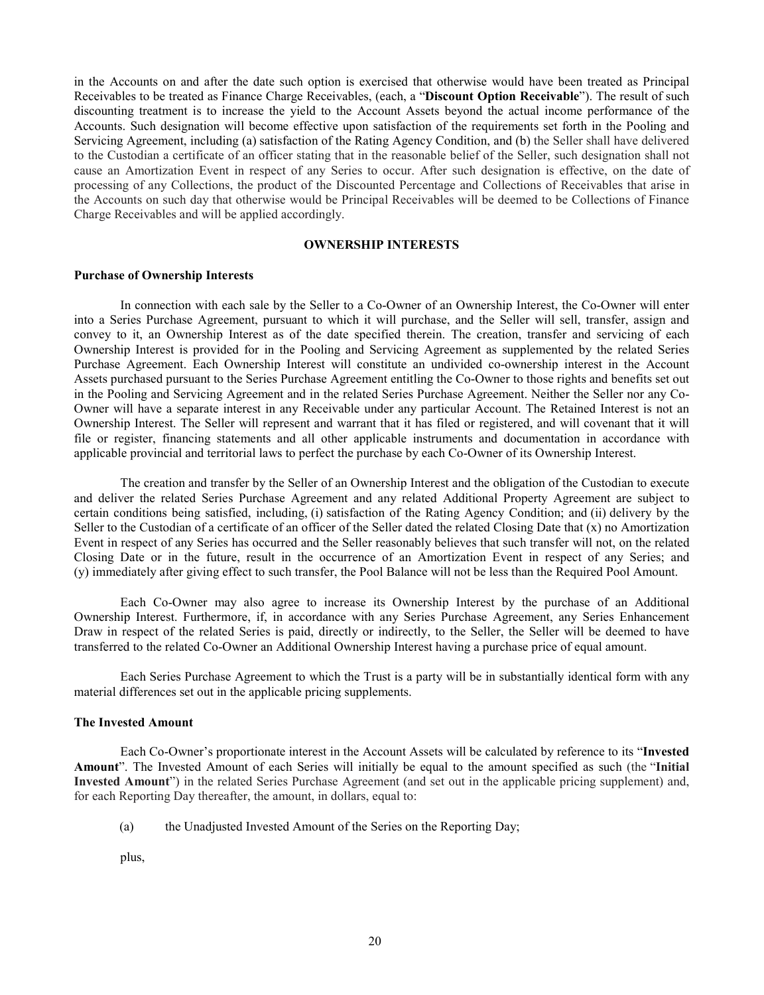in the Accounts on and after the date such option is exercised that otherwise would have been treated as Principal Receivables to be treated as Finance Charge Receivables, (each, a "**Discount Option Receivable**"). The result of such discounting treatment is to increase the yield to the Account Assets beyond the actual income performance of the Accounts. Such designation will become effective upon satisfaction of the requirements set forth in the Pooling and Servicing Agreement, including (a) satisfaction of the Rating Agency Condition, and (b) the Seller shall have delivered to the Custodian a certificate of an officer stating that in the reasonable belief of the Seller, such designation shall not cause an Amortization Event in respect of any Series to occur. After such designation is effective, on the date of processing of any Collections, the product of the Discounted Percentage and Collections of Receivables that arise in the Accounts on such day that otherwise would be Principal Receivables will be deemed to be Collections of Finance Charge Receivables and will be applied accordingly.

### **OWNERSHIP INTERESTS**

#### <span id="page-23-1"></span><span id="page-23-0"></span>**Purchase of Ownership Interests**

In connection with each sale by the Seller to a Co-Owner of an Ownership Interest, the Co-Owner will enter into a Series Purchase Agreement, pursuant to which it will purchase, and the Seller will sell, transfer, assign and convey to it, an Ownership Interest as of the date specified therein. The creation, transfer and servicing of each Ownership Interest is provided for in the Pooling and Servicing Agreement as supplemented by the related Series Purchase Agreement. Each Ownership Interest will constitute an undivided co-ownership interest in the Account Assets purchased pursuant to the Series Purchase Agreement entitling the Co-Owner to those rights and benefits set out in the Pooling and Servicing Agreement and in the related Series Purchase Agreement. Neither the Seller nor any Co-Owner will have a separate interest in any Receivable under any particular Account. The Retained Interest is not an Ownership Interest. The Seller will represent and warrant that it has filed or registered, and will covenant that it will file or register, financing statements and all other applicable instruments and documentation in accordance with applicable provincial and territorial laws to perfect the purchase by each Co-Owner of its Ownership Interest.

The creation and transfer by the Seller of an Ownership Interest and the obligation of the Custodian to execute and deliver the related Series Purchase Agreement and any related Additional Property Agreement are subject to certain conditions being satisfied, including, (i) satisfaction of the Rating Agency Condition; and (ii) delivery by the Seller to the Custodian of a certificate of an officer of the Seller dated the related Closing Date that (x) no Amortization Event in respect of any Series has occurred and the Seller reasonably believes that such transfer will not, on the related Closing Date or in the future, result in the occurrence of an Amortization Event in respect of any Series; and (y) immediately after giving effect to such transfer, the Pool Balance will not be less than the Required Pool Amount.

Each Co-Owner may also agree to increase its Ownership Interest by the purchase of an Additional Ownership Interest. Furthermore, if, in accordance with any Series Purchase Agreement, any Series Enhancement Draw in respect of the related Series is paid, directly or indirectly, to the Seller, the Seller will be deemed to have transferred to the related Co-Owner an Additional Ownership Interest having a purchase price of equal amount.

Each Series Purchase Agreement to which the Trust is a party will be in substantially identical form with any material differences set out in the applicable pricing supplements.

### <span id="page-23-2"></span>**The Invested Amount**

Each Co-Owner's proportionate interest in the Account Assets will be calculated by reference to its "**Invested Amount**". The Invested Amount of each Series will initially be equal to the amount specified as such (the "**Initial Invested Amount**") in the related Series Purchase Agreement (and set out in the applicable pricing supplement) and, for each Reporting Day thereafter, the amount, in dollars, equal to:

(a) the Unadjusted Invested Amount of the Series on the Reporting Day;

plus,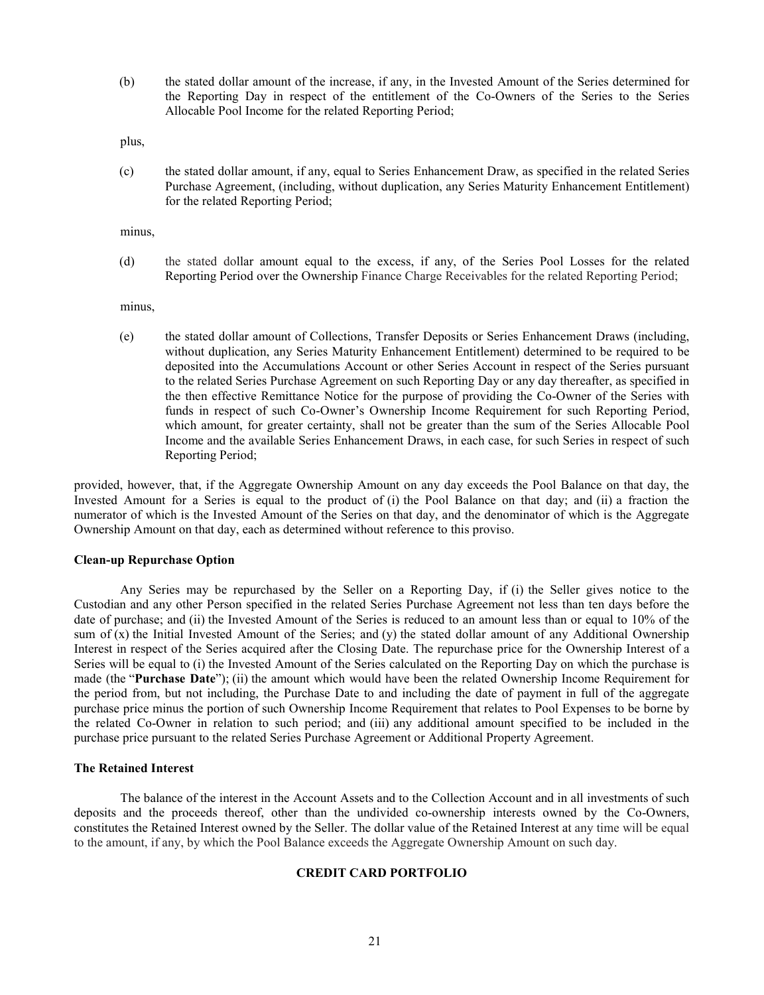(b) the stated dollar amount of the increase, if any, in the Invested Amount of the Series determined for the Reporting Day in respect of the entitlement of the Co-Owners of the Series to the Series Allocable Pool Income for the related Reporting Period;

plus,

(c) the stated dollar amount, if any, equal to Series Enhancement Draw, as specified in the related Series Purchase Agreement, (including, without duplication, any Series Maturity Enhancement Entitlement) for the related Reporting Period;

minus,

(d) the stated dollar amount equal to the excess, if any, of the Series Pool Losses for the related Reporting Period over the Ownership Finance Charge Receivables for the related Reporting Period;

minus,

(e) the stated dollar amount of Collections, Transfer Deposits or Series Enhancement Draws (including, without duplication, any Series Maturity Enhancement Entitlement) determined to be required to be deposited into the Accumulations Account or other Series Account in respect of the Series pursuant to the related Series Purchase Agreement on such Reporting Day or any day thereafter, as specified in the then effective Remittance Notice for the purpose of providing the Co-Owner of the Series with funds in respect of such Co-Owner's Ownership Income Requirement for such Reporting Period, which amount, for greater certainty, shall not be greater than the sum of the Series Allocable Pool Income and the available Series Enhancement Draws, in each case, for such Series in respect of such Reporting Period;

provided, however, that, if the Aggregate Ownership Amount on any day exceeds the Pool Balance on that day, the Invested Amount for a Series is equal to the product of (i) the Pool Balance on that day; and (ii) a fraction the numerator of which is the Invested Amount of the Series on that day, and the denominator of which is the Aggregate Ownership Amount on that day, each as determined without reference to this proviso.

#### <span id="page-24-0"></span>**Clean-up Repurchase Option**

Any Series may be repurchased by the Seller on a Reporting Day, if (i) the Seller gives notice to the Custodian and any other Person specified in the related Series Purchase Agreement not less than ten days before the date of purchase; and (ii) the Invested Amount of the Series is reduced to an amount less than or equal to 10% of the sum of  $(x)$  the Initial Invested Amount of the Series; and  $(y)$  the stated dollar amount of any Additional Ownership Interest in respect of the Series acquired after the Closing Date. The repurchase price for the Ownership Interest of a Series will be equal to (i) the Invested Amount of the Series calculated on the Reporting Day on which the purchase is made (the "**Purchase Date**"); (ii) the amount which would have been the related Ownership Income Requirement for the period from, but not including, the Purchase Date to and including the date of payment in full of the aggregate purchase price minus the portion of such Ownership Income Requirement that relates to Pool Expenses to be borne by the related Co-Owner in relation to such period; and (iii) any additional amount specified to be included in the purchase price pursuant to the related Series Purchase Agreement or Additional Property Agreement.

#### <span id="page-24-1"></span>**The Retained Interest**

<span id="page-24-2"></span>The balance of the interest in the Account Assets and to the Collection Account and in all investments of such deposits and the proceeds thereof, other than the undivided co-ownership interests owned by the Co-Owners, constitutes the Retained Interest owned by the Seller. The dollar value of the Retained Interest at any time will be equal to the amount, if any, by which the Pool Balance exceeds the Aggregate Ownership Amount on such day.

# **CREDIT CARD PORTFOLIO**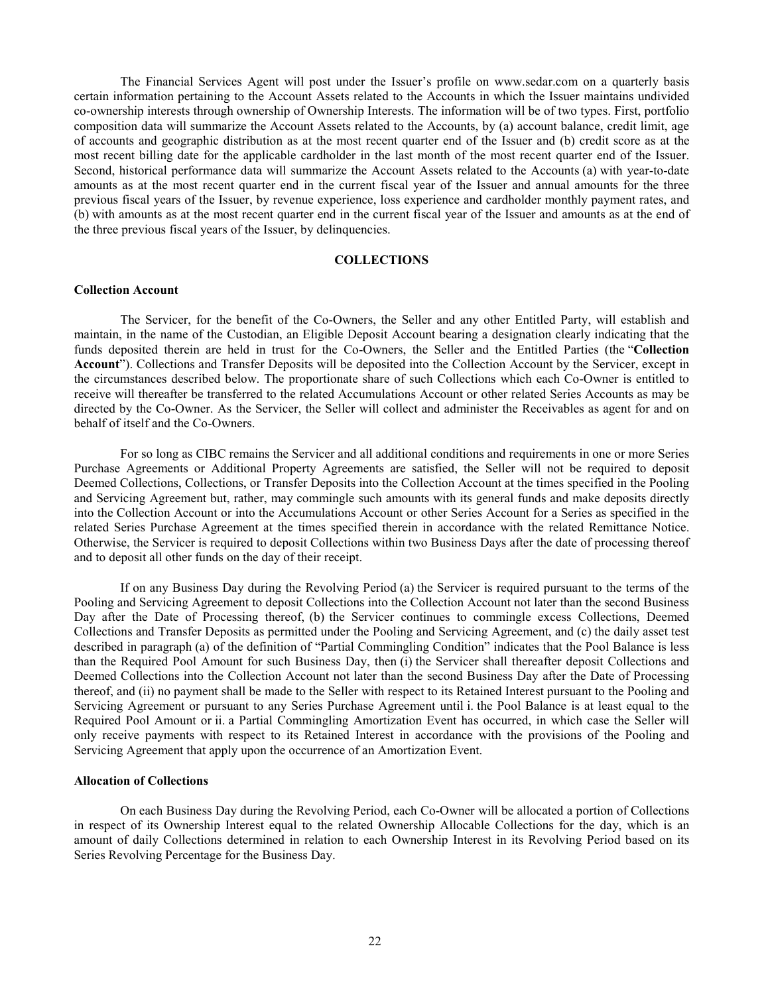The Financial Services Agent will post under the Issuer's profile on [www.sedar.com](http://www.sedar.com/) on a quarterly basis certain information pertaining to the Account Assets related to the Accounts in which the Issuer maintains undivided co-ownership interests through ownership of Ownership Interests. The information will be of two types. First, portfolio composition data will summarize the Account Assets related to the Accounts, by (a) account balance, credit limit, age of accounts and geographic distribution as at the most recent quarter end of the Issuer and (b) credit score as at the most recent billing date for the applicable cardholder in the last month of the most recent quarter end of the Issuer. Second, historical performance data will summarize the Account Assets related to the Accounts (a) with year-to-date amounts as at the most recent quarter end in the current fiscal year of the Issuer and annual amounts for the three previous fiscal years of the Issuer, by revenue experience, loss experience and cardholder monthly payment rates, and (b) with amounts as at the most recent quarter end in the current fiscal year of the Issuer and amounts as at the end of the three previous fiscal years of the Issuer, by delinquencies.

#### **COLLECTIONS**

# <span id="page-25-1"></span><span id="page-25-0"></span>**Collection Account**

The Servicer, for the benefit of the Co-Owners, the Seller and any other Entitled Party, will establish and maintain, in the name of the Custodian, an Eligible Deposit Account bearing a designation clearly indicating that the funds deposited therein are held in trust for the Co-Owners, the Seller and the Entitled Parties (the "**Collection Account**"). Collections and Transfer Deposits will be deposited into the Collection Account by the Servicer, except in the circumstances described below. The proportionate share of such Collections which each Co-Owner is entitled to receive will thereafter be transferred to the related Accumulations Account or other related Series Accounts as may be directed by the Co-Owner. As the Servicer, the Seller will collect and administer the Receivables as agent for and on behalf of itself and the Co-Owners.

For so long as CIBC remains the Servicer and all additional conditions and requirements in one or more Series Purchase Agreements or Additional Property Agreements are satisfied, the Seller will not be required to deposit Deemed Collections, Collections, or Transfer Deposits into the Collection Account at the times specified in the Pooling and Servicing Agreement but, rather, may commingle such amounts with its general funds and make deposits directly into the Collection Account or into the Accumulations Account or other Series Account for a Series as specified in the related Series Purchase Agreement at the times specified therein in accordance with the related Remittance Notice. Otherwise, the Servicer is required to deposit Collections within two Business Days after the date of processing thereof and to deposit all other funds on the day of their receipt.

If on any Business Day during the Revolving Period (a) the Servicer is required pursuant to the terms of the Pooling and Servicing Agreement to deposit Collections into the Collection Account not later than the second Business Day after the Date of Processing thereof, (b) the Servicer continues to commingle excess Collections, Deemed Collections and Transfer Deposits as permitted under the Pooling and Servicing Agreement, and (c) the daily asset test described in paragraph [\(a\)](#page-76-0) of the definition of "Partial Commingling Condition" indicates that the Pool Balance is less than the Required Pool Amount for such Business Day, then (i) the Servicer shall thereafter deposit Collections and Deemed Collections into the Collection Account not later than the second Business Day after the Date of Processing thereof, and (ii) no payment shall be made to the Seller with respect to its Retained Interest pursuant to the Pooling and Servicing Agreement or pursuant to any Series Purchase Agreement until i. the Pool Balance is at least equal to the Required Pool Amount or ii. a Partial Commingling Amortization Event has occurred, in which case the Seller will only receive payments with respect to its Retained Interest in accordance with the provisions of the Pooling and Servicing Agreement that apply upon the occurrence of an Amortization Event.

#### <span id="page-25-2"></span>**Allocation of Collections**

On each Business Day during the Revolving Period, each Co-Owner will be allocated a portion of Collections in respect of its Ownership Interest equal to the related Ownership Allocable Collections for the day, which is an amount of daily Collections determined in relation to each Ownership Interest in its Revolving Period based on its Series Revolving Percentage for the Business Day.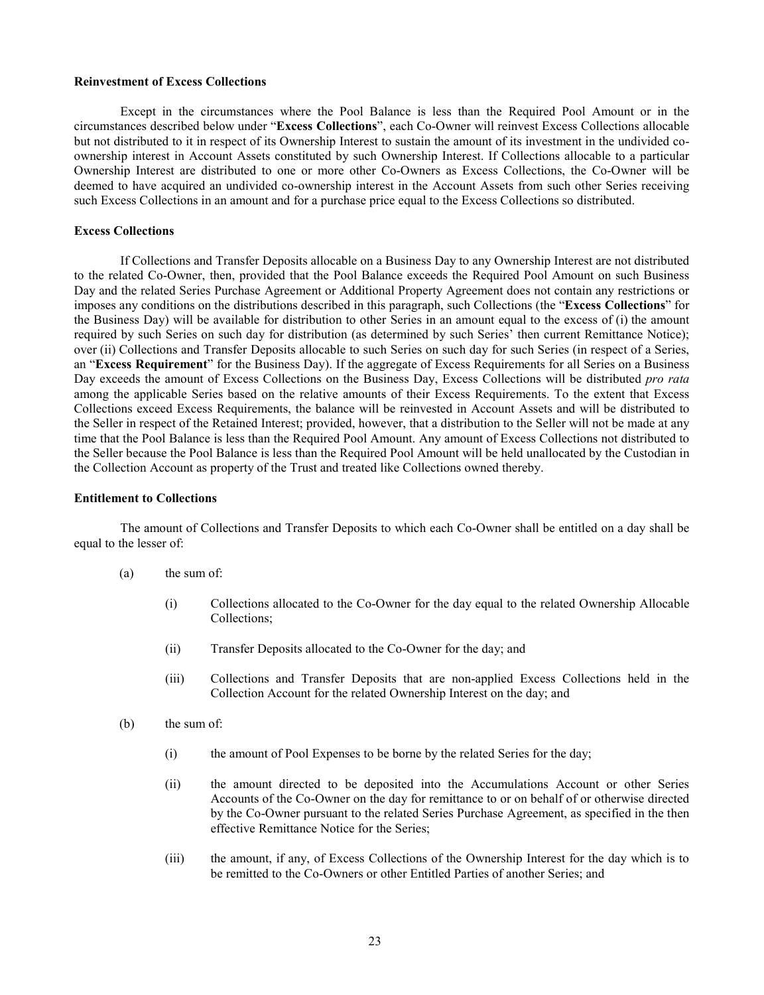#### <span id="page-26-0"></span>**Reinvestment of Excess Collections**

Except in the circumstances where the Pool Balance is less than the Required Pool Amount or in the circumstances described below under "**Excess Collections**", each Co-Owner will reinvest Excess Collections allocable but not distributed to it in respect of its Ownership Interest to sustain the amount of its investment in the undivided coownership interest in Account Assets constituted by such Ownership Interest. If Collections allocable to a particular Ownership Interest are distributed to one or more other Co-Owners as Excess Collections, the Co-Owner will be deemed to have acquired an undivided co-ownership interest in the Account Assets from such other Series receiving such Excess Collections in an amount and for a purchase price equal to the Excess Collections so distributed.

# <span id="page-26-1"></span>**Excess Collections**

If Collections and Transfer Deposits allocable on a Business Day to any Ownership Interest are not distributed to the related Co-Owner, then, provided that the Pool Balance exceeds the Required Pool Amount on such Business Day and the related Series Purchase Agreement or Additional Property Agreement does not contain any restrictions or imposes any conditions on the distributions described in this paragraph, such Collections (the "**Excess Collections**" for the Business Day) will be available for distribution to other Series in an amount equal to the excess of (i) the amount required by such Series on such day for distribution (as determined by such Series' then current Remittance Notice); over (ii) Collections and Transfer Deposits allocable to such Series on such day for such Series (in respect of a Series, an "**Excess Requirement**" for the Business Day). If the aggregate of Excess Requirements for all Series on a Business Day exceeds the amount of Excess Collections on the Business Day, Excess Collections will be distributed *pro rata*  among the applicable Series based on the relative amounts of their Excess Requirements. To the extent that Excess Collections exceed Excess Requirements, the balance will be reinvested in Account Assets and will be distributed to the Seller in respect of the Retained Interest; provided, however, that a distribution to the Seller will not be made at any time that the Pool Balance is less than the Required Pool Amount. Any amount of Excess Collections not distributed to the Seller because the Pool Balance is less than the Required Pool Amount will be held unallocated by the Custodian in the Collection Account as property of the Trust and treated like Collections owned thereby.

# <span id="page-26-2"></span>**Entitlement to Collections**

The amount of Collections and Transfer Deposits to which each Co-Owner shall be entitled on a day shall be equal to the lesser of:

- (a) the sum of:
	- (i) Collections allocated to the Co-Owner for the day equal to the related Ownership Allocable Collections;
	- (ii) Transfer Deposits allocated to the Co-Owner for the day; and
	- (iii) Collections and Transfer Deposits that are non-applied Excess Collections held in the Collection Account for the related Ownership Interest on the day; and
- (b) the sum of:
	- (i) the amount of Pool Expenses to be borne by the related Series for the day;
	- (ii) the amount directed to be deposited into the Accumulations Account or other Series Accounts of the Co-Owner on the day for remittance to or on behalf of or otherwise directed by the Co-Owner pursuant to the related Series Purchase Agreement, as specified in the then effective Remittance Notice for the Series;
	- (iii) the amount, if any, of Excess Collections of the Ownership Interest for the day which is to be remitted to the Co-Owners or other Entitled Parties of another Series; and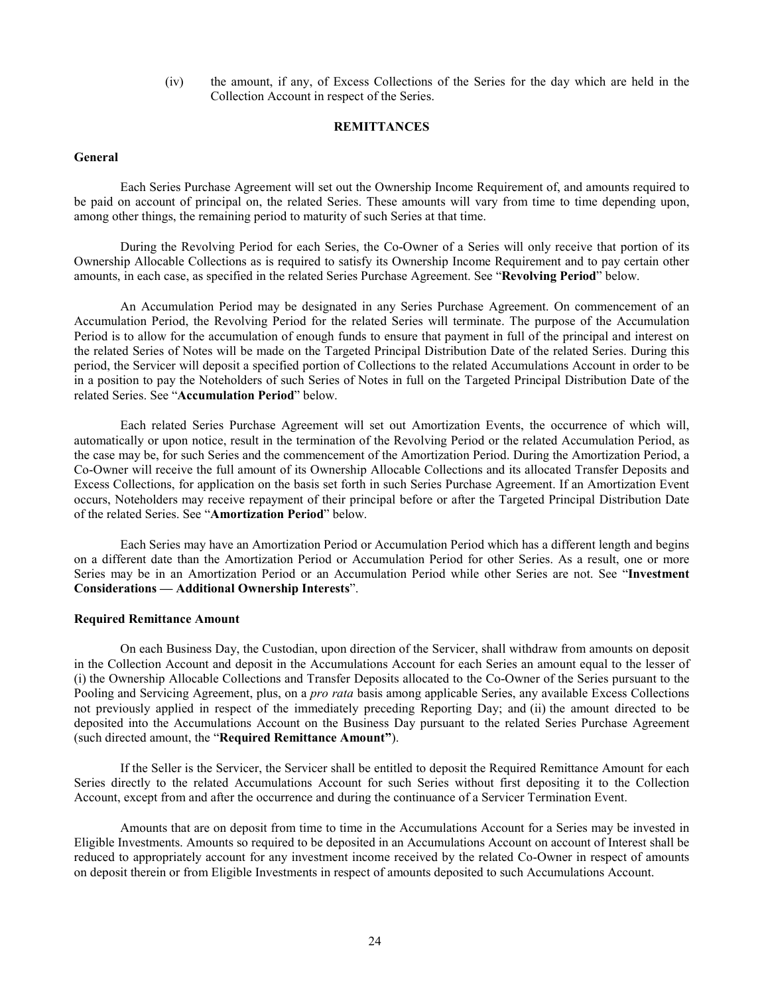(iv) the amount, if any, of Excess Collections of the Series for the day which are held in the Collection Account in respect of the Series.

## **REMITTANCES**

# <span id="page-27-1"></span><span id="page-27-0"></span>**General**

Each Series Purchase Agreement will set out the Ownership Income Requirement of, and amounts required to be paid on account of principal on, the related Series. These amounts will vary from time to time depending upon, among other things, the remaining period to maturity of such Series at that time.

During the Revolving Period for each Series, the Co-Owner of a Series will only receive that portion of its Ownership Allocable Collections as is required to satisfy its Ownership Income Requirement and to pay certain other amounts, in each case, as specified in the related Series Purchase Agreement. See "**Revolving Period**" below.

An Accumulation Period may be designated in any Series Purchase Agreement. On commencement of an Accumulation Period, the Revolving Period for the related Series will terminate. The purpose of the Accumulation Period is to allow for the accumulation of enough funds to ensure that payment in full of the principal and interest on the related Series of Notes will be made on the Targeted Principal Distribution Date of the related Series. During this period, the Servicer will deposit a specified portion of Collections to the related Accumulations Account in order to be in a position to pay the Noteholders of such Series of Notes in full on the Targeted Principal Distribution Date of the related Series. See "**Accumulation Period**" below.

Each related Series Purchase Agreement will set out Amortization Events, the occurrence of which will, automatically or upon notice, result in the termination of the Revolving Period or the related Accumulation Period, as the case may be, for such Series and the commencement of the Amortization Period. During the Amortization Period, a Co-Owner will receive the full amount of its Ownership Allocable Collections and its allocated Transfer Deposits and Excess Collections, for application on the basis set forth in such Series Purchase Agreement. If an Amortization Event occurs, Noteholders may receive repayment of their principal before or after the Targeted Principal Distribution Date of the related Series. See "**Amortization Period**" below.

Each Series may have an Amortization Period or Accumulation Period which has a different length and begins on a different date than the Amortization Period or Accumulation Period for other Series. As a result, one or more Series may be in an Amortization Period or an Accumulation Period while other Series are not. See "**Investment Considerations — Additional Ownership Interests**".

# <span id="page-27-2"></span>**Required Remittance Amount**

On each Business Day, the Custodian, upon direction of the Servicer, shall withdraw from amounts on deposit in the Collection Account and deposit in the Accumulations Account for each Series an amount equal to the lesser of (i) the Ownership Allocable Collections and Transfer Deposits allocated to the Co-Owner of the Series pursuant to the Pooling and Servicing Agreement, plus, on a *pro rata* basis among applicable Series, any available Excess Collections not previously applied in respect of the immediately preceding Reporting Day; and (ii) the amount directed to be deposited into the Accumulations Account on the Business Day pursuant to the related Series Purchase Agreement (such directed amount, the "**Required Remittance Amount"**).

If the Seller is the Servicer, the Servicer shall be entitled to deposit the Required Remittance Amount for each Series directly to the related Accumulations Account for such Series without first depositing it to the Collection Account, except from and after the occurrence and during the continuance of a Servicer Termination Event.

Amounts that are on deposit from time to time in the Accumulations Account for a Series may be invested in Eligible Investments. Amounts so required to be deposited in an Accumulations Account on account of Interest shall be reduced to appropriately account for any investment income received by the related Co-Owner in respect of amounts on deposit therein or from Eligible Investments in respect of amounts deposited to such Accumulations Account.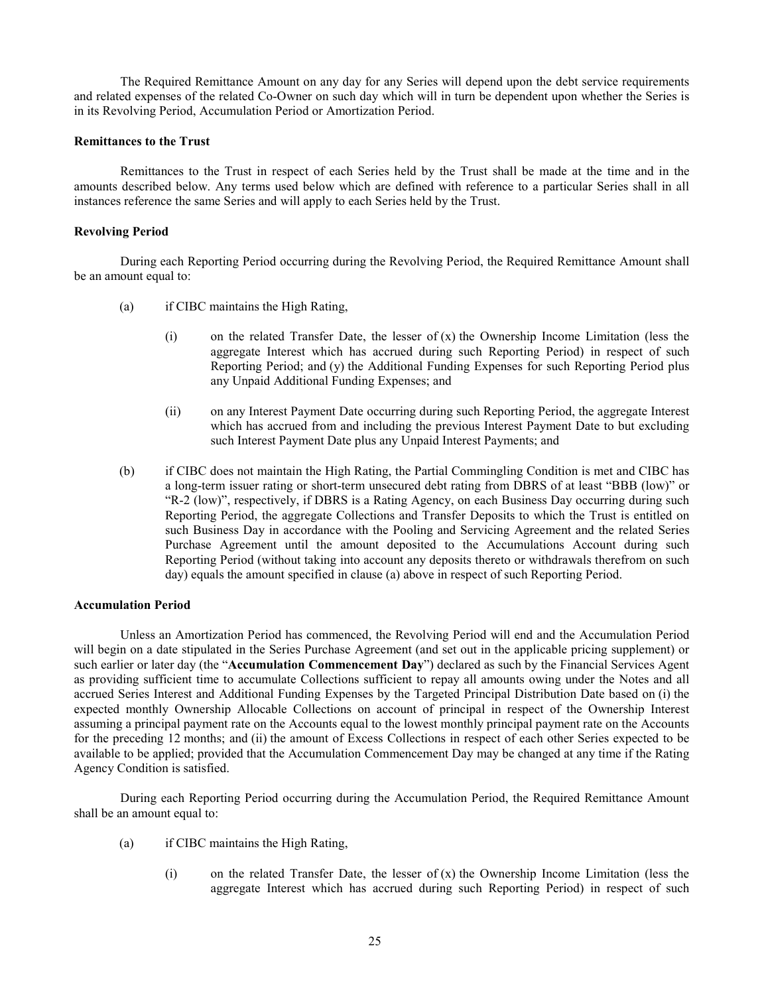The Required Remittance Amount on any day for any Series will depend upon the debt service requirements and related expenses of the related Co-Owner on such day which will in turn be dependent upon whether the Series is in its Revolving Period, Accumulation Period or Amortization Period.

# <span id="page-28-0"></span>**Remittances to the Trust**

Remittances to the Trust in respect of each Series held by the Trust shall be made at the time and in the amounts described below. Any terms used below which are defined with reference to a particular Series shall in all instances reference the same Series and will apply to each Series held by the Trust.

### <span id="page-28-1"></span>**Revolving Period**

<span id="page-28-3"></span>During each Reporting Period occurring during the Revolving Period, the Required Remittance Amount shall be an amount equal to:

- (a) if CIBC maintains the High Rating,
	- (i) on the related Transfer Date, the lesser of (x) the Ownership Income Limitation (less the aggregate Interest which has accrued during such Reporting Period) in respect of such Reporting Period; and (y) the Additional Funding Expenses for such Reporting Period plus any Unpaid Additional Funding Expenses; and
	- (ii) on any Interest Payment Date occurring during such Reporting Period, the aggregate Interest which has accrued from and including the previous Interest Payment Date to but excluding such Interest Payment Date plus any Unpaid Interest Payments; and
- (b) if CIBC does not maintain the High Rating, the Partial Commingling Condition is met and CIBC has a long-term issuer rating or short-term unsecured debt rating from DBRS of at least "BBB (low)" or "R-2 (low)", respectively, if DBRS is a Rating Agency, on each Business Day occurring during such Reporting Period, the aggregate Collections and Transfer Deposits to which the Trust is entitled on such Business Day in accordance with the Pooling and Servicing Agreement and the related Series Purchase Agreement until the amount deposited to the Accumulations Account during such Reporting Period (without taking into account any deposits thereto or withdrawals therefrom on such day) equals the amount specified in clause [\(a\)](#page-28-3) above in respect of such Reporting Period.

# <span id="page-28-2"></span>**Accumulation Period**

Unless an Amortization Period has commenced, the Revolving Period will end and the Accumulation Period will begin on a date stipulated in the Series Purchase Agreement (and set out in the applicable pricing supplement) or such earlier or later day (the "**Accumulation Commencement Day**") declared as such by the Financial Services Agent as providing sufficient time to accumulate Collections sufficient to repay all amounts owing under the Notes and all accrued Series Interest and Additional Funding Expenses by the Targeted Principal Distribution Date based on (i) the expected monthly Ownership Allocable Collections on account of principal in respect of the Ownership Interest assuming a principal payment rate on the Accounts equal to the lowest monthly principal payment rate on the Accounts for the preceding 12 months; and (ii) the amount of Excess Collections in respect of each other Series expected to be available to be applied; provided that the Accumulation Commencement Day may be changed at any time if the Rating Agency Condition is satisfied.

<span id="page-28-4"></span>During each Reporting Period occurring during the Accumulation Period, the Required Remittance Amount shall be an amount equal to:

- (a) if CIBC maintains the High Rating,
	- (i) on the related Transfer Date, the lesser of  $(x)$  the Ownership Income Limitation (less the aggregate Interest which has accrued during such Reporting Period) in respect of such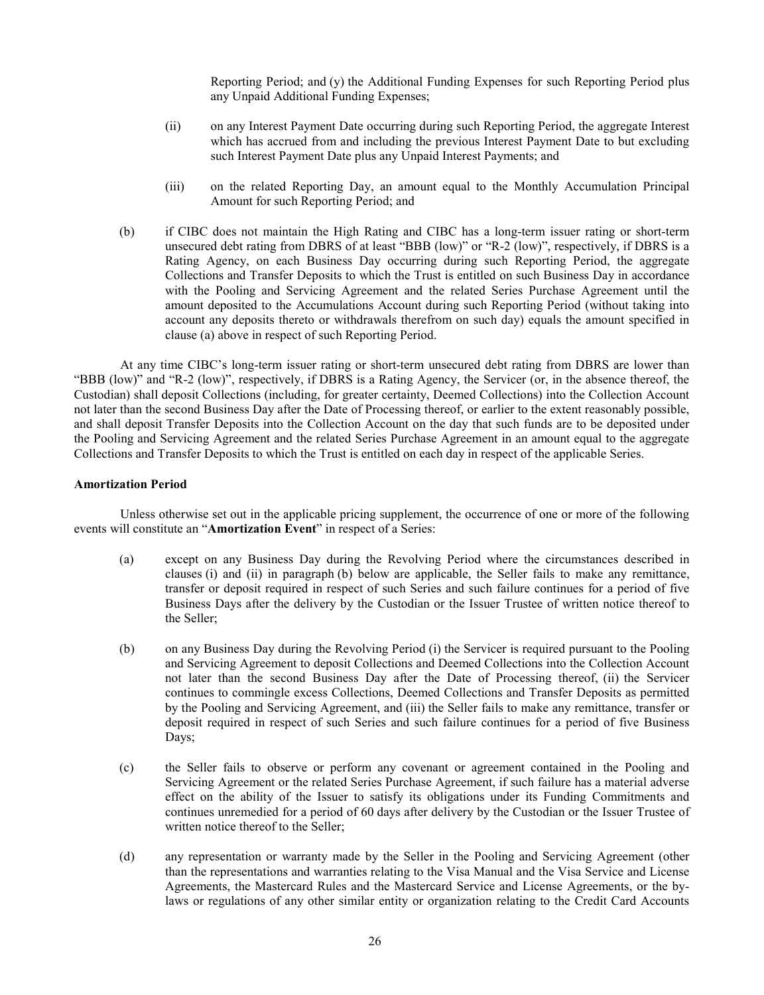Reporting Period; and (y) the Additional Funding Expenses for such Reporting Period plus any Unpaid Additional Funding Expenses;

- (ii) on any Interest Payment Date occurring during such Reporting Period, the aggregate Interest which has accrued from and including the previous Interest Payment Date to but excluding such Interest Payment Date plus any Unpaid Interest Payments; and
- (iii) on the related Reporting Day, an amount equal to the Monthly Accumulation Principal Amount for such Reporting Period; and
- (b) if CIBC does not maintain the High Rating and CIBC has a long-term issuer rating or short-term unsecured debt rating from DBRS of at least "BBB (low)" or "R-2 (low)", respectively, if DBRS is a Rating Agency, on each Business Day occurring during such Reporting Period, the aggregate Collections and Transfer Deposits to which the Trust is entitled on such Business Day in accordance with the Pooling and Servicing Agreement and the related Series Purchase Agreement until the amount deposited to the Accumulations Account during such Reporting Period (without taking into account any deposits thereto or withdrawals therefrom on such day) equals the amount specified in clause [\(a\)](#page-28-4) above in respect of such Reporting Period.

At any time CIBC's long-term issuer rating or short-term unsecured debt rating from DBRS are lower than "BBB (low)" and "R-2 (low)", respectively, if DBRS is a Rating Agency, the Servicer (or, in the absence thereof, the Custodian) shall deposit Collections (including, for greater certainty, Deemed Collections) into the Collection Account not later than the second Business Day after the Date of Processing thereof, or earlier to the extent reasonably possible, and shall deposit Transfer Deposits into the Collection Account on the day that such funds are to be deposited under the Pooling and Servicing Agreement and the related Series Purchase Agreement in an amount equal to the aggregate Collections and Transfer Deposits to which the Trust is entitled on each day in respect of the applicable Series.

#### <span id="page-29-0"></span>**Amortization Period**

<span id="page-29-4"></span>Unless otherwise set out in the applicable pricing supplement, the occurrence of one or more of the following events will constitute an "**Amortization Event**" in respect of a Series:

- (a) except on any Business Day during the Revolving Period where the circumstances described in clauses [\(i\)](#page-29-1) and [\(ii\)](#page-29-2) in paragraph [\(b\)](#page-29-3) below are applicable, the Seller fails to make any remittance, transfer or deposit required in respect of such Series and such failure continues for a period of five Business Days after the delivery by the Custodian or the Issuer Trustee of written notice thereof to the Seller;
- <span id="page-29-3"></span><span id="page-29-2"></span><span id="page-29-1"></span>(b) on any Business Day during the Revolving Period (i) the Servicer is required pursuant to the Pooling and Servicing Agreement to deposit Collections and Deemed Collections into the Collection Account not later than the second Business Day after the Date of Processing thereof, (ii) the Servicer continues to commingle excess Collections, Deemed Collections and Transfer Deposits as permitted by the Pooling and Servicing Agreement, and (iii) the Seller fails to make any remittance, transfer or deposit required in respect of such Series and such failure continues for a period of five Business Days;
- <span id="page-29-5"></span>(c) the Seller fails to observe or perform any covenant or agreement contained in the Pooling and Servicing Agreement or the related Series Purchase Agreement, if such failure has a material adverse effect on the ability of the Issuer to satisfy its obligations under its Funding Commitments and continues unremedied for a period of 60 days after delivery by the Custodian or the Issuer Trustee of written notice thereof to the Seller;
- <span id="page-29-6"></span>(d) any representation or warranty made by the Seller in the Pooling and Servicing Agreement (other than the representations and warranties relating to the Visa Manual and the Visa Service and License Agreements, the Mastercard Rules and the Mastercard Service and License Agreements, or the bylaws or regulations of any other similar entity or organization relating to the Credit Card Accounts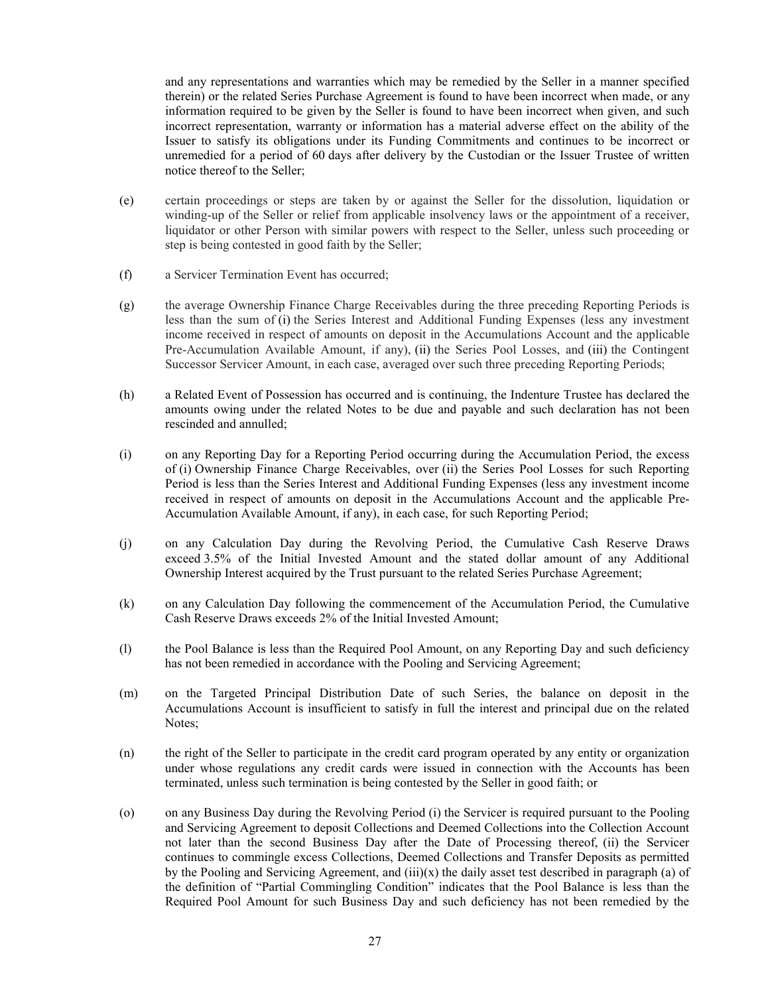and any representations and warranties which may be remedied by the Seller in a manner specified therein) or the related Series Purchase Agreement is found to have been incorrect when made, or any information required to be given by the Seller is found to have been incorrect when given, and such incorrect representation, warranty or information has a material adverse effect on the ability of the Issuer to satisfy its obligations under its Funding Commitments and continues to be incorrect or unremedied for a period of 60 days after delivery by the Custodian or the Issuer Trustee of written notice thereof to the Seller;

- (e) certain proceedings or steps are taken by or against the Seller for the dissolution, liquidation or winding-up of the Seller or relief from applicable insolvency laws or the appointment of a receiver, liquidator or other Person with similar powers with respect to the Seller, unless such proceeding or step is being contested in good faith by the Seller;
- <span id="page-30-0"></span>(f) a Servicer Termination Event has occurred;
- (g) the average Ownership Finance Charge Receivables during the three preceding Reporting Periods is less than the sum of (i) the Series Interest and Additional Funding Expenses (less any investment income received in respect of amounts on deposit in the Accumulations Account and the applicable Pre-Accumulation Available Amount, if any), (ii) the Series Pool Losses, and (iii) the Contingent Successor Servicer Amount, in each case, averaged over such three preceding Reporting Periods;
- (h) a Related Event of Possession has occurred and is continuing, the Indenture Trustee has declared the amounts owing under the related Notes to be due and payable and such declaration has not been rescinded and annulled;
- (i) on any Reporting Day for a Reporting Period occurring during the Accumulation Period, the excess of (i) Ownership Finance Charge Receivables, over (ii) the Series Pool Losses for such Reporting Period is less than the Series Interest and Additional Funding Expenses (less any investment income received in respect of amounts on deposit in the Accumulations Account and the applicable Pre-Accumulation Available Amount, if any), in each case, for such Reporting Period;
- (j) on any Calculation Day during the Revolving Period, the Cumulative Cash Reserve Draws exceed 3.5% of the Initial Invested Amount and the stated dollar amount of any Additional Ownership Interest acquired by the Trust pursuant to the related Series Purchase Agreement;
- (k) on any Calculation Day following the commencement of the Accumulation Period, the Cumulative Cash Reserve Draws exceeds 2% of the Initial Invested Amount;
- (l) the Pool Balance is less than the Required Pool Amount, on any Reporting Day and such deficiency has not been remedied in accordance with the Pooling and Servicing Agreement;
- (m) on the Targeted Principal Distribution Date of such Series, the balance on deposit in the Accumulations Account is insufficient to satisfy in full the interest and principal due on the related Notes;
- (n) the right of the Seller to participate in the credit card program operated by any entity or organization under whose regulations any credit cards were issued in connection with the Accounts has been terminated, unless such termination is being contested by the Seller in good faith; or
- <span id="page-30-1"></span>(o) on any Business Day during the Revolving Period (i) the Servicer is required pursuant to the Pooling and Servicing Agreement to deposit Collections and Deemed Collections into the Collection Account not later than the second Business Day after the Date of Processing thereof, (ii) the Servicer continues to commingle excess Collections, Deemed Collections and Transfer Deposits as permitted by the Pooling and Servicing Agreement, and  $(iii)(x)$  the daily asset test described in paragraph (a) of the definition of "Partial Commingling Condition" indicates that the Pool Balance is less than the Required Pool Amount for such Business Day and such deficiency has not been remedied by the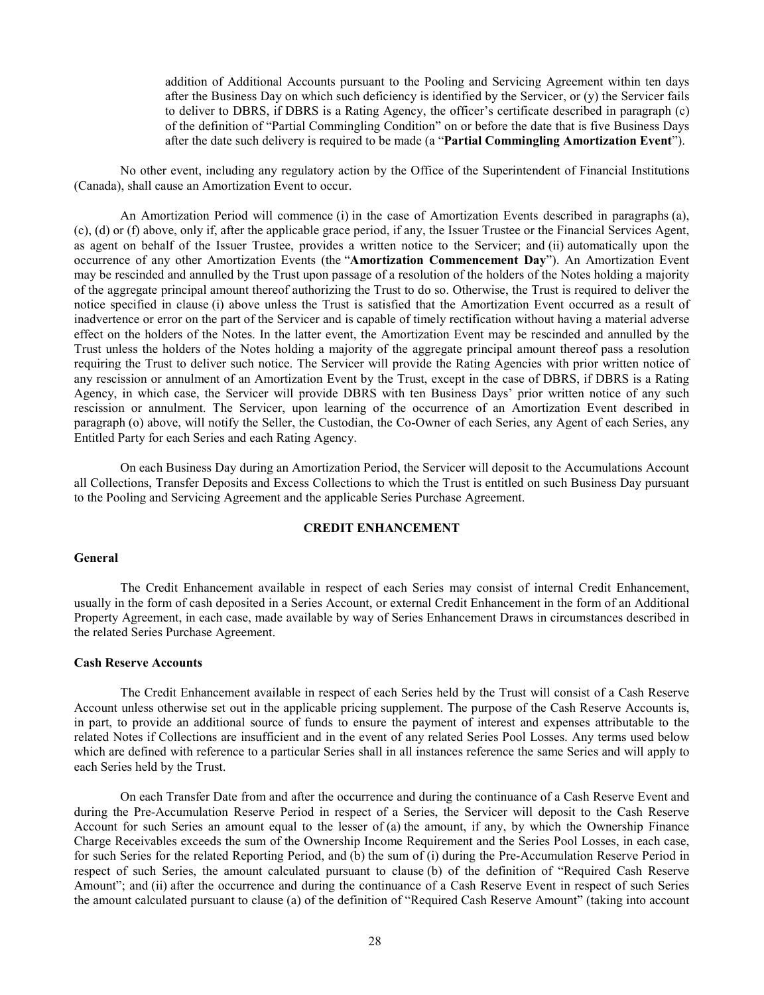<span id="page-31-3"></span>addition of Additional Accounts pursuant to the Pooling and Servicing Agreement within ten days after the Business Day on which such deficiency is identified by the Servicer, or (y) the Servicer fails to deliver to DBRS, if DBRS is a Rating Agency, the officer's certificate described in paragraph (c) of the definition of "Partial Commingling Condition" on or before the date that is five Business Days after the date such delivery is required to be made (a "**Partial Commingling Amortization Event**").

No other event, including any regulatory action by the Office of the Superintendent of Financial Institutions (Canada), shall cause an Amortization Event to occur.

An Amortization Period will commence (i) in the case of Amortization Events described in paragraphs [\(a\),](#page-29-4) [\(c\),](#page-29-5) [\(d\)](#page-29-6) or [\(f\)](#page-30-0) above, only if, after the applicable grace period, if any, the Issuer Trustee or the Financial Services Agent, as agent on behalf of the Issuer Trustee, provides a written notice to the Servicer; and (ii) automatically upon the occurrence of any other Amortization Events (the "**Amortization Commencement Day**"). An Amortization Event may be rescinded and annulled by the Trust upon passage of a resolution of the holders of the Notes holding a majority of the aggregate principal amount thereof authorizing the Trust to do so. Otherwise, the Trust is required to deliver the notice specified in clause [\(i\)](#page-31-3) above unless the Trust is satisfied that the Amortization Event occurred as a result of inadvertence or error on the part of the Servicer and is capable of timely rectification without having a material adverse effect on the holders of the Notes. In the latter event, the Amortization Event may be rescinded and annulled by the Trust unless the holders of the Notes holding a majority of the aggregate principal amount thereof pass a resolution requiring the Trust to deliver such notice. The Servicer will provide the Rating Agencies with prior written notice of any rescission or annulment of an Amortization Event by the Trust, except in the case of DBRS, if DBRS is a Rating Agency, in which case, the Servicer will provide DBRS with ten Business Days' prior written notice of any such rescission or annulment. The Servicer, upon learning of the occurrence of an Amortization Event described in paragraph [\(o\)](#page-30-1) above, will notify the Seller, the Custodian, the Co-Owner of each Series, any Agent of each Series, any Entitled Party for each Series and each Rating Agency.

On each Business Day during an Amortization Period, the Servicer will deposit to the Accumulations Account all Collections, Transfer Deposits and Excess Collections to which the Trust is entitled on such Business Day pursuant to the Pooling and Servicing Agreement and the applicable Series Purchase Agreement.

# **CREDIT ENHANCEMENT**

# <span id="page-31-1"></span><span id="page-31-0"></span>**General**

The Credit Enhancement available in respect of each Series may consist of internal Credit Enhancement, usually in the form of cash deposited in a Series Account, or external Credit Enhancement in the form of an Additional Property Agreement, in each case, made available by way of Series Enhancement Draws in circumstances described in the related Series Purchase Agreement.

#### <span id="page-31-2"></span>**Cash Reserve Accounts**

The Credit Enhancement available in respect of each Series held by the Trust will consist of a Cash Reserve Account unless otherwise set out in the applicable pricing supplement. The purpose of the Cash Reserve Accounts is, in part, to provide an additional source of funds to ensure the payment of interest and expenses attributable to the related Notes if Collections are insufficient and in the event of any related Series Pool Losses. Any terms used below which are defined with reference to a particular Series shall in all instances reference the same Series and will apply to each Series held by the Trust.

On each Transfer Date from and after the occurrence and during the continuance of a Cash Reserve Event and during the Pre-Accumulation Reserve Period in respect of a Series, the Servicer will deposit to the Cash Reserve Account for such Series an amount equal to the lesser of (a) the amount, if any, by which the Ownership Finance Charge Receivables exceeds the sum of the Ownership Income Requirement and the Series Pool Losses, in each case, for such Series for the related Reporting Period, and (b) the sum of (i) during the Pre-Accumulation Reserve Period in respect of such Series, the amount calculated pursuant to clause [\(b\)](#page-80-0) of the definition of "Required Cash Reserve Amount"; and (ii) after the occurrence and during the continuance of a Cash Reserve Event in respect of such Series the amount calculated pursuant to clause [\(a\)](#page-80-1) of the definition of "Required Cash Reserve Amount" (taking into account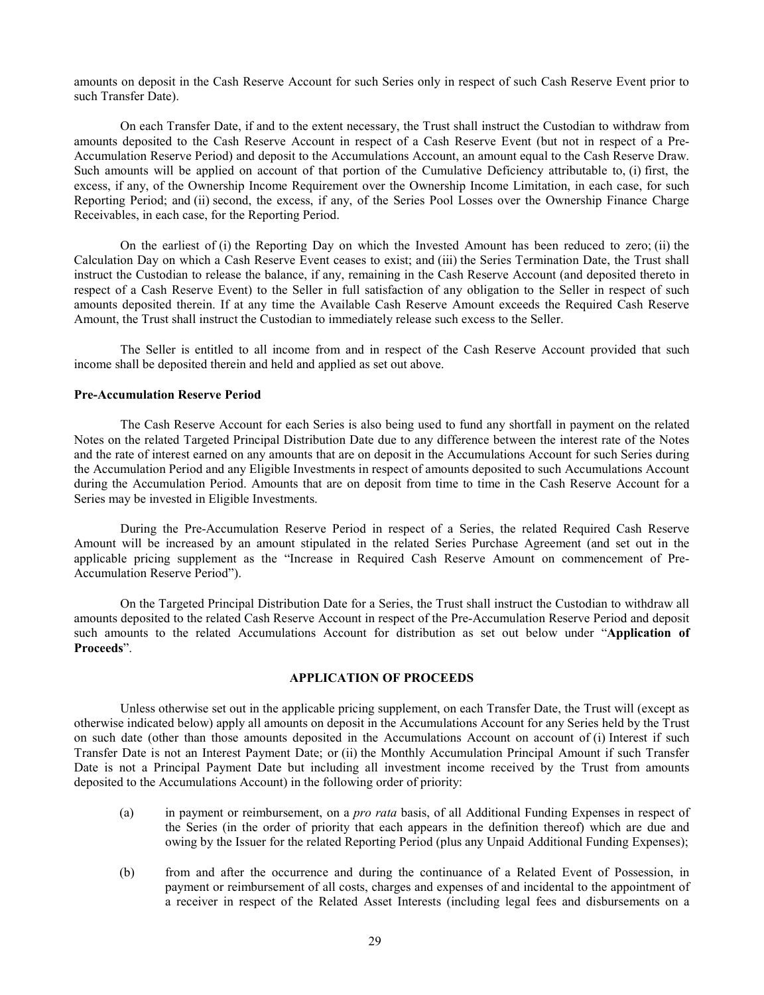amounts on deposit in the Cash Reserve Account for such Series only in respect of such Cash Reserve Event prior to such Transfer Date).

On each Transfer Date, if and to the extent necessary, the Trust shall instruct the Custodian to withdraw from amounts deposited to the Cash Reserve Account in respect of a Cash Reserve Event (but not in respect of a Pre-Accumulation Reserve Period) and deposit to the Accumulations Account, an amount equal to the Cash Reserve Draw. Such amounts will be applied on account of that portion of the Cumulative Deficiency attributable to, (i) first, the excess, if any, of the Ownership Income Requirement over the Ownership Income Limitation, in each case, for such Reporting Period; and (ii) second, the excess, if any, of the Series Pool Losses over the Ownership Finance Charge Receivables, in each case, for the Reporting Period.

On the earliest of (i) the Reporting Day on which the Invested Amount has been reduced to zero; (ii) the Calculation Day on which a Cash Reserve Event ceases to exist; and (iii) the Series Termination Date, the Trust shall instruct the Custodian to release the balance, if any, remaining in the Cash Reserve Account (and deposited thereto in respect of a Cash Reserve Event) to the Seller in full satisfaction of any obligation to the Seller in respect of such amounts deposited therein. If at any time the Available Cash Reserve Amount exceeds the Required Cash Reserve Amount, the Trust shall instruct the Custodian to immediately release such excess to the Seller.

The Seller is entitled to all income from and in respect of the Cash Reserve Account provided that such income shall be deposited therein and held and applied as set out above.

### <span id="page-32-0"></span>**Pre-Accumulation Reserve Period**

The Cash Reserve Account for each Series is also being used to fund any shortfall in payment on the related Notes on the related Targeted Principal Distribution Date due to any difference between the interest rate of the Notes and the rate of interest earned on any amounts that are on deposit in the Accumulations Account for such Series during the Accumulation Period and any Eligible Investments in respect of amounts deposited to such Accumulations Account during the Accumulation Period. Amounts that are on deposit from time to time in the Cash Reserve Account for a Series may be invested in Eligible Investments.

During the Pre-Accumulation Reserve Period in respect of a Series, the related Required Cash Reserve Amount will be increased by an amount stipulated in the related Series Purchase Agreement (and set out in the applicable pricing supplement as the "Increase in Required Cash Reserve Amount on commencement of Pre-Accumulation Reserve Period").

On the Targeted Principal Distribution Date for a Series, the Trust shall instruct the Custodian to withdraw all amounts deposited to the related Cash Reserve Account in respect of the Pre-Accumulation Reserve Period and deposit such amounts to the related Accumulations Account for distribution as set out below under "**Application of Proceeds**".

# **APPLICATION OF PROCEEDS**

<span id="page-32-1"></span>Unless otherwise set out in the applicable pricing supplement, on each Transfer Date, the Trust will (except as otherwise indicated below) apply all amounts on deposit in the Accumulations Account for any Series held by the Trust on such date (other than those amounts deposited in the Accumulations Account on account of (i) Interest if such Transfer Date is not an Interest Payment Date; or (ii) the Monthly Accumulation Principal Amount if such Transfer Date is not a Principal Payment Date but including all investment income received by the Trust from amounts deposited to the Accumulations Account) in the following order of priority:

- (a) in payment or reimbursement, on a *pro rata* basis, of all Additional Funding Expenses in respect of the Series (in the order of priority that each appears in the definition thereof) which are due and owing by the Issuer for the related Reporting Period (plus any Unpaid Additional Funding Expenses);
- (b) from and after the occurrence and during the continuance of a Related Event of Possession, in payment or reimbursement of all costs, charges and expenses of and incidental to the appointment of a receiver in respect of the Related Asset Interests (including legal fees and disbursements on a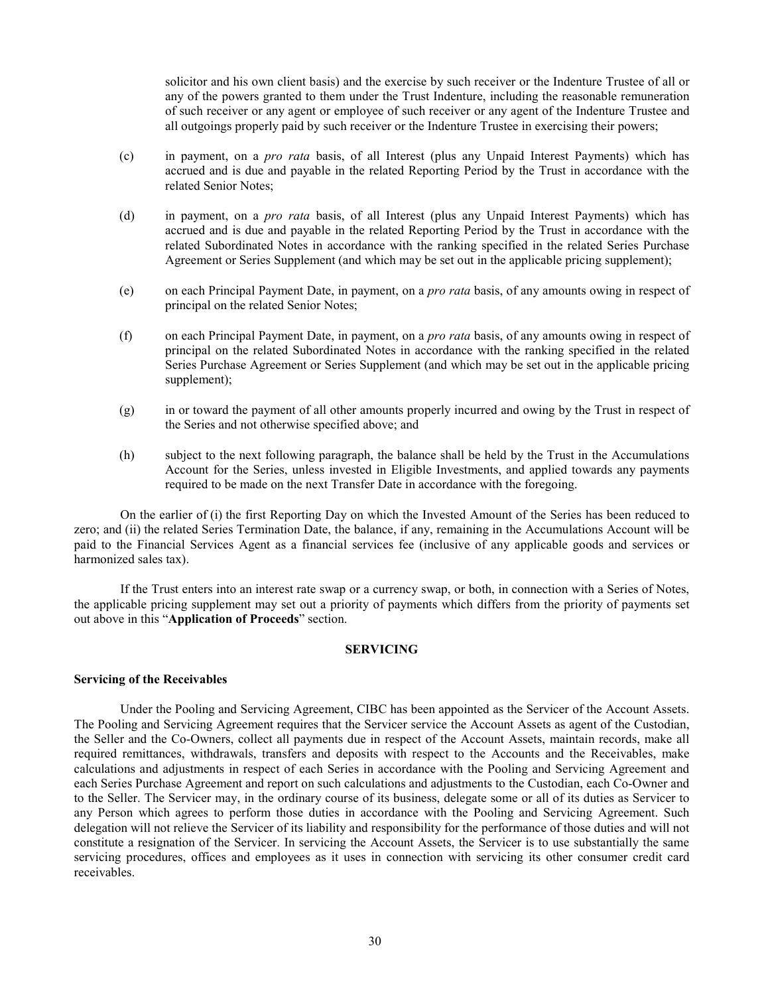solicitor and his own client basis) and the exercise by such receiver or the Indenture Trustee of all or any of the powers granted to them under the Trust Indenture, including the reasonable remuneration of such receiver or any agent or employee of such receiver or any agent of the Indenture Trustee and all outgoings properly paid by such receiver or the Indenture Trustee in exercising their powers;

- (c) in payment, on a *pro rata* basis, of all Interest (plus any Unpaid Interest Payments) which has accrued and is due and payable in the related Reporting Period by the Trust in accordance with the related Senior Notes;
- (d) in payment, on a *pro rata* basis, of all Interest (plus any Unpaid Interest Payments) which has accrued and is due and payable in the related Reporting Period by the Trust in accordance with the related Subordinated Notes in accordance with the ranking specified in the related Series Purchase Agreement or Series Supplement (and which may be set out in the applicable pricing supplement);
- (e) on each Principal Payment Date, in payment, on a *pro rata* basis, of any amounts owing in respect of principal on the related Senior Notes;
- (f) on each Principal Payment Date, in payment, on a *pro rata* basis, of any amounts owing in respect of principal on the related Subordinated Notes in accordance with the ranking specified in the related Series Purchase Agreement or Series Supplement (and which may be set out in the applicable pricing supplement);
- (g) in or toward the payment of all other amounts properly incurred and owing by the Trust in respect of the Series and not otherwise specified above; and
- (h) subject to the next following paragraph, the balance shall be held by the Trust in the Accumulations Account for the Series, unless invested in Eligible Investments, and applied towards any payments required to be made on the next Transfer Date in accordance with the foregoing.

On the earlier of (i) the first Reporting Day on which the Invested Amount of the Series has been reduced to zero; and (ii) the related Series Termination Date, the balance, if any, remaining in the Accumulations Account will be paid to the Financial Services Agent as a financial services fee (inclusive of any applicable goods and services or harmonized sales tax).

If the Trust enters into an interest rate swap or a currency swap, or both, in connection with a Series of Notes, the applicable pricing supplement may set out a priority of payments which differs from the priority of payments set out above in this "**Application of Proceeds**" section.

### **SERVICING**

### <span id="page-33-1"></span><span id="page-33-0"></span>**Servicing of the Receivables**

Under the Pooling and Servicing Agreement, CIBC has been appointed as the Servicer of the Account Assets. The Pooling and Servicing Agreement requires that the Servicer service the Account Assets as agent of the Custodian, the Seller and the Co-Owners, collect all payments due in respect of the Account Assets, maintain records, make all required remittances, withdrawals, transfers and deposits with respect to the Accounts and the Receivables, make calculations and adjustments in respect of each Series in accordance with the Pooling and Servicing Agreement and each Series Purchase Agreement and report on such calculations and adjustments to the Custodian, each Co-Owner and to the Seller. The Servicer may, in the ordinary course of its business, delegate some or all of its duties as Servicer to any Person which agrees to perform those duties in accordance with the Pooling and Servicing Agreement. Such delegation will not relieve the Servicer of its liability and responsibility for the performance of those duties and will not constitute a resignation of the Servicer. In servicing the Account Assets, the Servicer is to use substantially the same servicing procedures, offices and employees as it uses in connection with servicing its other consumer credit card receivables.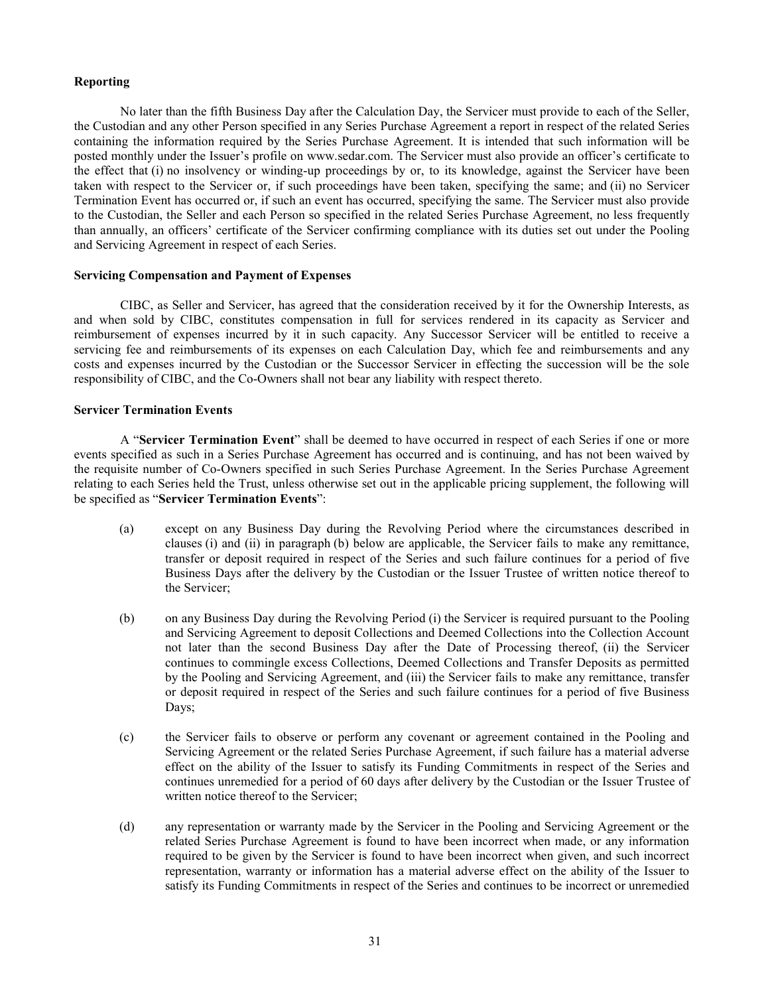# <span id="page-34-0"></span>**Reporting**

No later than the fifth Business Day after the Calculation Day, the Servicer must provide to each of the Seller, the Custodian and any other Person specified in any Series Purchase Agreement a report in respect of the related Series containing the information required by the Series Purchase Agreement. It is intended that such information will be posted monthly under the Issuer's profile on [www.sedar.com. T](http://www.sedar.com/)he Servicer must also provide an officer's certificate to the effect that (i) no insolvency or winding-up proceedings by or, to its knowledge, against the Servicer have been taken with respect to the Servicer or, if such proceedings have been taken, specifying the same; and (ii) no Servicer Termination Event has occurred or, if such an event has occurred, specifying the same. The Servicer must also provide to the Custodian, the Seller and each Person so specified in the related Series Purchase Agreement, no less frequently than annually, an officers' certificate of the Servicer confirming compliance with its duties set out under the Pooling and Servicing Agreement in respect of each Series.

### <span id="page-34-1"></span>**Servicing Compensation and Payment of Expenses**

CIBC, as Seller and Servicer, has agreed that the consideration received by it for the Ownership Interests, as and when sold by CIBC, constitutes compensation in full for services rendered in its capacity as Servicer and reimbursement of expenses incurred by it in such capacity. Any Successor Servicer will be entitled to receive a servicing fee and reimbursements of its expenses on each Calculation Day, which fee and reimbursements and any costs and expenses incurred by the Custodian or the Successor Servicer in effecting the succession will be the sole responsibility of CIBC, and the Co-Owners shall not bear any liability with respect thereto.

# <span id="page-34-2"></span>**Servicer Termination Events**

A "**Servicer Termination Event**" shall be deemed to have occurred in respect of each Series if one or more events specified as such in a Series Purchase Agreement has occurred and is continuing, and has not been waived by the requisite number of Co-Owners specified in such Series Purchase Agreement. In the Series Purchase Agreement relating to each Series held the Trust, unless otherwise set out in the applicable pricing supplement, the following will be specified as "**Servicer Termination Events**":

- (a) except on any Business Day during the Revolving Period where the circumstances described in clauses [\(i\)](#page-34-3) and [\(ii\)](#page-34-4) in paragraph [\(b\)](#page-34-5) below are applicable, the Servicer fails to make any remittance, transfer or deposit required in respect of the Series and such failure continues for a period of five Business Days after the delivery by the Custodian or the Issuer Trustee of written notice thereof to the Servicer;
- <span id="page-34-5"></span><span id="page-34-4"></span><span id="page-34-3"></span>(b) on any Business Day during the Revolving Period (i) the Servicer is required pursuant to the Pooling and Servicing Agreement to deposit Collections and Deemed Collections into the Collection Account not later than the second Business Day after the Date of Processing thereof, (ii) the Servicer continues to commingle excess Collections, Deemed Collections and Transfer Deposits as permitted by the Pooling and Servicing Agreement, and (iii) the Servicer fails to make any remittance, transfer or deposit required in respect of the Series and such failure continues for a period of five Business Days;
- (c) the Servicer fails to observe or perform any covenant or agreement contained in the Pooling and Servicing Agreement or the related Series Purchase Agreement, if such failure has a material adverse effect on the ability of the Issuer to satisfy its Funding Commitments in respect of the Series and continues unremedied for a period of 60 days after delivery by the Custodian or the Issuer Trustee of written notice thereof to the Servicer;
- (d) any representation or warranty made by the Servicer in the Pooling and Servicing Agreement or the related Series Purchase Agreement is found to have been incorrect when made, or any information required to be given by the Servicer is found to have been incorrect when given, and such incorrect representation, warranty or information has a material adverse effect on the ability of the Issuer to satisfy its Funding Commitments in respect of the Series and continues to be incorrect or unremedied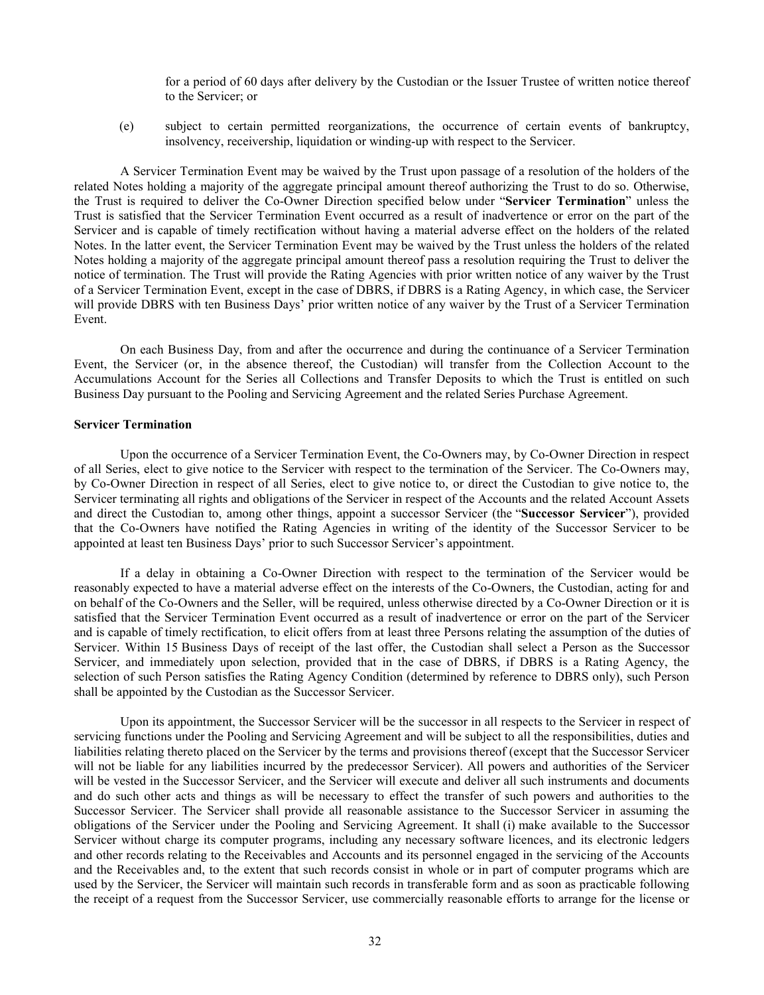for a period of 60 days after delivery by the Custodian or the Issuer Trustee of written notice thereof to the Servicer; or

(e) subject to certain permitted reorganizations, the occurrence of certain events of bankruptcy, insolvency, receivership, liquidation or winding-up with respect to the Servicer.

A Servicer Termination Event may be waived by the Trust upon passage of a resolution of the holders of the related Notes holding a majority of the aggregate principal amount thereof authorizing the Trust to do so. Otherwise, the Trust is required to deliver the Co-Owner Direction specified below under "**Servicer Termination**" unless the Trust is satisfied that the Servicer Termination Event occurred as a result of inadvertence or error on the part of the Servicer and is capable of timely rectification without having a material adverse effect on the holders of the related Notes. In the latter event, the Servicer Termination Event may be waived by the Trust unless the holders of the related Notes holding a majority of the aggregate principal amount thereof pass a resolution requiring the Trust to deliver the notice of termination. The Trust will provide the Rating Agencies with prior written notice of any waiver by the Trust of a Servicer Termination Event, except in the case of DBRS, if DBRS is a Rating Agency, in which case, the Servicer will provide DBRS with ten Business Days' prior written notice of any waiver by the Trust of a Servicer Termination Event.

On each Business Day, from and after the occurrence and during the continuance of a Servicer Termination Event, the Servicer (or, in the absence thereof, the Custodian) will transfer from the Collection Account to the Accumulations Account for the Series all Collections and Transfer Deposits to which the Trust is entitled on such Business Day pursuant to the Pooling and Servicing Agreement and the related Series Purchase Agreement.

#### <span id="page-35-0"></span>**Servicer Termination**

Upon the occurrence of a Servicer Termination Event, the Co-Owners may, by Co-Owner Direction in respect of all Series, elect to give notice to the Servicer with respect to the termination of the Servicer. The Co-Owners may, by Co-Owner Direction in respect of all Series, elect to give notice to, or direct the Custodian to give notice to, the Servicer terminating all rights and obligations of the Servicer in respect of the Accounts and the related Account Assets and direct the Custodian to, among other things, appoint a successor Servicer (the "**Successor Servicer**"), provided that the Co-Owners have notified the Rating Agencies in writing of the identity of the Successor Servicer to be appointed at least ten Business Days' prior to such Successor Servicer's appointment.

If a delay in obtaining a Co-Owner Direction with respect to the termination of the Servicer would be reasonably expected to have a material adverse effect on the interests of the Co-Owners, the Custodian, acting for and on behalf of the Co-Owners and the Seller, will be required, unless otherwise directed by a Co-Owner Direction or it is satisfied that the Servicer Termination Event occurred as a result of inadvertence or error on the part of the Servicer and is capable of timely rectification, to elicit offers from at least three Persons relating the assumption of the duties of Servicer. Within 15 Business Days of receipt of the last offer, the Custodian shall select a Person as the Successor Servicer, and immediately upon selection, provided that in the case of DBRS, if DBRS is a Rating Agency, the selection of such Person satisfies the Rating Agency Condition (determined by reference to DBRS only), such Person shall be appointed by the Custodian as the Successor Servicer.

Upon its appointment, the Successor Servicer will be the successor in all respects to the Servicer in respect of servicing functions under the Pooling and Servicing Agreement and will be subject to all the responsibilities, duties and liabilities relating thereto placed on the Servicer by the terms and provisions thereof (except that the Successor Servicer will not be liable for any liabilities incurred by the predecessor Servicer). All powers and authorities of the Servicer will be vested in the Successor Servicer, and the Servicer will execute and deliver all such instruments and documents and do such other acts and things as will be necessary to effect the transfer of such powers and authorities to the Successor Servicer. The Servicer shall provide all reasonable assistance to the Successor Servicer in assuming the obligations of the Servicer under the Pooling and Servicing Agreement. It shall (i) make available to the Successor Servicer without charge its computer programs, including any necessary software licences, and its electronic ledgers and other records relating to the Receivables and Accounts and its personnel engaged in the servicing of the Accounts and the Receivables and, to the extent that such records consist in whole or in part of computer programs which are used by the Servicer, the Servicer will maintain such records in transferable form and as soon as practicable following the receipt of a request from the Successor Servicer, use commercially reasonable efforts to arrange for the license or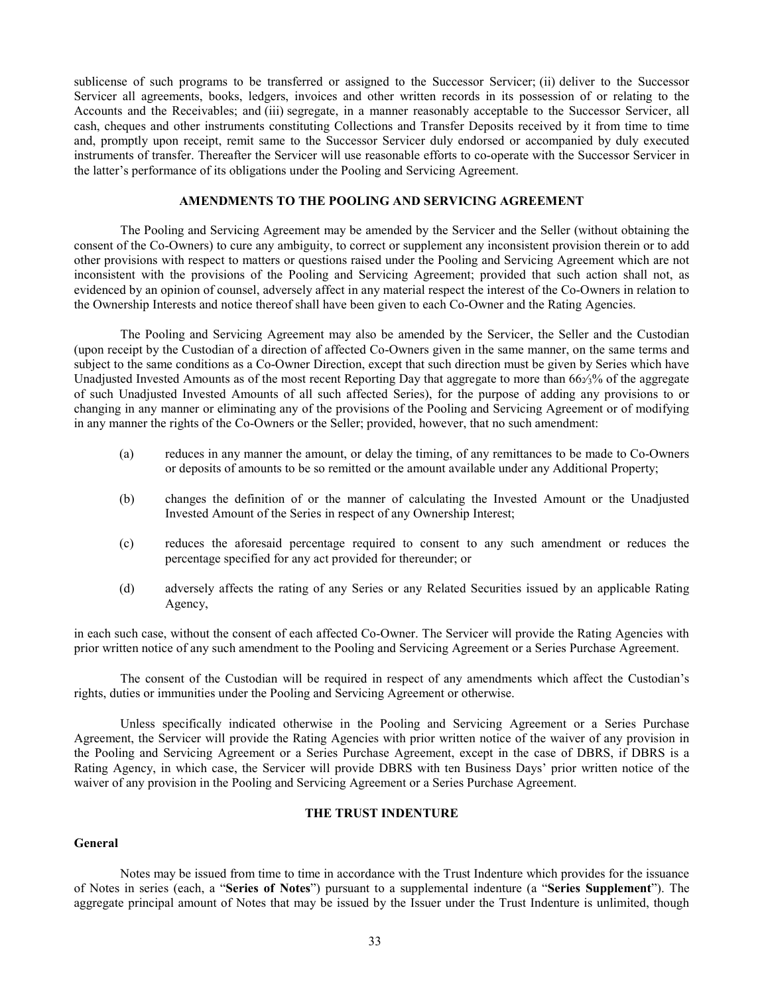sublicense of such programs to be transferred or assigned to the Successor Servicer; (ii) deliver to the Successor Servicer all agreements, books, ledgers, invoices and other written records in its possession of or relating to the Accounts and the Receivables; and (iii) segregate, in a manner reasonably acceptable to the Successor Servicer, all cash, cheques and other instruments constituting Collections and Transfer Deposits received by it from time to time and, promptly upon receipt, remit same to the Successor Servicer duly endorsed or accompanied by duly executed instruments of transfer. Thereafter the Servicer will use reasonable efforts to co-operate with the Successor Servicer in the latter's performance of its obligations under the Pooling and Servicing Agreement.

# **AMENDMENTS TO THE POOLING AND SERVICING AGREEMENT**

The Pooling and Servicing Agreement may be amended by the Servicer and the Seller (without obtaining the consent of the Co-Owners) to cure any ambiguity, to correct or supplement any inconsistent provision therein or to add other provisions with respect to matters or questions raised under the Pooling and Servicing Agreement which are not inconsistent with the provisions of the Pooling and Servicing Agreement; provided that such action shall not, as evidenced by an opinion of counsel, adversely affect in any material respect the interest of the Co-Owners in relation to the Ownership Interests and notice thereof shall have been given to each Co-Owner and the Rating Agencies.

The Pooling and Servicing Agreement may also be amended by the Servicer, the Seller and the Custodian (upon receipt by the Custodian of a direction of affected Co-Owners given in the same manner, on the same terms and subject to the same conditions as a Co-Owner Direction, except that such direction must be given by Series which have Unadjusted Invested Amounts as of the most recent Reporting Day that aggregate to more than  $66\frac{2}{3}\%$  of the aggregate of such Unadjusted Invested Amounts of all such affected Series), for the purpose of adding any provisions to or changing in any manner or eliminating any of the provisions of the Pooling and Servicing Agreement or of modifying in any manner the rights of the Co-Owners or the Seller; provided, however, that no such amendment:

- (a) reduces in any manner the amount, or delay the timing, of any remittances to be made to Co-Owners or deposits of amounts to be so remitted or the amount available under any Additional Property;
- (b) changes the definition of or the manner of calculating the Invested Amount or the Unadjusted Invested Amount of the Series in respect of any Ownership Interest;
- (c) reduces the aforesaid percentage required to consent to any such amendment or reduces the percentage specified for any act provided for thereunder; or
- (d) adversely affects the rating of any Series or any Related Securities issued by an applicable Rating Agency,

in each such case, without the consent of each affected Co-Owner. The Servicer will provide the Rating Agencies with prior written notice of any such amendment to the Pooling and Servicing Agreement or a Series Purchase Agreement.

The consent of the Custodian will be required in respect of any amendments which affect the Custodian's rights, duties or immunities under the Pooling and Servicing Agreement or otherwise.

Unless specifically indicated otherwise in the Pooling and Servicing Agreement or a Series Purchase Agreement, the Servicer will provide the Rating Agencies with prior written notice of the waiver of any provision in the Pooling and Servicing Agreement or a Series Purchase Agreement, except in the case of DBRS, if DBRS is a Rating Agency, in which case, the Servicer will provide DBRS with ten Business Days' prior written notice of the waiver of any provision in the Pooling and Servicing Agreement or a Series Purchase Agreement.

# **THE TRUST INDENTURE**

# **General**

Notes may be issued from time to time in accordance with the Trust Indenture which provides for the issuance of Notes in series (each, a "**Series of Notes**") pursuant to a supplemental indenture (a "**Series Supplement**"). The aggregate principal amount of Notes that may be issued by the Issuer under the Trust Indenture is unlimited, though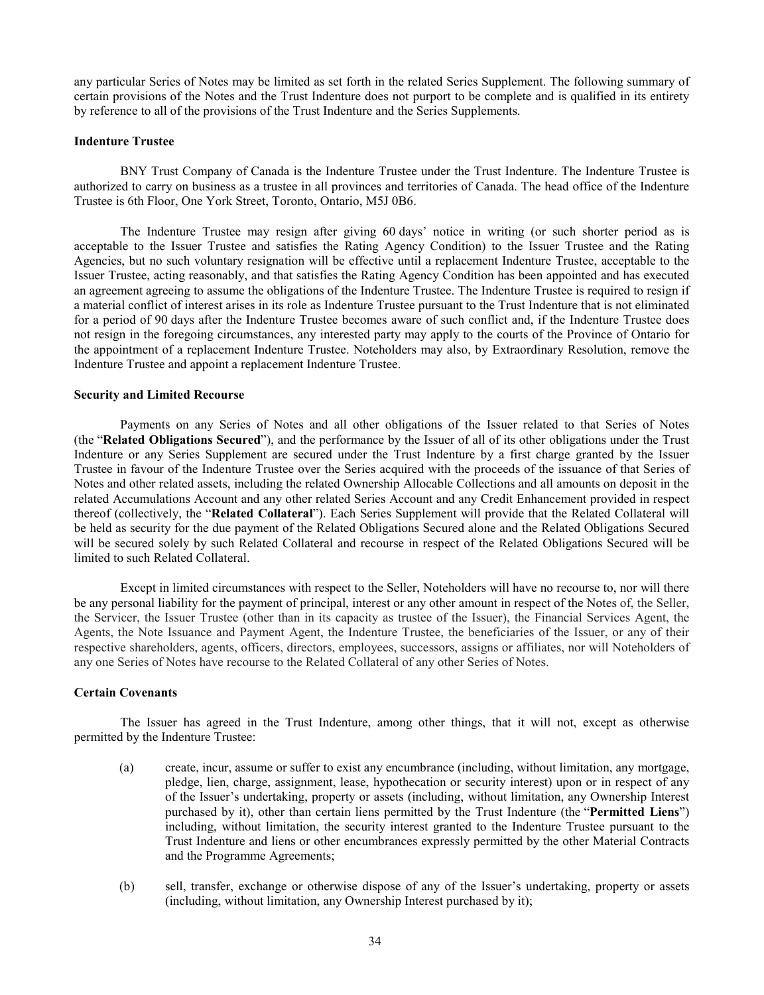any particular Series of Notes may be limited as set forth in the related Series Supplement. The following summary of certain provisions of the Notes and the Trust Indenture does not purport to be complete and is qualified in its entirety by reference to all of the provisions of the Trust Indenture and the Series Supplements.

## **Indenture Trustee**

BNY Trust Company of Canada is the Indenture Trustee under the Trust Indenture. The Indenture Trustee is authorized to carry on business as a trustee in all provinces and territories of Canada. The head office of the Indenture Trustee is 6th Floor, One York Street, Toronto, Ontario, M5J 0B6.

The Indenture Trustee may resign after giving 60 days' notice in writing (or such shorter period as is acceptable to the Issuer Trustee and satisfies the Rating Agency Condition) to the Issuer Trustee and the Rating Agencies, but no such voluntary resignation will be effective until a replacement Indenture Trustee, acceptable to the Issuer Trustee, acting reasonably, and that satisfies the Rating Agency Condition has been appointed and has executed an agreement agreeing to assume the obligations of the Indenture Trustee. The Indenture Trustee is required to resign if a material conflict of interest arises in its role as Indenture Trustee pursuant to the Trust Indenture that is not eliminated for a period of 90 days after the Indenture Trustee becomes aware of such conflict and, if the Indenture Trustee does not resign in the foregoing circumstances, any interested party may apply to the courts of the Province of Ontario for the appointment of a replacement Indenture Trustee. Noteholders may also, by Extraordinary Resolution, remove the Indenture Trustee and appoint a replacement Indenture Trustee.

## **Security and Limited Recourse**

Payments on any Series of Notes and all other obligations of the Issuer related to that Series of Notes (the "**Related Obligations Secured**"), and the performance by the Issuer of all of its other obligations under the Trust Indenture or any Series Supplement are secured under the Trust Indenture by a first charge granted by the Issuer Trustee in favour of the Indenture Trustee over the Series acquired with the proceeds of the issuance of that Series of Notes and other related assets, including the related Ownership Allocable Collections and all amounts on deposit in the related Accumulations Account and any other related Series Account and any Credit Enhancement provided in respect thereof (collectively, the "**Related Collateral**"). Each Series Supplement will provide that the Related Collateral will be held as security for the due payment of the Related Obligations Secured alone and the Related Obligations Secured will be secured solely by such Related Collateral and recourse in respect of the Related Obligations Secured will be limited to such Related Collateral.

Except in limited circumstances with respect to the Seller, Noteholders will have no recourse to, nor will there be any personal liability for the payment of principal, interest or any other amount in respect of the Notes of, the Seller, the Servicer, the Issuer Trustee (other than in its capacity as trustee of the Issuer), the Financial Services Agent, the Agents, the Note Issuance and Payment Agent, the Indenture Trustee, the beneficiaries of the Issuer, or any of their respective shareholders, agents, officers, directors, employees, successors, assigns or affiliates, nor will Noteholders of any one Series of Notes have recourse to the Related Collateral of any other Series of Notes.

# **Certain Covenants**

The Issuer has agreed in the Trust Indenture, among other things, that it will not, except as otherwise permitted by the Indenture Trustee:

- (a) create, incur, assume or suffer to exist any encumbrance (including, without limitation, any mortgage, pledge, lien, charge, assignment, lease, hypothecation or security interest) upon or in respect of any of the Issuer's undertaking, property or assets (including, without limitation, any Ownership Interest purchased by it), other than certain liens permitted by the Trust Indenture (the "**Permitted Liens**") including, without limitation, the security interest granted to the Indenture Trustee pursuant to the Trust Indenture and liens or other encumbrances expressly permitted by the other Material Contracts and the Programme Agreements;
- (b) sell, transfer, exchange or otherwise dispose of any of the Issuer's undertaking, property or assets (including, without limitation, any Ownership Interest purchased by it);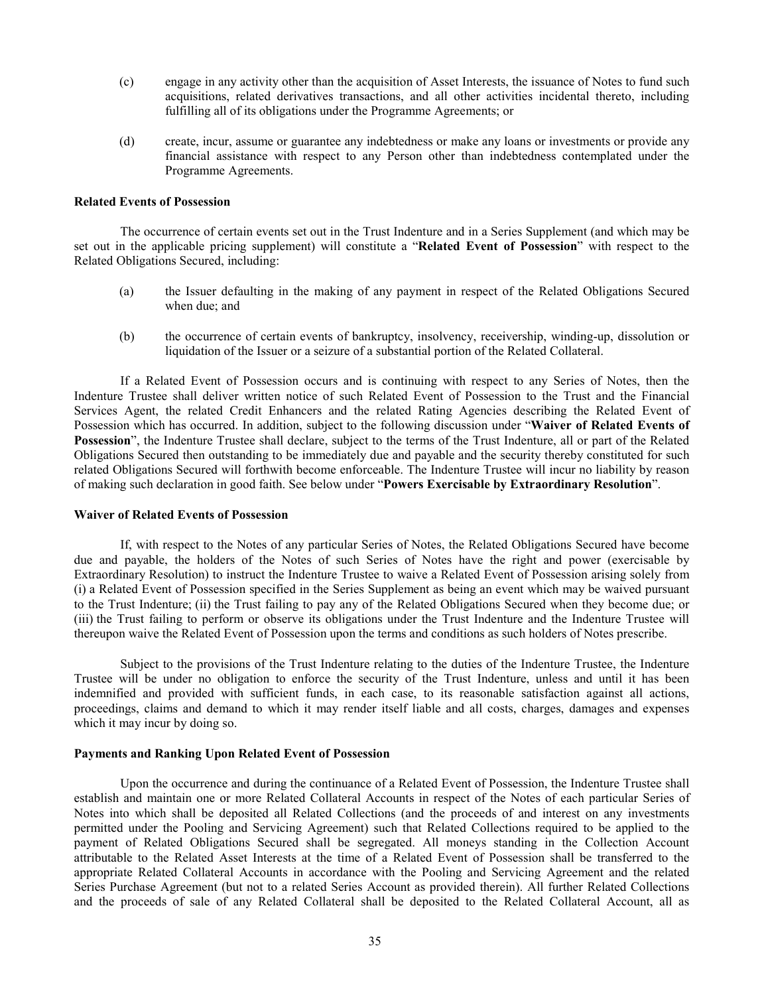- (c) engage in any activity other than the acquisition of Asset Interests, the issuance of Notes to fund such acquisitions, related derivatives transactions, and all other activities incidental thereto, including fulfilling all of its obligations under the Programme Agreements; or
- (d) create, incur, assume or guarantee any indebtedness or make any loans or investments or provide any financial assistance with respect to any Person other than indebtedness contemplated under the Programme Agreements.

# **Related Events of Possession**

The occurrence of certain events set out in the Trust Indenture and in a Series Supplement (and which may be set out in the applicable pricing supplement) will constitute a "**Related Event of Possession**" with respect to the Related Obligations Secured, including:

- (a) the Issuer defaulting in the making of any payment in respect of the Related Obligations Secured when due; and
- (b) the occurrence of certain events of bankruptcy, insolvency, receivership, winding-up, dissolution or liquidation of the Issuer or a seizure of a substantial portion of the Related Collateral.

If a Related Event of Possession occurs and is continuing with respect to any Series of Notes, then the Indenture Trustee shall deliver written notice of such Related Event of Possession to the Trust and the Financial Services Agent, the related Credit Enhancers and the related Rating Agencies describing the Related Event of Possession which has occurred. In addition, subject to the following discussion under "**Waiver of Related Events of Possession**", the Indenture Trustee shall declare, subject to the terms of the Trust Indenture, all or part of the Related Obligations Secured then outstanding to be immediately due and payable and the security thereby constituted for such related Obligations Secured will forthwith become enforceable. The Indenture Trustee will incur no liability by reason of making such declaration in good faith. See below under "**Powers Exercisable by Extraordinary Resolution**".

## **Waiver of Related Events of Possession**

If, with respect to the Notes of any particular Series of Notes, the Related Obligations Secured have become due and payable, the holders of the Notes of such Series of Notes have the right and power (exercisable by Extraordinary Resolution) to instruct the Indenture Trustee to waive a Related Event of Possession arising solely from (i) a Related Event of Possession specified in the Series Supplement as being an event which may be waived pursuant to the Trust Indenture; (ii) the Trust failing to pay any of the Related Obligations Secured when they become due; or (iii) the Trust failing to perform or observe its obligations under the Trust Indenture and the Indenture Trustee will thereupon waive the Related Event of Possession upon the terms and conditions as such holders of Notes prescribe.

Subject to the provisions of the Trust Indenture relating to the duties of the Indenture Trustee, the Indenture Trustee will be under no obligation to enforce the security of the Trust Indenture, unless and until it has been indemnified and provided with sufficient funds, in each case, to its reasonable satisfaction against all actions, proceedings, claims and demand to which it may render itself liable and all costs, charges, damages and expenses which it may incur by doing so.

# **Payments and Ranking Upon Related Event of Possession**

Upon the occurrence and during the continuance of a Related Event of Possession, the Indenture Trustee shall establish and maintain one or more Related Collateral Accounts in respect of the Notes of each particular Series of Notes into which shall be deposited all Related Collections (and the proceeds of and interest on any investments permitted under the Pooling and Servicing Agreement) such that Related Collections required to be applied to the payment of Related Obligations Secured shall be segregated. All moneys standing in the Collection Account attributable to the Related Asset Interests at the time of a Related Event of Possession shall be transferred to the appropriate Related Collateral Accounts in accordance with the Pooling and Servicing Agreement and the related Series Purchase Agreement (but not to a related Series Account as provided therein). All further Related Collections and the proceeds of sale of any Related Collateral shall be deposited to the Related Collateral Account, all as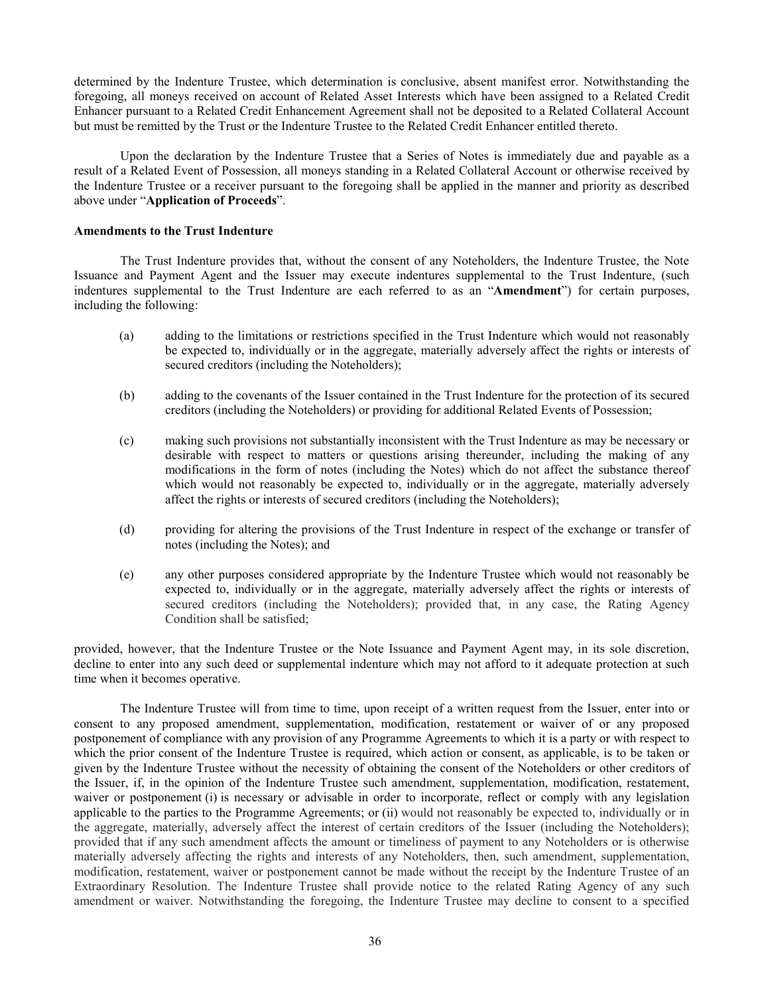determined by the Indenture Trustee, which determination is conclusive, absent manifest error. Notwithstanding the foregoing, all moneys received on account of Related Asset Interests which have been assigned to a Related Credit Enhancer pursuant to a Related Credit Enhancement Agreement shall not be deposited to a Related Collateral Account but must be remitted by the Trust or the Indenture Trustee to the Related Credit Enhancer entitled thereto.

Upon the declaration by the Indenture Trustee that a Series of Notes is immediately due and payable as a result of a Related Event of Possession, all moneys standing in a Related Collateral Account or otherwise received by the Indenture Trustee or a receiver pursuant to the foregoing shall be applied in the manner and priority as described above under "**Application of Proceeds**".

# <span id="page-39-0"></span>**Amendments to the Trust Indenture**

The Trust Indenture provides that, without the consent of any Noteholders, the Indenture Trustee, the Note Issuance and Payment Agent and the Issuer may execute indentures supplemental to the Trust Indenture, (such indentures supplemental to the Trust Indenture are each referred to as an "**Amendment**") for certain purposes, including the following:

- (a) adding to the limitations or restrictions specified in the Trust Indenture which would not reasonably be expected to, individually or in the aggregate, materially adversely affect the rights or interests of secured creditors (including the Noteholders);
- (b) adding to the covenants of the Issuer contained in the Trust Indenture for the protection of its secured creditors (including the Noteholders) or providing for additional Related Events of Possession;
- (c) making such provisions not substantially inconsistent with the Trust Indenture as may be necessary or desirable with respect to matters or questions arising thereunder, including the making of any modifications in the form of notes (including the Notes) which do not affect the substance thereof which would not reasonably be expected to, individually or in the aggregate, materially adversely affect the rights or interests of secured creditors (including the Noteholders);
- (d) providing for altering the provisions of the Trust Indenture in respect of the exchange or transfer of notes (including the Notes); and
- (e) any other purposes considered appropriate by the Indenture Trustee which would not reasonably be expected to, individually or in the aggregate, materially adversely affect the rights or interests of secured creditors (including the Noteholders); provided that, in any case, the Rating Agency Condition shall be satisfied;

provided, however, that the Indenture Trustee or the Note Issuance and Payment Agent may, in its sole discretion, decline to enter into any such deed or supplemental indenture which may not afford to it adequate protection at such time when it becomes operative.

The Indenture Trustee will from time to time, upon receipt of a written request from the Issuer, enter into or consent to any proposed amendment, supplementation, modification, restatement or waiver of or any proposed postponement of compliance with any provision of any Programme Agreements to which it is a party or with respect to which the prior consent of the Indenture Trustee is required, which action or consent, as applicable, is to be taken or given by the Indenture Trustee without the necessity of obtaining the consent of the Noteholders or other creditors of the Issuer, if, in the opinion of the Indenture Trustee such amendment, supplementation, modification, restatement, waiver or postponement (i) is necessary or advisable in order to incorporate, reflect or comply with any legislation applicable to the parties to the Programme Agreements; or (ii) would not reasonably be expected to, individually or in the aggregate, materially, adversely affect the interest of certain creditors of the Issuer (including the Noteholders); provided that if any such amendment affects the amount or timeliness of payment to any Noteholders or is otherwise materially adversely affecting the rights and interests of any Noteholders, then, such amendment, supplementation, modification, restatement, waiver or postponement cannot be made without the receipt by the Indenture Trustee of an Extraordinary Resolution. The Indenture Trustee shall provide notice to the related Rating Agency of any such amendment or waiver. Notwithstanding the foregoing, the Indenture Trustee may decline to consent to a specified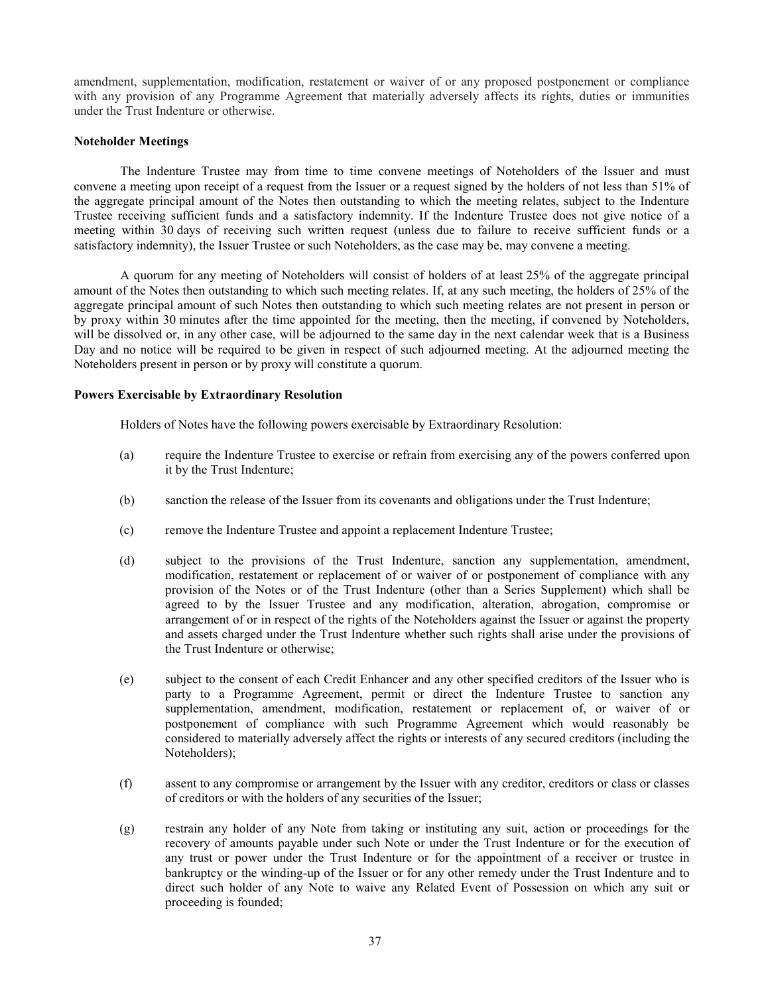amendment, supplementation, modification, restatement or waiver of or any proposed postponement or compliance with any provision of any Programme Agreement that materially adversely affects its rights, duties or immunities under the Trust Indenture or otherwise.

# **Noteholder Meetings**

The Indenture Trustee may from time to time convene meetings of Noteholders of the Issuer and must convene a meeting upon receipt of a request from the Issuer or a request signed by the holders of not less than 51% of the aggregate principal amount of the Notes then outstanding to which the meeting relates, subject to the Indenture Trustee receiving sufficient funds and a satisfactory indemnity. If the Indenture Trustee does not give notice of a meeting within 30 days of receiving such written request (unless due to failure to receive sufficient funds or a satisfactory indemnity), the Issuer Trustee or such Noteholders, as the case may be, may convene a meeting.

A quorum for any meeting of Noteholders will consist of holders of at least 25% of the aggregate principal amount of the Notes then outstanding to which such meeting relates. If, at any such meeting, the holders of 25% of the aggregate principal amount of such Notes then outstanding to which such meeting relates are not present in person or by proxy within 30 minutes after the time appointed for the meeting, then the meeting, if convened by Noteholders, will be dissolved or, in any other case, will be adjourned to the same day in the next calendar week that is a Business Day and no notice will be required to be given in respect of such adjourned meeting. At the adjourned meeting the Noteholders present in person or by proxy will constitute a quorum.

# **Powers Exercisable by Extraordinary Resolution**

Holders of Notes have the following powers exercisable by Extraordinary Resolution:

- (a) require the Indenture Trustee to exercise or refrain from exercising any of the powers conferred upon it by the Trust Indenture;
- (b) sanction the release of the Issuer from its covenants and obligations under the Trust Indenture;
- (c) remove the Indenture Trustee and appoint a replacement Indenture Trustee;
- (d) subject to the provisions of the Trust Indenture, sanction any supplementation, amendment, modification, restatement or replacement of or waiver of or postponement of compliance with any provision of the Notes or of the Trust Indenture (other than a Series Supplement) which shall be agreed to by the Issuer Trustee and any modification, alteration, abrogation, compromise or arrangement of or in respect of the rights of the Noteholders against the Issuer or against the property and assets charged under the Trust Indenture whether such rights shall arise under the provisions of the Trust Indenture or otherwise;
- (e) subject to the consent of each Credit Enhancer and any other specified creditors of the Issuer who is party to a Programme Agreement, permit or direct the Indenture Trustee to sanction any supplementation, amendment, modification, restatement or replacement of, or waiver of or postponement of compliance with such Programme Agreement which would reasonably be considered to materially adversely affect the rights or interests of any secured creditors (including the Noteholders);
- (f) assent to any compromise or arrangement by the Issuer with any creditor, creditors or class or classes of creditors or with the holders of any securities of the Issuer;
- (g) restrain any holder of any Note from taking or instituting any suit, action or proceedings for the recovery of amounts payable under such Note or under the Trust Indenture or for the execution of any trust or power under the Trust Indenture or for the appointment of a receiver or trustee in bankruptcy or the winding-up of the Issuer or for any other remedy under the Trust Indenture and to direct such holder of any Note to waive any Related Event of Possession on which any suit or proceeding is founded;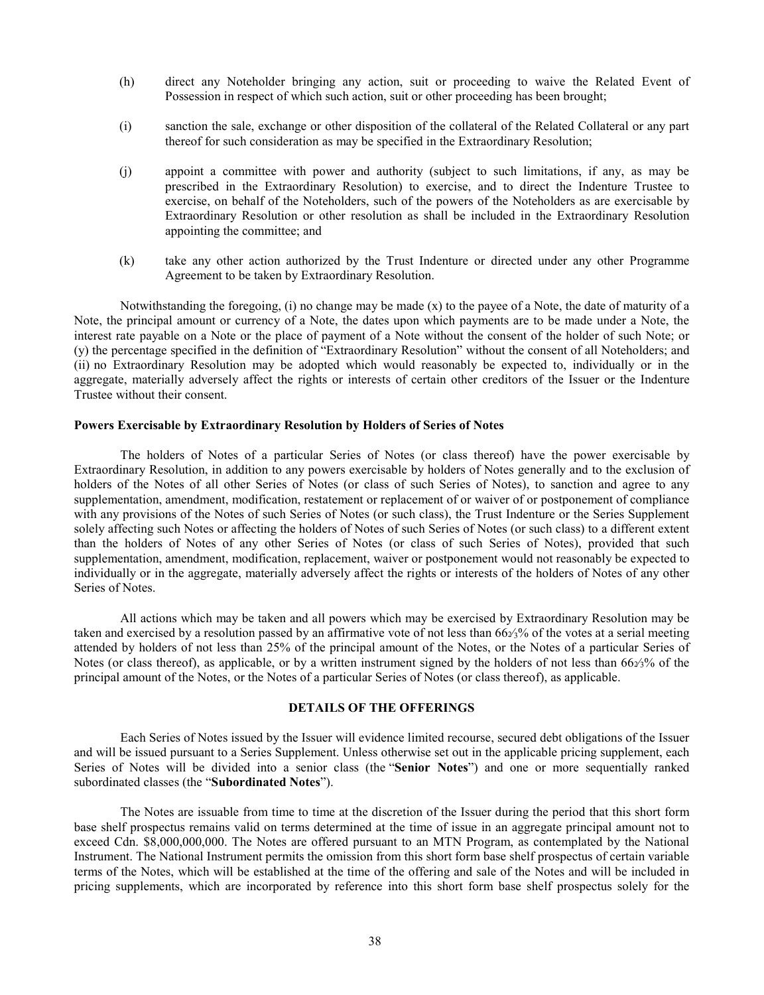- (h) direct any Noteholder bringing any action, suit or proceeding to waive the Related Event of Possession in respect of which such action, suit or other proceeding has been brought;
- (i) sanction the sale, exchange or other disposition of the collateral of the Related Collateral or any part thereof for such consideration as may be specified in the Extraordinary Resolution;
- (j) appoint a committee with power and authority (subject to such limitations, if any, as may be prescribed in the Extraordinary Resolution) to exercise, and to direct the Indenture Trustee to exercise, on behalf of the Noteholders, such of the powers of the Noteholders as are exercisable by Extraordinary Resolution or other resolution as shall be included in the Extraordinary Resolution appointing the committee; and
- (k) take any other action authorized by the Trust Indenture or directed under any other Programme Agreement to be taken by Extraordinary Resolution.

Notwithstanding the foregoing, (i) no change may be made (x) to the payee of a Note, the date of maturity of a Note, the principal amount or currency of a Note, the dates upon which payments are to be made under a Note, the interest rate payable on a Note or the place of payment of a Note without the consent of the holder of such Note; or (y) the percentage specified in the definition of "Extraordinary Resolution" without the consent of all Noteholders; and (ii) no Extraordinary Resolution may be adopted which would reasonably be expected to, individually or in the aggregate, materially adversely affect the rights or interests of certain other creditors of the Issuer or the Indenture Trustee without their consent.

### **Powers Exercisable by Extraordinary Resolution by Holders of Series of Notes**

The holders of Notes of a particular Series of Notes (or class thereof) have the power exercisable by Extraordinary Resolution, in addition to any powers exercisable by holders of Notes generally and to the exclusion of holders of the Notes of all other Series of Notes (or class of such Series of Notes), to sanction and agree to any supplementation, amendment, modification, restatement or replacement of or waiver of or postponement of compliance with any provisions of the Notes of such Series of Notes (or such class), the Trust Indenture or the Series Supplement solely affecting such Notes or affecting the holders of Notes of such Series of Notes (or such class) to a different extent than the holders of Notes of any other Series of Notes (or class of such Series of Notes), provided that such supplementation, amendment, modification, replacement, waiver or postponement would not reasonably be expected to individually or in the aggregate, materially adversely affect the rights or interests of the holders of Notes of any other Series of Notes.

All actions which may be taken and all powers which may be exercised by Extraordinary Resolution may be taken and exercised by a resolution passed by an affirmative vote of not less than  $66\frac{2}{3}\%$  of the votes at a serial meeting attended by holders of not less than 25% of the principal amount of the Notes, or the Notes of a particular Series of Notes (or class thereof), as applicable, or by a written instrument signed by the holders of not less than  $66\frac{2}{3}$ % of the principal amount of the Notes, or the Notes of a particular Series of Notes (or class thereof), as applicable.

## **DETAILS OF THE OFFERINGS**

Each Series of Notes issued by the Issuer will evidence limited recourse, secured debt obligations of the Issuer and will be issued pursuant to a Series Supplement. Unless otherwise set out in the applicable pricing supplement, each Series of Notes will be divided into a senior class (the "**Senior Notes**") and one or more sequentially ranked subordinated classes (the "**Subordinated Notes**").

The Notes are issuable from time to time at the discretion of the Issuer during the period that this short form base shelf prospectus remains valid on terms determined at the time of issue in an aggregate principal amount not to exceed Cdn. \$8,000,000,000. The Notes are offered pursuant to an MTN Program, as contemplated by the National Instrument. The National Instrument permits the omission from this short form base shelf prospectus of certain variable terms of the Notes, which will be established at the time of the offering and sale of the Notes and will be included in pricing supplements, which are incorporated by reference into this short form base shelf prospectus solely for the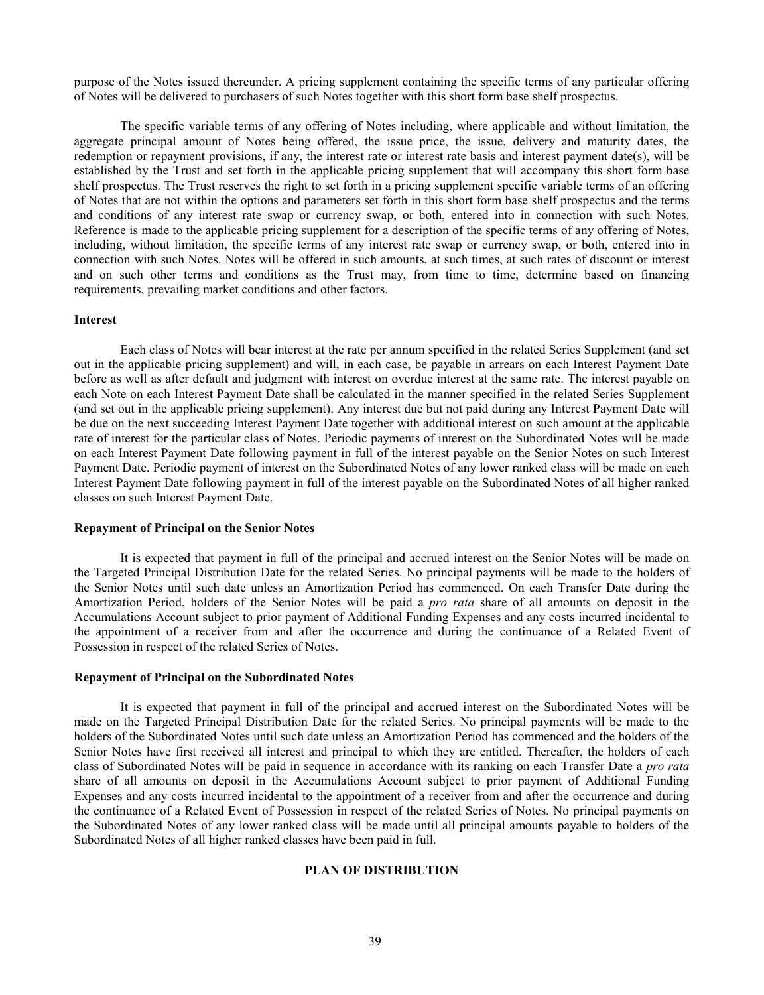purpose of the Notes issued thereunder. A pricing supplement containing the specific terms of any particular offering of Notes will be delivered to purchasers of such Notes together with this short form base shelf prospectus.

The specific variable terms of any offering of Notes including, where applicable and without limitation, the aggregate principal amount of Notes being offered, the issue price, the issue, delivery and maturity dates, the redemption or repayment provisions, if any, the interest rate or interest rate basis and interest payment date(s), will be established by the Trust and set forth in the applicable pricing supplement that will accompany this short form base shelf prospectus. The Trust reserves the right to set forth in a pricing supplement specific variable terms of an offering of Notes that are not within the options and parameters set forth in this short form base shelf prospectus and the terms and conditions of any interest rate swap or currency swap, or both, entered into in connection with such Notes. Reference is made to the applicable pricing supplement for a description of the specific terms of any offering of Notes, including, without limitation, the specific terms of any interest rate swap or currency swap, or both, entered into in connection with such Notes. Notes will be offered in such amounts, at such times, at such rates of discount or interest and on such other terms and conditions as the Trust may, from time to time, determine based on financing requirements, prevailing market conditions and other factors.

# **Interest**

Each class of Notes will bear interest at the rate per annum specified in the related Series Supplement (and set out in the applicable pricing supplement) and will, in each case, be payable in arrears on each Interest Payment Date before as well as after default and judgment with interest on overdue interest at the same rate. The interest payable on each Note on each Interest Payment Date shall be calculated in the manner specified in the related Series Supplement (and set out in the applicable pricing supplement). Any interest due but not paid during any Interest Payment Date will be due on the next succeeding Interest Payment Date together with additional interest on such amount at the applicable rate of interest for the particular class of Notes. Periodic payments of interest on the Subordinated Notes will be made on each Interest Payment Date following payment in full of the interest payable on the Senior Notes on such Interest Payment Date. Periodic payment of interest on the Subordinated Notes of any lower ranked class will be made on each Interest Payment Date following payment in full of the interest payable on the Subordinated Notes of all higher ranked classes on such Interest Payment Date.

# **Repayment of Principal on the Senior Notes**

It is expected that payment in full of the principal and accrued interest on the Senior Notes will be made on the Targeted Principal Distribution Date for the related Series. No principal payments will be made to the holders of the Senior Notes until such date unless an Amortization Period has commenced. On each Transfer Date during the Amortization Period, holders of the Senior Notes will be paid a *pro rata* share of all amounts on deposit in the Accumulations Account subject to prior payment of Additional Funding Expenses and any costs incurred incidental to the appointment of a receiver from and after the occurrence and during the continuance of a Related Event of Possession in respect of the related Series of Notes.

#### **Repayment of Principal on the Subordinated Notes**

<span id="page-42-0"></span>It is expected that payment in full of the principal and accrued interest on the Subordinated Notes will be made on the Targeted Principal Distribution Date for the related Series. No principal payments will be made to the holders of the Subordinated Notes until such date unless an Amortization Period has commenced and the holders of the Senior Notes have first received all interest and principal to which they are entitled. Thereafter, the holders of each class of Subordinated Notes will be paid in sequence in accordance with its ranking on each Transfer Date a *pro rata*  share of all amounts on deposit in the Accumulations Account subject to prior payment of Additional Funding Expenses and any costs incurred incidental to the appointment of a receiver from and after the occurrence and during the continuance of a Related Event of Possession in respect of the related Series of Notes. No principal payments on the Subordinated Notes of any lower ranked class will be made until all principal amounts payable to holders of the Subordinated Notes of all higher ranked classes have been paid in full.

# **PLAN OF DISTRIBUTION**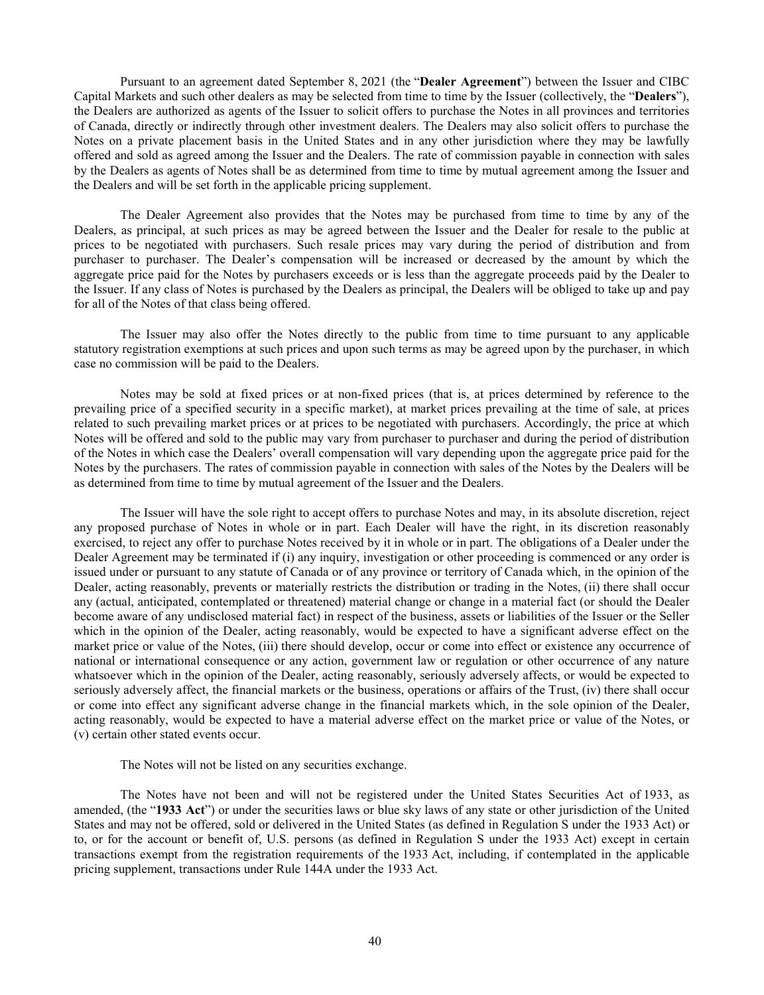<span id="page-43-1"></span>Pursuant to an agreement dated September 8, 2021 (the "**Dealer Agreement**") between the Issuer and CIBC Capital Markets and such other dealers as may be selected from time to time by the Issuer (collectively, the "**Dealers**"), the Dealers are authorized as agents of the Issuer to solicit offers to purchase the Notes in all provinces and territories of Canada, directly or indirectly through other investment dealers. The Dealers may also solicit offers to purchase the Notes on a private placement basis in the United States and in any other jurisdiction where they may be lawfully offered and sold as agreed among the Issuer and the Dealers. The rate of commission payable in connection with sales by the Dealers as agents of Notes shall be as determined from time to time by mutual agreement among the Issuer and the Dealers and will be set forth in the applicable pricing supplement.

The Dealer Agreement also provides that the Notes may be purchased from time to time by any of the Dealers, as principal, at such prices as may be agreed between the Issuer and the Dealer for resale to the public at prices to be negotiated with purchasers. Such resale prices may vary during the period of distribution and from purchaser to purchaser. The Dealer's compensation will be increased or decreased by the amount by which the aggregate price paid for the Notes by purchasers exceeds or is less than the aggregate proceeds paid by the Dealer to the Issuer. If any class of Notes is purchased by the Dealers as principal, the Dealers will be obliged to take up and pay for all of the Notes of that class being offered.

The Issuer may also offer the Notes directly to the public from time to time pursuant to any applicable statutory registration exemptions at such prices and upon such terms as may be agreed upon by the purchaser, in which case no commission will be paid to the Dealers.

Notes may be sold at fixed prices or at non-fixed prices (that is, at prices determined by reference to the prevailing price of a specified security in a specific market), at market prices prevailing at the time of sale, at prices related to such prevailing market prices or at prices to be negotiated with purchasers. Accordingly, the price at which Notes will be offered and sold to the public may vary from purchaser to purchaser and during the period of distribution of the Notes in which case the Dealers' overall compensation will vary depending upon the aggregate price paid for the Notes by the purchasers. The rates of commission payable in connection with sales of the Notes by the Dealers will be as determined from time to time by mutual agreement of the Issuer and the Dealers.

The Issuer will have the sole right to accept offers to purchase Notes and may, in its absolute discretion, reject any proposed purchase of Notes in whole or in part. Each Dealer will have the right, in its discretion reasonably exercised, to reject any offer to purchase Notes received by it in whole or in part. The obligations of a Dealer under the Dealer Agreement may be terminated if (i) any inquiry, investigation or other proceeding is commenced or any order is issued under or pursuant to any statute of Canada or of any province or territory of Canada which, in the opinion of the Dealer, acting reasonably, prevents or materially restricts the distribution or trading in the Notes, (ii) there shall occur any (actual, anticipated, contemplated or threatened) material change or change in a material fact (or should the Dealer become aware of any undisclosed material fact) in respect of the business, assets or liabilities of the Issuer or the Seller which in the opinion of the Dealer, acting reasonably, would be expected to have a significant adverse effect on the market price or value of the Notes, (iii) there should develop, occur or come into effect or existence any occurrence of national or international consequence or any action, government law or regulation or other occurrence of any nature whatsoever which in the opinion of the Dealer, acting reasonably, seriously adversely affects, or would be expected to seriously adversely affect, the financial markets or the business, operations or affairs of the Trust, (iv) there shall occur or come into effect any significant adverse change in the financial markets which, in the sole opinion of the Dealer, acting reasonably, would be expected to have a material adverse effect on the market price or value of the Notes, or (v) certain other stated events occur.

<span id="page-43-0"></span>The Notes will not be listed on any securities exchange.

The Notes have not been and will not be registered under the United States Securities Act of 1933, as amended, (the "**1933 Act**") or under the securities laws or blue sky laws of any state or other jurisdiction of the United States and may not be offered, sold or delivered in the United States (as defined in Regulation S under the 1933 Act) or to, or for the account or benefit of, U.S. persons (as defined in Regulation S under the 1933 Act) except in certain transactions exempt from the registration requirements of the 1933 Act, including, if contemplated in the applicable pricing supplement, transactions under Rule 144A under the 1933 Act.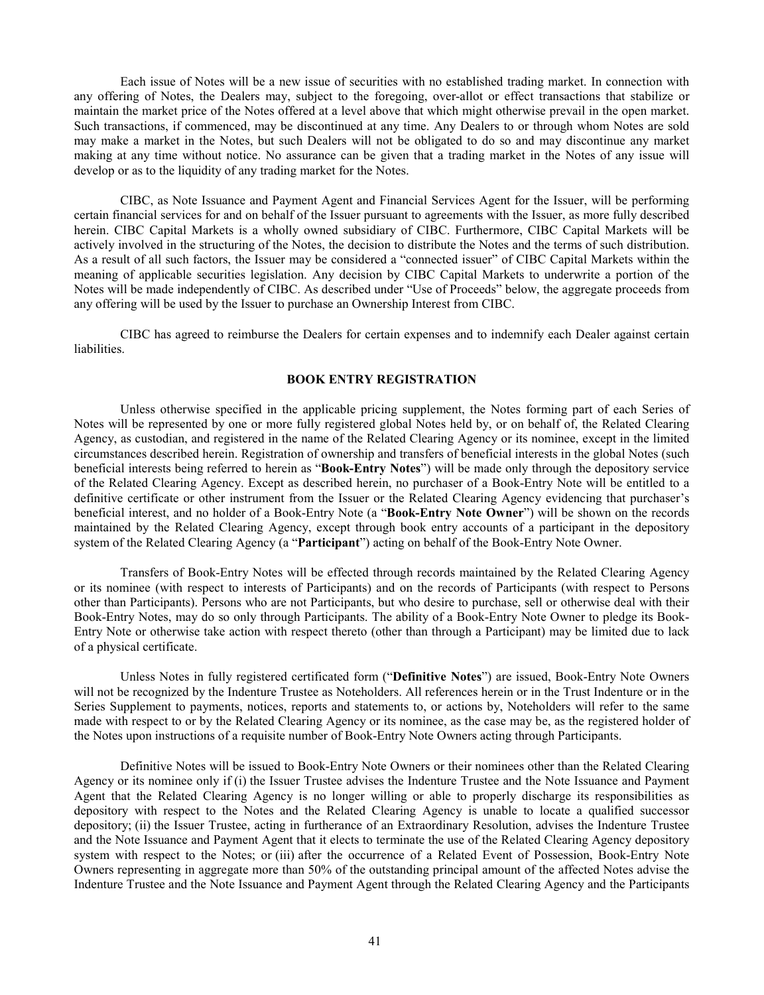Each issue of Notes will be a new issue of securities with no established trading market. In connection with any offering of Notes, the Dealers may, subject to the foregoing, over-allot or effect transactions that stabilize or maintain the market price of the Notes offered at a level above that which might otherwise prevail in the open market. Such transactions, if commenced, may be discontinued at any time. Any Dealers to or through whom Notes are sold may make a market in the Notes, but such Dealers will not be obligated to do so and may discontinue any market making at any time without notice. No assurance can be given that a trading market in the Notes of any issue will develop or as to the liquidity of any trading market for the Notes.

CIBC, as Note Issuance and Payment Agent and Financial Services Agent for the Issuer, will be performing certain financial services for and on behalf of the Issuer pursuant to agreements with the Issuer, as more fully described herein. CIBC Capital Markets is a wholly owned subsidiary of CIBC. Furthermore, CIBC Capital Markets will be actively involved in the structuring of the Notes, the decision to distribute the Notes and the terms of such distribution. As a result of all such factors, the Issuer may be considered a "connected issuer" of CIBC Capital Markets within the meaning of applicable securities legislation. Any decision by CIBC Capital Markets to underwrite a portion of the Notes will be made independently of CIBC. As described under "Use of Proceeds" below, the aggregate proceeds from any offering will be used by the Issuer to purchase an Ownership Interest from CIBC.

CIBC has agreed to reimburse the Dealers for certain expenses and to indemnify each Dealer against certain liabilities.

# <span id="page-44-2"></span><span id="page-44-1"></span><span id="page-44-0"></span>**BOOK ENTRY REGISTRATION**

Unless otherwise specified in the applicable pricing supplement, the Notes forming part of each Series of Notes will be represented by one or more fully registered global Notes held by, or on behalf of, the Related Clearing Agency, as custodian, and registered in the name of the Related Clearing Agency or its nominee, except in the limited circumstances described herein. Registration of ownership and transfers of beneficial interests in the global Notes (such beneficial interests being referred to herein as "**Book-Entry Notes**") will be made only through the depository service of the Related Clearing Agency. Except as described herein, no purchaser of a Book-Entry Note will be entitled to a definitive certificate or other instrument from the Issuer or the Related Clearing Agency evidencing that purchaser's beneficial interest, and no holder of a Book-Entry Note (a "**Book-Entry Note Owner**") will be shown on the records maintained by the Related Clearing Agency, except through book entry accounts of a participant in the depository system of the Related Clearing Agency (a "**Participant**") acting on behalf of the Book-Entry Note Owner.

Transfers of Book-Entry Notes will be effected through records maintained by the Related Clearing Agency or its nominee (with respect to interests of Participants) and on the records of Participants (with respect to Persons other than Participants). Persons who are not Participants, but who desire to purchase, sell or otherwise deal with their Book-Entry Notes, may do so only through Participants. The ability of a Book-Entry Note Owner to pledge its Book-Entry Note or otherwise take action with respect thereto (other than through a Participant) may be limited due to lack of a physical certificate.

Unless Notes in fully registered certificated form ("**Definitive Notes**") are issued, Book-Entry Note Owners will not be recognized by the Indenture Trustee as Noteholders. All references herein or in the Trust Indenture or in the Series Supplement to payments, notices, reports and statements to, or actions by, Noteholders will refer to the same made with respect to or by the Related Clearing Agency or its nominee, as the case may be, as the registered holder of the Notes upon instructions of a requisite number of Book-Entry Note Owners acting through Participants.

Definitive Notes will be issued to Book-Entry Note Owners or their nominees other than the Related Clearing Agency or its nominee only if (i) the Issuer Trustee advises the Indenture Trustee and the Note Issuance and Payment Agent that the Related Clearing Agency is no longer willing or able to properly discharge its responsibilities as depository with respect to the Notes and the Related Clearing Agency is unable to locate a qualified successor depository; (ii) the Issuer Trustee, acting in furtherance of an Extraordinary Resolution, advises the Indenture Trustee and the Note Issuance and Payment Agent that it elects to terminate the use of the Related Clearing Agency depository system with respect to the Notes; or (iii) after the occurrence of a Related Event of Possession, Book-Entry Note Owners representing in aggregate more than 50% of the outstanding principal amount of the affected Notes advise the Indenture Trustee and the Note Issuance and Payment Agent through the Related Clearing Agency and the Participants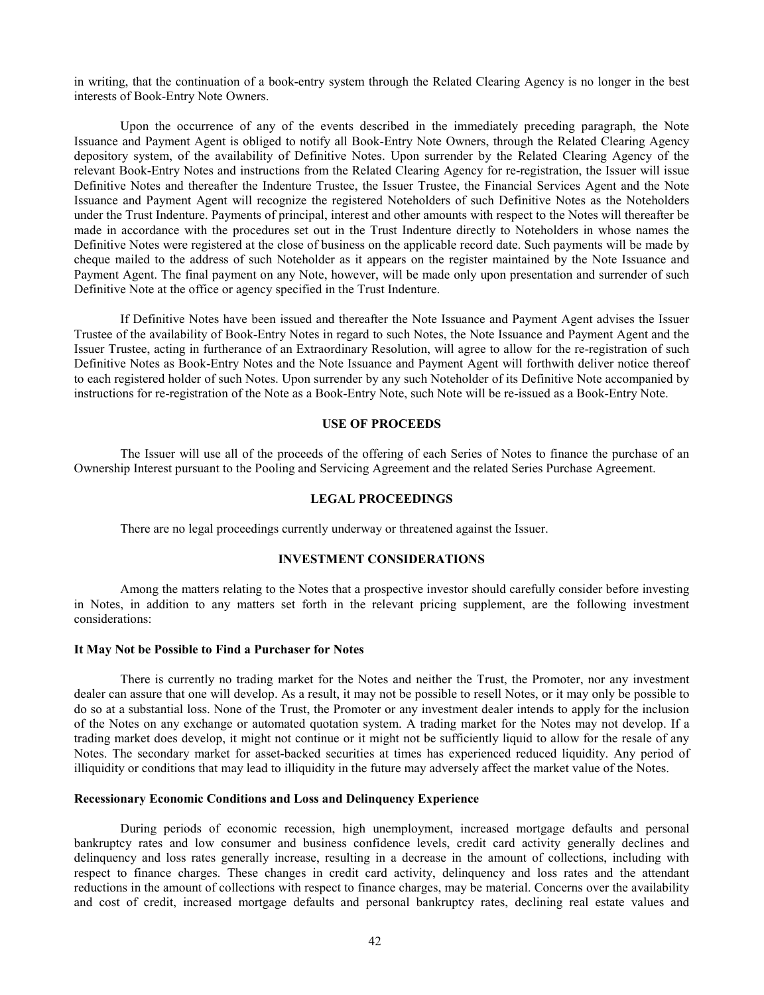in writing, that the continuation of a book-entry system through the Related Clearing Agency is no longer in the best interests of Book-Entry Note Owners.

Upon the occurrence of any of the events described in the immediately preceding paragraph, the Note Issuance and Payment Agent is obliged to notify all Book-Entry Note Owners, through the Related Clearing Agency depository system, of the availability of Definitive Notes. Upon surrender by the Related Clearing Agency of the relevant Book-Entry Notes and instructions from the Related Clearing Agency for re-registration, the Issuer will issue Definitive Notes and thereafter the Indenture Trustee, the Issuer Trustee, the Financial Services Agent and the Note Issuance and Payment Agent will recognize the registered Noteholders of such Definitive Notes as the Noteholders under the Trust Indenture. Payments of principal, interest and other amounts with respect to the Notes will thereafter be made in accordance with the procedures set out in the Trust Indenture directly to Noteholders in whose names the Definitive Notes were registered at the close of business on the applicable record date. Such payments will be made by cheque mailed to the address of such Noteholder as it appears on the register maintained by the Note Issuance and Payment Agent. The final payment on any Note, however, will be made only upon presentation and surrender of such Definitive Note at the office or agency specified in the Trust Indenture.

If Definitive Notes have been issued and thereafter the Note Issuance and Payment Agent advises the Issuer Trustee of the availability of Book-Entry Notes in regard to such Notes, the Note Issuance and Payment Agent and the Issuer Trustee, acting in furtherance of an Extraordinary Resolution, will agree to allow for the re-registration of such Definitive Notes as Book-Entry Notes and the Note Issuance and Payment Agent will forthwith deliver notice thereof to each registered holder of such Notes. Upon surrender by any such Noteholder of its Definitive Note accompanied by instructions for re-registration of the Note as a Book-Entry Note, such Note will be re-issued as a Book-Entry Note.

## **USE OF PROCEEDS**

The Issuer will use all of the proceeds of the offering of each Series of Notes to finance the purchase of an Ownership Interest pursuant to the Pooling and Servicing Agreement and the related Series Purchase Agreement.

# **LEGAL PROCEEDINGS**

There are no legal proceedings currently underway or threatened against the Issuer.

## **INVESTMENT CONSIDERATIONS**

Among the matters relating to the Notes that a prospective investor should carefully consider before investing in Notes, in addition to any matters set forth in the relevant pricing supplement, are the following investment considerations:

#### **It May Not be Possible to Find a Purchaser for Notes**

There is currently no trading market for the Notes and neither the Trust, the Promoter, nor any investment dealer can assure that one will develop. As a result, it may not be possible to resell Notes, or it may only be possible to do so at a substantial loss. None of the Trust, the Promoter or any investment dealer intends to apply for the inclusion of the Notes on any exchange or automated quotation system. A trading market for the Notes may not develop. If a trading market does develop, it might not continue or it might not be sufficiently liquid to allow for the resale of any Notes. The secondary market for asset-backed securities at times has experienced reduced liquidity. Any period of illiquidity or conditions that may lead to illiquidity in the future may adversely affect the market value of the Notes.

#### **Recessionary Economic Conditions and Loss and Delinquency Experience**

During periods of economic recession, high unemployment, increased mortgage defaults and personal bankruptcy rates and low consumer and business confidence levels, credit card activity generally declines and delinquency and loss rates generally increase, resulting in a decrease in the amount of collections, including with respect to finance charges. These changes in credit card activity, delinquency and loss rates and the attendant reductions in the amount of collections with respect to finance charges, may be material. Concerns over the availability and cost of credit, increased mortgage defaults and personal bankruptcy rates, declining real estate values and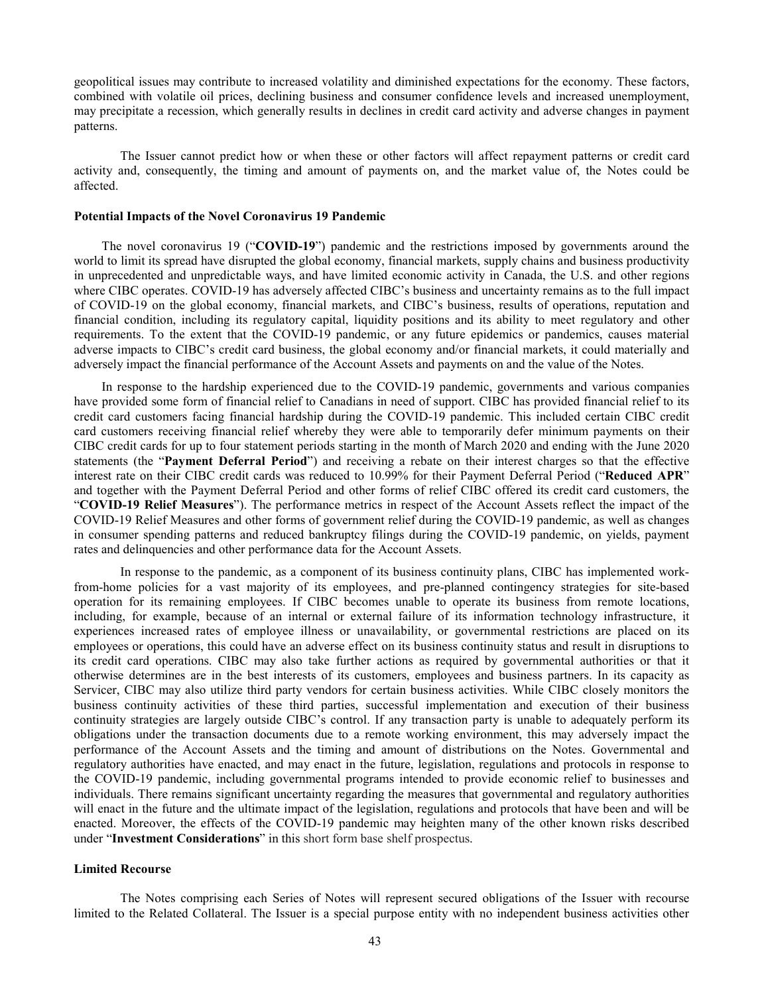geopolitical issues may contribute to increased volatility and diminished expectations for the economy. These factors, combined with volatile oil prices, declining business and consumer confidence levels and increased unemployment, may precipitate a recession, which generally results in declines in credit card activity and adverse changes in payment patterns.

The Issuer cannot predict how or when these or other factors will affect repayment patterns or credit card activity and, consequently, the timing and amount of payments on, and the market value of, the Notes could be affected.

## **Potential Impacts of the Novel Coronavirus 19 Pandemic**

<span id="page-46-0"></span>The novel coronavirus 19 ("**COVID-19**") pandemic and the restrictions imposed by governments around the world to limit its spread have disrupted the global economy, financial markets, supply chains and business productivity in unprecedented and unpredictable ways, and have limited economic activity in Canada, the U.S. and other regions where CIBC operates. COVID-19 has adversely affected CIBC's business and uncertainty remains as to the full impact of COVID-19 on the global economy, financial markets, and CIBC's business, results of operations, reputation and financial condition, including its regulatory capital, liquidity positions and its ability to meet regulatory and other requirements. To the extent that the COVID-19 pandemic, or any future epidemics or pandemics, causes material adverse impacts to CIBC's credit card business, the global economy and/or financial markets, it could materially and adversely impact the financial performance of the Account Assets and payments on and the value of the Notes.

In response to the hardship experienced due to the COVID-19 pandemic, governments and various companies have provided some form of financial relief to Canadians in need of support. CIBC has provided financial relief to its credit card customers facing financial hardship during the COVID-19 pandemic. This included certain CIBC credit card customers receiving financial relief whereby they were able to temporarily defer minimum payments on their CIBC credit cards for up to four statement periods starting in the month of March 2020 and ending with the June 2020 statements (the "**Payment Deferral Period**") and receiving a rebate on their interest charges so that the effective interest rate on their CIBC credit cards was reduced to 10.99% for their Payment Deferral Period ("**Reduced APR**" and together with the Payment Deferral Period and other forms of relief CIBC offered its credit card customers, the "**COVID-19 Relief Measures**"). The performance metrics in respect of the Account Assets reflect the impact of the COVID-19 Relief Measures and other forms of government relief during the COVID-19 pandemic, as well as changes in consumer spending patterns and reduced bankruptcy filings during the COVID-19 pandemic, on yields, payment rates and delinquencies and other performance data for the Account Assets.

<span id="page-46-1"></span>In response to the pandemic, as a component of its business continuity plans, CIBC has implemented workfrom-home policies for a vast majority of its employees, and pre-planned contingency strategies for site-based operation for its remaining employees. If CIBC becomes unable to operate its business from remote locations, including, for example, because of an internal or external failure of its information technology infrastructure, it experiences increased rates of employee illness or unavailability, or governmental restrictions are placed on its employees or operations, this could have an adverse effect on its business continuity status and result in disruptions to its credit card operations. CIBC may also take further actions as required by governmental authorities or that it otherwise determines are in the best interests of its customers, employees and business partners. In its capacity as Servicer, CIBC may also utilize third party vendors for certain business activities. While CIBC closely monitors the business continuity activities of these third parties, successful implementation and execution of their business continuity strategies are largely outside CIBC's control. If any transaction party is unable to adequately perform its obligations under the transaction documents due to a remote working environment, this may adversely impact the performance of the Account Assets and the timing and amount of distributions on the Notes. Governmental and regulatory authorities have enacted, and may enact in the future, legislation, regulations and protocols in response to the COVID-19 pandemic, including governmental programs intended to provide economic relief to businesses and individuals. There remains significant uncertainty regarding the measures that governmental and regulatory authorities will enact in the future and the ultimate impact of the legislation, regulations and protocols that have been and will be enacted. Moreover, the effects of the COVID-19 pandemic may heighten many of the other known risks described under "**Investment Considerations**" in this short form base shelf prospectus.

## **Limited Recourse**

The Notes comprising each Series of Notes will represent secured obligations of the Issuer with recourse limited to the Related Collateral. The Issuer is a special purpose entity with no independent business activities other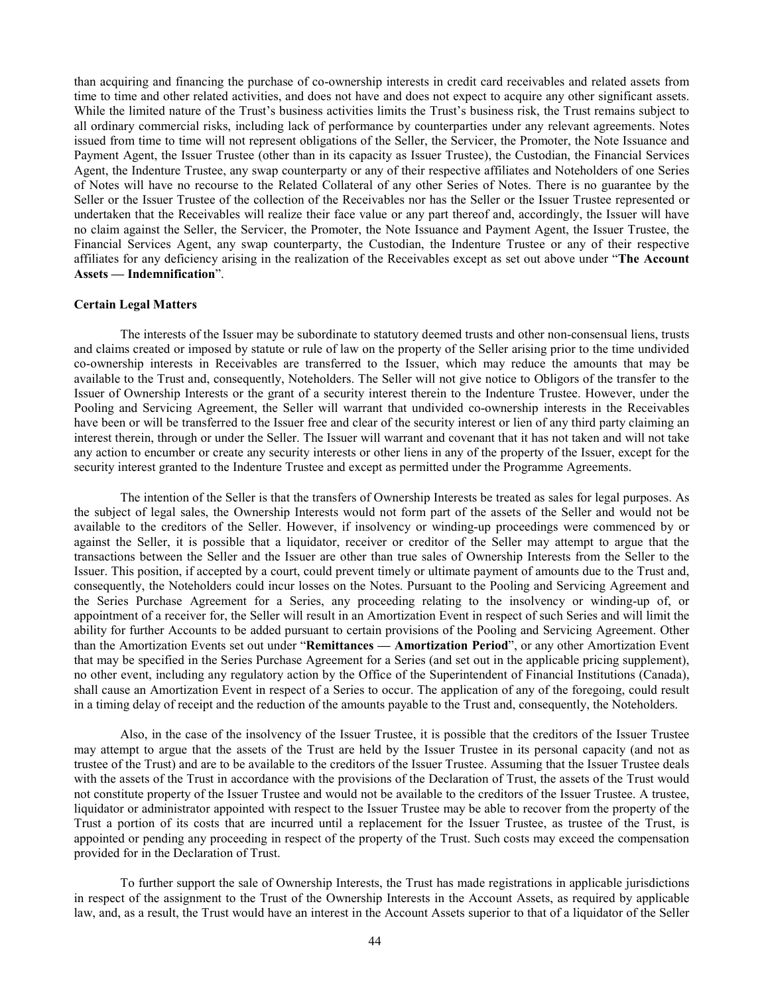than acquiring and financing the purchase of co-ownership interests in credit card receivables and related assets from time to time and other related activities, and does not have and does not expect to acquire any other significant assets. While the limited nature of the Trust's business activities limits the Trust's business risk, the Trust remains subject to all ordinary commercial risks, including lack of performance by counterparties under any relevant agreements. Notes issued from time to time will not represent obligations of the Seller, the Servicer, the Promoter, the Note Issuance and Payment Agent, the Issuer Trustee (other than in its capacity as Issuer Trustee), the Custodian, the Financial Services Agent, the Indenture Trustee, any swap counterparty or any of their respective affiliates and Noteholders of one Series of Notes will have no recourse to the Related Collateral of any other Series of Notes. There is no guarantee by the Seller or the Issuer Trustee of the collection of the Receivables nor has the Seller or the Issuer Trustee represented or undertaken that the Receivables will realize their face value or any part thereof and, accordingly, the Issuer will have no claim against the Seller, the Servicer, the Promoter, the Note Issuance and Payment Agent, the Issuer Trustee, the Financial Services Agent, any swap counterparty, the Custodian, the Indenture Trustee or any of their respective affiliates for any deficiency arising in the realization of the Receivables except as set out above under "**The Account Assets — Indemnification**".

#### **Certain Legal Matters**

The interests of the Issuer may be subordinate to statutory deemed trusts and other non-consensual liens, trusts and claims created or imposed by statute or rule of law on the property of the Seller arising prior to the time undivided co-ownership interests in Receivables are transferred to the Issuer, which may reduce the amounts that may be available to the Trust and, consequently, Noteholders. The Seller will not give notice to Obligors of the transfer to the Issuer of Ownership Interests or the grant of a security interest therein to the Indenture Trustee. However, under the Pooling and Servicing Agreement, the Seller will warrant that undivided co-ownership interests in the Receivables have been or will be transferred to the Issuer free and clear of the security interest or lien of any third party claiming an interest therein, through or under the Seller. The Issuer will warrant and covenant that it has not taken and will not take any action to encumber or create any security interests or other liens in any of the property of the Issuer, except for the security interest granted to the Indenture Trustee and except as permitted under the Programme Agreements.

The intention of the Seller is that the transfers of Ownership Interests be treated as sales for legal purposes. As the subject of legal sales, the Ownership Interests would not form part of the assets of the Seller and would not be available to the creditors of the Seller. However, if insolvency or winding-up proceedings were commenced by or against the Seller, it is possible that a liquidator, receiver or creditor of the Seller may attempt to argue that the transactions between the Seller and the Issuer are other than true sales of Ownership Interests from the Seller to the Issuer. This position, if accepted by a court, could prevent timely or ultimate payment of amounts due to the Trust and, consequently, the Noteholders could incur losses on the Notes. Pursuant to the Pooling and Servicing Agreement and the Series Purchase Agreement for a Series, any proceeding relating to the insolvency or winding-up of, or appointment of a receiver for, the Seller will result in an Amortization Event in respect of such Series and will limit the ability for further Accounts to be added pursuant to certain provisions of the Pooling and Servicing Agreement. Other than the Amortization Events set out under "**Remittances — Amortization Period**", or any other Amortization Event that may be specified in the Series Purchase Agreement for a Series (and set out in the applicable pricing supplement), no other event, including any regulatory action by the Office of the Superintendent of Financial Institutions (Canada), shall cause an Amortization Event in respect of a Series to occur. The application of any of the foregoing, could result in a timing delay of receipt and the reduction of the amounts payable to the Trust and, consequently, the Noteholders.

Also, in the case of the insolvency of the Issuer Trustee, it is possible that the creditors of the Issuer Trustee may attempt to argue that the assets of the Trust are held by the Issuer Trustee in its personal capacity (and not as trustee of the Trust) and are to be available to the creditors of the Issuer Trustee. Assuming that the Issuer Trustee deals with the assets of the Trust in accordance with the provisions of the Declaration of Trust, the assets of the Trust would not constitute property of the Issuer Trustee and would not be available to the creditors of the Issuer Trustee. A trustee, liquidator or administrator appointed with respect to the Issuer Trustee may be able to recover from the property of the Trust a portion of its costs that are incurred until a replacement for the Issuer Trustee, as trustee of the Trust, is appointed or pending any proceeding in respect of the property of the Trust. Such costs may exceed the compensation provided for in the Declaration of Trust.

To further support the sale of Ownership Interests, the Trust has made registrations in applicable jurisdictions in respect of the assignment to the Trust of the Ownership Interests in the Account Assets, as required by applicable law, and, as a result, the Trust would have an interest in the Account Assets superior to that of a liquidator of the Seller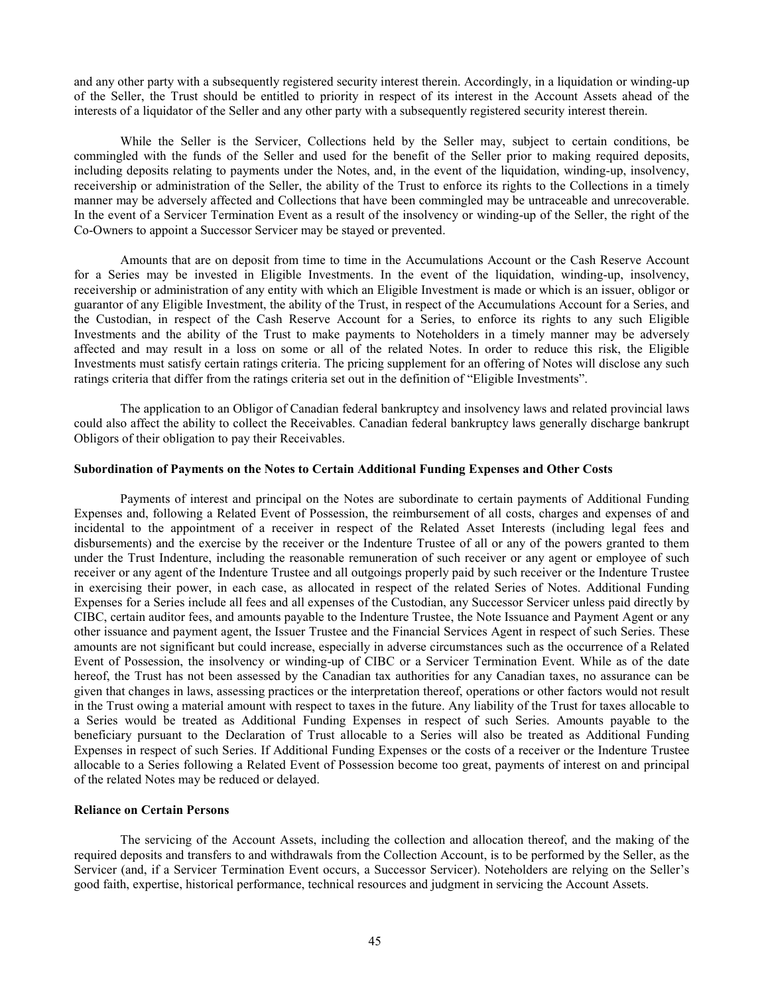and any other party with a subsequently registered security interest therein. Accordingly, in a liquidation or winding-up of the Seller, the Trust should be entitled to priority in respect of its interest in the Account Assets ahead of the interests of a liquidator of the Seller and any other party with a subsequently registered security interest therein.

While the Seller is the Servicer, Collections held by the Seller may, subject to certain conditions, be commingled with the funds of the Seller and used for the benefit of the Seller prior to making required deposits, including deposits relating to payments under the Notes, and, in the event of the liquidation, winding-up, insolvency, receivership or administration of the Seller, the ability of the Trust to enforce its rights to the Collections in a timely manner may be adversely affected and Collections that have been commingled may be untraceable and unrecoverable. In the event of a Servicer Termination Event as a result of the insolvency or winding-up of the Seller, the right of the Co-Owners to appoint a Successor Servicer may be stayed or prevented.

Amounts that are on deposit from time to time in the Accumulations Account or the Cash Reserve Account for a Series may be invested in Eligible Investments. In the event of the liquidation, winding-up, insolvency, receivership or administration of any entity with which an Eligible Investment is made or which is an issuer, obligor or guarantor of any Eligible Investment, the ability of the Trust, in respect of the Accumulations Account for a Series, and the Custodian, in respect of the Cash Reserve Account for a Series, to enforce its rights to any such Eligible Investments and the ability of the Trust to make payments to Noteholders in a timely manner may be adversely affected and may result in a loss on some or all of the related Notes. In order to reduce this risk, the Eligible Investments must satisfy certain ratings criteria. The pricing supplement for an offering of Notes will disclose any such ratings criteria that differ from the ratings criteria set out in the definition of "Eligible Investments".

The application to an Obligor of Canadian federal bankruptcy and insolvency laws and related provincial laws could also affect the ability to collect the Receivables. Canadian federal bankruptcy laws generally discharge bankrupt Obligors of their obligation to pay their Receivables.

# **Subordination of Payments on the Notes to Certain Additional Funding Expenses and Other Costs**

Payments of interest and principal on the Notes are subordinate to certain payments of Additional Funding Expenses and, following a Related Event of Possession, the reimbursement of all costs, charges and expenses of and incidental to the appointment of a receiver in respect of the Related Asset Interests (including legal fees and disbursements) and the exercise by the receiver or the Indenture Trustee of all or any of the powers granted to them under the Trust Indenture, including the reasonable remuneration of such receiver or any agent or employee of such receiver or any agent of the Indenture Trustee and all outgoings properly paid by such receiver or the Indenture Trustee in exercising their power, in each case, as allocated in respect of the related Series of Notes. Additional Funding Expenses for a Series include all fees and all expenses of the Custodian, any Successor Servicer unless paid directly by CIBC, certain auditor fees, and amounts payable to the Indenture Trustee, the Note Issuance and Payment Agent or any other issuance and payment agent, the Issuer Trustee and the Financial Services Agent in respect of such Series. These amounts are not significant but could increase, especially in adverse circumstances such as the occurrence of a Related Event of Possession, the insolvency or winding-up of CIBC or a Servicer Termination Event. While as of the date hereof, the Trust has not been assessed by the Canadian tax authorities for any Canadian taxes, no assurance can be given that changes in laws, assessing practices or the interpretation thereof, operations or other factors would not result in the Trust owing a material amount with respect to taxes in the future. Any liability of the Trust for taxes allocable to a Series would be treated as Additional Funding Expenses in respect of such Series. Amounts payable to the beneficiary pursuant to the Declaration of Trust allocable to a Series will also be treated as Additional Funding Expenses in respect of such Series. If Additional Funding Expenses or the costs of a receiver or the Indenture Trustee allocable to a Series following a Related Event of Possession become too great, payments of interest on and principal of the related Notes may be reduced or delayed.

## **Reliance on Certain Persons**

The servicing of the Account Assets, including the collection and allocation thereof, and the making of the required deposits and transfers to and withdrawals from the Collection Account, is to be performed by the Seller, as the Servicer (and, if a Servicer Termination Event occurs, a Successor Servicer). Noteholders are relying on the Seller's good faith, expertise, historical performance, technical resources and judgment in servicing the Account Assets.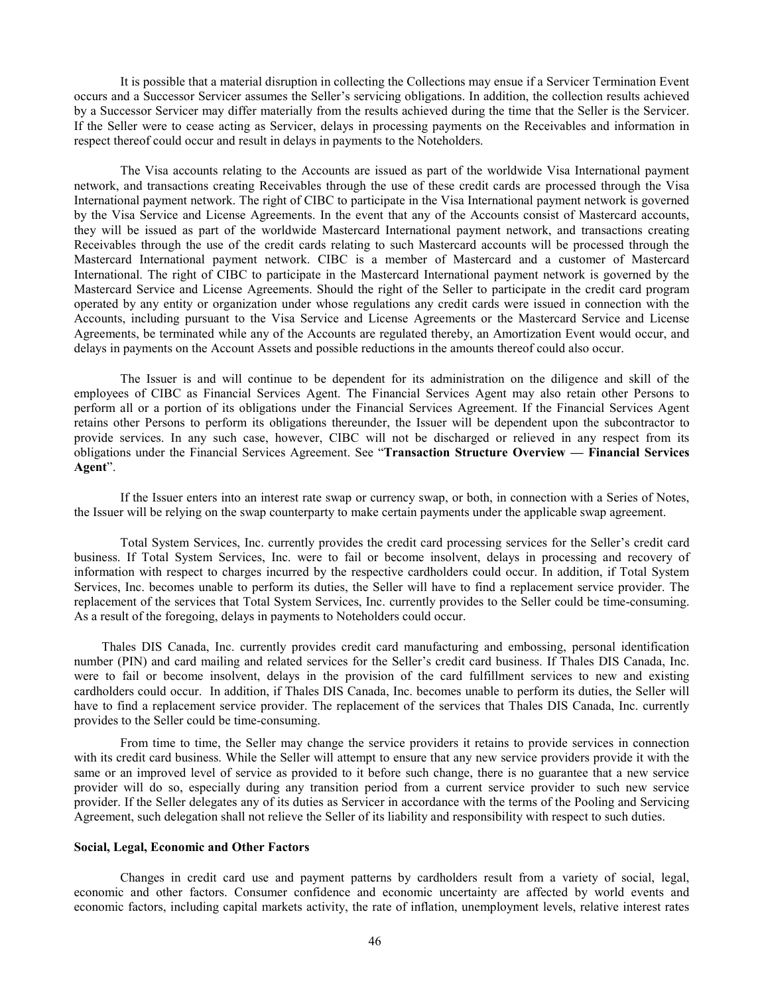It is possible that a material disruption in collecting the Collections may ensue if a Servicer Termination Event occurs and a Successor Servicer assumes the Seller's servicing obligations. In addition, the collection results achieved by a Successor Servicer may differ materially from the results achieved during the time that the Seller is the Servicer. If the Seller were to cease acting as Servicer, delays in processing payments on the Receivables and information in respect thereof could occur and result in delays in payments to the Noteholders.

The Visa accounts relating to the Accounts are issued as part of the worldwide Visa International payment network, and transactions creating Receivables through the use of these credit cards are processed through the Visa International payment network. The right of CIBC to participate in the Visa International payment network is governed by the Visa Service and License Agreements. In the event that any of the Accounts consist of Mastercard accounts, they will be issued as part of the worldwide Mastercard International payment network, and transactions creating Receivables through the use of the credit cards relating to such Mastercard accounts will be processed through the Mastercard International payment network. CIBC is a member of Mastercard and a customer of Mastercard International. The right of CIBC to participate in the Mastercard International payment network is governed by the Mastercard Service and License Agreements. Should the right of the Seller to participate in the credit card program operated by any entity or organization under whose regulations any credit cards were issued in connection with the Accounts, including pursuant to the Visa Service and License Agreements or the Mastercard Service and License Agreements, be terminated while any of the Accounts are regulated thereby, an Amortization Event would occur, and delays in payments on the Account Assets and possible reductions in the amounts thereof could also occur.

The Issuer is and will continue to be dependent for its administration on the diligence and skill of the employees of CIBC as Financial Services Agent. The Financial Services Agent may also retain other Persons to perform all or a portion of its obligations under the Financial Services Agreement. If the Financial Services Agent retains other Persons to perform its obligations thereunder, the Issuer will be dependent upon the subcontractor to provide services. In any such case, however, CIBC will not be discharged or relieved in any respect from its obligations under the Financial Services Agreement. See "**Transaction Structure Overview — Financial Services Agent**".

If the Issuer enters into an interest rate swap or currency swap, or both, in connection with a Series of Notes, the Issuer will be relying on the swap counterparty to make certain payments under the applicable swap agreement.

Total System Services, Inc. currently provides the credit card processing services for the Seller's credit card business. If Total System Services, Inc. were to fail or become insolvent, delays in processing and recovery of information with respect to charges incurred by the respective cardholders could occur. In addition, if Total System Services, Inc. becomes unable to perform its duties, the Seller will have to find a replacement service provider. The replacement of the services that Total System Services, Inc. currently provides to the Seller could be time-consuming. As a result of the foregoing, delays in payments to Noteholders could occur.

Thales DIS Canada, Inc. currently provides credit card manufacturing and embossing, personal identification number (PIN) and card mailing and related services for the Seller's credit card business. If Thales DIS Canada, Inc. were to fail or become insolvent, delays in the provision of the card fulfillment services to new and existing cardholders could occur. In addition, if Thales DIS Canada, Inc. becomes unable to perform its duties, the Seller will have to find a replacement service provider. The replacement of the services that Thales DIS Canada, Inc. currently provides to the Seller could be time-consuming.

From time to time, the Seller may change the service providers it retains to provide services in connection with its credit card business. While the Seller will attempt to ensure that any new service providers provide it with the same or an improved level of service as provided to it before such change, there is no guarantee that a new service provider will do so, especially during any transition period from a current service provider to such new service provider. If the Seller delegates any of its duties as Servicer in accordance with the terms of the Pooling and Servicing Agreement, such delegation shall not relieve the Seller of its liability and responsibility with respect to such duties.

# **Social, Legal, Economic and Other Factors**

Changes in credit card use and payment patterns by cardholders result from a variety of social, legal, economic and other factors. Consumer confidence and economic uncertainty are affected by world events and economic factors, including capital markets activity, the rate of inflation, unemployment levels, relative interest rates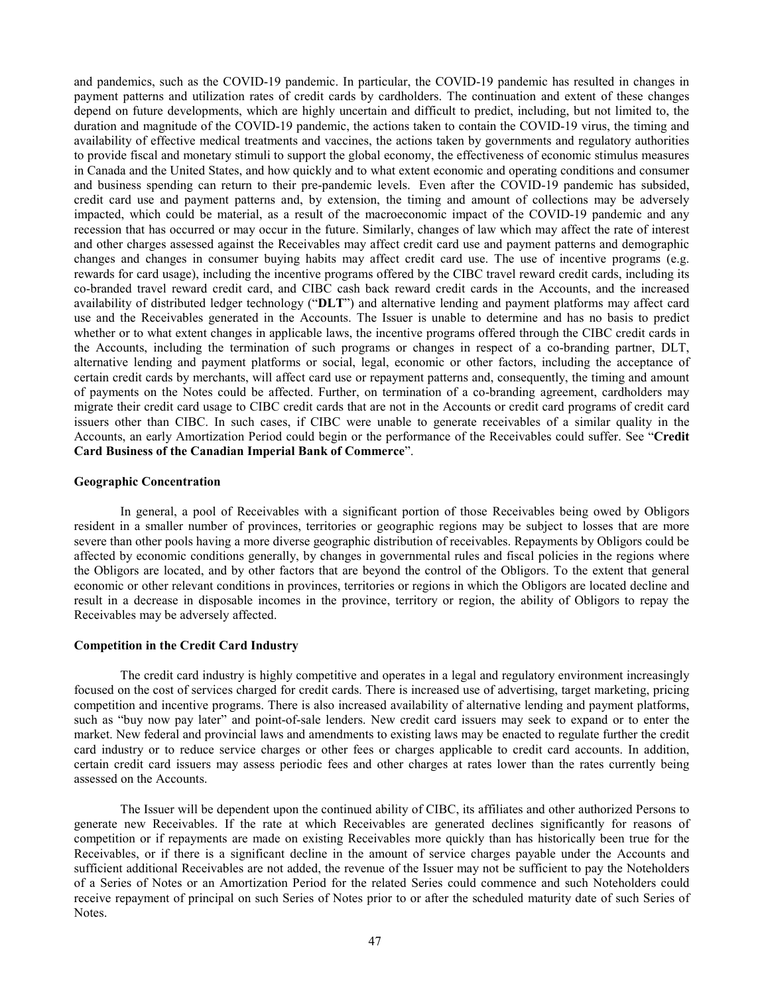and pandemics, such as the COVID-19 pandemic. In particular, the COVID-19 pandemic has resulted in changes in payment patterns and utilization rates of credit cards by cardholders. The continuation and extent of these changes depend on future developments, which are highly uncertain and difficult to predict, including, but not limited to, the duration and magnitude of the COVID-19 pandemic, the actions taken to contain the COVID-19 virus, the timing and availability of effective medical treatments and vaccines, the actions taken by governments and regulatory authorities to provide fiscal and monetary stimuli to support the global economy, the effectiveness of economic stimulus measures in Canada and the United States, and how quickly and to what extent economic and operating conditions and consumer and business spending can return to their pre-pandemic levels. Even after the COVID-19 pandemic has subsided, credit card use and payment patterns and, by extension, the timing and amount of collections may be adversely impacted, which could be material, as a result of the macroeconomic impact of the COVID-19 pandemic and any recession that has occurred or may occur in the future. Similarly, changes of law which may affect the rate of interest and other charges assessed against the Receivables may affect credit card use and payment patterns and demographic changes and changes in consumer buying habits may affect credit card use. The use of incentive programs (e.g. rewards for card usage), including the incentive programs offered by the CIBC travel reward credit cards, including its co-branded travel reward credit card, and CIBC cash back reward credit cards in the Accounts, and the increased availability of distributed ledger technology ("**DLT**") and alternative lending and payment platforms may affect card use and the Receivables generated in the Accounts. The Issuer is unable to determine and has no basis to predict whether or to what extent changes in applicable laws, the incentive programs offered through the CIBC credit cards in the Accounts, including the termination of such programs or changes in respect of a co-branding partner, DLT, alternative lending and payment platforms or social, legal, economic or other factors, including the acceptance of certain credit cards by merchants, will affect card use or repayment patterns and, consequently, the timing and amount of payments on the Notes could be affected. Further, on termination of a co-branding agreement, cardholders may migrate their credit card usage to CIBC credit cards that are not in the Accounts or credit card programs of credit card issuers other than CIBC. In such cases, if CIBC were unable to generate receivables of a similar quality in the Accounts, an early Amortization Period could begin or the performance of the Receivables could suffer. See "**Credit Card Business of the Canadian Imperial Bank of Commerce**".

# **Geographic Concentration**

In general, a pool of Receivables with a significant portion of those Receivables being owed by Obligors resident in a smaller number of provinces, territories or geographic regions may be subject to losses that are more severe than other pools having a more diverse geographic distribution of receivables. Repayments by Obligors could be affected by economic conditions generally, by changes in governmental rules and fiscal policies in the regions where the Obligors are located, and by other factors that are beyond the control of the Obligors. To the extent that general economic or other relevant conditions in provinces, territories or regions in which the Obligors are located decline and result in a decrease in disposable incomes in the province, territory or region, the ability of Obligors to repay the Receivables may be adversely affected.

### **Competition in the Credit Card Industry**

The credit card industry is highly competitive and operates in a legal and regulatory environment increasingly focused on the cost of services charged for credit cards. There is increased use of advertising, target marketing, pricing competition and incentive programs. There is also increased availability of alternative lending and payment platforms, such as "buy now pay later" and point-of-sale lenders. New credit card issuers may seek to expand or to enter the market. New federal and provincial laws and amendments to existing laws may be enacted to regulate further the credit card industry or to reduce service charges or other fees or charges applicable to credit card accounts. In addition, certain credit card issuers may assess periodic fees and other charges at rates lower than the rates currently being assessed on the Accounts.

The Issuer will be dependent upon the continued ability of CIBC, its affiliates and other authorized Persons to generate new Receivables. If the rate at which Receivables are generated declines significantly for reasons of competition or if repayments are made on existing Receivables more quickly than has historically been true for the Receivables, or if there is a significant decline in the amount of service charges payable under the Accounts and sufficient additional Receivables are not added, the revenue of the Issuer may not be sufficient to pay the Noteholders of a Series of Notes or an Amortization Period for the related Series could commence and such Noteholders could receive repayment of principal on such Series of Notes prior to or after the scheduled maturity date of such Series of Notes.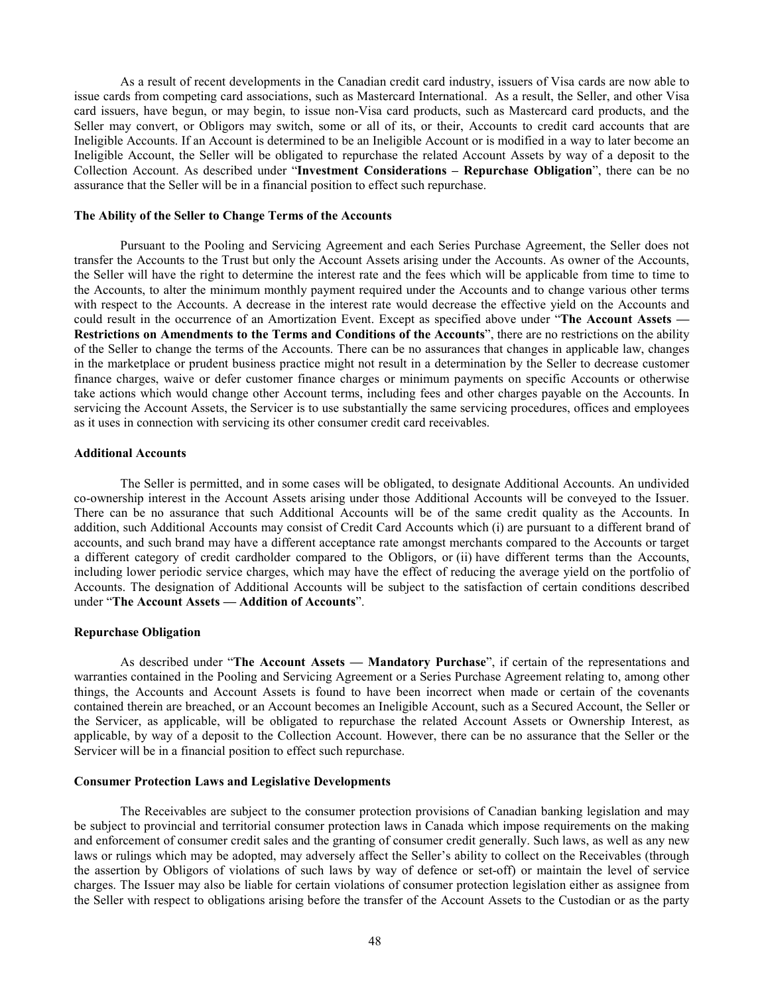As a result of recent developments in the Canadian credit card industry, issuers of Visa cards are now able to issue cards from competing card associations, such as Mastercard International. As a result, the Seller, and other Visa card issuers, have begun, or may begin, to issue non-Visa card products, such as Mastercard card products, and the Seller may convert, or Obligors may switch, some or all of its, or their, Accounts to credit card accounts that are Ineligible Accounts. If an Account is determined to be an Ineligible Account or is modified in a way to later become an Ineligible Account, the Seller will be obligated to repurchase the related Account Assets by way of a deposit to the Collection Account. As described under "**Investment Considerations – Repurchase Obligation**", there can be no assurance that the Seller will be in a financial position to effect such repurchase.

### **The Ability of the Seller to Change Terms of the Accounts**

Pursuant to the Pooling and Servicing Agreement and each Series Purchase Agreement, the Seller does not transfer the Accounts to the Trust but only the Account Assets arising under the Accounts. As owner of the Accounts, the Seller will have the right to determine the interest rate and the fees which will be applicable from time to time to the Accounts, to alter the minimum monthly payment required under the Accounts and to change various other terms with respect to the Accounts. A decrease in the interest rate would decrease the effective yield on the Accounts and could result in the occurrence of an Amortization Event. Except as specified above under "**The Account Assets — Restrictions on Amendments to the Terms and Conditions of the Accounts**", there are no restrictions on the ability of the Seller to change the terms of the Accounts. There can be no assurances that changes in applicable law, changes in the marketplace or prudent business practice might not result in a determination by the Seller to decrease customer finance charges, waive or defer customer finance charges or minimum payments on specific Accounts or otherwise take actions which would change other Account terms, including fees and other charges payable on the Accounts. In servicing the Account Assets, the Servicer is to use substantially the same servicing procedures, offices and employees as it uses in connection with servicing its other consumer credit card receivables.

### **Additional Accounts**

The Seller is permitted, and in some cases will be obligated, to designate Additional Accounts. An undivided co-ownership interest in the Account Assets arising under those Additional Accounts will be conveyed to the Issuer. There can be no assurance that such Additional Accounts will be of the same credit quality as the Accounts. In addition, such Additional Accounts may consist of Credit Card Accounts which (i) are pursuant to a different brand of accounts, and such brand may have a different acceptance rate amongst merchants compared to the Accounts or target a different category of credit cardholder compared to the Obligors, or (ii) have different terms than the Accounts, including lower periodic service charges, which may have the effect of reducing the average yield on the portfolio of Accounts. The designation of Additional Accounts will be subject to the satisfaction of certain conditions described under "**The Account Assets — Addition of Accounts**".

#### **Repurchase Obligation**

As described under "**The Account Assets — Mandatory Purchase**", if certain of the representations and warranties contained in the Pooling and Servicing Agreement or a Series Purchase Agreement relating to, among other things, the Accounts and Account Assets is found to have been incorrect when made or certain of the covenants contained therein are breached, or an Account becomes an Ineligible Account, such as a Secured Account, the Seller or the Servicer, as applicable, will be obligated to repurchase the related Account Assets or Ownership Interest, as applicable, by way of a deposit to the Collection Account. However, there can be no assurance that the Seller or the Servicer will be in a financial position to effect such repurchase.

#### **Consumer Protection Laws and Legislative Developments**

The Receivables are subject to the consumer protection provisions of Canadian banking legislation and may be subject to provincial and territorial consumer protection laws in Canada which impose requirements on the making and enforcement of consumer credit sales and the granting of consumer credit generally. Such laws, as well as any new laws or rulings which may be adopted, may adversely affect the Seller's ability to collect on the Receivables (through the assertion by Obligors of violations of such laws by way of defence or set-off) or maintain the level of service charges. The Issuer may also be liable for certain violations of consumer protection legislation either as assignee from the Seller with respect to obligations arising before the transfer of the Account Assets to the Custodian or as the party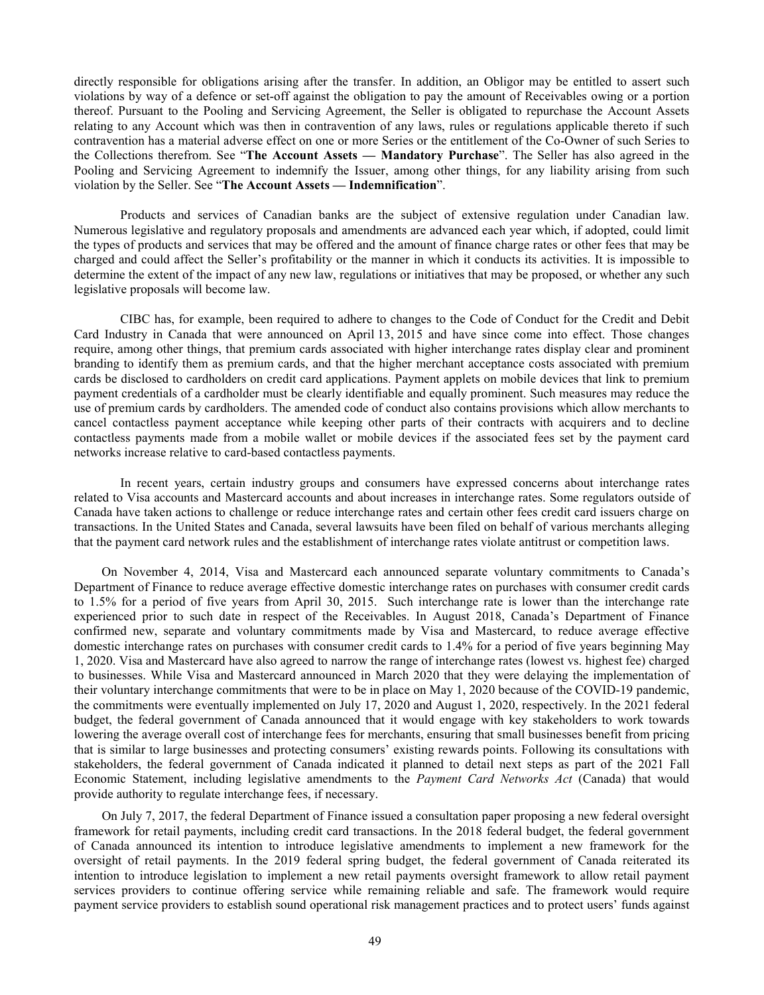directly responsible for obligations arising after the transfer. In addition, an Obligor may be entitled to assert such violations by way of a defence or set-off against the obligation to pay the amount of Receivables owing or a portion thereof. Pursuant to the Pooling and Servicing Agreement, the Seller is obligated to repurchase the Account Assets relating to any Account which was then in contravention of any laws, rules or regulations applicable thereto if such contravention has a material adverse effect on one or more Series or the entitlement of the Co-Owner of such Series to the Collections therefrom. See "**The Account Assets — Mandatory Purchase**". The Seller has also agreed in the Pooling and Servicing Agreement to indemnify the Issuer, among other things, for any liability arising from such violation by the Seller. See "**The Account Assets — Indemnification**".

Products and services of Canadian banks are the subject of extensive regulation under Canadian law. Numerous legislative and regulatory proposals and amendments are advanced each year which, if adopted, could limit the types of products and services that may be offered and the amount of finance charge rates or other fees that may be charged and could affect the Seller's profitability or the manner in which it conducts its activities. It is impossible to determine the extent of the impact of any new law, regulations or initiatives that may be proposed, or whether any such legislative proposals will become law.

CIBC has, for example, been required to adhere to changes to the Code of Conduct for the Credit and Debit Card Industry in Canada that were announced on April 13, 2015 and have since come into effect. Those changes require, among other things, that premium cards associated with higher interchange rates display clear and prominent branding to identify them as premium cards, and that the higher merchant acceptance costs associated with premium cards be disclosed to cardholders on credit card applications. Payment applets on mobile devices that link to premium payment credentials of a cardholder must be clearly identifiable and equally prominent. Such measures may reduce the use of premium cards by cardholders. The amended code of conduct also contains provisions which allow merchants to cancel contactless payment acceptance while keeping other parts of their contracts with acquirers and to decline contactless payments made from a mobile wallet or mobile devices if the associated fees set by the payment card networks increase relative to card-based contactless payments.

In recent years, certain industry groups and consumers have expressed concerns about interchange rates related to Visa accounts and Mastercard accounts and about increases in interchange rates. Some regulators outside of Canada have taken actions to challenge or reduce interchange rates and certain other fees credit card issuers charge on transactions. In the United States and Canada, several lawsuits have been filed on behalf of various merchants alleging that the payment card network rules and the establishment of interchange rates violate antitrust or competition laws.

On November 4, 2014, Visa and Mastercard each announced separate voluntary commitments to Canada's Department of Finance to reduce average effective domestic interchange rates on purchases with consumer credit cards to 1.5% for a period of five years from April 30, 2015. Such interchange rate is lower than the interchange rate experienced prior to such date in respect of the Receivables. In August 2018, Canada's Department of Finance confirmed new, separate and voluntary commitments made by Visa and Mastercard, to reduce average effective domestic interchange rates on purchases with consumer credit cards to 1.4% for a period of five years beginning May 1, 2020. Visa and Mastercard have also agreed to narrow the range of interchange rates (lowest vs. highest fee) charged to businesses. While Visa and Mastercard announced in March 2020 that they were delaying the implementation of their voluntary interchange commitments that were to be in place on May 1, 2020 because of the COVID-19 pandemic, the commitments were eventually implemented on July 17, 2020 and August 1, 2020, respectively. In the 2021 federal budget, the federal government of Canada announced that it would engage with key stakeholders to work towards lowering the average overall cost of interchange fees for merchants, ensuring that small businesses benefit from pricing that is similar to large businesses and protecting consumers' existing rewards points. Following its consultations with stakeholders, the federal government of Canada indicated it planned to detail next steps as part of the 2021 Fall Economic Statement, including legislative amendments to the *Payment Card Networks Act* (Canada) that would provide authority to regulate interchange fees, if necessary.

On July 7, 2017, the federal Department of Finance issued a consultation paper proposing a new federal oversight framework for retail payments, including credit card transactions. In the 2018 federal budget, the federal government of Canada announced its intention to introduce legislative amendments to implement a new framework for the oversight of retail payments. In the 2019 federal spring budget, the federal government of Canada reiterated its intention to introduce legislation to implement a new retail payments oversight framework to allow retail payment services providers to continue offering service while remaining reliable and safe. The framework would require payment service providers to establish sound operational risk management practices and to protect users' funds against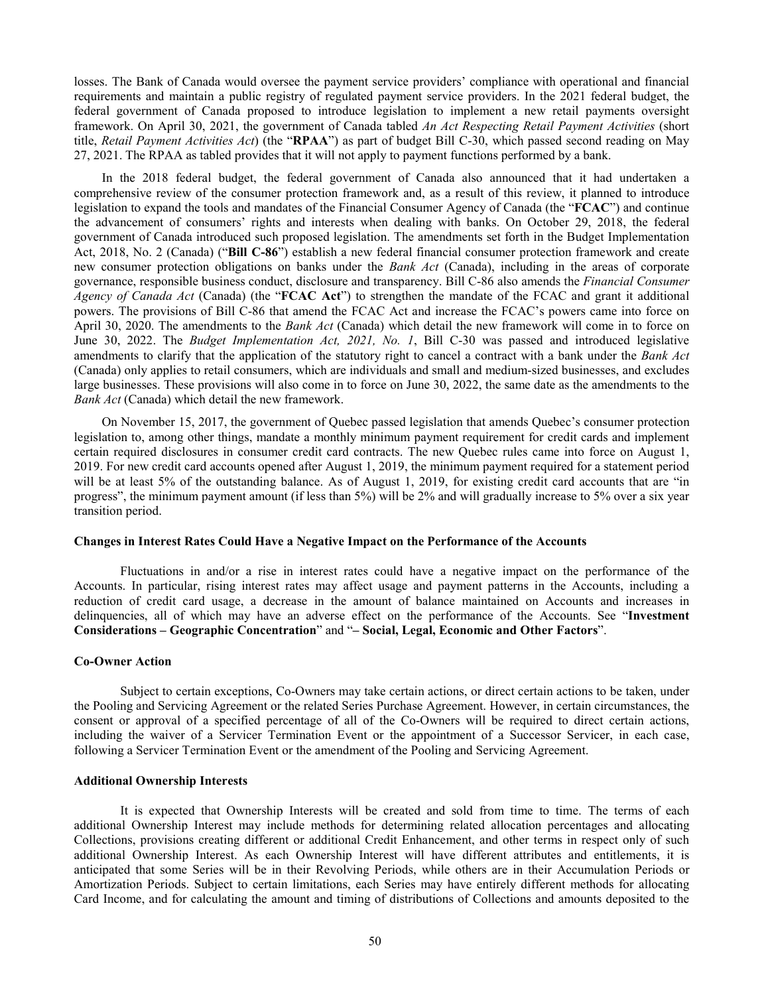losses. The Bank of Canada would oversee the payment service providers' compliance with operational and financial requirements and maintain a public registry of regulated payment service providers. In the 2021 federal budget, the federal government of Canada proposed to introduce legislation to implement a new retail payments oversight framework. On April 30, 2021, the government of Canada tabled *An Act Respecting Retail Payment Activities* (short title, *Retail Payment Activities Act*) (the "**RPAA**") as part of budget Bill C-30, which passed second reading on May 27, 2021. The RPAA as tabled provides that it will not apply to payment functions performed by a bank.

<span id="page-53-0"></span>In the 2018 federal budget, the federal government of Canada also announced that it had undertaken a comprehensive review of the consumer protection framework and, as a result of this review, it planned to introduce legislation to expand the tools and mandates of the Financial Consumer Agency of Canada (the "**FCAC**") and continue the advancement of consumers' rights and interests when dealing with banks. On October 29, 2018, the federal government of Canada introduced such proposed legislation. The amendments set forth in the Budget Implementation Act, 2018, No. 2 (Canada) ("**Bill C-86**") establish a new federal financial consumer protection framework and create new consumer protection obligations on banks under the *Bank Act* (Canada), including in the areas of corporate governance, responsible business conduct, disclosure and transparency. Bill C-86 also amends the *Financial Consumer Agency of Canada Act* (Canada) (the "**FCAC Act**") to strengthen the mandate of the FCAC and grant it additional powers. The provisions of Bill C-86 that amend the FCAC Act and increase the FCAC's powers came into force on April 30, 2020. The amendments to the *Bank Act* (Canada) which detail the new framework will come in to force on June 30, 2022. The *Budget Implementation Act, 2021, No. 1*, Bill C-30 was passed and introduced legislative amendments to clarify that the application of the statutory right to cancel a contract with a bank under the *Bank Act* (Canada) only applies to retail consumers, which are individuals and small and medium-sized businesses, and excludes large businesses. These provisions will also come in to force on June 30, 2022, the same date as the amendments to the *Bank Act* (Canada) which detail the new framework.

On November 15, 2017, the government of Quebec passed legislation that amends Quebec's consumer protection legislation to, among other things, mandate a monthly minimum payment requirement for credit cards and implement certain required disclosures in consumer credit card contracts. The new Quebec rules came into force on August 1, 2019. For new credit card accounts opened after August 1, 2019, the minimum payment required for a statement period will be at least 5% of the outstanding balance. As of August 1, 2019, for existing credit card accounts that are "in progress", the minimum payment amount (if less than 5%) will be 2% and will gradually increase to 5% over a six year transition period.

#### **Changes in Interest Rates Could Have a Negative Impact on the Performance of the Accounts**

Fluctuations in and/or a rise in interest rates could have a negative impact on the performance of the Accounts. In particular, rising interest rates may affect usage and payment patterns in the Accounts, including a reduction of credit card usage, a decrease in the amount of balance maintained on Accounts and increases in delinquencies, all of which may have an adverse effect on the performance of the Accounts. See "**Investment Considerations – Geographic Concentration**" and "**– Social, Legal, Economic and Other Factors**".

#### **Co-Owner Action**

Subject to certain exceptions, Co-Owners may take certain actions, or direct certain actions to be taken, under the Pooling and Servicing Agreement or the related Series Purchase Agreement. However, in certain circumstances, the consent or approval of a specified percentage of all of the Co-Owners will be required to direct certain actions, including the waiver of a Servicer Termination Event or the appointment of a Successor Servicer, in each case, following a Servicer Termination Event or the amendment of the Pooling and Servicing Agreement.

#### **Additional Ownership Interests**

It is expected that Ownership Interests will be created and sold from time to time. The terms of each additional Ownership Interest may include methods for determining related allocation percentages and allocating Collections, provisions creating different or additional Credit Enhancement, and other terms in respect only of such additional Ownership Interest. As each Ownership Interest will have different attributes and entitlements, it is anticipated that some Series will be in their Revolving Periods, while others are in their Accumulation Periods or Amortization Periods. Subject to certain limitations, each Series may have entirely different methods for allocating Card Income, and for calculating the amount and timing of distributions of Collections and amounts deposited to the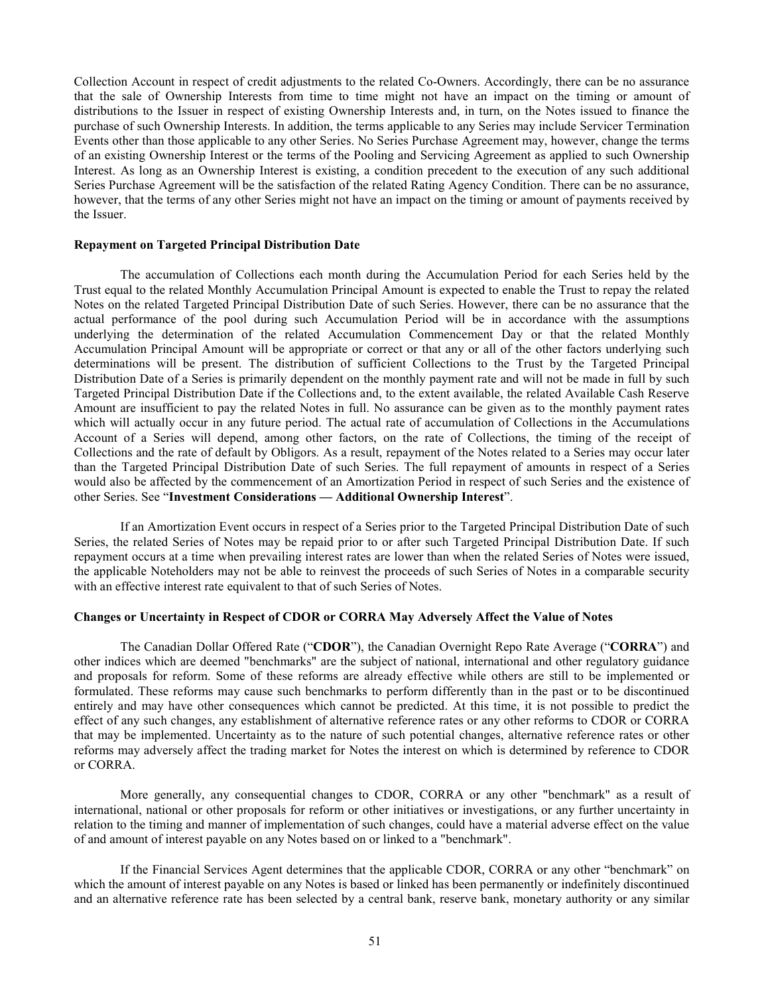Collection Account in respect of credit adjustments to the related Co-Owners. Accordingly, there can be no assurance that the sale of Ownership Interests from time to time might not have an impact on the timing or amount of distributions to the Issuer in respect of existing Ownership Interests and, in turn, on the Notes issued to finance the purchase of such Ownership Interests. In addition, the terms applicable to any Series may include Servicer Termination Events other than those applicable to any other Series. No Series Purchase Agreement may, however, change the terms of an existing Ownership Interest or the terms of the Pooling and Servicing Agreement as applied to such Ownership Interest. As long as an Ownership Interest is existing, a condition precedent to the execution of any such additional Series Purchase Agreement will be the satisfaction of the related Rating Agency Condition. There can be no assurance, however, that the terms of any other Series might not have an impact on the timing or amount of payments received by the Issuer.

### **Repayment on Targeted Principal Distribution Date**

The accumulation of Collections each month during the Accumulation Period for each Series held by the Trust equal to the related Monthly Accumulation Principal Amount is expected to enable the Trust to repay the related Notes on the related Targeted Principal Distribution Date of such Series. However, there can be no assurance that the actual performance of the pool during such Accumulation Period will be in accordance with the assumptions underlying the determination of the related Accumulation Commencement Day or that the related Monthly Accumulation Principal Amount will be appropriate or correct or that any or all of the other factors underlying such determinations will be present. The distribution of sufficient Collections to the Trust by the Targeted Principal Distribution Date of a Series is primarily dependent on the monthly payment rate and will not be made in full by such Targeted Principal Distribution Date if the Collections and, to the extent available, the related Available Cash Reserve Amount are insufficient to pay the related Notes in full. No assurance can be given as to the monthly payment rates which will actually occur in any future period. The actual rate of accumulation of Collections in the Accumulations Account of a Series will depend, among other factors, on the rate of Collections, the timing of the receipt of Collections and the rate of default by Obligors. As a result, repayment of the Notes related to a Series may occur later than the Targeted Principal Distribution Date of such Series. The full repayment of amounts in respect of a Series would also be affected by the commencement of an Amortization Period in respect of such Series and the existence of other Series. See "**Investment Considerations — Additional Ownership Interest**".

If an Amortization Event occurs in respect of a Series prior to the Targeted Principal Distribution Date of such Series, the related Series of Notes may be repaid prior to or after such Targeted Principal Distribution Date. If such repayment occurs at a time when prevailing interest rates are lower than when the related Series of Notes were issued, the applicable Noteholders may not be able to reinvest the proceeds of such Series of Notes in a comparable security with an effective interest rate equivalent to that of such Series of Notes.

#### **Changes or Uncertainty in Respect of CDOR or CORRA May Adversely Affect the Value of Notes**

<span id="page-54-1"></span><span id="page-54-0"></span>The Canadian Dollar Offered Rate ("**CDOR**"), the Canadian Overnight Repo Rate Average ("**CORRA**") and other indices which are deemed "benchmarks" are the subject of national, international and other regulatory guidance and proposals for reform. Some of these reforms are already effective while others are still to be implemented or formulated. These reforms may cause such benchmarks to perform differently than in the past or to be discontinued entirely and may have other consequences which cannot be predicted. At this time, it is not possible to predict the effect of any such changes, any establishment of alternative reference rates or any other reforms to CDOR or CORRA that may be implemented. Uncertainty as to the nature of such potential changes, alternative reference rates or other reforms may adversely affect the trading market for Notes the interest on which is determined by reference to CDOR or CORRA.

More generally, any consequential changes to CDOR, CORRA or any other "benchmark" as a result of international, national or other proposals for reform or other initiatives or investigations, or any further uncertainty in relation to the timing and manner of implementation of such changes, could have a material adverse effect on the value of and amount of interest payable on any Notes based on or linked to a "benchmark".

If the Financial Services Agent determines that the applicable CDOR, CORRA or any other "benchmark" on which the amount of interest payable on any Notes is based or linked has been permanently or indefinitely discontinued and an alternative reference rate has been selected by a central bank, reserve bank, monetary authority or any similar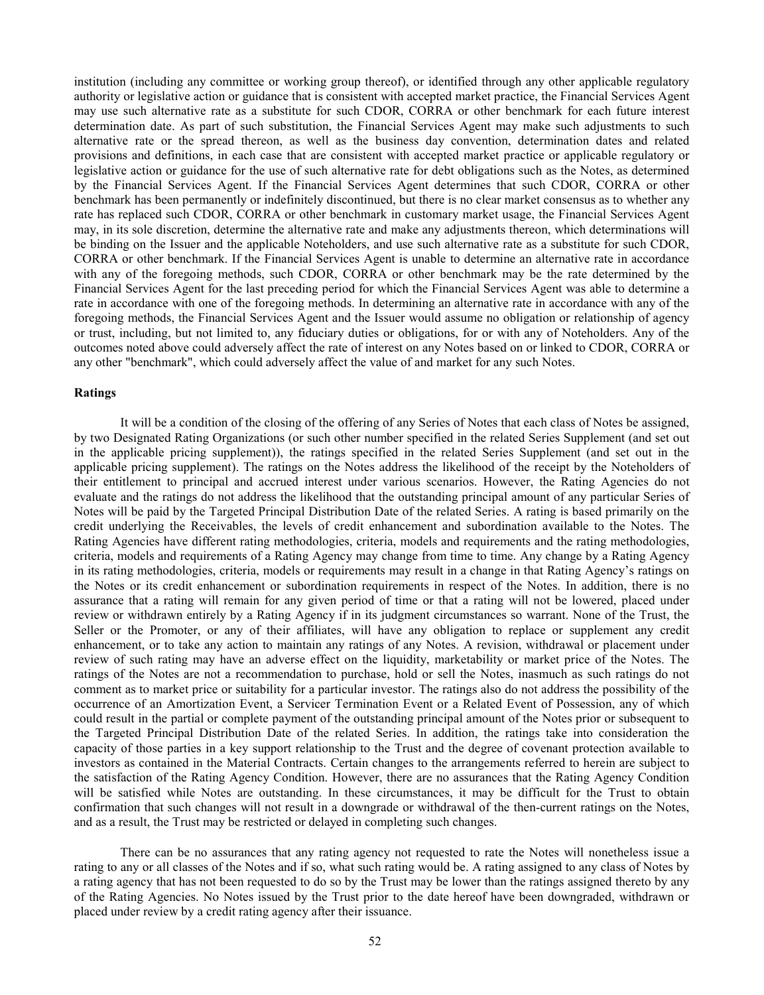institution (including any committee or working group thereof), or identified through any other applicable regulatory authority or legislative action or guidance that is consistent with accepted market practice, the Financial Services Agent may use such alternative rate as a substitute for such CDOR, CORRA or other benchmark for each future interest determination date. As part of such substitution, the Financial Services Agent may make such adjustments to such alternative rate or the spread thereon, as well as the business day convention, determination dates and related provisions and definitions, in each case that are consistent with accepted market practice or applicable regulatory or legislative action or guidance for the use of such alternative rate for debt obligations such as the Notes, as determined by the Financial Services Agent. If the Financial Services Agent determines that such CDOR, CORRA or other benchmark has been permanently or indefinitely discontinued, but there is no clear market consensus as to whether any rate has replaced such CDOR, CORRA or other benchmark in customary market usage, the Financial Services Agent may, in its sole discretion, determine the alternative rate and make any adjustments thereon, which determinations will be binding on the Issuer and the applicable Noteholders, and use such alternative rate as a substitute for such CDOR, CORRA or other benchmark. If the Financial Services Agent is unable to determine an alternative rate in accordance with any of the foregoing methods, such CDOR, CORRA or other benchmark may be the rate determined by the Financial Services Agent for the last preceding period for which the Financial Services Agent was able to determine a rate in accordance with one of the foregoing methods. In determining an alternative rate in accordance with any of the foregoing methods, the Financial Services Agent and the Issuer would assume no obligation or relationship of agency or trust, including, but not limited to, any fiduciary duties or obligations, for or with any of Noteholders. Any of the outcomes noted above could adversely affect the rate of interest on any Notes based on or linked to CDOR, CORRA or any other "benchmark", which could adversely affect the value of and market for any such Notes.

# **Ratings**

It will be a condition of the closing of the offering of any Series of Notes that each class of Notes be assigned, by two Designated Rating Organizations (or such other number specified in the related Series Supplement (and set out in the applicable pricing supplement)), the ratings specified in the related Series Supplement (and set out in the applicable pricing supplement). The ratings on the Notes address the likelihood of the receipt by the Noteholders of their entitlement to principal and accrued interest under various scenarios. However, the Rating Agencies do not evaluate and the ratings do not address the likelihood that the outstanding principal amount of any particular Series of Notes will be paid by the Targeted Principal Distribution Date of the related Series. A rating is based primarily on the credit underlying the Receivables, the levels of credit enhancement and subordination available to the Notes. The Rating Agencies have different rating methodologies, criteria, models and requirements and the rating methodologies, criteria, models and requirements of a Rating Agency may change from time to time. Any change by a Rating Agency in its rating methodologies, criteria, models or requirements may result in a change in that Rating Agency's ratings on the Notes or its credit enhancement or subordination requirements in respect of the Notes. In addition, there is no assurance that a rating will remain for any given period of time or that a rating will not be lowered, placed under review or withdrawn entirely by a Rating Agency if in its judgment circumstances so warrant. None of the Trust, the Seller or the Promoter, or any of their affiliates, will have any obligation to replace or supplement any credit enhancement, or to take any action to maintain any ratings of any Notes. A revision, withdrawal or placement under review of such rating may have an adverse effect on the liquidity, marketability or market price of the Notes. The ratings of the Notes are not a recommendation to purchase, hold or sell the Notes, inasmuch as such ratings do not comment as to market price or suitability for a particular investor. The ratings also do not address the possibility of the occurrence of an Amortization Event, a Servicer Termination Event or a Related Event of Possession, any of which could result in the partial or complete payment of the outstanding principal amount of the Notes prior or subsequent to the Targeted Principal Distribution Date of the related Series. In addition, the ratings take into consideration the capacity of those parties in a key support relationship to the Trust and the degree of covenant protection available to investors as contained in the Material Contracts. Certain changes to the arrangements referred to herein are subject to the satisfaction of the Rating Agency Condition. However, there are no assurances that the Rating Agency Condition will be satisfied while Notes are outstanding. In these circumstances, it may be difficult for the Trust to obtain confirmation that such changes will not result in a downgrade or withdrawal of the then-current ratings on the Notes, and as a result, the Trust may be restricted or delayed in completing such changes.

There can be no assurances that any rating agency not requested to rate the Notes will nonetheless issue a rating to any or all classes of the Notes and if so, what such rating would be. A rating assigned to any class of Notes by a rating agency that has not been requested to do so by the Trust may be lower than the ratings assigned thereto by any of the Rating Agencies. No Notes issued by the Trust prior to the date hereof have been downgraded, withdrawn or placed under review by a credit rating agency after their issuance.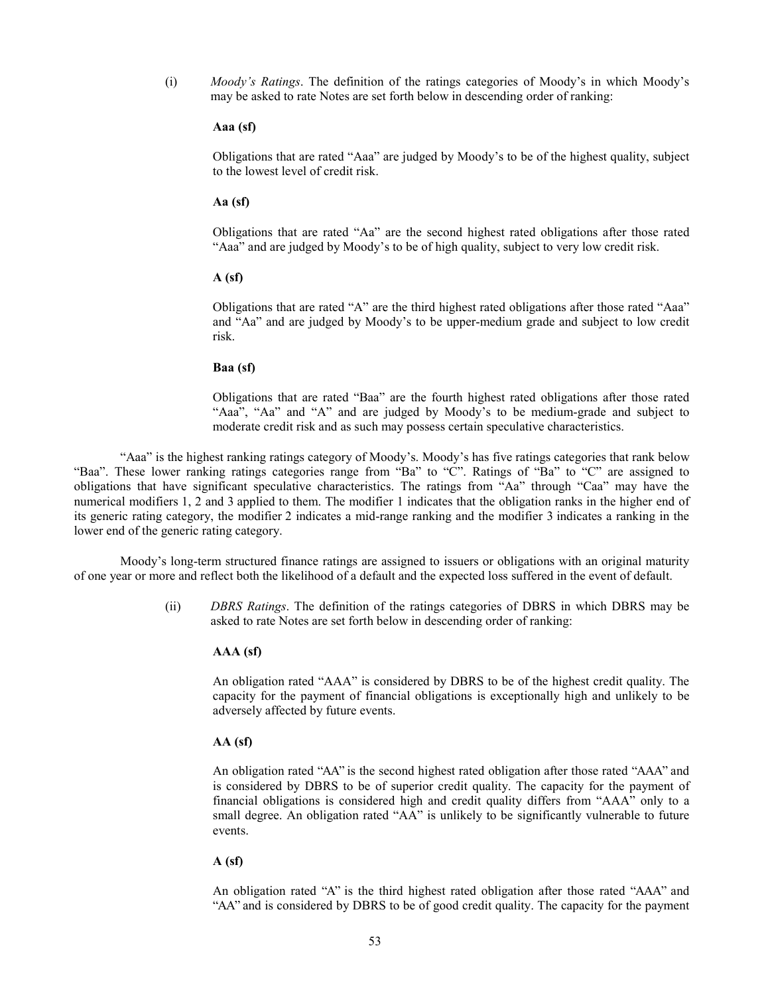(i) *Moody's Ratings*. The definition of the ratings categories of Moody's in which Moody's may be asked to rate Notes are set forth below in descending order of ranking:

### **Aaa (sf)**

Obligations that are rated "Aaa" are judged by Moody's to be of the highest quality, subject to the lowest level of credit risk.

### **Aa (sf)**

Obligations that are rated "Aa" are the second highest rated obligations after those rated "Aaa" and are judged by Moody's to be of high quality, subject to very low credit risk.

## **A (sf)**

Obligations that are rated "A" are the third highest rated obligations after those rated "Aaa" and "Aa" and are judged by Moody's to be upper-medium grade and subject to low credit risk.

#### **Baa (sf)**

Obligations that are rated "Baa" are the fourth highest rated obligations after those rated "Aaa", "Aa" and "A" and are judged by Moody's to be medium-grade and subject to moderate credit risk and as such may possess certain speculative characteristics.

"Aaa" is the highest ranking ratings category of Moody's. Moody's has five ratings categories that rank below "Baa". These lower ranking ratings categories range from "Ba" to "C". Ratings of "Ba" to "C" are assigned to obligations that have significant speculative characteristics. The ratings from "Aa" through "Caa" may have the numerical modifiers 1, 2 and 3 applied to them. The modifier 1 indicates that the obligation ranks in the higher end of its generic rating category, the modifier 2 indicates a mid-range ranking and the modifier 3 indicates a ranking in the lower end of the generic rating category.

Moody's long-term structured finance ratings are assigned to issuers or obligations with an original maturity of one year or more and reflect both the likelihood of a default and the expected loss suffered in the event of default.

> (ii) *DBRS Ratings*. The definition of the ratings categories of DBRS in which DBRS may be asked to rate Notes are set forth below in descending order of ranking:

### **AAA (sf)**

An obligation rated "AAA" is considered by DBRS to be of the highest credit quality. The capacity for the payment of financial obligations is exceptionally high and unlikely to be adversely affected by future events.

# **AA (sf)**

An obligation rated "AA" is the second highest rated obligation after those rated "AAA" and is considered by DBRS to be of superior credit quality. The capacity for the payment of financial obligations is considered high and credit quality differs from "AAA" only to a small degree. An obligation rated "AA" is unlikely to be significantly vulnerable to future events.

# **A (sf)**

An obligation rated "A" is the third highest rated obligation after those rated "AAA" and "AA" and is considered by DBRS to be of good credit quality. The capacity for the payment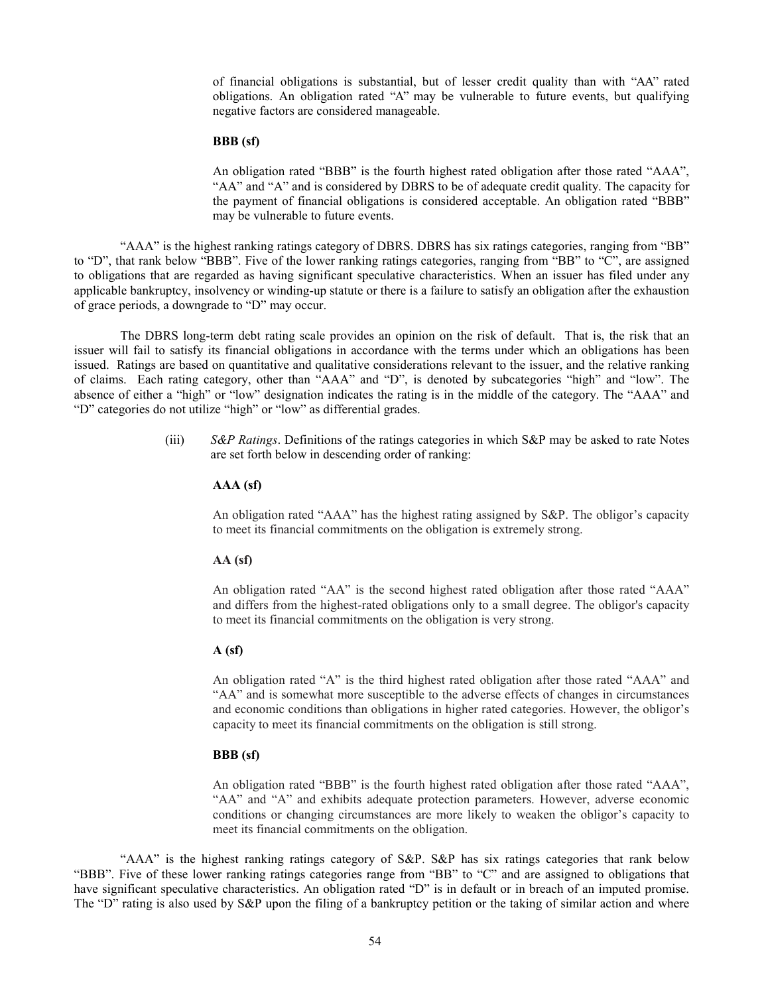of financial obligations is substantial, but of lesser credit quality than with "AA" rated obligations. An obligation rated "A" may be vulnerable to future events, but qualifying negative factors are considered manageable.

#### **BBB (sf)**

An obligation rated "BBB" is the fourth highest rated obligation after those rated "AAA", "AA" and "A" and is considered by DBRS to be of adequate credit quality. The capacity for the payment of financial obligations is considered acceptable. An obligation rated "BBB" may be vulnerable to future events.

"AAA" is the highest ranking ratings category of DBRS. DBRS has six ratings categories, ranging from "BB" to "D", that rank below "BBB". Five of the lower ranking ratings categories, ranging from "BB" to "C", are assigned to obligations that are regarded as having significant speculative characteristics. When an issuer has filed under any applicable bankruptcy, insolvency or winding-up statute or there is a failure to satisfy an obligation after the exhaustion of grace periods, a downgrade to "D" may occur.

The DBRS long-term debt rating scale provides an opinion on the risk of default. That is, the risk that an issuer will fail to satisfy its financial obligations in accordance with the terms under which an obligations has been issued. Ratings are based on quantitative and qualitative considerations relevant to the issuer, and the relative ranking of claims. Each rating category, other than "AAA" and "D", is denoted by subcategories "high" and "low". The absence of either a "high" or "low" designation indicates the rating is in the middle of the category. The "AAA" and "D" categories do not utilize "high" or "low" as differential grades.

> (iii) *S&P Ratings*. Definitions of the ratings categories in which S&P may be asked to rate Notes are set forth below in descending order of ranking:

## **AAA (sf)**

An obligation rated "AAA" has the highest rating assigned by S&P. The obligor's capacity to meet its financial commitments on the obligation is extremely strong.

#### **AA (sf)**

An obligation rated "AA" is the second highest rated obligation after those rated "AAA" and differs from the highest-rated obligations only to a small degree. The obligor's capacity to meet its financial commitments on the obligation is very strong.

# **A (sf)**

An obligation rated "A" is the third highest rated obligation after those rated "AAA" and "AA" and is somewhat more susceptible to the adverse effects of changes in circumstances and economic conditions than obligations in higher rated categories. However, the obligor's capacity to meet its financial commitments on the obligation is still strong.

# **BBB (sf)**

An obligation rated "BBB" is the fourth highest rated obligation after those rated "AAA", "AA" and "A" and exhibits adequate protection parameters. However, adverse economic conditions or changing circumstances are more likely to weaken the obligor's capacity to meet its financial commitments on the obligation.

"AAA" is the highest ranking ratings category of S&P. S&P has six ratings categories that rank below "BBB". Five of these lower ranking ratings categories range from "BB" to "C" and are assigned to obligations that have significant speculative characteristics. An obligation rated "D" is in default or in breach of an imputed promise. The "D" rating is also used by S&P upon the filing of a bankruptcy petition or the taking of similar action and where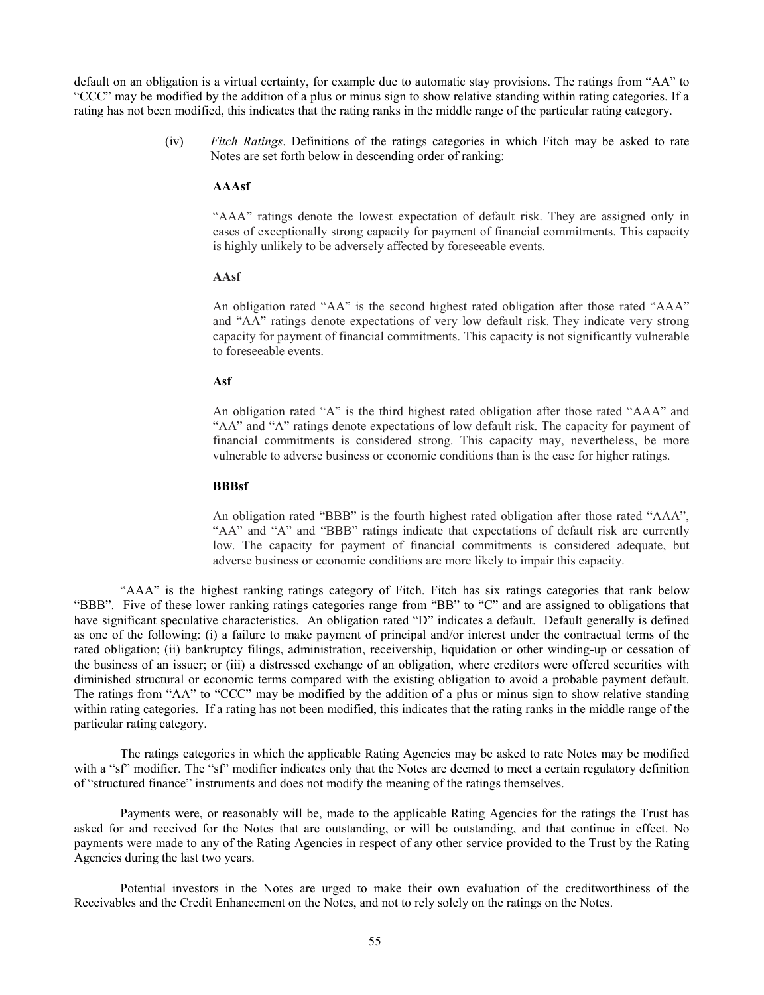default on an obligation is a virtual certainty, for example due to automatic stay provisions. The ratings from "AA" to "CCC" may be modified by the addition of a plus or minus sign to show relative standing within rating categories. If a rating has not been modified, this indicates that the rating ranks in the middle range of the particular rating category.

> (iv) *Fitch Ratings*. Definitions of the ratings categories in which Fitch may be asked to rate Notes are set forth below in descending order of ranking:

## **AAAsf**

"AAA" ratings denote the lowest expectation of default risk. They are assigned only in cases of exceptionally strong capacity for payment of financial commitments. This capacity is highly unlikely to be adversely affected by foreseeable events.

## **AAsf**

An obligation rated "AA" is the second highest rated obligation after those rated "AAA" and "AA" ratings denote expectations of very low default risk. They indicate very strong capacity for payment of financial commitments. This capacity is not significantly vulnerable to foreseeable events.

## **Asf**

An obligation rated "A" is the third highest rated obligation after those rated "AAA" and "AA" and "A" ratings denote expectations of low default risk. The capacity for payment of financial commitments is considered strong. This capacity may, nevertheless, be more vulnerable to adverse business or economic conditions than is the case for higher ratings.

# **BBBsf**

An obligation rated "BBB" is the fourth highest rated obligation after those rated "AAA", "AA" and "A" and "BBB" ratings indicate that expectations of default risk are currently low. The capacity for payment of financial commitments is considered adequate, but adverse business or economic conditions are more likely to impair this capacity.

"AAA" is the highest ranking ratings category of Fitch. Fitch has six ratings categories that rank below "BBB". Five of these lower ranking ratings categories range from "BB" to "C" and are assigned to obligations that have significant speculative characteristics. An obligation rated "D" indicates a default. Default generally is defined as one of the following: (i) a failure to make payment of principal and/or interest under the contractual terms of the rated obligation; (ii) bankruptcy filings, administration, receivership, liquidation or other winding-up or cessation of the business of an issuer; or (iii) a distressed exchange of an obligation, where creditors were offered securities with diminished structural or economic terms compared with the existing obligation to avoid a probable payment default. The ratings from "AA" to "CCC" may be modified by the addition of a plus or minus sign to show relative standing within rating categories. If a rating has not been modified, this indicates that the rating ranks in the middle range of the particular rating category.

The ratings categories in which the applicable Rating Agencies may be asked to rate Notes may be modified with a "sf" modifier. The "sf" modifier indicates only that the Notes are deemed to meet a certain regulatory definition of "structured finance" instruments and does not modify the meaning of the ratings themselves.

Payments were, or reasonably will be, made to the applicable Rating Agencies for the ratings the Trust has asked for and received for the Notes that are outstanding, or will be outstanding, and that continue in effect. No payments were made to any of the Rating Agencies in respect of any other service provided to the Trust by the Rating Agencies during the last two years.

Potential investors in the Notes are urged to make their own evaluation of the creditworthiness of the Receivables and the Credit Enhancement on the Notes, and not to rely solely on the ratings on the Notes.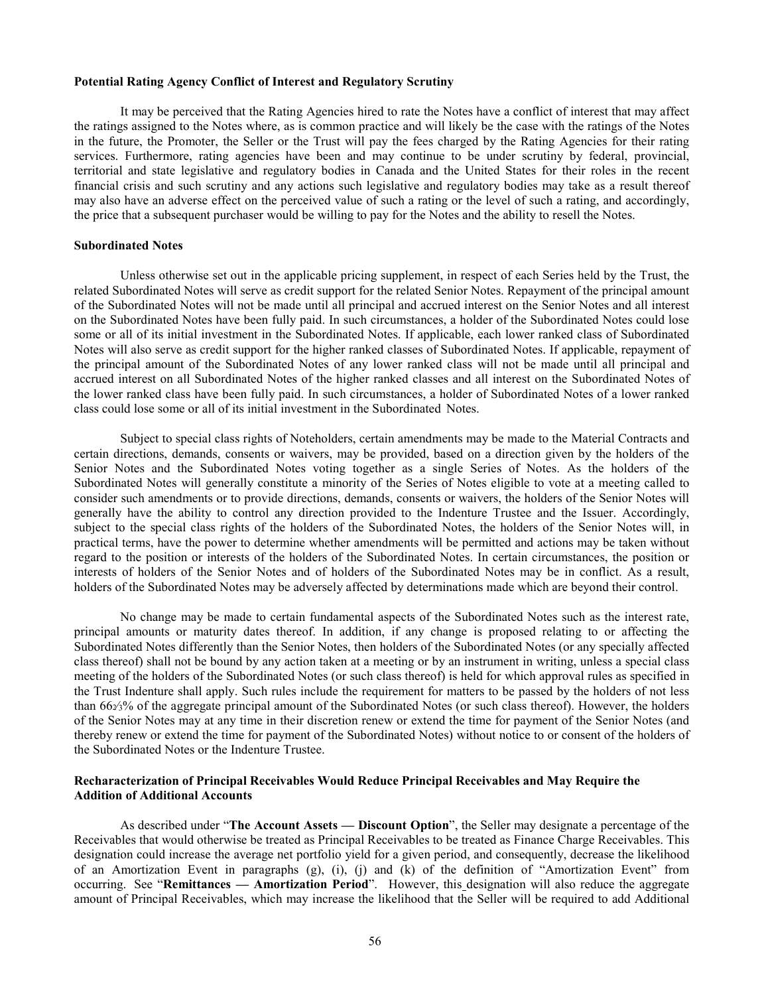#### **Potential Rating Agency Conflict of Interest and Regulatory Scrutiny**

It may be perceived that the Rating Agencies hired to rate the Notes have a conflict of interest that may affect the ratings assigned to the Notes where, as is common practice and will likely be the case with the ratings of the Notes in the future, the Promoter, the Seller or the Trust will pay the fees charged by the Rating Agencies for their rating services. Furthermore, rating agencies have been and may continue to be under scrutiny by federal, provincial, territorial and state legislative and regulatory bodies in Canada and the United States for their roles in the recent financial crisis and such scrutiny and any actions such legislative and regulatory bodies may take as a result thereof may also have an adverse effect on the perceived value of such a rating or the level of such a rating, and accordingly, the price that a subsequent purchaser would be willing to pay for the Notes and the ability to resell the Notes.

## **Subordinated Notes**

Unless otherwise set out in the applicable pricing supplement, in respect of each Series held by the Trust, the related Subordinated Notes will serve as credit support for the related Senior Notes. Repayment of the principal amount of the Subordinated Notes will not be made until all principal and accrued interest on the Senior Notes and all interest on the Subordinated Notes have been fully paid. In such circumstances, a holder of the Subordinated Notes could lose some or all of its initial investment in the Subordinated Notes. If applicable, each lower ranked class of Subordinated Notes will also serve as credit support for the higher ranked classes of Subordinated Notes. If applicable, repayment of the principal amount of the Subordinated Notes of any lower ranked class will not be made until all principal and accrued interest on all Subordinated Notes of the higher ranked classes and all interest on the Subordinated Notes of the lower ranked class have been fully paid. In such circumstances, a holder of Subordinated Notes of a lower ranked class could lose some or all of its initial investment in the Subordinated Notes.

Subject to special class rights of Noteholders, certain amendments may be made to the Material Contracts and certain directions, demands, consents or waivers, may be provided, based on a direction given by the holders of the Senior Notes and the Subordinated Notes voting together as a single Series of Notes. As the holders of the Subordinated Notes will generally constitute a minority of the Series of Notes eligible to vote at a meeting called to consider such amendments or to provide directions, demands, consents or waivers, the holders of the Senior Notes will generally have the ability to control any direction provided to the Indenture Trustee and the Issuer. Accordingly, subject to the special class rights of the holders of the Subordinated Notes, the holders of the Senior Notes will, in practical terms, have the power to determine whether amendments will be permitted and actions may be taken without regard to the position or interests of the holders of the Subordinated Notes. In certain circumstances, the position or interests of holders of the Senior Notes and of holders of the Subordinated Notes may be in conflict. As a result, holders of the Subordinated Notes may be adversely affected by determinations made which are beyond their control.

No change may be made to certain fundamental aspects of the Subordinated Notes such as the interest rate, principal amounts or maturity dates thereof. In addition, if any change is proposed relating to or affecting the Subordinated Notes differently than the Senior Notes, then holders of the Subordinated Notes (or any specially affected class thereof) shall not be bound by any action taken at a meeting or by an instrument in writing, unless a special class meeting of the holders of the Subordinated Notes (or such class thereof) is held for which approval rules as specified in the Trust Indenture shall apply. Such rules include the requirement for matters to be passed by the holders of not less than 662⁄3% of the aggregate principal amount of the Subordinated Notes (or such class thereof). However, the holders of the Senior Notes may at any time in their discretion renew or extend the time for payment of the Senior Notes (and thereby renew or extend the time for payment of the Subordinated Notes) without notice to or consent of the holders of the Subordinated Notes or the Indenture Trustee.

# **Recharacterization of Principal Receivables Would Reduce Principal Receivables and May Require the Addition of Additional Accounts**

As described under "**The Account Assets — Discount Option**", the Seller may designate a percentage of the Receivables that would otherwise be treated as Principal Receivables to be treated as Finance Charge Receivables. This designation could increase the average net portfolio yield for a given period, and consequently, decrease the likelihood of an Amortization Event in paragraphs (g), (i), (j) and (k) of the definition of "Amortization Event" from occurring. See "**Remittances — Amortization Period**". However, this designation will also reduce the aggregate amount of Principal Receivables, which may increase the likelihood that the Seller will be required to add Additional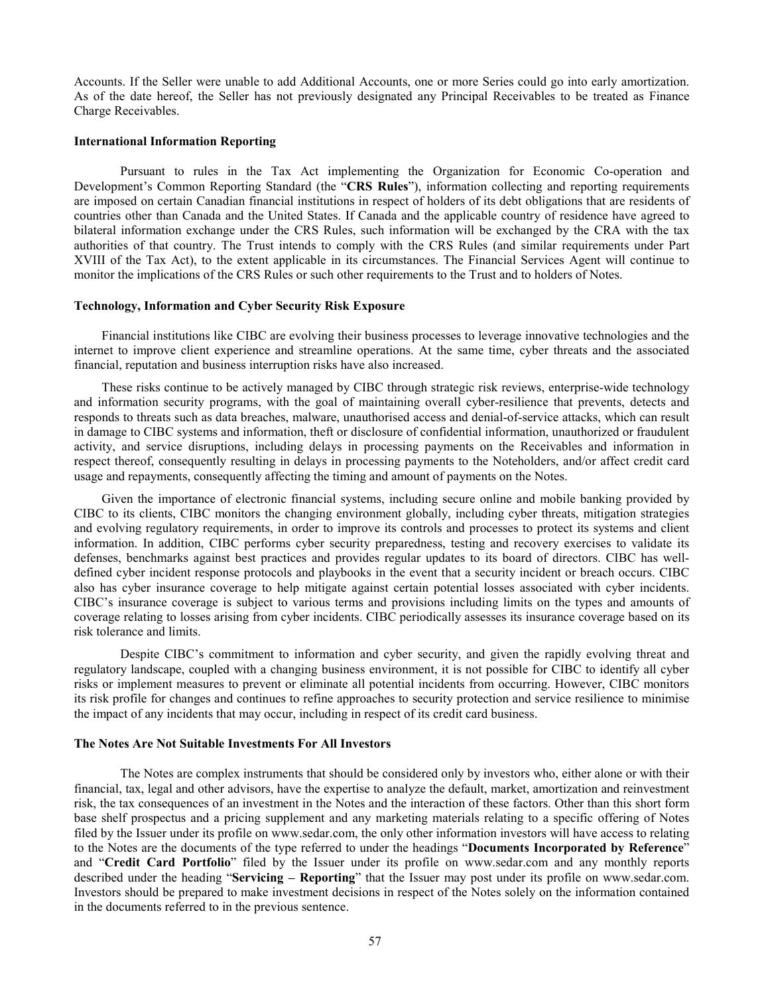Accounts. If the Seller were unable to add Additional Accounts, one or more Series could go into early amortization. As of the date hereof, the Seller has not previously designated any Principal Receivables to be treated as Finance Charge Receivables.

### **International Information Reporting**

<span id="page-60-0"></span>Pursuant to rules in the Tax Act implementing the Organization for Economic Co-operation and Development's Common Reporting Standard (the "**CRS Rules**"), information collecting and reporting requirements are imposed on certain Canadian financial institutions in respect of holders of its debt obligations that are residents of countries other than Canada and the United States. If Canada and the applicable country of residence have agreed to bilateral information exchange under the CRS Rules, such information will be exchanged by the CRA with the tax authorities of that country. The Trust intends to comply with the CRS Rules (and similar requirements under Part XVIII of the Tax Act), to the extent applicable in its circumstances. The Financial Services Agent will continue to monitor the implications of the CRS Rules or such other requirements to the Trust and to holders of Notes.

#### **Technology, Information and Cyber Security Risk Exposure**

Financial institutions like CIBC are evolving their business processes to leverage innovative technologies and the internet to improve client experience and streamline operations. At the same time, cyber threats and the associated financial, reputation and business interruption risks have also increased.

These risks continue to be actively managed by CIBC through strategic risk reviews, enterprise-wide technology and information security programs, with the goal of maintaining overall cyber-resilience that prevents, detects and responds to threats such as data breaches, malware, unauthorised access and denial-of-service attacks, which can result in damage to CIBC systems and information, theft or disclosure of confidential information, unauthorized or fraudulent activity, and service disruptions, including delays in processing payments on the Receivables and information in respect thereof, consequently resulting in delays in processing payments to the Noteholders, and/or affect credit card usage and repayments, consequently affecting the timing and amount of payments on the Notes.

Given the importance of electronic financial systems, including secure online and mobile banking provided by CIBC to its clients, CIBC monitors the changing environment globally, including cyber threats, mitigation strategies and evolving regulatory requirements, in order to improve its controls and processes to protect its systems and client information. In addition, CIBC performs cyber security preparedness, testing and recovery exercises to validate its defenses, benchmarks against best practices and provides regular updates to its board of directors. CIBC has welldefined cyber incident response protocols and playbooks in the event that a security incident or breach occurs. CIBC also has cyber insurance coverage to help mitigate against certain potential losses associated with cyber incidents. CIBC's insurance coverage is subject to various terms and provisions including limits on the types and amounts of coverage relating to losses arising from cyber incidents. CIBC periodically assesses its insurance coverage based on its risk tolerance and limits.

Despite CIBC's commitment to information and cyber security, and given the rapidly evolving threat and regulatory landscape, coupled with a changing business environment, it is not possible for CIBC to identify all cyber risks or implement measures to prevent or eliminate all potential incidents from occurring. However, CIBC monitors its risk profile for changes and continues to refine approaches to security protection and service resilience to minimise the impact of any incidents that may occur, including in respect of its credit card business.

## **The Notes Are Not Suitable Investments For All Investors**

The Notes are complex instruments that should be considered only by investors who, either alone or with their financial, tax, legal and other advisors, have the expertise to analyze the default, market, amortization and reinvestment risk, the tax consequences of an investment in the Notes and the interaction of these factors. Other than this short form base shelf prospectus and a pricing supplement and any marketing materials relating to a specific offering of Notes filed by the Issuer under its profile on [www.sedar.com,](http://www.sedar.com/) the only other information investors will have access to relating to the Notes are the documents of the type referred to under the headings "**Documents Incorporated by Reference**" and "**Credit Card Portfolio**" filed by the Issuer under its profile on [www.sedar.com](http://www.sedar.com/) and any monthly reports described under the heading "**Servicing – Reporting**" that the Issuer may post under its profile on [www.sedar.com.](http://www.sedar.com/) Investors should be prepared to make investment decisions in respect of the Notes solely on the information contained in the documents referred to in the previous sentence.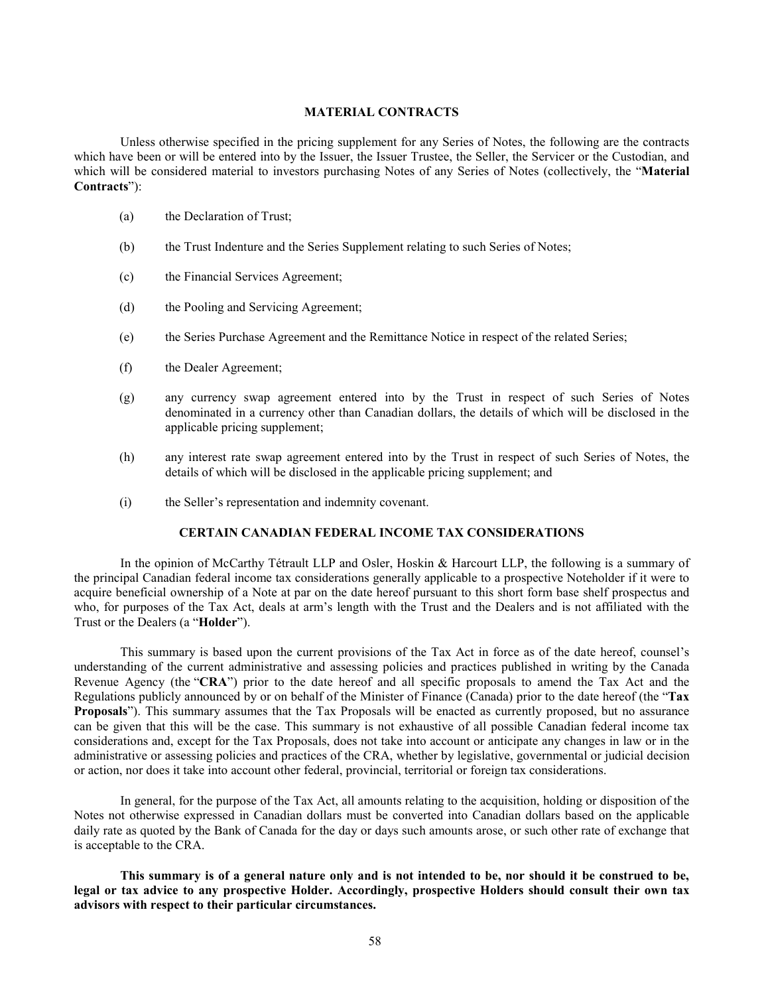# **MATERIAL CONTRACTS**

Unless otherwise specified in the pricing supplement for any Series of Notes, the following are the contracts which have been or will be entered into by the Issuer, the Issuer Trustee, the Seller, the Servicer or the Custodian, and which will be considered material to investors purchasing Notes of any Series of Notes (collectively, the "**Material Contracts**"):

- (a) the Declaration of Trust;
- (b) the Trust Indenture and the Series Supplement relating to such Series of Notes;
- (c) the Financial Services Agreement;
- (d) the Pooling and Servicing Agreement;
- (e) the Series Purchase Agreement and the Remittance Notice in respect of the related Series;
- (f) the Dealer Agreement;
- (g) any currency swap agreement entered into by the Trust in respect of such Series of Notes denominated in a currency other than Canadian dollars, the details of which will be disclosed in the applicable pricing supplement;
- (h) any interest rate swap agreement entered into by the Trust in respect of such Series of Notes, the details of which will be disclosed in the applicable pricing supplement; and
- (i) the Seller's representation and indemnity covenant.

# **CERTAIN CANADIAN FEDERAL INCOME TAX CONSIDERATIONS**

In the opinion of McCarthy Tétrault LLP and Osler, Hoskin & Harcourt LLP, the following is a summary of the principal Canadian federal income tax considerations generally applicable to a prospective Noteholder if it were to acquire beneficial ownership of a Note at par on the date hereof pursuant to this short form base shelf prospectus and who, for purposes of the Tax Act, deals at arm's length with the Trust and the Dealers and is not affiliated with the Trust or the Dealers (a "**Holder**").

<span id="page-61-0"></span>This summary is based upon the current provisions of the Tax Act in force as of the date hereof, counsel's understanding of the current administrative and assessing policies and practices published in writing by the Canada Revenue Agency (the "**CRA**") prior to the date hereof and all specific proposals to amend the Tax Act and the Regulations publicly announced by or on behalf of the Minister of Finance (Canada) prior to the date hereof (the "**Tax Proposals**"). This summary assumes that the Tax Proposals will be enacted as currently proposed, but no assurance can be given that this will be the case. This summary is not exhaustive of all possible Canadian federal income tax considerations and, except for the Tax Proposals, does not take into account or anticipate any changes in law or in the administrative or assessing policies and practices of the CRA, whether by legislative, governmental or judicial decision or action, nor does it take into account other federal, provincial, territorial or foreign tax considerations.

In general, for the purpose of the Tax Act, all amounts relating to the acquisition, holding or disposition of the Notes not otherwise expressed in Canadian dollars must be converted into Canadian dollars based on the applicable daily rate as quoted by the Bank of Canada for the day or days such amounts arose, or such other rate of exchange that is acceptable to the CRA.

**This summary is of a general nature only and is not intended to be, nor should it be construed to be, legal or tax advice to any prospective Holder. Accordingly, prospective Holders should consult their own tax advisors with respect to their particular circumstances.**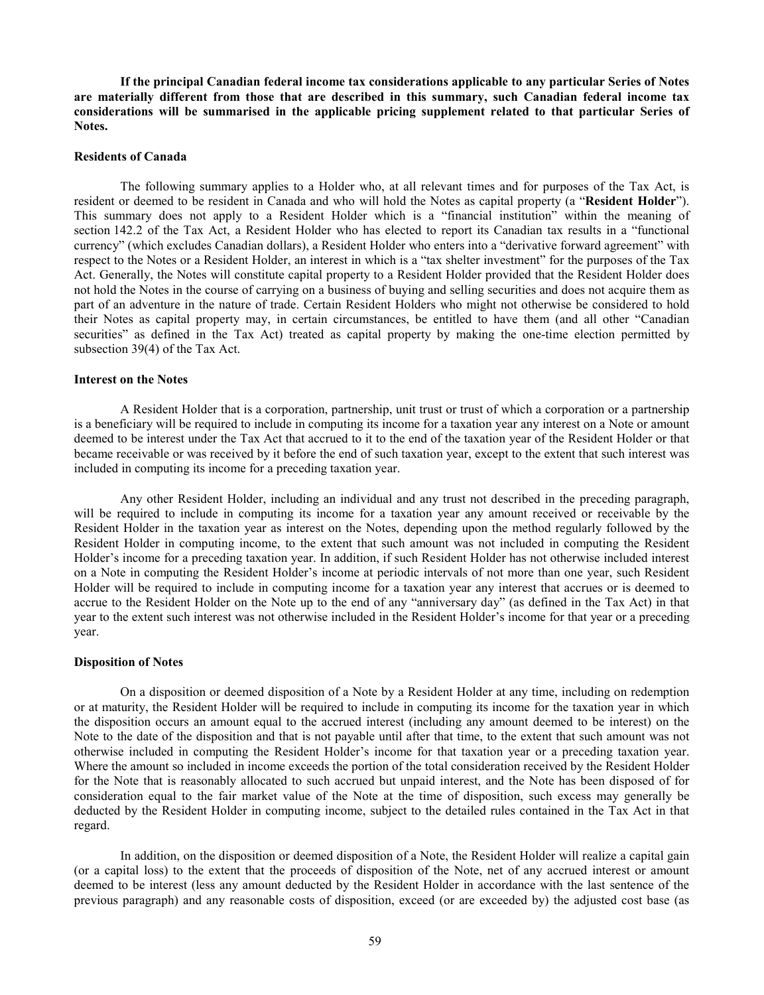**If the principal Canadian federal income tax considerations applicable to any particular Series of Notes are materially different from those that are described in this summary, such Canadian federal income tax considerations will be summarised in the applicable pricing supplement related to that particular Series of Notes.**

# **Residents of Canada**

The following summary applies to a Holder who, at all relevant times and for purposes of the Tax Act, is resident or deemed to be resident in Canada and who will hold the Notes as capital property (a "**Resident Holder**"). This summary does not apply to a Resident Holder which is a "financial institution" within the meaning of section 142.2 of the Tax Act, a Resident Holder who has elected to report its Canadian tax results in a "functional currency" (which excludes Canadian dollars), a Resident Holder who enters into a "derivative forward agreement" with respect to the Notes or a Resident Holder, an interest in which is a "tax shelter investment" for the purposes of the Tax Act. Generally, the Notes will constitute capital property to a Resident Holder provided that the Resident Holder does not hold the Notes in the course of carrying on a business of buying and selling securities and does not acquire them as part of an adventure in the nature of trade. Certain Resident Holders who might not otherwise be considered to hold their Notes as capital property may, in certain circumstances, be entitled to have them (and all other "Canadian securities" as defined in the Tax Act) treated as capital property by making the one-time election permitted by subsection 39(4) of the Tax Act.

# **Interest on the Notes**

A Resident Holder that is a corporation, partnership, unit trust or trust of which a corporation or a partnership is a beneficiary will be required to include in computing its income for a taxation year any interest on a Note or amount deemed to be interest under the Tax Act that accrued to it to the end of the taxation year of the Resident Holder or that became receivable or was received by it before the end of such taxation year, except to the extent that such interest was included in computing its income for a preceding taxation year.

Any other Resident Holder, including an individual and any trust not described in the preceding paragraph, will be required to include in computing its income for a taxation year any amount received or receivable by the Resident Holder in the taxation year as interest on the Notes, depending upon the method regularly followed by the Resident Holder in computing income, to the extent that such amount was not included in computing the Resident Holder's income for a preceding taxation year. In addition, if such Resident Holder has not otherwise included interest on a Note in computing the Resident Holder's income at periodic intervals of not more than one year, such Resident Holder will be required to include in computing income for a taxation year any interest that accrues or is deemed to accrue to the Resident Holder on the Note up to the end of any "anniversary day" (as defined in the Tax Act) in that year to the extent such interest was not otherwise included in the Resident Holder's income for that year or a preceding year.

#### **Disposition of Notes**

On a disposition or deemed disposition of a Note by a Resident Holder at any time, including on redemption or at maturity, the Resident Holder will be required to include in computing its income for the taxation year in which the disposition occurs an amount equal to the accrued interest (including any amount deemed to be interest) on the Note to the date of the disposition and that is not payable until after that time, to the extent that such amount was not otherwise included in computing the Resident Holder's income for that taxation year or a preceding taxation year. Where the amount so included in income exceeds the portion of the total consideration received by the Resident Holder for the Note that is reasonably allocated to such accrued but unpaid interest, and the Note has been disposed of for consideration equal to the fair market value of the Note at the time of disposition, such excess may generally be deducted by the Resident Holder in computing income, subject to the detailed rules contained in the Tax Act in that regard.

In addition, on the disposition or deemed disposition of a Note, the Resident Holder will realize a capital gain (or a capital loss) to the extent that the proceeds of disposition of the Note, net of any accrued interest or amount deemed to be interest (less any amount deducted by the Resident Holder in accordance with the last sentence of the previous paragraph) and any reasonable costs of disposition, exceed (or are exceeded by) the adjusted cost base (as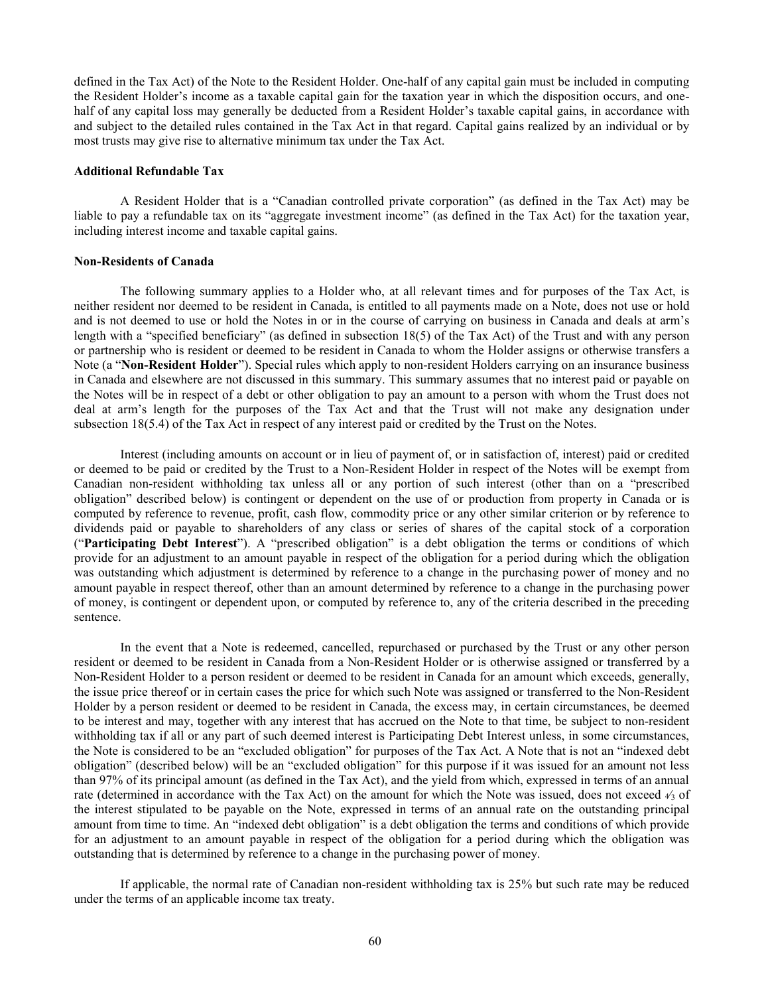defined in the Tax Act) of the Note to the Resident Holder. One-half of any capital gain must be included in computing the Resident Holder's income as a taxable capital gain for the taxation year in which the disposition occurs, and onehalf of any capital loss may generally be deducted from a Resident Holder's taxable capital gains, in accordance with and subject to the detailed rules contained in the Tax Act in that regard. Capital gains realized by an individual or by most trusts may give rise to alternative minimum tax under the Tax Act.

#### **Additional Refundable Tax**

A Resident Holder that is a "Canadian controlled private corporation" (as defined in the Tax Act) may be liable to pay a refundable tax on its "aggregate investment income" (as defined in the Tax Act) for the taxation year, including interest income and taxable capital gains.

# **Non-Residents of Canada**

The following summary applies to a Holder who, at all relevant times and for purposes of the Tax Act, is neither resident nor deemed to be resident in Canada, is entitled to all payments made on a Note, does not use or hold and is not deemed to use or hold the Notes in or in the course of carrying on business in Canada and deals at arm's length with a "specified beneficiary" (as defined in subsection 18(5) of the Tax Act) of the Trust and with any person or partnership who is resident or deemed to be resident in Canada to whom the Holder assigns or otherwise transfers a Note (a "**Non-Resident Holder**"). Special rules which apply to non-resident Holders carrying on an insurance business in Canada and elsewhere are not discussed in this summary. This summary assumes that no interest paid or payable on the Notes will be in respect of a debt or other obligation to pay an amount to a person with whom the Trust does not deal at arm's length for the purposes of the Tax Act and that the Trust will not make any designation under subsection 18(5.4) of the Tax Act in respect of any interest paid or credited by the Trust on the Notes.

Interest (including amounts on account or in lieu of payment of, or in satisfaction of, interest) paid or credited or deemed to be paid or credited by the Trust to a Non-Resident Holder in respect of the Notes will be exempt from Canadian non-resident withholding tax unless all or any portion of such interest (other than on a "prescribed obligation" described below) is contingent or dependent on the use of or production from property in Canada or is computed by reference to revenue, profit, cash flow, commodity price or any other similar criterion or by reference to dividends paid or payable to shareholders of any class or series of shares of the capital stock of a corporation ("**Participating Debt Interest**"). A "prescribed obligation" is a debt obligation the terms or conditions of which provide for an adjustment to an amount payable in respect of the obligation for a period during which the obligation was outstanding which adjustment is determined by reference to a change in the purchasing power of money and no amount payable in respect thereof, other than an amount determined by reference to a change in the purchasing power of money, is contingent or dependent upon, or computed by reference to, any of the criteria described in the preceding sentence.

In the event that a Note is redeemed, cancelled, repurchased or purchased by the Trust or any other person resident or deemed to be resident in Canada from a Non-Resident Holder or is otherwise assigned or transferred by a Non-Resident Holder to a person resident or deemed to be resident in Canada for an amount which exceeds, generally, the issue price thereof or in certain cases the price for which such Note was assigned or transferred to the Non-Resident Holder by a person resident or deemed to be resident in Canada, the excess may, in certain circumstances, be deemed to be interest and may, together with any interest that has accrued on the Note to that time, be subject to non-resident withholding tax if all or any part of such deemed interest is Participating Debt Interest unless, in some circumstances, the Note is considered to be an "excluded obligation" for purposes of the Tax Act. A Note that is not an "indexed debt obligation" (described below) will be an "excluded obligation" for this purpose if it was issued for an amount not less than 97% of its principal amount (as defined in the Tax Act), and the yield from which, expressed in terms of an annual rate (determined in accordance with the Tax Act) on the amount for which the Note was issued, does not exceed <sup>4</sup>⁄<sup>3</sup> of the interest stipulated to be payable on the Note, expressed in terms of an annual rate on the outstanding principal amount from time to time. An "indexed debt obligation" is a debt obligation the terms and conditions of which provide for an adjustment to an amount payable in respect of the obligation for a period during which the obligation was outstanding that is determined by reference to a change in the purchasing power of money.

If applicable, the normal rate of Canadian non-resident withholding tax is 25% but such rate may be reduced under the terms of an applicable income tax treaty.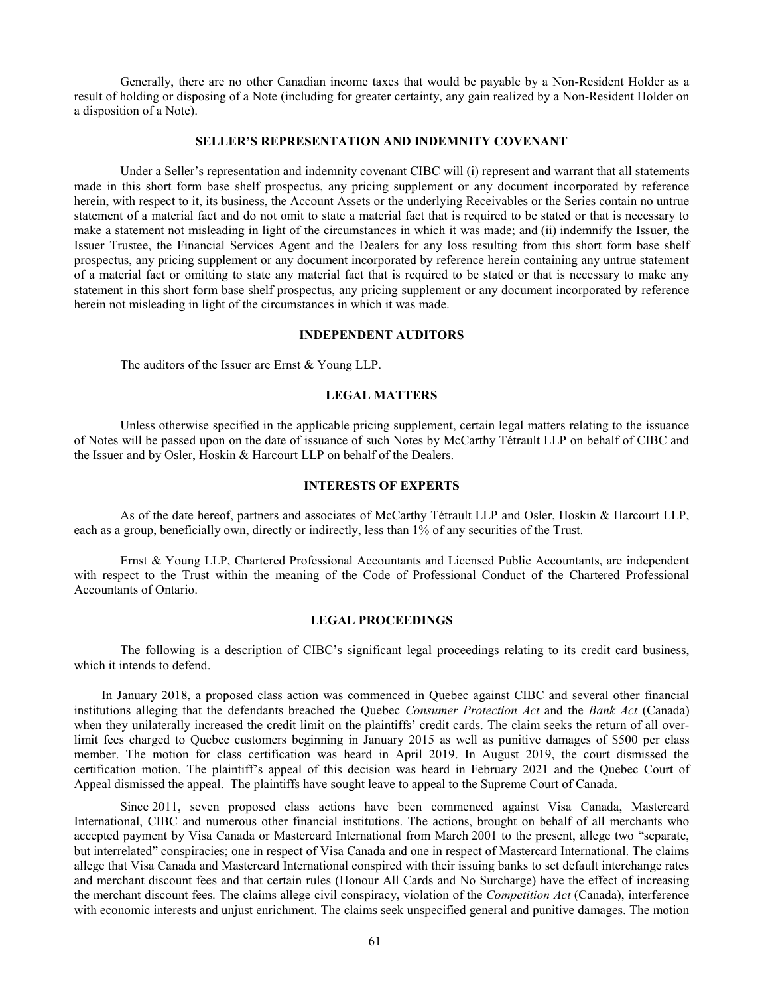Generally, there are no other Canadian income taxes that would be payable by a Non-Resident Holder as a result of holding or disposing of a Note (including for greater certainty, any gain realized by a Non-Resident Holder on a disposition of a Note).

## **SELLER'S REPRESENTATION AND INDEMNITY COVENANT**

Under a Seller's representation and indemnity covenant CIBC will (i) represent and warrant that all statements made in this short form base shelf prospectus, any pricing supplement or any document incorporated by reference herein, with respect to it, its business, the Account Assets or the underlying Receivables or the Series contain no untrue statement of a material fact and do not omit to state a material fact that is required to be stated or that is necessary to make a statement not misleading in light of the circumstances in which it was made; and (ii) indemnify the Issuer, the Issuer Trustee, the Financial Services Agent and the Dealers for any loss resulting from this short form base shelf prospectus, any pricing supplement or any document incorporated by reference herein containing any untrue statement of a material fact or omitting to state any material fact that is required to be stated or that is necessary to make any statement in this short form base shelf prospectus, any pricing supplement or any document incorporated by reference herein not misleading in light of the circumstances in which it was made.

#### **INDEPENDENT AUDITORS**

The auditors of the Issuer are Ernst & Young LLP.

## **LEGAL MATTERS**

Unless otherwise specified in the applicable pricing supplement, certain legal matters relating to the issuance of Notes will be passed upon on the date of issuance of such Notes by McCarthy Tétrault LLP on behalf of CIBC and the Issuer and by Osler, Hoskin & Harcourt LLP on behalf of the Dealers.

## **INTERESTS OF EXPERTS**

As of the date hereof, partners and associates of McCarthy Tétrault LLP and Osler, Hoskin & Harcourt LLP, each as a group, beneficially own, directly or indirectly, less than 1% of any securities of the Trust.

Ernst & Young LLP, Chartered Professional Accountants and Licensed Public Accountants, are independent with respect to the Trust within the meaning of the Code of Professional Conduct of the Chartered Professional Accountants of Ontario.

#### **LEGAL PROCEEDINGS**

The following is a description of CIBC's significant legal proceedings relating to its credit card business, which it intends to defend.

In January 2018, a proposed class action was commenced in Quebec against CIBC and several other financial institutions alleging that the defendants breached the Quebec *Consumer Protection Act* and the *Bank Act* (Canada) when they unilaterally increased the credit limit on the plaintiffs' credit cards. The claim seeks the return of all overlimit fees charged to Quebec customers beginning in January 2015 as well as punitive damages of \$500 per class member. The motion for class certification was heard in April 2019. In August 2019, the court dismissed the certification motion. The plaintiff's appeal of this decision was heard in February 2021 and the Quebec Court of Appeal dismissed the appeal. The plaintiffs have sought leave to appeal to the Supreme Court of Canada.

Since 2011, seven proposed class actions have been commenced against Visa Canada, Mastercard International, CIBC and numerous other financial institutions. The actions, brought on behalf of all merchants who accepted payment by Visa Canada or Mastercard International from March 2001 to the present, allege two "separate, but interrelated" conspiracies; one in respect of Visa Canada and one in respect of Mastercard International. The claims allege that Visa Canada and Mastercard International conspired with their issuing banks to set default interchange rates and merchant discount fees and that certain rules (Honour All Cards and No Surcharge) have the effect of increasing the merchant discount fees. The claims allege civil conspiracy, violation of the *Competition Act* (Canada), interference with economic interests and unjust enrichment. The claims seek unspecified general and punitive damages. The motion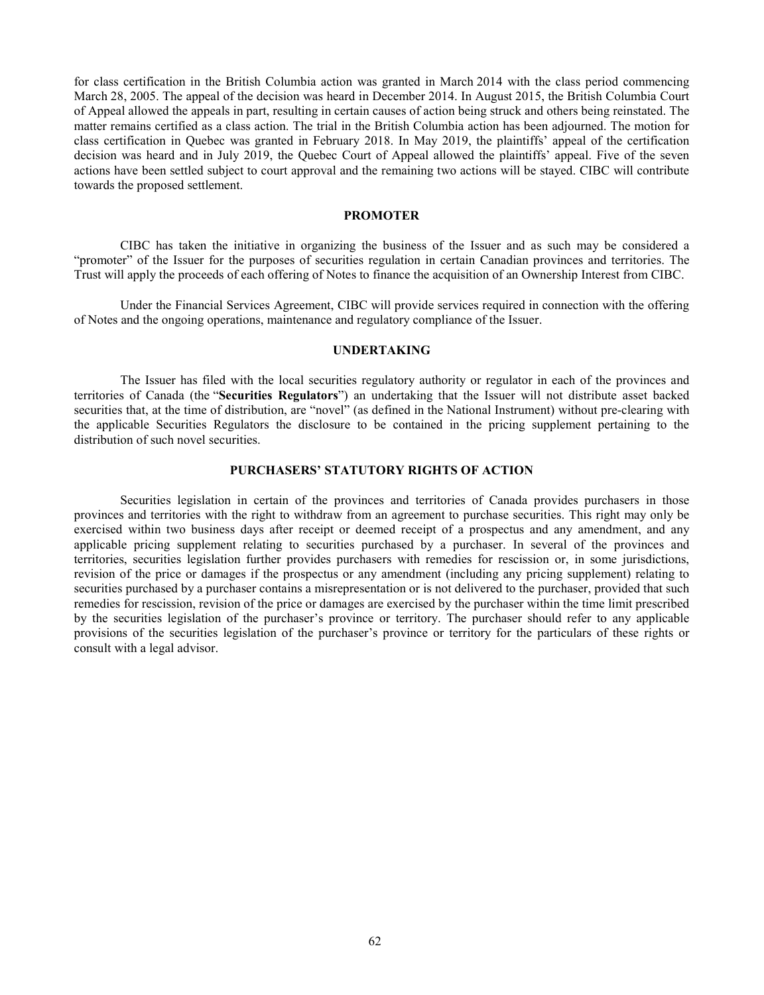for class certification in the British Columbia action was granted in March 2014 with the class period commencing March 28, 2005. The appeal of the decision was heard in December 2014. In August 2015, the British Columbia Court of Appeal allowed the appeals in part, resulting in certain causes of action being struck and others being reinstated. The matter remains certified as a class action. The trial in the British Columbia action has been adjourned. The motion for class certification in Quebec was granted in February 2018. In May 2019, the plaintiffs' appeal of the certification decision was heard and in July 2019, the Quebec Court of Appeal allowed the plaintiffs' appeal. Five of the seven actions have been settled subject to court approval and the remaining two actions will be stayed. CIBC will contribute towards the proposed settlement.

# **PROMOTER**

CIBC has taken the initiative in organizing the business of the Issuer and as such may be considered a "promoter" of the Issuer for the purposes of securities regulation in certain Canadian provinces and territories. The Trust will apply the proceeds of each offering of Notes to finance the acquisition of an Ownership Interest from CIBC.

Under the Financial Services Agreement, CIBC will provide services required in connection with the offering of Notes and the ongoing operations, maintenance and regulatory compliance of the Issuer.

# **UNDERTAKING**

The Issuer has filed with the local securities regulatory authority or regulator in each of the provinces and territories of Canada (the "**Securities Regulators**") an undertaking that the Issuer will not distribute asset backed securities that, at the time of distribution, are "novel" (as defined in the National Instrument) without pre-clearing with the applicable Securities Regulators the disclosure to be contained in the pricing supplement pertaining to the distribution of such novel securities.

# **PURCHASERS' STATUTORY RIGHTS OF ACTION**

Securities legislation in certain of the provinces and territories of Canada provides purchasers in those provinces and territories with the right to withdraw from an agreement to purchase securities. This right may only be exercised within two business days after receipt or deemed receipt of a prospectus and any amendment, and any applicable pricing supplement relating to securities purchased by a purchaser. In several of the provinces and territories, securities legislation further provides purchasers with remedies for rescission or, in some jurisdictions, revision of the price or damages if the prospectus or any amendment (including any pricing supplement) relating to securities purchased by a purchaser contains a misrepresentation or is not delivered to the purchaser, provided that such remedies for rescission, revision of the price or damages are exercised by the purchaser within the time limit prescribed by the securities legislation of the purchaser's province or territory. The purchaser should refer to any applicable provisions of the securities legislation of the purchaser's province or territory for the particulars of these rights or consult with a legal advisor.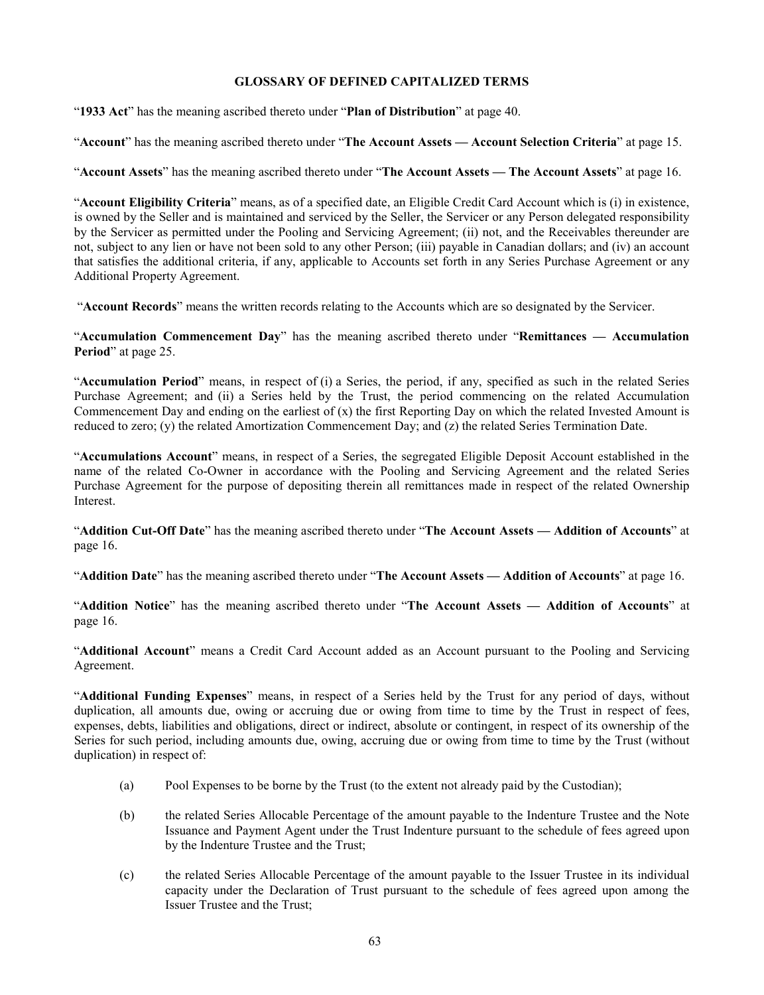# **GLOSSARY OF DEFINED CAPITALIZED TERMS**

"**1933 Act**" has the meaning ascribed thereto under "**Plan of Distribution**" at page [40.](#page-43-0)

"**Account**" has the meaning ascribed thereto under "**The Account Assets — Account Selection Criteria**" at page [15.](#page-18-0)

"**Account Assets**" has the meaning ascribed thereto under "**The Account Assets — The Account Assets**" at page [16.](#page-19-0)

"**Account Eligibility Criteria**" means, as of a specified date, an Eligible Credit Card Account which is (i) in existence, is owned by the Seller and is maintained and serviced by the Seller, the Servicer or any Person delegated responsibility by the Servicer as permitted under the Pooling and Servicing Agreement; (ii) not, and the Receivables thereunder are not, subject to any lien or have not been sold to any other Person; (iii) payable in Canadian dollars; and (iv) an account that satisfies the additional criteria, if any, applicable to Accounts set forth in any Series Purchase Agreement or any Additional Property Agreement.

"**Account Records**" means the written records relating to the Accounts which are so designated by the Servicer.

"**Accumulation Commencement Day**" has the meaning ascribed thereto under "**Remittances — Accumulation Period**" at page [25.](#page-28-0)

"**Accumulation Period**" means, in respect of (i) a Series, the period, if any, specified as such in the related Series Purchase Agreement; and (ii) a Series held by the Trust, the period commencing on the related Accumulation Commencement Day and ending on the earliest of  $(x)$  the first Reporting Day on which the related Invested Amount is reduced to zero; (y) the related Amortization Commencement Day; and (z) the related Series Termination Date.

"**Accumulations Account**" means, in respect of a Series, the segregated Eligible Deposit Account established in the name of the related Co-Owner in accordance with the Pooling and Servicing Agreement and the related Series Purchase Agreement for the purpose of depositing therein all remittances made in respect of the related Ownership Interest.

"**Addition Cut-Off Date**" has the meaning ascribed thereto under "**The Account Assets — Addition of Accounts**" at page [16.](#page-19-1)

"**Addition Date**" has the meaning ascribed thereto under "**The Account Assets — Addition of Accounts**" at page [16.](#page-19-2)

"**Addition Notice**" has the meaning ascribed thereto under "**The Account Assets — Addition of Accounts**" at page [16.](#page-19-3)

"**Additional Account**" means a Credit Card Account added as an Account pursuant to the Pooling and Servicing Agreement.

"**Additional Funding Expenses**" means, in respect of a Series held by the Trust for any period of days, without duplication, all amounts due, owing or accruing due or owing from time to time by the Trust in respect of fees, expenses, debts, liabilities and obligations, direct or indirect, absolute or contingent, in respect of its ownership of the Series for such period, including amounts due, owing, accruing due or owing from time to time by the Trust (without duplication) in respect of:

- (a) Pool Expenses to be borne by the Trust (to the extent not already paid by the Custodian);
- (b) the related Series Allocable Percentage of the amount payable to the Indenture Trustee and the Note Issuance and Payment Agent under the Trust Indenture pursuant to the schedule of fees agreed upon by the Indenture Trustee and the Trust;
- (c) the related Series Allocable Percentage of the amount payable to the Issuer Trustee in its individual capacity under the Declaration of Trust pursuant to the schedule of fees agreed upon among the Issuer Trustee and the Trust;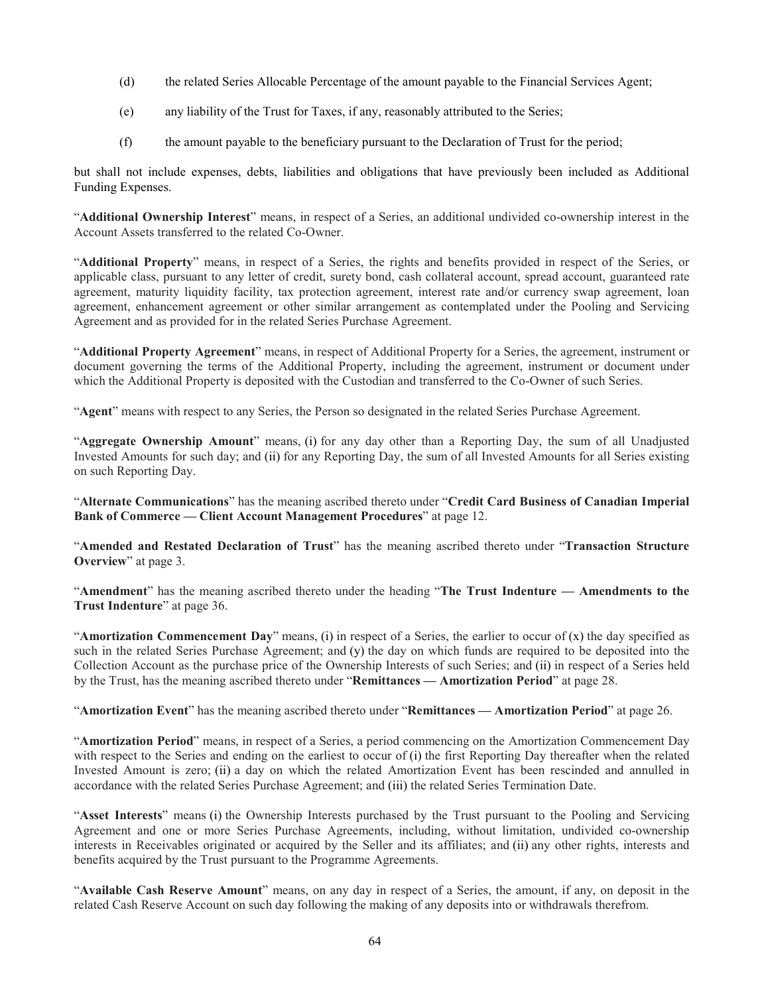- (d) the related Series Allocable Percentage of the amount payable to the Financial Services Agent;
- (e) any liability of the Trust for Taxes, if any, reasonably attributed to the Series;
- (f) the amount payable to the beneficiary pursuant to the Declaration of Trust for the period;

but shall not include expenses, debts, liabilities and obligations that have previously been included as Additional Funding Expenses.

"**Additional Ownership Interest**" means, in respect of a Series, an additional undivided co-ownership interest in the Account Assets transferred to the related Co-Owner.

"**Additional Property**" means, in respect of a Series, the rights and benefits provided in respect of the Series, or applicable class, pursuant to any letter of credit, surety bond, cash collateral account, spread account, guaranteed rate agreement, maturity liquidity facility, tax protection agreement, interest rate and/or currency swap agreement, loan agreement, enhancement agreement or other similar arrangement as contemplated under the Pooling and Servicing Agreement and as provided for in the related Series Purchase Agreement.

"**Additional Property Agreement**" means, in respect of Additional Property for a Series, the agreement, instrument or document governing the terms of the Additional Property, including the agreement, instrument or document under which the Additional Property is deposited with the Custodian and transferred to the Co-Owner of such Series.

"**Agent**" means with respect to any Series, the Person so designated in the related Series Purchase Agreement.

"**Aggregate Ownership Amount**" means, (i) for any day other than a Reporting Day, the sum of all Unadjusted Invested Amounts for such day; and (ii) for any Reporting Day, the sum of all Invested Amounts for all Series existing on such Reporting Day.

"**Alternate Communications**" has the meaning ascribed thereto under "**Credit Card Business of Canadian Imperial Bank of Commerce — Client Account Management Procedures**" at page [12.](#page-15-0)

"**Amended and Restated Declaration of Trust**" has the meaning ascribed thereto under "**Transaction Structure Overview**" at page [3.](#page-6-0)

"**Amendment**" has the meaning ascribed thereto under the heading "**The Trust Indenture — Amendments to the Trust Indenture**" at page [36.](#page-39-0)

"**Amortization Commencement Day**" means, (i) in respect of a Series, the earlier to occur of (x) the day specified as such in the related Series Purchase Agreement; and (y) the day on which funds are required to be deposited into the Collection Account as the purchase price of the Ownership Interests of such Series; and (ii) in respect of a Series held by the Trust, has the meaning ascribed thereto under "**Remittances — Amortization Period**" at page [28.](#page-31-0)

"**Amortization Event**" has the meaning ascribed thereto under "**Remittances — Amortization Period**" at page [26.](#page-29-0)

"**Amortization Period**" means, in respect of a Series, a period commencing on the Amortization Commencement Day with respect to the Series and ending on the earliest to occur of (i) the first Reporting Day thereafter when the related Invested Amount is zero; (ii) a day on which the related Amortization Event has been rescinded and annulled in accordance with the related Series Purchase Agreement; and (iii) the related Series Termination Date.

"**Asset Interests**" means (i) the Ownership Interests purchased by the Trust pursuant to the Pooling and Servicing Agreement and one or more Series Purchase Agreements, including, without limitation, undivided co-ownership interests in Receivables originated or acquired by the Seller and its affiliates; and (ii) any other rights, interests and benefits acquired by the Trust pursuant to the Programme Agreements.

"**Available Cash Reserve Amount**" means, on any day in respect of a Series, the amount, if any, on deposit in the related Cash Reserve Account on such day following the making of any deposits into or withdrawals therefrom.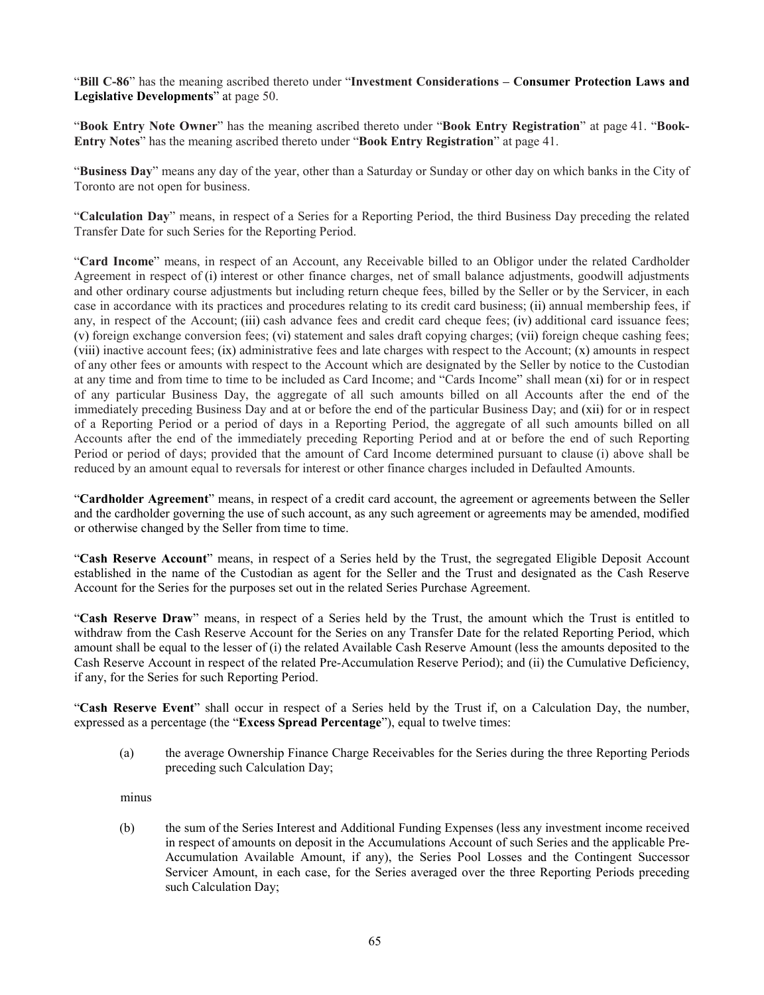"**Bill C-86**" has the meaning ascribed thereto under "**Investment Considerations – Consumer Protection Laws and Legislative Developments**" at page [50.](#page-53-0)

"**Book Entry Note Owner**" has the meaning ascribed thereto under "**Book Entry Registration**" at page [41.](#page-44-0) "**Book-Entry Notes**" has the meaning ascribed thereto under "**Book Entry Registration**" at page [41.](#page-44-1)

"**Business Day**" means any day of the year, other than a Saturday or Sunday or other day on which banks in the City of Toronto are not open for business.

"**Calculation Day**" means, in respect of a Series for a Reporting Period, the third Business Day preceding the related Transfer Date for such Series for the Reporting Period.

<span id="page-68-0"></span>"**Card Income**" means, in respect of an Account, any Receivable billed to an Obligor under the related Cardholder Agreement in respect of (i) interest or other finance charges, net of small balance adjustments, goodwill adjustments and other ordinary course adjustments but including return cheque fees, billed by the Seller or by the Servicer, in each case in accordance with its practices and procedures relating to its credit card business; (ii) annual membership fees, if any, in respect of the Account; (iii) cash advance fees and credit card cheque fees; (iv) additional card issuance fees; (v) foreign exchange conversion fees; (vi) statement and sales draft copying charges; (vii) foreign cheque cashing fees; (viii) inactive account fees; (ix) administrative fees and late charges with respect to the Account; (x) amounts in respect of any other fees or amounts with respect to the Account which are designated by the Seller by notice to the Custodian at any time and from time to time to be included as Card Income; and "Cards Income" shall mean (xi) for or in respect of any particular Business Day, the aggregate of all such amounts billed on all Accounts after the end of the immediately preceding Business Day and at or before the end of the particular Business Day; and (xii) for or in respect of a Reporting Period or a period of days in a Reporting Period, the aggregate of all such amounts billed on all Accounts after the end of the immediately preceding Reporting Period and at or before the end of such Reporting Period or period of days; provided that the amount of Card Income determined pursuant to clause [\(i\)](#page-68-0) above shall be reduced by an amount equal to reversals for interest or other finance charges included in Defaulted Amounts.

"**Cardholder Agreement**" means, in respect of a credit card account, the agreement or agreements between the Seller and the cardholder governing the use of such account, as any such agreement or agreements may be amended, modified or otherwise changed by the Seller from time to time.

"**Cash Reserve Account**" means, in respect of a Series held by the Trust, the segregated Eligible Deposit Account established in the name of the Custodian as agent for the Seller and the Trust and designated as the Cash Reserve Account for the Series for the purposes set out in the related Series Purchase Agreement.

"**Cash Reserve Draw**" means, in respect of a Series held by the Trust, the amount which the Trust is entitled to withdraw from the Cash Reserve Account for the Series on any Transfer Date for the related Reporting Period, which amount shall be equal to the lesser of (i) the related Available Cash Reserve Amount (less the amounts deposited to the Cash Reserve Account in respect of the related Pre-Accumulation Reserve Period); and (ii) the Cumulative Deficiency, if any, for the Series for such Reporting Period.

"**Cash Reserve Event**" shall occur in respect of a Series held by the Trust if, on a Calculation Day, the number, expressed as a percentage (the "**Excess Spread Percentage**"), equal to twelve times:

(a) the average Ownership Finance Charge Receivables for the Series during the three Reporting Periods preceding such Calculation Day;

minus

(b) the sum of the Series Interest and Additional Funding Expenses (less any investment income received in respect of amounts on deposit in the Accumulations Account of such Series and the applicable Pre-Accumulation Available Amount, if any), the Series Pool Losses and the Contingent Successor Servicer Amount, in each case, for the Series averaged over the three Reporting Periods preceding such Calculation Day;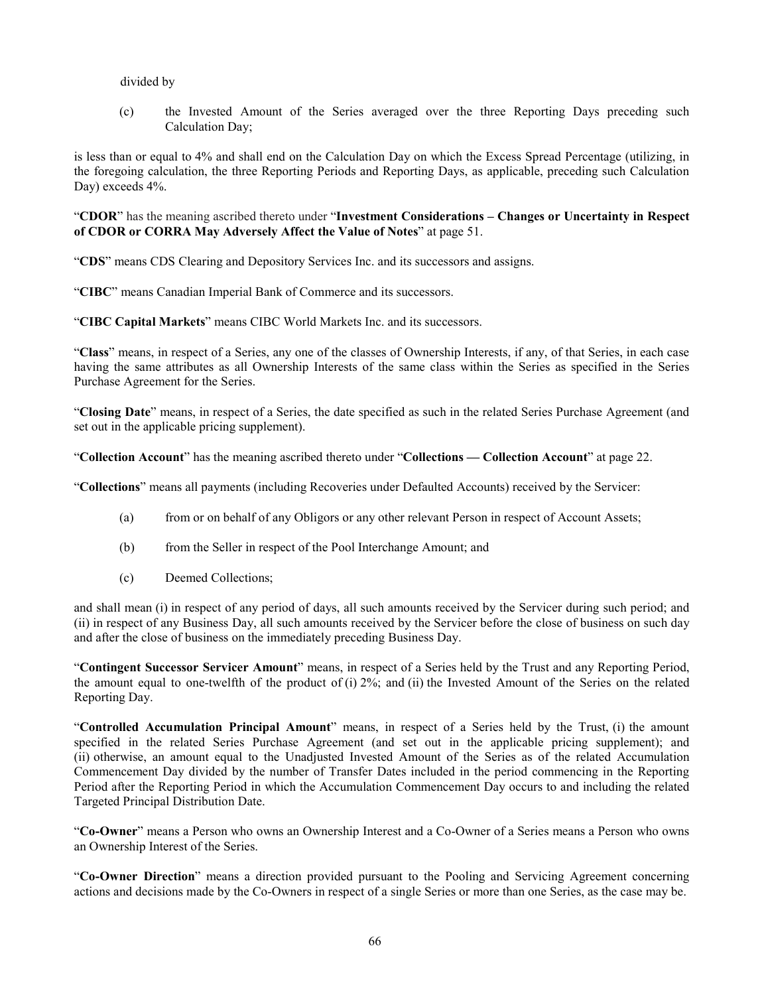# divided by

(c) the Invested Amount of the Series averaged over the three Reporting Days preceding such Calculation Day;

is less than or equal to 4% and shall end on the Calculation Day on which the Excess Spread Percentage (utilizing, in the foregoing calculation, the three Reporting Periods and Reporting Days, as applicable, preceding such Calculation Day) exceeds 4%.

"**CDOR**" has the meaning ascribed thereto under "**Investment Considerations – Changes or Uncertainty in Respect of CDOR or CORRA May Adversely Affect the Value of Notes**" at page [51.](#page-54-0)

"**CDS**" means CDS Clearing and Depository Services Inc. and its successors and assigns.

"**CIBC**" means Canadian Imperial Bank of Commerce and its successors.

"**CIBC Capital Markets**" means CIBC World Markets Inc. and its successors.

"**Class**" means, in respect of a Series, any one of the classes of Ownership Interests, if any, of that Series, in each case having the same attributes as all Ownership Interests of the same class within the Series as specified in the Series Purchase Agreement for the Series.

"**Closing Date**" means, in respect of a Series, the date specified as such in the related Series Purchase Agreement (and set out in the applicable pricing supplement).

"**Collection Account**" has the meaning ascribed thereto under "**Collections — Collection Account**" at page [22.](#page-25-0)

"**Collections**" means all payments (including Recoveries under Defaulted Accounts) received by the Servicer:

- (a) from or on behalf of any Obligors or any other relevant Person in respect of Account Assets;
- (b) from the Seller in respect of the Pool Interchange Amount; and
- (c) Deemed Collections;

and shall mean (i) in respect of any period of days, all such amounts received by the Servicer during such period; and (ii) in respect of any Business Day, all such amounts received by the Servicer before the close of business on such day and after the close of business on the immediately preceding Business Day.

"**Contingent Successor Servicer Amount**" means, in respect of a Series held by the Trust and any Reporting Period, the amount equal to one-twelfth of the product of (i) 2%; and (ii) the Invested Amount of the Series on the related Reporting Day.

"**Controlled Accumulation Principal Amount**" means, in respect of a Series held by the Trust, (i) the amount specified in the related Series Purchase Agreement (and set out in the applicable pricing supplement); and (ii) otherwise, an amount equal to the Unadjusted Invested Amount of the Series as of the related Accumulation Commencement Day divided by the number of Transfer Dates included in the period commencing in the Reporting Period after the Reporting Period in which the Accumulation Commencement Day occurs to and including the related Targeted Principal Distribution Date.

"**Co-Owner**" means a Person who owns an Ownership Interest and a Co-Owner of a Series means a Person who owns an Ownership Interest of the Series.

"**Co-Owner Direction**" means a direction provided pursuant to the Pooling and Servicing Agreement concerning actions and decisions made by the Co-Owners in respect of a single Series or more than one Series, as the case may be.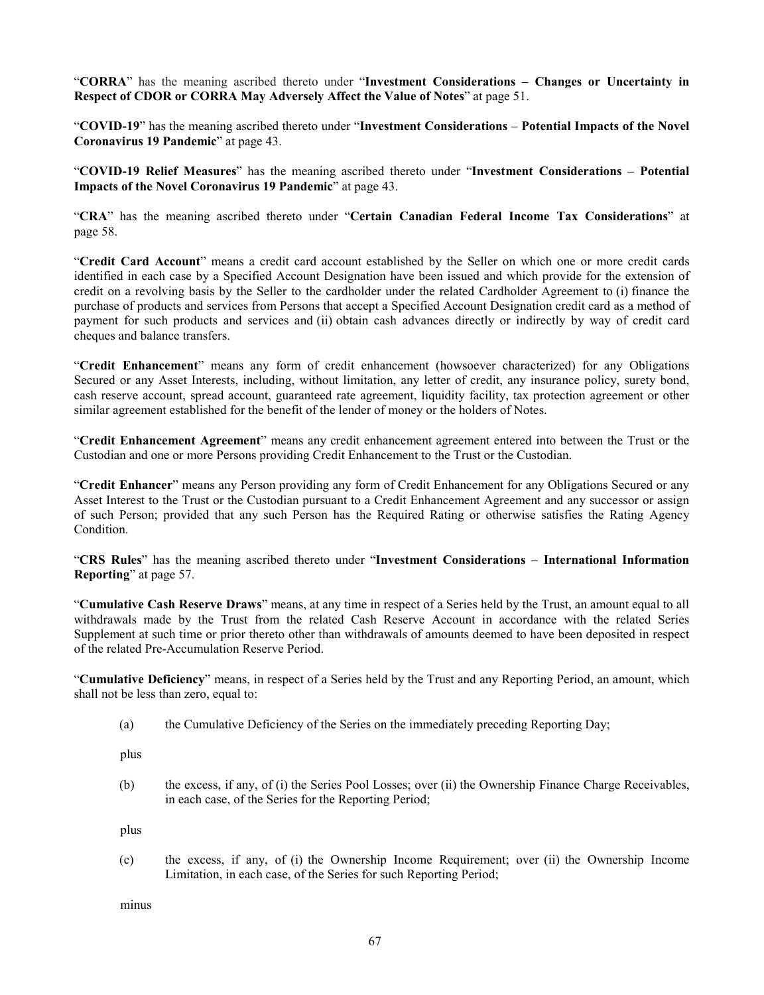"**CORRA**" has the meaning ascribed thereto under "**Investment Considerations – Changes or Uncertainty in Respect of CDOR or CORRA May Adversely Affect the Value of Notes**" at page [51.](#page-54-1)

"**COVID-19**" has the meaning ascribed thereto under "**Investment Considerations – Potential Impacts of the Novel Coronavirus 19 Pandemic**" at pag[e 43.](#page-46-0)

"**COVID-19 Relief Measures**" has the meaning ascribed thereto under "**Investment Considerations – Potential Impacts of the Novel Coronavirus 19 Pandemic**" at page [43.](#page-46-1)

"**CRA**" has the meaning ascribed thereto under "**Certain Canadian Federal Income Tax Considerations**" at page [58.](#page-61-0)

"**Credit Card Account**" means a credit card account established by the Seller on which one or more credit cards identified in each case by a Specified Account Designation have been issued and which provide for the extension of credit on a revolving basis by the Seller to the cardholder under the related Cardholder Agreement to (i) finance the purchase of products and services from Persons that accept a Specified Account Designation credit card as a method of payment for such products and services and (ii) obtain cash advances directly or indirectly by way of credit card cheques and balance transfers.

"**Credit Enhancement**" means any form of credit enhancement (howsoever characterized) for any Obligations Secured or any Asset Interests, including, without limitation, any letter of credit, any insurance policy, surety bond, cash reserve account, spread account, guaranteed rate agreement, liquidity facility, tax protection agreement or other similar agreement established for the benefit of the lender of money or the holders of Notes.

"**Credit Enhancement Agreement**" means any credit enhancement agreement entered into between the Trust or the Custodian and one or more Persons providing Credit Enhancement to the Trust or the Custodian.

"**Credit Enhancer**" means any Person providing any form of Credit Enhancement for any Obligations Secured or any Asset Interest to the Trust or the Custodian pursuant to a Credit Enhancement Agreement and any successor or assign of such Person; provided that any such Person has the Required Rating or otherwise satisfies the Rating Agency Condition.

"**CRS Rules**" has the meaning ascribed thereto under "**Investment Considerations – International Information Reporting**" at page [57.](#page-60-0)

"**Cumulative Cash Reserve Draws**" means, at any time in respect of a Series held by the Trust, an amount equal to all withdrawals made by the Trust from the related Cash Reserve Account in accordance with the related Series Supplement at such time or prior thereto other than withdrawals of amounts deemed to have been deposited in respect of the related Pre-Accumulation Reserve Period.

"**Cumulative Deficiency**" means, in respect of a Series held by the Trust and any Reporting Period, an amount, which shall not be less than zero, equal to:

(a) the Cumulative Deficiency of the Series on the immediately preceding Reporting Day;

plus

(b) the excess, if any, of (i) the Series Pool Losses; over (ii) the Ownership Finance Charge Receivables, in each case, of the Series for the Reporting Period;

plus

(c) the excess, if any, of (i) the Ownership Income Requirement; over (ii) the Ownership Income Limitation, in each case, of the Series for such Reporting Period;

minus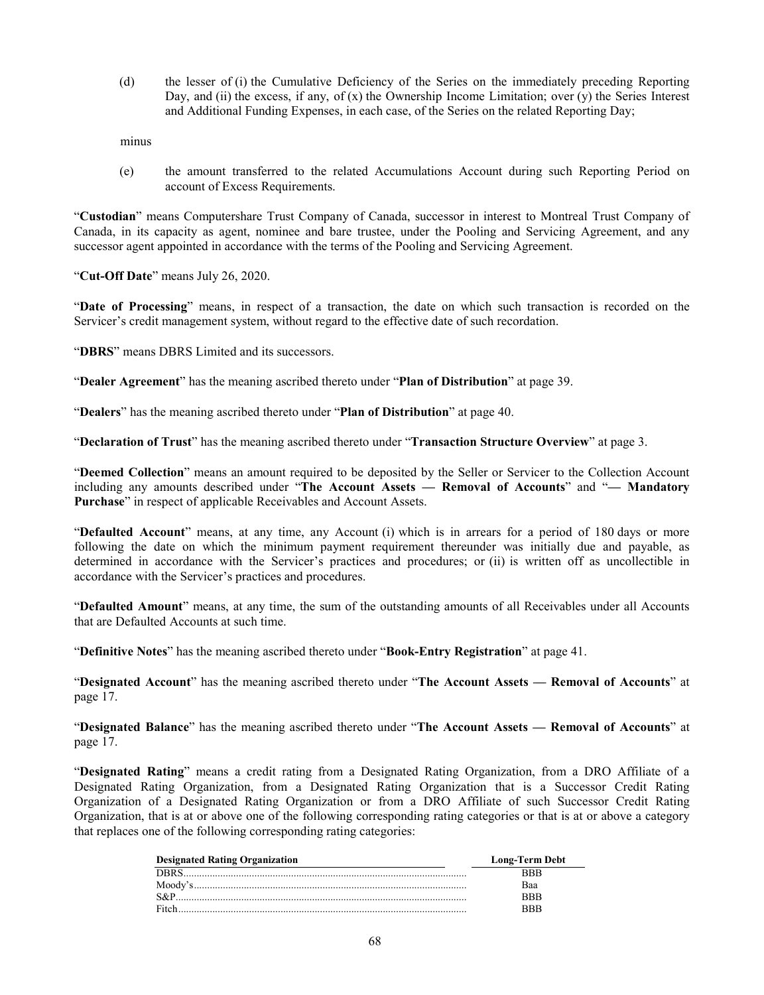(d) the lesser of (i) the Cumulative Deficiency of the Series on the immediately preceding Reporting Day, and (ii) the excess, if any, of  $(x)$  the Ownership Income Limitation; over  $(y)$  the Series Interest and Additional Funding Expenses, in each case, of the Series on the related Reporting Day;

minus

(e) the amount transferred to the related Accumulations Account during such Reporting Period on account of Excess Requirements.

"**Custodian**" means Computershare Trust Company of Canada, successor in interest to Montreal Trust Company of Canada, in its capacity as agent, nominee and bare trustee, under the Pooling and Servicing Agreement, and any successor agent appointed in accordance with the terms of the Pooling and Servicing Agreement.

"**Cut-Off Date**" means July 26, 2020.

"**Date of Processing**" means, in respect of a transaction, the date on which such transaction is recorded on the Servicer's credit management system, without regard to the effective date of such recordation.

"**DBRS**" means DBRS Limited and its successors.

"**Dealer Agreement**" has the meaning ascribed thereto under "**Plan of Distribution**" at page [39.](#page-42-0)

"**Dealers**" has the meaning ascribed thereto under "**Plan of Distribution**" at page [40.](#page-43-1)

"**Declaration of Trust**" has the meaning ascribed thereto under "**Transaction Structure Overview**" at page [3.](#page-6-1)

"**Deemed Collection**" means an amount required to be deposited by the Seller or Servicer to the Collection Account including any amounts described under "**The Account Assets — Removal of Accounts**" and "**— Mandatory Purchase**" in respect of applicable Receivables and Account Assets.

"**Defaulted Account**" means, at any time, any Account (i) which is in arrears for a period of 180 days or more following the date on which the minimum payment requirement thereunder was initially due and payable, as determined in accordance with the Servicer's practices and procedures; or (ii) is written off as uncollectible in accordance with the Servicer's practices and procedures.

"**Defaulted Amount**" means, at any time, the sum of the outstanding amounts of all Receivables under all Accounts that are Defaulted Accounts at such time.

"**Definitive Notes**" has the meaning ascribed thereto under "**Book-Entry Registration**" at page [41.](#page-44-2)

"**Designated Account**" has the meaning ascribed thereto under "**The Account Assets — Removal of Accounts**" at page [17.](#page-20-0)

"**Designated Balance**" has the meaning ascribed thereto under "**The Account Assets — Removal of Accounts**" at page [17.](#page-20-1)

"**Designated Rating**" means a credit rating from a Designated Rating Organization, from a DRO Affiliate of a Designated Rating Organization, from a Designated Rating Organization that is a Successor Credit Rating Organization of a Designated Rating Organization or from a DRO Affiliate of such Successor Credit Rating Organization, that is at or above one of the following corresponding rating categories or that is at or above a category that replaces one of the following corresponding rating categories:

| <b>Designated Rating Organization</b> | <b>Long-Term Debt</b> |
|---------------------------------------|-----------------------|
|                                       |                       |
| Moody's                               | Baa                   |
| $S\&P$                                | RRR                   |
|                                       | 2 R R                 |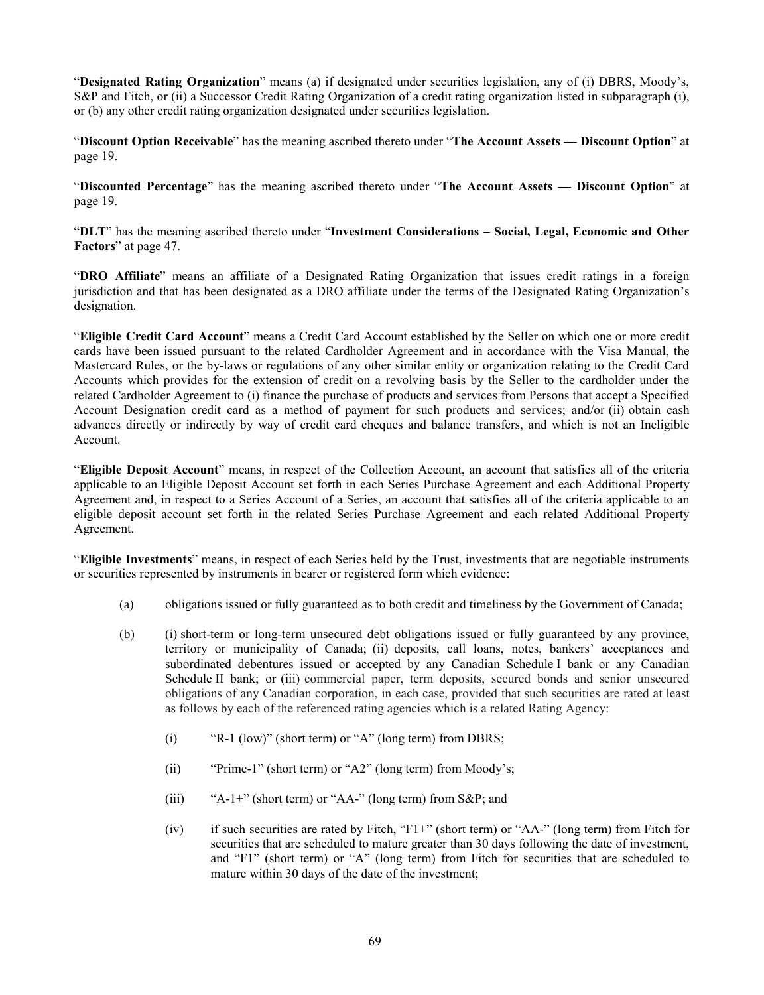"**Designated Rating Organization**" means (a) if designated under securities legislation, any of (i) DBRS, Moody's, S&P and Fitch, or (ii) a Successor Credit Rating Organization of a credit rating organization listed in subparagraph (i), or (b) any other credit rating organization designated under securities legislation.

"**Discount Option Receivable**" has the meaning ascribed thereto under "**The Account Assets — Discount Option**" at page [19.](#page-22-0)

"**Discounted Percentage**" has the meaning ascribed thereto under "**The Account Assets — Discount Option**" at page [19.](#page-22-0)

"**DLT**" has the meaning ascribed thereto under "**Investment Considerations – Social, Legal, Economic and Other Factors**" at page [47.](#page-50-0)

"**DRO Affiliate**" means an affiliate of a Designated Rating Organization that issues credit ratings in a foreign jurisdiction and that has been designated as a DRO affiliate under the terms of the Designated Rating Organization's designation.

"**Eligible Credit Card Account**" means a Credit Card Account established by the Seller on which one or more credit cards have been issued pursuant to the related Cardholder Agreement and in accordance with the Visa Manual, the Mastercard Rules, or the by-laws or regulations of any other similar entity or organization relating to the Credit Card Accounts which provides for the extension of credit on a revolving basis by the Seller to the cardholder under the related Cardholder Agreement to (i) finance the purchase of products and services from Persons that accept a Specified Account Designation credit card as a method of payment for such products and services; and/or (ii) obtain cash advances directly or indirectly by way of credit card cheques and balance transfers, and which is not an Ineligible Account.

"**Eligible Deposit Account**" means, in respect of the Collection Account, an account that satisfies all of the criteria applicable to an Eligible Deposit Account set forth in each Series Purchase Agreement and each Additional Property Agreement and, in respect to a Series Account of a Series, an account that satisfies all of the criteria applicable to an eligible deposit account set forth in the related Series Purchase Agreement and each related Additional Property Agreement.

"**Eligible Investments**" means, in respect of each Series held by the Trust, investments that are negotiable instruments or securities represented by instruments in bearer or registered form which evidence:

- (a) obligations issued or fully guaranteed as to both credit and timeliness by the Government of Canada;
- (b) (i) short-term or long-term unsecured debt obligations issued or fully guaranteed by any province, territory or municipality of Canada; (ii) deposits, call loans, notes, bankers' acceptances and subordinated debentures issued or accepted by any Canadian Schedule I bank or any Canadian Schedule II bank; or (iii) commercial paper, term deposits, secured bonds and senior unsecured obligations of any Canadian corporation, in each case, provided that such securities are rated at least as follows by each of the referenced rating agencies which is a related Rating Agency:
	- (i) "R-1 (low)" (short term) or "A" (long term) from DBRS;
	- (ii) "Prime-1" (short term) or "A2" (long term) from Moody's;
	- (iii) "A-1+" (short term) or "AA-" (long term) from S&P; and
	- (iv) if such securities are rated by Fitch, "F1+" (short term) or "AA-" (long term) from Fitch for securities that are scheduled to mature greater than 30 days following the date of investment, and "F1" (short term) or "A" (long term) from Fitch for securities that are scheduled to mature within 30 days of the date of the investment;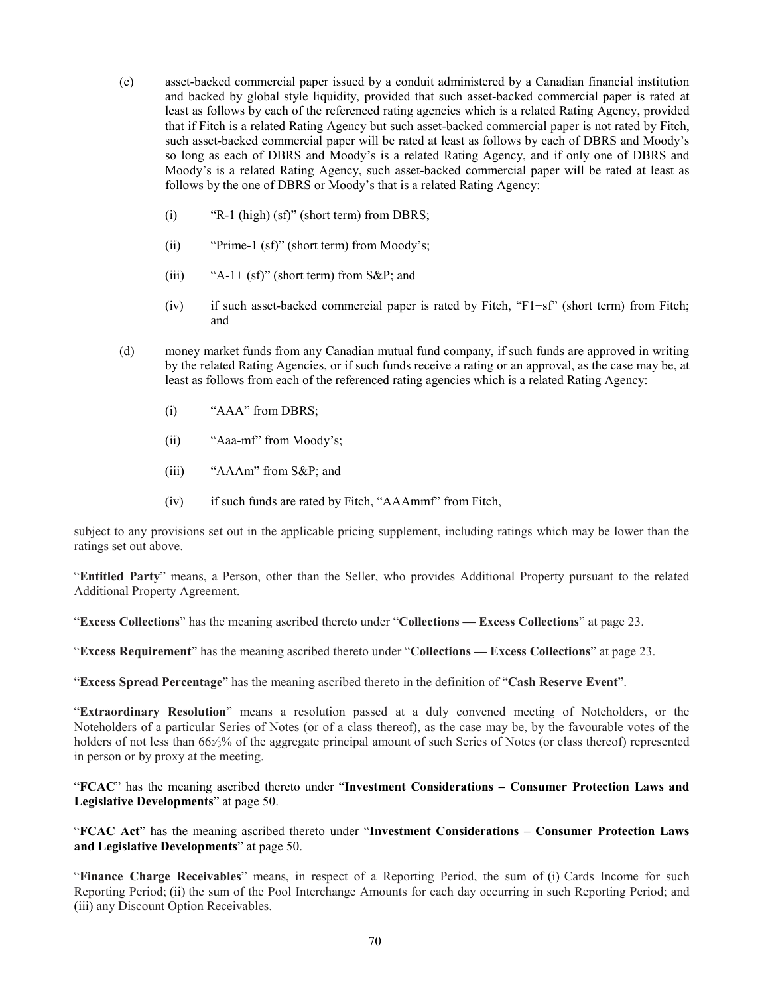- (c) asset-backed commercial paper issued by a conduit administered by a Canadian financial institution and backed by global style liquidity, provided that such asset-backed commercial paper is rated at least as follows by each of the referenced rating agencies which is a related Rating Agency, provided that if Fitch is a related Rating Agency but such asset-backed commercial paper is not rated by Fitch, such asset-backed commercial paper will be rated at least as follows by each of DBRS and Moody's so long as each of DBRS and Moody's is a related Rating Agency, and if only one of DBRS and Moody's is a related Rating Agency, such asset-backed commercial paper will be rated at least as follows by the one of DBRS or Moody's that is a related Rating Agency:
	- (i) "R-1 (high) (sf)" (short term) from DBRS;
	- (ii) "Prime-1 (sf)" (short term) from Moody's;
	- (iii) "A-1+  $(sf)$ " (short term) from S&P; and
	- (iv) if such asset-backed commercial paper is rated by Fitch, "F1+sf" (short term) from Fitch; and
- (d) money market funds from any Canadian mutual fund company, if such funds are approved in writing by the related Rating Agencies, or if such funds receive a rating or an approval, as the case may be, at least as follows from each of the referenced rating agencies which is a related Rating Agency:
	- (i) "AAA" from DBRS;
	- (ii) "Aaa-mf" from Moody's;
	- (iii) "AAAm" from S&P; and
	- (iv) if such funds are rated by Fitch, "AAAmmf" from Fitch,

subject to any provisions set out in the applicable pricing supplement, including ratings which may be lower than the ratings set out above.

"**Entitled Party**" means, a Person, other than the Seller, who provides Additional Property pursuant to the related Additional Property Agreement.

"**Excess Collections**" has the meaning ascribed thereto under "**Collections — Excess Collections**" at page [23.](#page-26-0)

"**Excess Requirement**" has the meaning ascribed thereto under "**Collections — Excess Collections**" at page [23.](#page-26-0)

"**Excess Spread Percentage**" has the meaning ascribed thereto in the definition of "**Cash Reserve Event**".

"**Extraordinary Resolution**" means a resolution passed at a duly convened meeting of Noteholders, or the Noteholders of a particular Series of Notes (or of a class thereof), as the case may be, by the favourable votes of the holders of not less than 66 $\frac{1}{2}\%$  of the aggregate principal amount of such Series of Notes (or class thereof) represented in person or by proxy at the meeting.

"**FCAC**" has the meaning ascribed thereto under "**Investment Considerations – Consumer Protection Laws and Legislative Developments**" at page [50.](#page-53-0)

"**FCAC Act**" has the meaning ascribed thereto under "**Investment Considerations – Consumer Protection Laws and Legislative Developments**" at page [50.](#page-53-0)

"**Finance Charge Receivables**" means, in respect of a Reporting Period, the sum of (i) Cards Income for such Reporting Period; (ii) the sum of the Pool Interchange Amounts for each day occurring in such Reporting Period; and (iii) any Discount Option Receivables.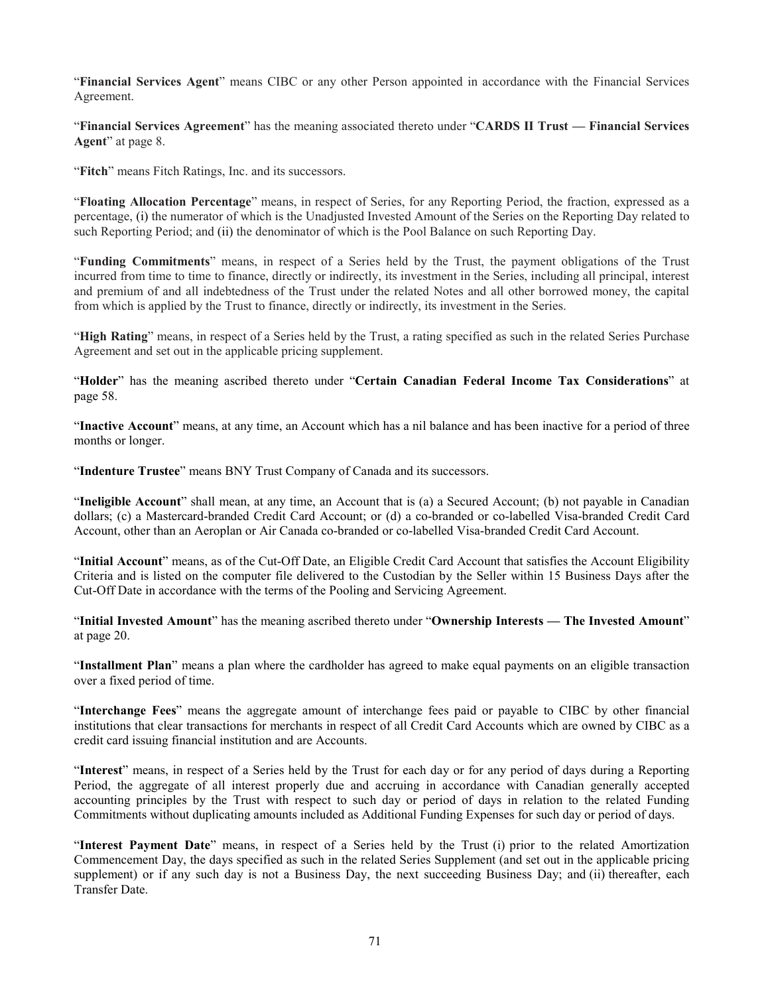"**Financial Services Agent**" means CIBC or any other Person appointed in accordance with the Financial Services Agreement.

"**Financial Services Agreement**" has the meaning associated thereto under "**CARDS II Trust — Financial Services Agent**" at page [8.](#page-11-0)

"**Fitch**" means Fitch Ratings, Inc. and its successors.

"**Floating Allocation Percentage**" means, in respect of Series, for any Reporting Period, the fraction, expressed as a percentage, (i) the numerator of which is the Unadjusted Invested Amount of the Series on the Reporting Day related to such Reporting Period; and (ii) the denominator of which is the Pool Balance on such Reporting Day.

"**Funding Commitments**" means, in respect of a Series held by the Trust, the payment obligations of the Trust incurred from time to time to finance, directly or indirectly, its investment in the Series, including all principal, interest and premium of and all indebtedness of the Trust under the related Notes and all other borrowed money, the capital from which is applied by the Trust to finance, directly or indirectly, its investment in the Series.

"**High Rating**" means, in respect of a Series held by the Trust, a rating specified as such in the related Series Purchase Agreement and set out in the applicable pricing supplement.

"**Holder**" has the meaning ascribed thereto under "**Certain Canadian Federal Income Tax Considerations**" at page [58.](#page-61-0)

"**Inactive Account**" means, at any time, an Account which has a nil balance and has been inactive for a period of three months or longer.

"**Indenture Trustee**" means BNY Trust Company of Canada and its successors.

"**Ineligible Account**" shall mean, at any time, an Account that is (a) a Secured Account; (b) not payable in Canadian dollars; (c) a Mastercard-branded Credit Card Account; or (d) a co-branded or co-labelled Visa-branded Credit Card Account, other than an Aeroplan or Air Canada co-branded or co-labelled Visa-branded Credit Card Account.

"**Initial Account**" means, as of the Cut-Off Date, an Eligible Credit Card Account that satisfies the Account Eligibility Criteria and is listed on the computer file delivered to the Custodian by the Seller within 15 Business Days after the Cut-Off Date in accordance with the terms of the Pooling and Servicing Agreement.

"**Initial Invested Amount**" has the meaning ascribed thereto under "**Ownership Interests — The Invested Amount**" at page [20.](#page-23-0)

"**Installment Plan**" means a plan where the cardholder has agreed to make equal payments on an eligible transaction over a fixed period of time.

"**Interchange Fees**" means the aggregate amount of interchange fees paid or payable to CIBC by other financial institutions that clear transactions for merchants in respect of all Credit Card Accounts which are owned by CIBC as a credit card issuing financial institution and are Accounts.

"**Interest**" means, in respect of a Series held by the Trust for each day or for any period of days during a Reporting Period, the aggregate of all interest properly due and accruing in accordance with Canadian generally accepted accounting principles by the Trust with respect to such day or period of days in relation to the related Funding Commitments without duplicating amounts included as Additional Funding Expenses for such day or period of days.

"**Interest Payment Date**" means, in respect of a Series held by the Trust (i) prior to the related Amortization Commencement Day, the days specified as such in the related Series Supplement (and set out in the applicable pricing supplement) or if any such day is not a Business Day, the next succeeding Business Day; and (ii) thereafter, each Transfer Date.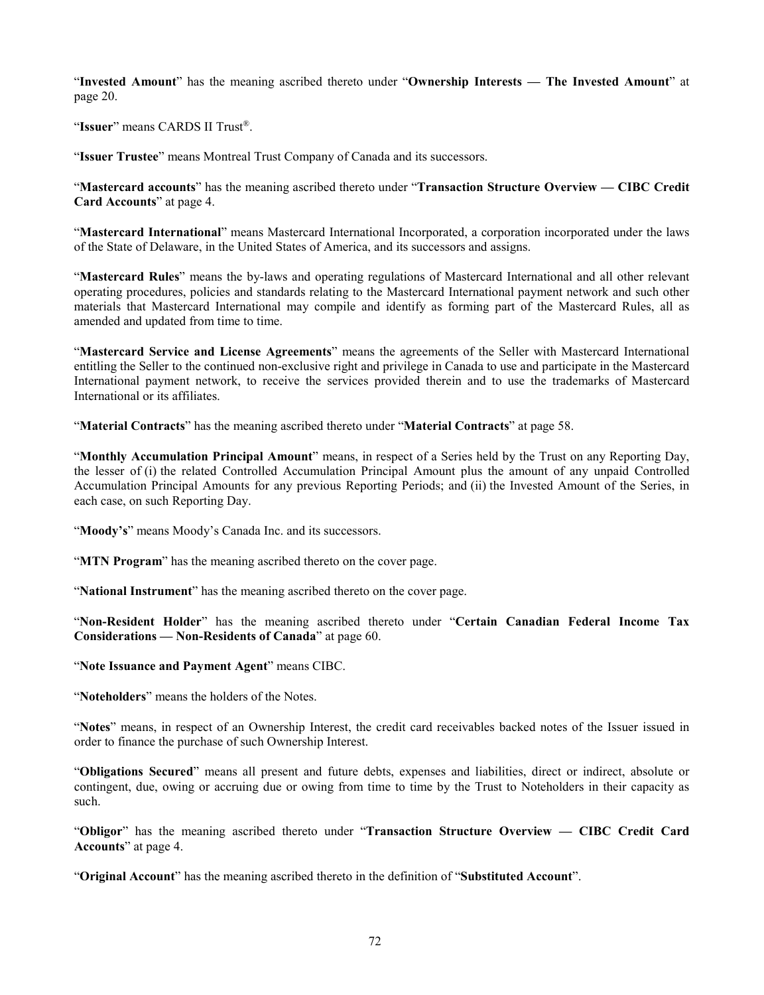"**Invested Amount**" has the meaning ascribed thereto under "**Ownership Interests — The Invested Amount**" at page [20.](#page-23-0)

"**Issuer**" means CARDS II Trust®.

"**Issuer Trustee**" means Montreal Trust Company of Canada and its successors.

"**Mastercard accounts**" has the meaning ascribed thereto under "**Transaction Structure Overview — CIBC Credit Card Accounts**" at page [4.](#page-7-0)

"**Mastercard International**" means Mastercard International Incorporated, a corporation incorporated under the laws of the State of Delaware, in the United States of America, and its successors and assigns.

"**Mastercard Rules**" means the by-laws and operating regulations of Mastercard International and all other relevant operating procedures, policies and standards relating to the Mastercard International payment network and such other materials that Mastercard International may compile and identify as forming part of the Mastercard Rules, all as amended and updated from time to time.

"**Mastercard Service and License Agreements**" means the agreements of the Seller with Mastercard International entitling the Seller to the continued non-exclusive right and privilege in Canada to use and participate in the Mastercard International payment network, to receive the services provided therein and to use the trademarks of Mastercard International or its affiliates.

"**Material Contracts**" has the meaning ascribed thereto under "**Material Contracts**" at page [58.](#page-61-1)

"**Monthly Accumulation Principal Amount**" means, in respect of a Series held by the Trust on any Reporting Day, the lesser of (i) the related Controlled Accumulation Principal Amount plus the amount of any unpaid Controlled Accumulation Principal Amounts for any previous Reporting Periods; and (ii) the Invested Amount of the Series, in each case, on such Reporting Day.

"Moody's" means Moody's Canada Inc. and its successors.

"**MTN Program**" has the meaning ascribed thereto on the cover page.

"**National Instrument**" has the meaning ascribed thereto on the cover page.

"**Non-Resident Holder**" has the meaning ascribed thereto under "**Certain Canadian Federal Income Tax Considerations — Non-Residents of Canada**" at page [60.](#page-63-0)

"**Note Issuance and Payment Agent**" means CIBC.

"**Noteholders**" means the holders of the Notes.

"**Notes**" means, in respect of an Ownership Interest, the credit card receivables backed notes of the Issuer issued in order to finance the purchase of such Ownership Interest.

"**Obligations Secured**" means all present and future debts, expenses and liabilities, direct or indirect, absolute or contingent, due, owing or accruing due or owing from time to time by the Trust to Noteholders in their capacity as such.

"**Obligor**" has the meaning ascribed thereto under "**Transaction Structure Overview — CIBC Credit Card Accounts**" at page [4.](#page-7-0)

"**Original Account**" has the meaning ascribed thereto in the definition of "**Substituted Account**".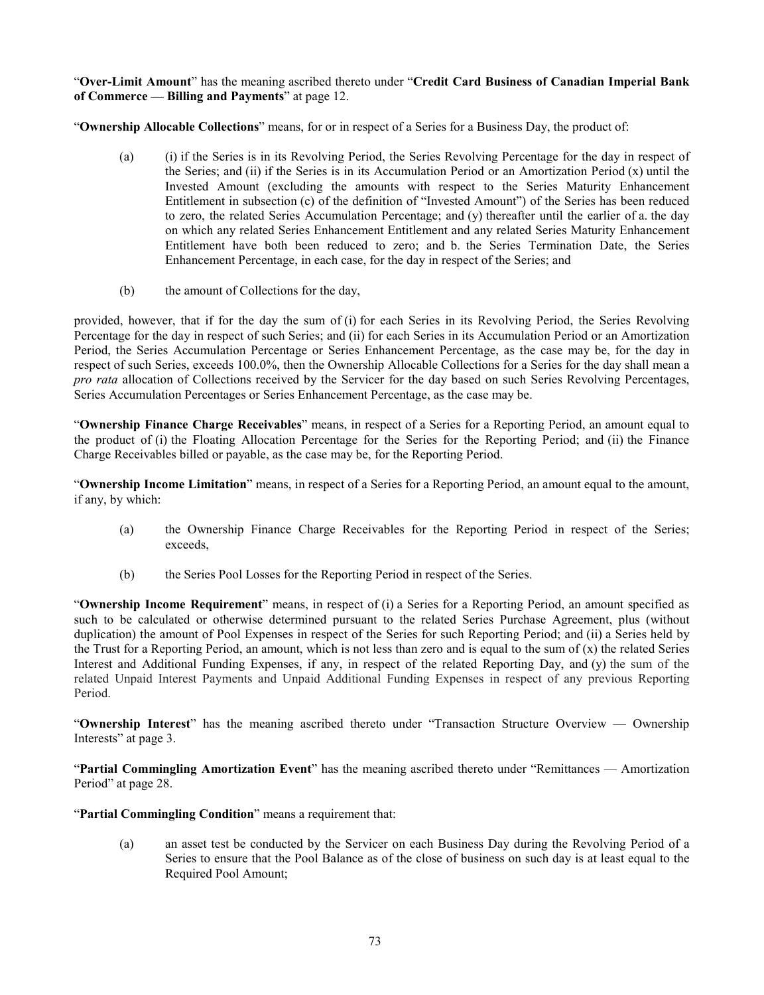"**Over-Limit Amount**" has the meaning ascribed thereto under "**Credit Card Business of Canadian Imperial Bank of Commerce — Billing and Payments**" at page [12.](#page-15-0)

"**Ownership Allocable Collections**" means, for or in respect of a Series for a Business Day, the product of:

- (a) (i) if the Series is in its Revolving Period, the Series Revolving Percentage for the day in respect of the Series; and (ii) if the Series is in its Accumulation Period or an Amortization Period (x) until the Invested Amount (excluding the amounts with respect to the Series Maturity Enhancement Entitlement in subsection (c) of the definition of "Invested Amount") of the Series has been reduced to zero, the related Series Accumulation Percentage; and (y) thereafter until the earlier of a. the day on which any related Series Enhancement Entitlement and any related Series Maturity Enhancement Entitlement have both been reduced to zero; and b. the Series Termination Date, the Series Enhancement Percentage, in each case, for the day in respect of the Series; and
- (b) the amount of Collections for the day,

provided, however, that if for the day the sum of (i) for each Series in its Revolving Period, the Series Revolving Percentage for the day in respect of such Series; and (ii) for each Series in its Accumulation Period or an Amortization Period, the Series Accumulation Percentage or Series Enhancement Percentage, as the case may be, for the day in respect of such Series, exceeds 100.0%, then the Ownership Allocable Collections for a Series for the day shall mean a *pro rata* allocation of Collections received by the Servicer for the day based on such Series Revolving Percentages, Series Accumulation Percentages or Series Enhancement Percentage, as the case may be.

"**Ownership Finance Charge Receivables**" means, in respect of a Series for a Reporting Period, an amount equal to the product of (i) the Floating Allocation Percentage for the Series for the Reporting Period; and (ii) the Finance Charge Receivables billed or payable, as the case may be, for the Reporting Period.

"**Ownership Income Limitation**" means, in respect of a Series for a Reporting Period, an amount equal to the amount, if any, by which:

- (a) the Ownership Finance Charge Receivables for the Reporting Period in respect of the Series; exceeds,
- (b) the Series Pool Losses for the Reporting Period in respect of the Series.

"**Ownership Income Requirement**" means, in respect of (i) a Series for a Reporting Period, an amount specified as such to be calculated or otherwise determined pursuant to the related Series Purchase Agreement, plus (without duplication) the amount of Pool Expenses in respect of the Series for such Reporting Period; and (ii) a Series held by the Trust for a Reporting Period, an amount, which is not less than zero and is equal to the sum of  $(x)$  the related Series Interest and Additional Funding Expenses, if any, in respect of the related Reporting Day, and (y) the sum of the related Unpaid Interest Payments and Unpaid Additional Funding Expenses in respect of any previous Reporting Period.

"**Ownership Interest**" has the meaning ascribed thereto under "Transaction Structure Overview — Ownership Interests" at page [3.](#page-6-0)

"**Partial Commingling Amortization Event**" has the meaning ascribed thereto under "Remittances — Amortization Period" at page [28.](#page-31-0)

<span id="page-76-0"></span>"**Partial Commingling Condition**" means a requirement that:

(a) an asset test be conducted by the Servicer on each Business Day during the Revolving Period of a Series to ensure that the Pool Balance as of the close of business on such day is at least equal to the Required Pool Amount;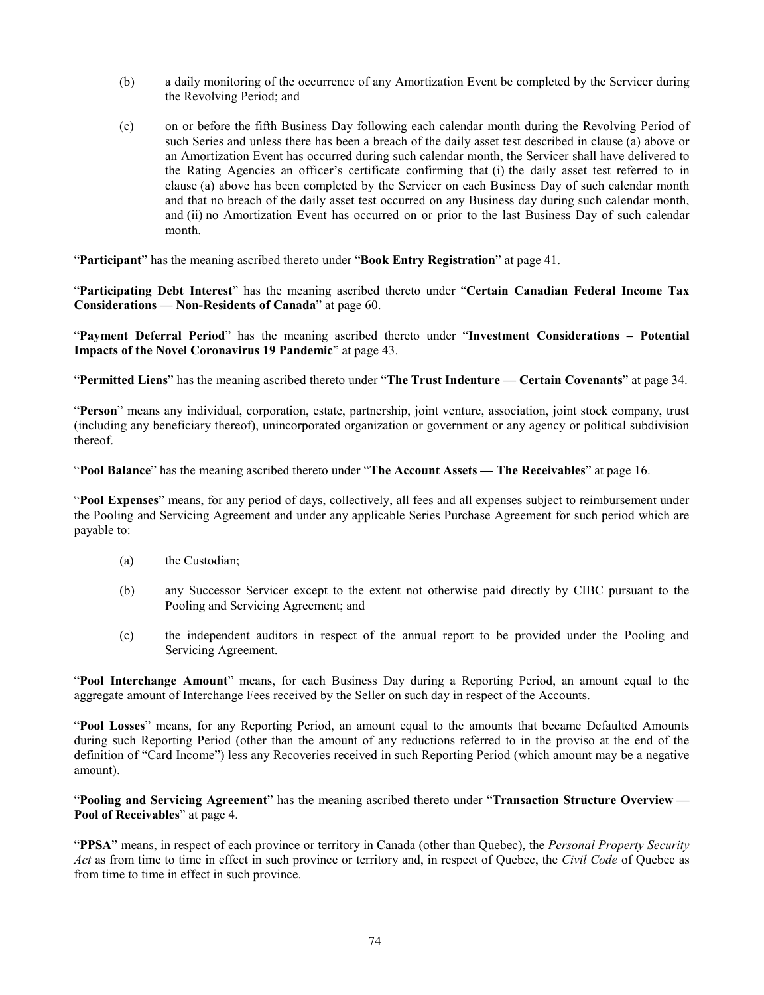- (b) a daily monitoring of the occurrence of any Amortization Event be completed by the Servicer during the Revolving Period; and
- (c) on or before the fifth Business Day following each calendar month during the Revolving Period of such Series and unless there has been a breach of the daily asset test described in clause [\(a\)](#page-76-0) above or an Amortization Event has occurred during such calendar month, the Servicer shall have delivered to the Rating Agencies an officer's certificate confirming that (i) the daily asset test referred to in clause [\(a\)](#page-76-0) above has been completed by the Servicer on each Business Day of such calendar month and that no breach of the daily asset test occurred on any Business day during such calendar month, and (ii) no Amortization Event has occurred on or prior to the last Business Day of such calendar month.

"**Participant**" has the meaning ascribed thereto under "**Book Entry Registration**" at page [41.](#page-44-0)

"**Participating Debt Interest**" has the meaning ascribed thereto under "**Certain Canadian Federal Income Tax Considerations — Non-Residents of Canada**" at page [60.](#page-63-1)

"**Payment Deferral Period**" has the meaning ascribed thereto under "**Investment Considerations – Potential Impacts of the Novel Coronavirus 19 Pandemic**" at page [43.](#page-46-0)

"**Permitted Liens**" has the meaning ascribed thereto under "**The Trust Indenture — Certain Covenants**" at page [34.](#page-37-0)

"**Person**" means any individual, corporation, estate, partnership, joint venture, association, joint stock company, trust (including any beneficiary thereof), unincorporated organization or government or any agency or political subdivision thereof.

"**Pool Balance**" has the meaning ascribed thereto under "**The Account Assets — The Receivables**" at page [16.](#page-19-0)

"**Pool Expenses**" means, for any period of days, collectively, all fees and all expenses subject to reimbursement under the Pooling and Servicing Agreement and under any applicable Series Purchase Agreement for such period which are payable to:

- (a) the Custodian;
- (b) any Successor Servicer except to the extent not otherwise paid directly by CIBC pursuant to the Pooling and Servicing Agreement; and
- (c) the independent auditors in respect of the annual report to be provided under the Pooling and Servicing Agreement.

"**Pool Interchange Amount**" means, for each Business Day during a Reporting Period, an amount equal to the aggregate amount of Interchange Fees received by the Seller on such day in respect of the Accounts.

"**Pool Losses**" means, for any Reporting Period, an amount equal to the amounts that became Defaulted Amounts during such Reporting Period (other than the amount of any reductions referred to in the proviso at the end of the definition of "Card Income") less any Recoveries received in such Reporting Period (which amount may be a negative amount).

"**Pooling and Servicing Agreement**" has the meaning ascribed thereto under "**Transaction Structure Overview — Pool of Receivables**" at page [4.](#page-7-1)

"**PPSA**" means, in respect of each province or territory in Canada (other than Quebec), the *Personal Property Security Act* as from time to time in effect in such province or territory and, in respect of Quebec, the *Civil Code* of Quebec as from time to time in effect in such province.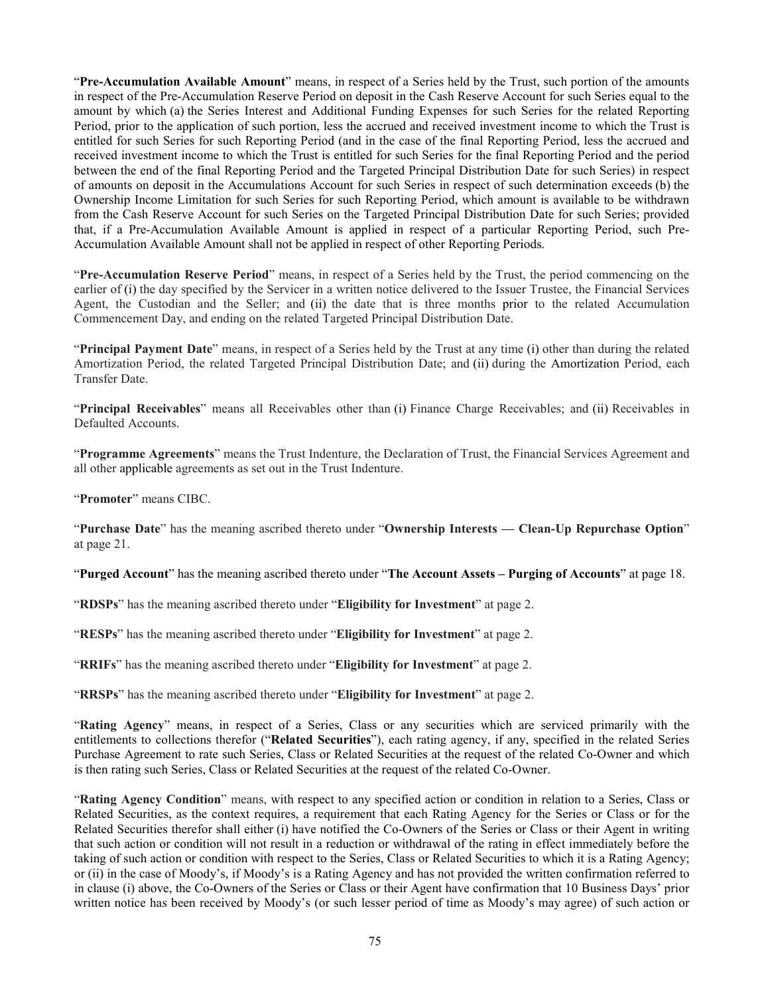"**Pre-Accumulation Available Amount**" means, in respect of a Series held by the Trust, such portion of the amounts in respect of the Pre-Accumulation Reserve Period on deposit in the Cash Reserve Account for such Series equal to the amount by which (a) the Series Interest and Additional Funding Expenses for such Series for the related Reporting Period, prior to the application of such portion, less the accrued and received investment income to which the Trust is entitled for such Series for such Reporting Period (and in the case of the final Reporting Period, less the accrued and received investment income to which the Trust is entitled for such Series for the final Reporting Period and the period between the end of the final Reporting Period and the Targeted Principal Distribution Date for such Series) in respect of amounts on deposit in the Accumulations Account for such Series in respect of such determination exceeds (b) the Ownership Income Limitation for such Series for such Reporting Period, which amount is available to be withdrawn from the Cash Reserve Account for such Series on the Targeted Principal Distribution Date for such Series; provided that, if a Pre-Accumulation Available Amount is applied in respect of a particular Reporting Period, such Pre-Accumulation Available Amount shall not be applied in respect of other Reporting Periods.

"**Pre-Accumulation Reserve Period**" means, in respect of a Series held by the Trust, the period commencing on the earlier of (i) the day specified by the Servicer in a written notice delivered to the Issuer Trustee, the Financial Services Agent, the Custodian and the Seller; and (ii) the date that is three months prior to the related Accumulation Commencement Day, and ending on the related Targeted Principal Distribution Date.

"**Principal Payment Date**" means, in respect of a Series held by the Trust at any time (i) other than during the related Amortization Period, the related Targeted Principal Distribution Date; and (ii) during the Amortization Period, each Transfer Date.

<span id="page-78-0"></span>"**Principal Receivables**" means all Receivables other than (i) Finance Charge Receivables; and (ii) Receivables in Defaulted Accounts.

"**Programme Agreements**" means the Trust Indenture, the Declaration of Trust, the Financial Services Agreement and all other applicable agreements as set out in the Trust Indenture.

"**Promoter**" means CIBC.

"**Purchase Date**" has the meaning ascribed thereto under "**Ownership Interests — Clean-Up Repurchase Option**" at page [21.](#page-24-0)

"**Purged Account**" has the meaning ascribed thereto under "**The Account Assets – Purging of Accounts**" at page [18.](#page-21-0)

"**RDSPs**" has the meaning ascribed thereto under "**Eligibility for Investment**" at page [2.](#page-5-0)

"**RESPs**" has the meaning ascribed thereto under "**Eligibility for Investment**" at page [2.](#page-5-0)

"**RRIFs**" has the meaning ascribed thereto under "**Eligibility for Investment**" at page [2.](#page-5-0)

"**RRSPs**" has the meaning ascribed thereto under "**Eligibility for Investment**" at page [2.](#page-5-0)

"**Rating Agency**" means, in respect of a Series, Class or any securities which are serviced primarily with the entitlements to collections therefor ("**Related Securities**"), each rating agency, if any, specified in the related Series Purchase Agreement to rate such Series, Class or Related Securities at the request of the related Co-Owner and which is then rating such Series, Class or Related Securities at the request of the related Co-Owner.

"**Rating Agency Condition**" means, with respect to any specified action or condition in relation to a Series, Class or Related Securities, as the context requires, a requirement that each Rating Agency for the Series or Class or for the Related Securities therefor shall either (i) have notified the Co-Owners of the Series or Class or their Agent in writing that such action or condition will not result in a reduction or withdrawal of the rating in effect immediately before the taking of such action or condition with respect to the Series, Class or Related Securities to which it is a Rating Agency; or (ii) in the case of Moody's, if Moody's is a Rating Agency and has not provided the written confirmation referred to in clause [\(i\)](#page-78-0) above, the Co-Owners of the Series or Class or their Agent have confirmation that 10 Business Days' prior written notice has been received by Moody's (or such lesser period of time as Moody's may agree) of such action or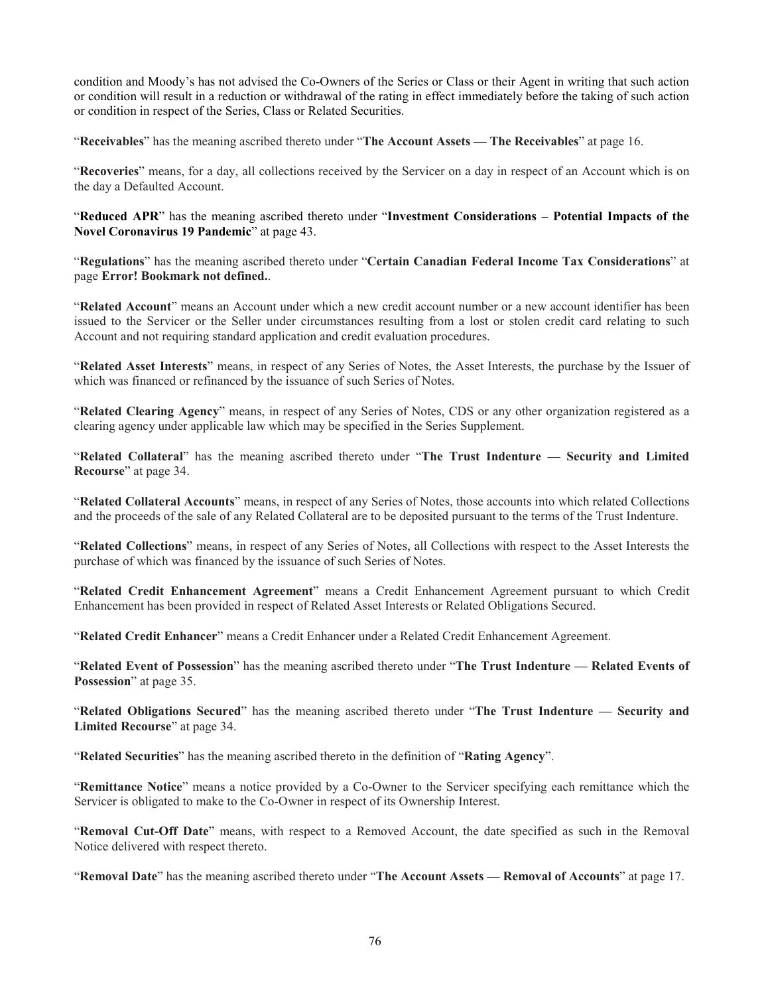condition and Moody's has not advised the Co-Owners of the Series or Class or their Agent in writing that such action or condition will result in a reduction or withdrawal of the rating in effect immediately before the taking of such action or condition in respect of the Series, Class or Related Securities.

"**Receivables**" has the meaning ascribed thereto under "**The Account Assets — The Receivables**" at page [16.](#page-19-0)

"**Recoveries**" means, for a day, all collections received by the Servicer on a day in respect of an Account which is on the day a Defaulted Account.

"**Reduced APR**" has the meaning ascribed thereto under "**Investment Considerations – Potential Impacts of the Novel Coronavirus 19 Pandemic**" at page [43.](#page-46-1)

"**Regulations**" has the meaning ascribed thereto under "**Certain Canadian Federal Income Tax Considerations**" at page **Error! Bookmark not defined.**.

"**Related Account**" means an Account under which a new credit account number or a new account identifier has been issued to the Servicer or the Seller under circumstances resulting from a lost or stolen credit card relating to such Account and not requiring standard application and credit evaluation procedures.

"**Related Asset Interests**" means, in respect of any Series of Notes, the Asset Interests, the purchase by the Issuer of which was financed or refinanced by the issuance of such Series of Notes.

"**Related Clearing Agency**" means, in respect of any Series of Notes, CDS or any other organization registered as a clearing agency under applicable law which may be specified in the Series Supplement.

"**Related Collateral**" has the meaning ascribed thereto under "**The Trust Indenture — Security and Limited Recourse**" at page [34.](#page-37-1)

"**Related Collateral Accounts**" means, in respect of any Series of Notes, those accounts into which related Collections and the proceeds of the sale of any Related Collateral are to be deposited pursuant to the terms of the Trust Indenture.

"**Related Collections**" means, in respect of any Series of Notes, all Collections with respect to the Asset Interests the purchase of which was financed by the issuance of such Series of Notes.

"**Related Credit Enhancement Agreement**" means a Credit Enhancement Agreement pursuant to which Credit Enhancement has been provided in respect of Related Asset Interests or Related Obligations Secured.

"**Related Credit Enhancer**" means a Credit Enhancer under a Related Credit Enhancement Agreement.

"**Related Event of Possession**" has the meaning ascribed thereto under "**The Trust Indenture — Related Events of Possession**" at page [35.](#page-38-0)

"**Related Obligations Secured**" has the meaning ascribed thereto under "**The Trust Indenture — Security and Limited Recourse**" at page [34.](#page-37-1)

"**Related Securities**" has the meaning ascribed thereto in the definition of "**Rating Agency**".

"**Remittance Notice**" means a notice provided by a Co-Owner to the Servicer specifying each remittance which the Servicer is obligated to make to the Co-Owner in respect of its Ownership Interest.

"**Removal Cut-Off Date**" means, with respect to a Removed Account, the date specified as such in the Removal Notice delivered with respect thereto.

"**Removal Date**" has the meaning ascribed thereto under "**The Account Assets — Removal of Accounts**" at page [17.](#page-20-0)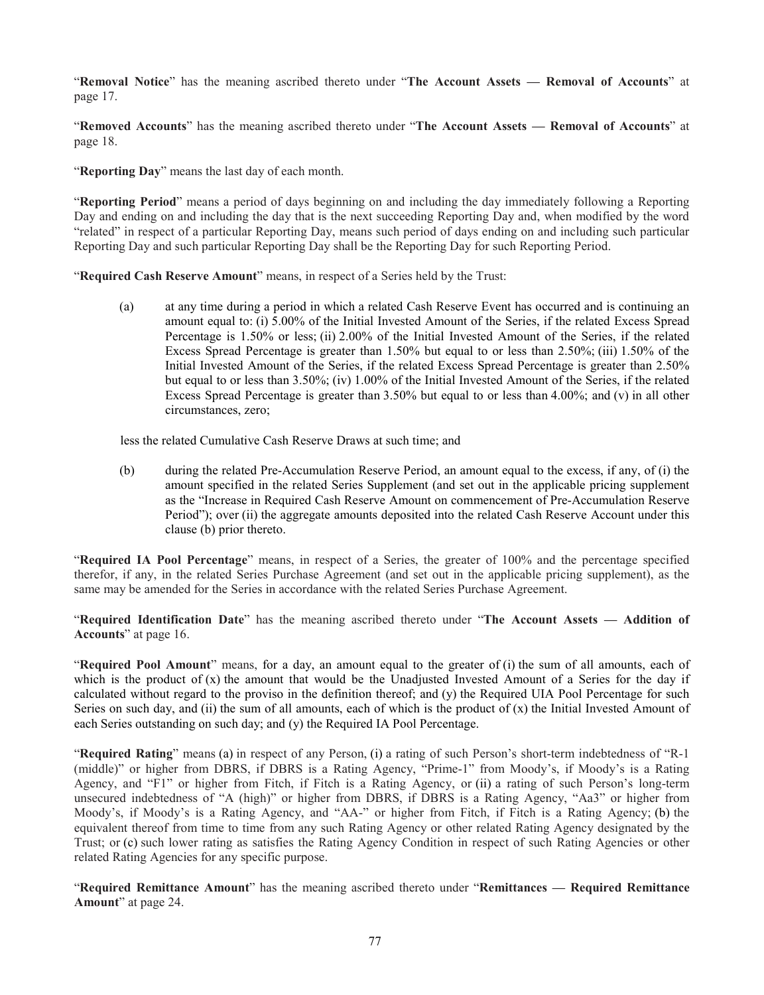"**Removal Notice**" has the meaning ascribed thereto under "**The Account Assets — Removal of Accounts**" at page [17.](#page-20-1)

"**Removed Accounts**" has the meaning ascribed thereto under "**The Account Assets — Removal of Accounts**" at page [18.](#page-21-1)

"**Reporting Day**" means the last day of each month.

"**Reporting Period**" means a period of days beginning on and including the day immediately following a Reporting Day and ending on and including the day that is the next succeeding Reporting Day and, when modified by the word "related" in respect of a particular Reporting Day, means such period of days ending on and including such particular Reporting Day and such particular Reporting Day shall be the Reporting Day for such Reporting Period.

"Required Cash Reserve Amount" means, in respect of a Series held by the Trust:

(a) at any time during a period in which a related Cash Reserve Event has occurred and is continuing an amount equal to: (i) 5.00% of the Initial Invested Amount of the Series, if the related Excess Spread Percentage is 1.50% or less; (ii) 2.00% of the Initial Invested Amount of the Series, if the related Excess Spread Percentage is greater than 1.50% but equal to or less than 2.50%; (iii) 1.50% of the Initial Invested Amount of the Series, if the related Excess Spread Percentage is greater than 2.50% but equal to or less than 3.50%; (iv) 1.00% of the Initial Invested Amount of the Series, if the related Excess Spread Percentage is greater than 3.50% but equal to or less than 4.00%; and (v) in all other circumstances, zero;

less the related Cumulative Cash Reserve Draws at such time; and

(b) during the related Pre-Accumulation Reserve Period, an amount equal to the excess, if any, of (i) the amount specified in the related Series Supplement (and set out in the applicable pricing supplement as the "Increase in Required Cash Reserve Amount on commencement of Pre-Accumulation Reserve Period"); over (ii) the aggregate amounts deposited into the related Cash Reserve Account under this clause (b) prior thereto.

"**Required IA Pool Percentage**" means, in respect of a Series, the greater of 100% and the percentage specified therefor, if any, in the related Series Purchase Agreement (and set out in the applicable pricing supplement), as the same may be amended for the Series in accordance with the related Series Purchase Agreement.

"**Required Identification Date**" has the meaning ascribed thereto under "**The Account Assets — Addition of Accounts**" at page [16.](#page-19-1)

"**Required Pool Amount**" means, for a day, an amount equal to the greater of (i) the sum of all amounts, each of which is the product of  $(x)$  the amount that would be the Unadjusted Invested Amount of a Series for the day if calculated without regard to the proviso in the definition thereof; and (y) the Required UIA Pool Percentage for such Series on such day, and (ii) the sum of all amounts, each of which is the product of  $(x)$  the Initial Invested Amount of each Series outstanding on such day; and (y) the Required IA Pool Percentage.

"**Required Rating**" means (a) in respect of any Person, (i) a rating of such Person's short-term indebtedness of "R-1 (middle)" or higher from DBRS, if DBRS is a Rating Agency, "Prime-1" from Moody's, if Moody's is a Rating Agency, and "F1" or higher from Fitch, if Fitch is a Rating Agency, or (ii) a rating of such Person's long-term unsecured indebtedness of "A (high)" or higher from DBRS, if DBRS is a Rating Agency, "Aa3" or higher from Moody's, if Moody's is a Rating Agency, and "AA-" or higher from Fitch, if Fitch is a Rating Agency; (b) the equivalent thereof from time to time from any such Rating Agency or other related Rating Agency designated by the Trust; or (c) such lower rating as satisfies the Rating Agency Condition in respect of such Rating Agencies or other related Rating Agencies for any specific purpose.

"**Required Remittance Amount**" has the meaning ascribed thereto under "**Remittances — Required Remittance Amount**" at page [24.](#page-27-0)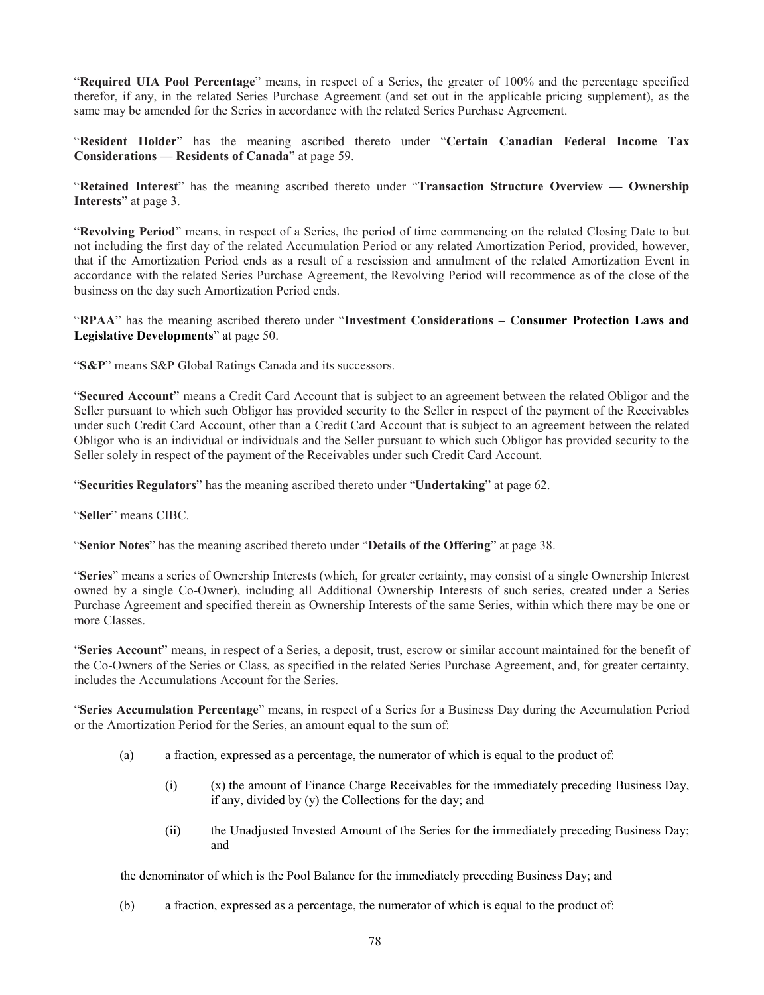"**Required UIA Pool Percentage**" means, in respect of a Series, the greater of 100% and the percentage specified therefor, if any, in the related Series Purchase Agreement (and set out in the applicable pricing supplement), as the same may be amended for the Series in accordance with the related Series Purchase Agreement.

"**Resident Holder**" has the meaning ascribed thereto under "**Certain Canadian Federal Income Tax Considerations — Residents of Canada**" at page [59.](#page-62-0)

"**Retained Interest**" has the meaning ascribed thereto under "**Transaction Structure Overview — Ownership Interests**" at page [3.](#page-6-1)

"**Revolving Period**" means, in respect of a Series, the period of time commencing on the related Closing Date to but not including the first day of the related Accumulation Period or any related Amortization Period, provided, however, that if the Amortization Period ends as a result of a rescission and annulment of the related Amortization Event in accordance with the related Series Purchase Agreement, the Revolving Period will recommence as of the close of the business on the day such Amortization Period ends.

"**RPAA**" has the meaning ascribed thereto under "**Investment Considerations – Consumer Protection Laws and Legislative Developments**" at page [50.](#page-53-1)

"**S&P**" means S&P Global Ratings Canada and its successors.

"**Secured Account**" means a Credit Card Account that is subject to an agreement between the related Obligor and the Seller pursuant to which such Obligor has provided security to the Seller in respect of the payment of the Receivables under such Credit Card Account, other than a Credit Card Account that is subject to an agreement between the related Obligor who is an individual or individuals and the Seller pursuant to which such Obligor has provided security to the Seller solely in respect of the payment of the Receivables under such Credit Card Account.

"**Securities Regulators**" has the meaning ascribed thereto under "**Undertaking**" at page [62.](#page-65-0)

"**Seller**" means CIBC.

"**Senior Notes**" has the meaning ascribed thereto under "**Details of the Offering**" at page [38.](#page-41-0)

"**Series**" means a series of Ownership Interests (which, for greater certainty, may consist of a single Ownership Interest owned by a single Co-Owner), including all Additional Ownership Interests of such series, created under a Series Purchase Agreement and specified therein as Ownership Interests of the same Series, within which there may be one or more Classes.

"**Series Account**" means, in respect of a Series, a deposit, trust, escrow or similar account maintained for the benefit of the Co-Owners of the Series or Class, as specified in the related Series Purchase Agreement, and, for greater certainty, includes the Accumulations Account for the Series.

"**Series Accumulation Percentage**" means, in respect of a Series for a Business Day during the Accumulation Period or the Amortization Period for the Series, an amount equal to the sum of:

- (a) a fraction, expressed as a percentage, the numerator of which is equal to the product of:
	- (i) (x) the amount of Finance Charge Receivables for the immediately preceding Business Day, if any, divided by (y) the Collections for the day; and
	- (ii) the Unadjusted Invested Amount of the Series for the immediately preceding Business Day; and

the denominator of which is the Pool Balance for the immediately preceding Business Day; and

(b) a fraction, expressed as a percentage, the numerator of which is equal to the product of: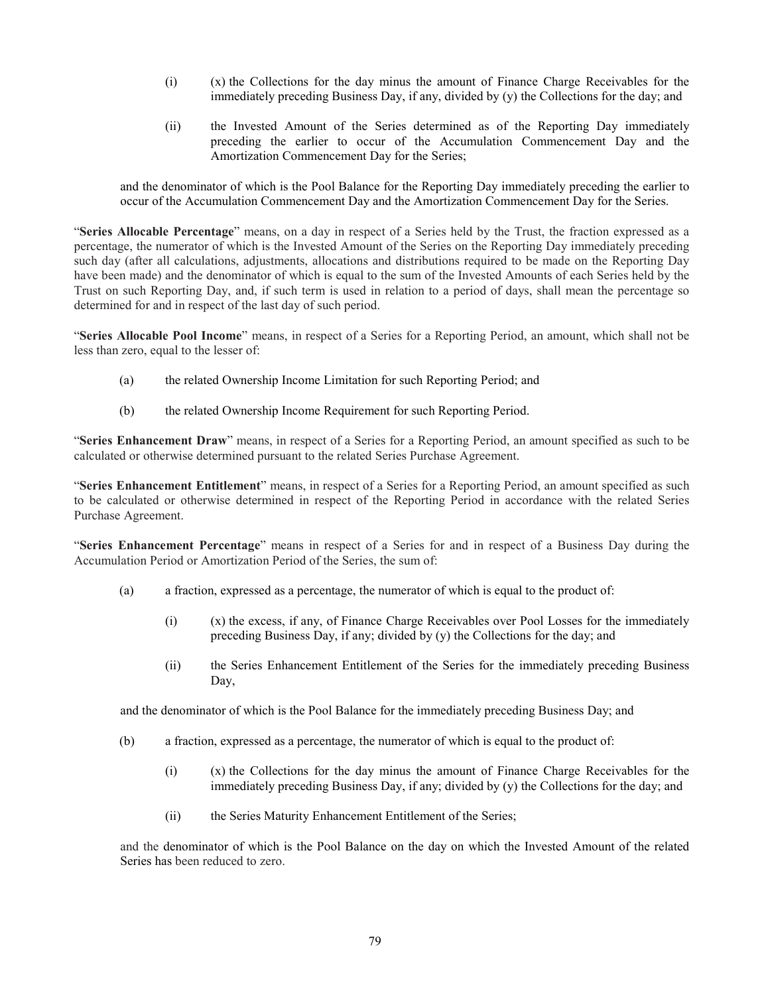- (i) (x) the Collections for the day minus the amount of Finance Charge Receivables for the immediately preceding Business Day, if any, divided by  $(y)$  the Collections for the day; and
- (ii) the Invested Amount of the Series determined as of the Reporting Day immediately preceding the earlier to occur of the Accumulation Commencement Day and the Amortization Commencement Day for the Series;

and the denominator of which is the Pool Balance for the Reporting Day immediately preceding the earlier to occur of the Accumulation Commencement Day and the Amortization Commencement Day for the Series.

"**Series Allocable Percentage**" means, on a day in respect of a Series held by the Trust, the fraction expressed as a percentage, the numerator of which is the Invested Amount of the Series on the Reporting Day immediately preceding such day (after all calculations, adjustments, allocations and distributions required to be made on the Reporting Day have been made) and the denominator of which is equal to the sum of the Invested Amounts of each Series held by the Trust on such Reporting Day, and, if such term is used in relation to a period of days, shall mean the percentage so determined for and in respect of the last day of such period.

"**Series Allocable Pool Income**" means, in respect of a Series for a Reporting Period, an amount, which shall not be less than zero, equal to the lesser of:

- (a) the related Ownership Income Limitation for such Reporting Period; and
- (b) the related Ownership Income Requirement for such Reporting Period.

"**Series Enhancement Draw**" means, in respect of a Series for a Reporting Period, an amount specified as such to be calculated or otherwise determined pursuant to the related Series Purchase Agreement.

"**Series Enhancement Entitlement**" means, in respect of a Series for a Reporting Period, an amount specified as such to be calculated or otherwise determined in respect of the Reporting Period in accordance with the related Series Purchase Agreement.

"**Series Enhancement Percentage**" means in respect of a Series for and in respect of a Business Day during the Accumulation Period or Amortization Period of the Series, the sum of:

- (a) a fraction, expressed as a percentage, the numerator of which is equal to the product of:
	- (i) (x) the excess, if any, of Finance Charge Receivables over Pool Losses for the immediately preceding Business Day, if any; divided by (y) the Collections for the day; and
	- (ii) the Series Enhancement Entitlement of the Series for the immediately preceding Business Day,

and the denominator of which is the Pool Balance for the immediately preceding Business Day; and

- (b) a fraction, expressed as a percentage, the numerator of which is equal to the product of:
	- (i) (x) the Collections for the day minus the amount of Finance Charge Receivables for the immediately preceding Business Day, if any; divided by (y) the Collections for the day; and
	- (ii) the Series Maturity Enhancement Entitlement of the Series;

and the denominator of which is the Pool Balance on the day on which the Invested Amount of the related Series has been reduced to zero.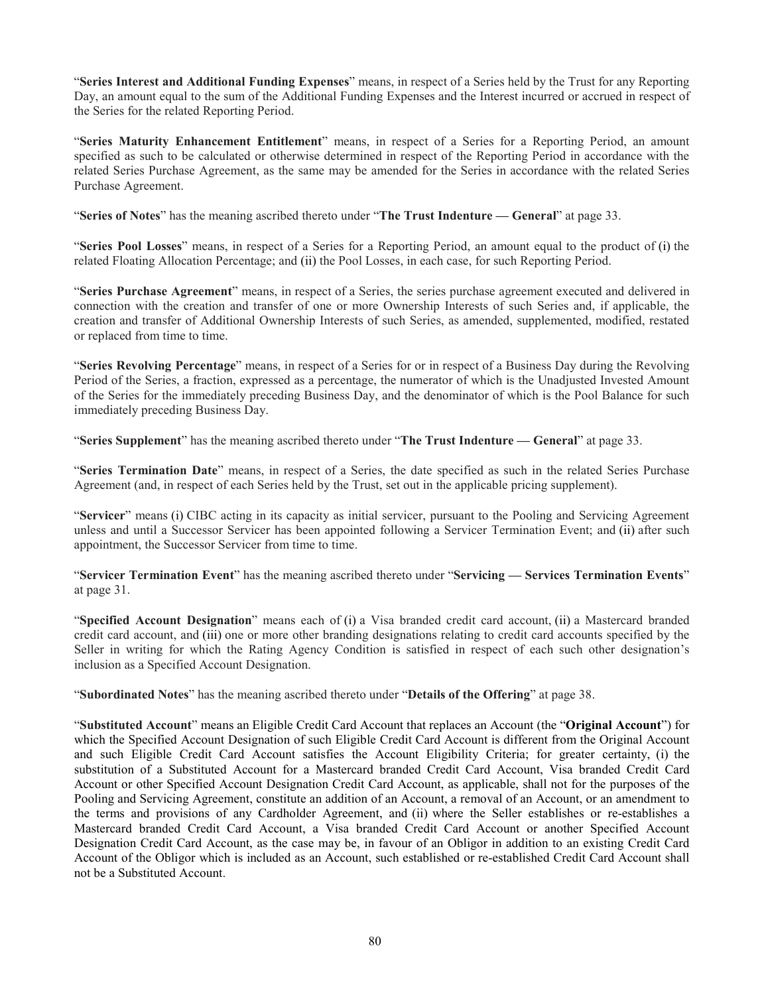"**Series Interest and Additional Funding Expenses**" means, in respect of a Series held by the Trust for any Reporting Day, an amount equal to the sum of the Additional Funding Expenses and the Interest incurred or accrued in respect of the Series for the related Reporting Period.

"**Series Maturity Enhancement Entitlement**" means, in respect of a Series for a Reporting Period, an amount specified as such to be calculated or otherwise determined in respect of the Reporting Period in accordance with the related Series Purchase Agreement, as the same may be amended for the Series in accordance with the related Series Purchase Agreement.

"**Series of Notes**" has the meaning ascribed thereto under "**The Trust Indenture — General**" at page [33.](#page-36-0)

"**Series Pool Losses**" means, in respect of a Series for a Reporting Period, an amount equal to the product of (i) the related Floating Allocation Percentage; and (ii) the Pool Losses, in each case, for such Reporting Period.

"**Series Purchase Agreement**" means, in respect of a Series, the series purchase agreement executed and delivered in connection with the creation and transfer of one or more Ownership Interests of such Series and, if applicable, the creation and transfer of Additional Ownership Interests of such Series, as amended, supplemented, modified, restated or replaced from time to time.

"**Series Revolving Percentage**" means, in respect of a Series for or in respect of a Business Day during the Revolving Period of the Series, a fraction, expressed as a percentage, the numerator of which is the Unadjusted Invested Amount of the Series for the immediately preceding Business Day, and the denominator of which is the Pool Balance for such immediately preceding Business Day.

"**Series Supplement**" has the meaning ascribed thereto under "**The Trust Indenture — General**" at page [33.](#page-36-0)

"**Series Termination Date**" means, in respect of a Series, the date specified as such in the related Series Purchase Agreement (and, in respect of each Series held by the Trust, set out in the applicable pricing supplement).

"**Servicer**" means (i) CIBC acting in its capacity as initial servicer, pursuant to the Pooling and Servicing Agreement unless and until a Successor Servicer has been appointed following a Servicer Termination Event; and (ii) after such appointment, the Successor Servicer from time to time.

"**Servicer Termination Event**" has the meaning ascribed thereto under "**Servicing — Services Termination Events**" at page [31.](#page-34-0)

"**Specified Account Designation**" means each of (i) a Visa branded credit card account, (ii) a Mastercard branded credit card account, and (iii) one or more other branding designations relating to credit card accounts specified by the Seller in writing for which the Rating Agency Condition is satisfied in respect of each such other designation's inclusion as a Specified Account Designation.

"**Subordinated Notes**" has the meaning ascribed thereto under "**Details of the Offering**" at page [38.](#page-41-1)

"**Substituted Account**" means an Eligible Credit Card Account that replaces an Account (the "**Original Account**") for which the Specified Account Designation of such Eligible Credit Card Account is different from the Original Account and such Eligible Credit Card Account satisfies the Account Eligibility Criteria; for greater certainty, (i) the substitution of a Substituted Account for a Mastercard branded Credit Card Account, Visa branded Credit Card Account or other Specified Account Designation Credit Card Account, as applicable, shall not for the purposes of the Pooling and Servicing Agreement, constitute an addition of an Account, a removal of an Account, or an amendment to the terms and provisions of any Cardholder Agreement, and (ii) where the Seller establishes or re-establishes a Mastercard branded Credit Card Account, a Visa branded Credit Card Account or another Specified Account Designation Credit Card Account, as the case may be, in favour of an Obligor in addition to an existing Credit Card Account of the Obligor which is included as an Account, such established or re-established Credit Card Account shall not be a Substituted Account.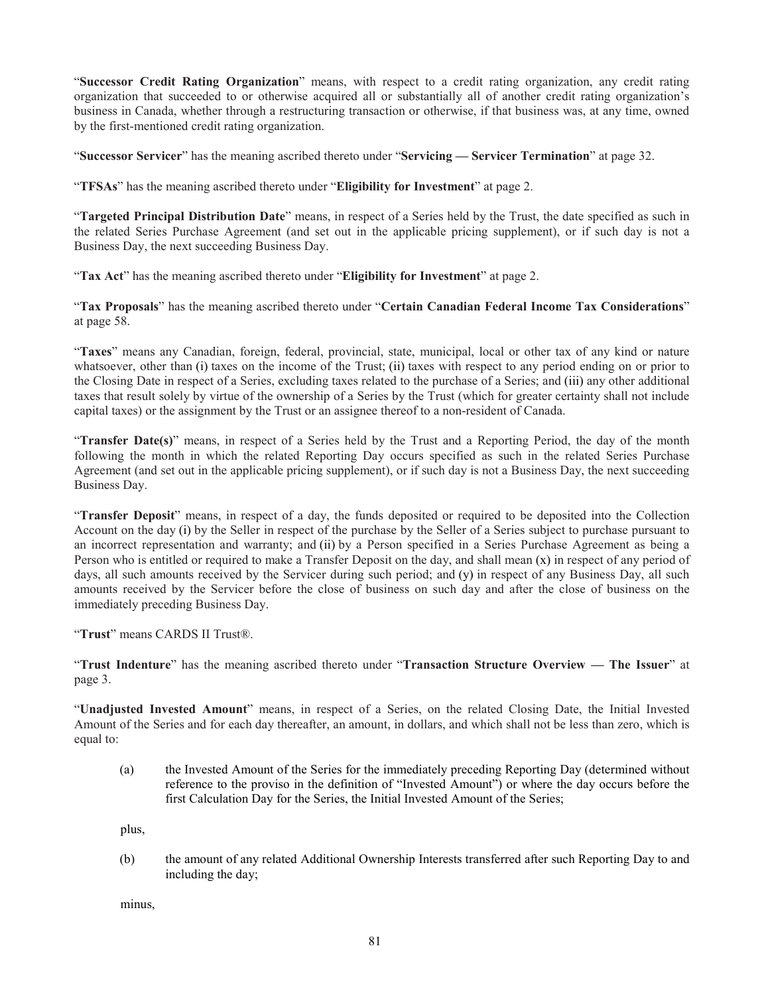"**Successor Credit Rating Organization**" means, with respect to a credit rating organization, any credit rating organization that succeeded to or otherwise acquired all or substantially all of another credit rating organization's business in Canada, whether through a restructuring transaction or otherwise, if that business was, at any time, owned by the first-mentioned credit rating organization.

"**Successor Servicer**" has the meaning ascribed thereto under "**Servicing — Servicer Termination**" at page [32.](#page-35-0)

"**TFSAs**" has the meaning ascribed thereto under "**Eligibility for Investment**" at page [2.](#page-5-0)

"**Targeted Principal Distribution Date**" means, in respect of a Series held by the Trust, the date specified as such in the related Series Purchase Agreement (and set out in the applicable pricing supplement), or if such day is not a Business Day, the next succeeding Business Day.

"**Tax Act**" has the meaning ascribed thereto under "**Eligibility for Investment**" at page [2.](#page-5-0)

"**Tax Proposals**" has the meaning ascribed thereto under "**Certain Canadian Federal Income Tax Considerations**" at page [58.](#page-61-2)

"**Taxes**" means any Canadian, foreign, federal, provincial, state, municipal, local or other tax of any kind or nature whatsoever, other than (i) taxes on the income of the Trust; (ii) taxes with respect to any period ending on or prior to the Closing Date in respect of a Series, excluding taxes related to the purchase of a Series; and (iii) any other additional taxes that result solely by virtue of the ownership of a Series by the Trust (which for greater certainty shall not include capital taxes) or the assignment by the Trust or an assignee thereof to a non-resident of Canada.

"**Transfer Date(s)**" means, in respect of a Series held by the Trust and a Reporting Period, the day of the month following the month in which the related Reporting Day occurs specified as such in the related Series Purchase Agreement (and set out in the applicable pricing supplement), or if such day is not a Business Day, the next succeeding Business Day.

"**Transfer Deposit**" means, in respect of a day, the funds deposited or required to be deposited into the Collection Account on the day (i) by the Seller in respect of the purchase by the Seller of a Series subject to purchase pursuant to an incorrect representation and warranty; and (ii) by a Person specified in a Series Purchase Agreement as being a Person who is entitled or required to make a Transfer Deposit on the day, and shall mean (x) in respect of any period of days, all such amounts received by the Servicer during such period; and (y) in respect of any Business Day, all such amounts received by the Servicer before the close of business on such day and after the close of business on the immediately preceding Business Day.

"**Trust**" means CARDS II Trust®.

"**Trust Indenture**" has the meaning ascribed thereto under "**Transaction Structure Overview — The Issuer**" at page [3.](#page-6-2)

"**Unadjusted Invested Amount**" means, in respect of a Series, on the related Closing Date, the Initial Invested Amount of the Series and for each day thereafter, an amount, in dollars, and which shall not be less than zero, which is equal to:

(a) the Invested Amount of the Series for the immediately preceding Reporting Day (determined without reference to the proviso in the definition of "Invested Amount") or where the day occurs before the first Calculation Day for the Series, the Initial Invested Amount of the Series;

plus,

(b) the amount of any related Additional Ownership Interests transferred after such Reporting Day to and including the day;

minus,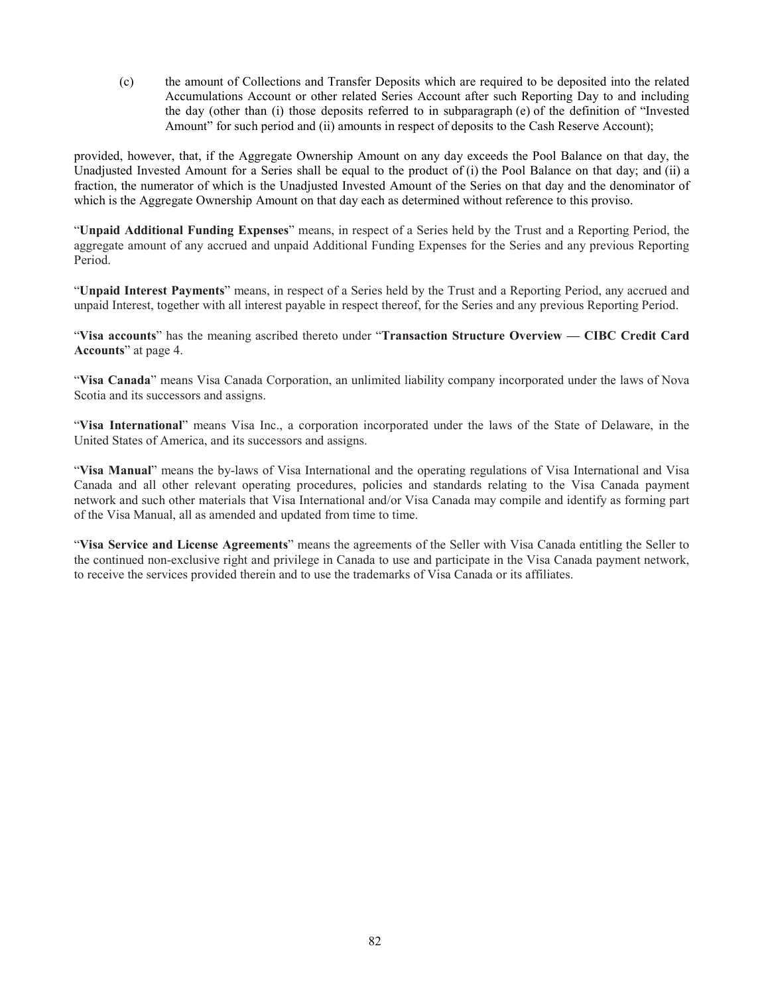(c) the amount of Collections and Transfer Deposits which are required to be deposited into the related Accumulations Account or other related Series Account after such Reporting Day to and including the day (other than (i) those deposits referred to in subparagraph (e) of the definition of "Invested Amount" for such period and (ii) amounts in respect of deposits to the Cash Reserve Account);

provided, however, that, if the Aggregate Ownership Amount on any day exceeds the Pool Balance on that day, the Unadjusted Invested Amount for a Series shall be equal to the product of (i) the Pool Balance on that day; and (ii) a fraction, the numerator of which is the Unadjusted Invested Amount of the Series on that day and the denominator of which is the Aggregate Ownership Amount on that day each as determined without reference to this proviso.

"**Unpaid Additional Funding Expenses**" means, in respect of a Series held by the Trust and a Reporting Period, the aggregate amount of any accrued and unpaid Additional Funding Expenses for the Series and any previous Reporting Period.

"**Unpaid Interest Payments**" means, in respect of a Series held by the Trust and a Reporting Period, any accrued and unpaid Interest, together with all interest payable in respect thereof, for the Series and any previous Reporting Period.

"**Visa accounts**" has the meaning ascribed thereto under "**Transaction Structure Overview — CIBC Credit Card Accounts**" at page [4.](#page-7-0)

"**Visa Canada**" means Visa Canada Corporation, an unlimited liability company incorporated under the laws of Nova Scotia and its successors and assigns.

"**Visa International**" means Visa Inc., a corporation incorporated under the laws of the State of Delaware, in the United States of America, and its successors and assigns.

"**Visa Manual**" means the by-laws of Visa International and the operating regulations of Visa International and Visa Canada and all other relevant operating procedures, policies and standards relating to the Visa Canada payment network and such other materials that Visa International and/or Visa Canada may compile and identify as forming part of the Visa Manual, all as amended and updated from time to time.

"**Visa Service and License Agreements**" means the agreements of the Seller with Visa Canada entitling the Seller to the continued non-exclusive right and privilege in Canada to use and participate in the Visa Canada payment network, to receive the services provided therein and to use the trademarks of Visa Canada or its affiliates.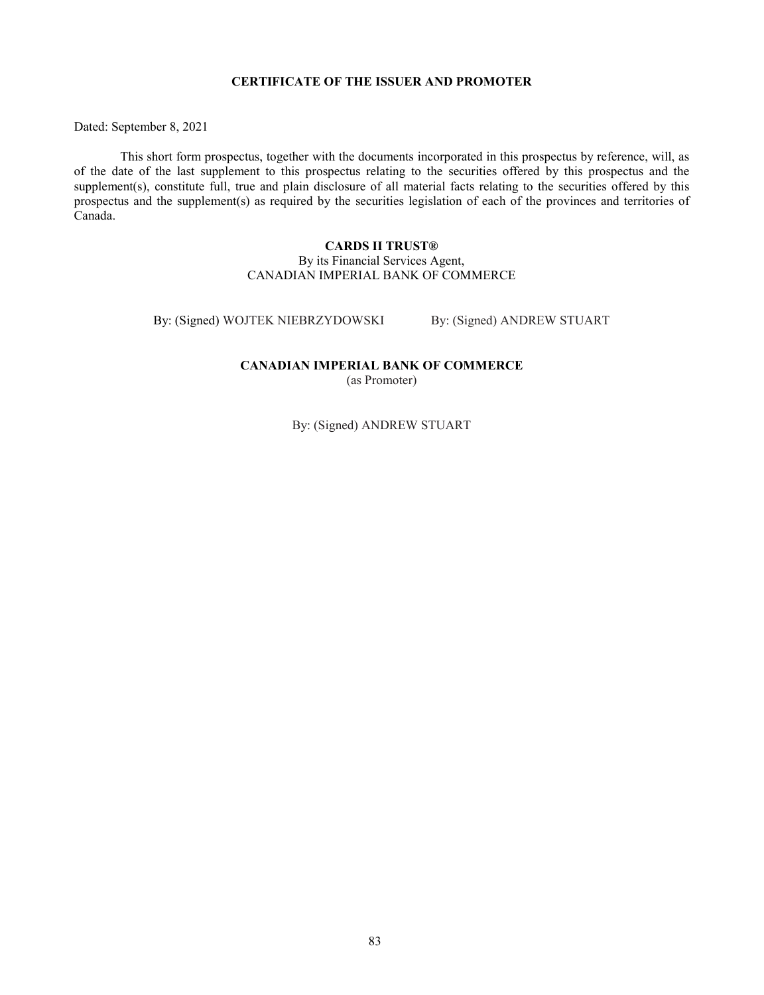## **CERTIFICATE OF THE ISSUER AND PROMOTER**

Dated: September 8, 2021

This short form prospectus, together with the documents incorporated in this prospectus by reference, will, as of the date of the last supplement to this prospectus relating to the securities offered by this prospectus and the supplement(s), constitute full, true and plain disclosure of all material facts relating to the securities offered by this prospectus and the supplement(s) as required by the securities legislation of each of the provinces and territories of Canada.

## **CARDS II TRUST®** By its Financial Services Agent, CANADIAN IMPERIAL BANK OF COMMERCE

By: (Signed) WOJTEK NIEBRZYDOWSKI By: (Signed) ANDREW STUART

**CANADIAN IMPERIAL BANK OF COMMERCE**

(as Promoter)

By: (Signed) ANDREW STUART